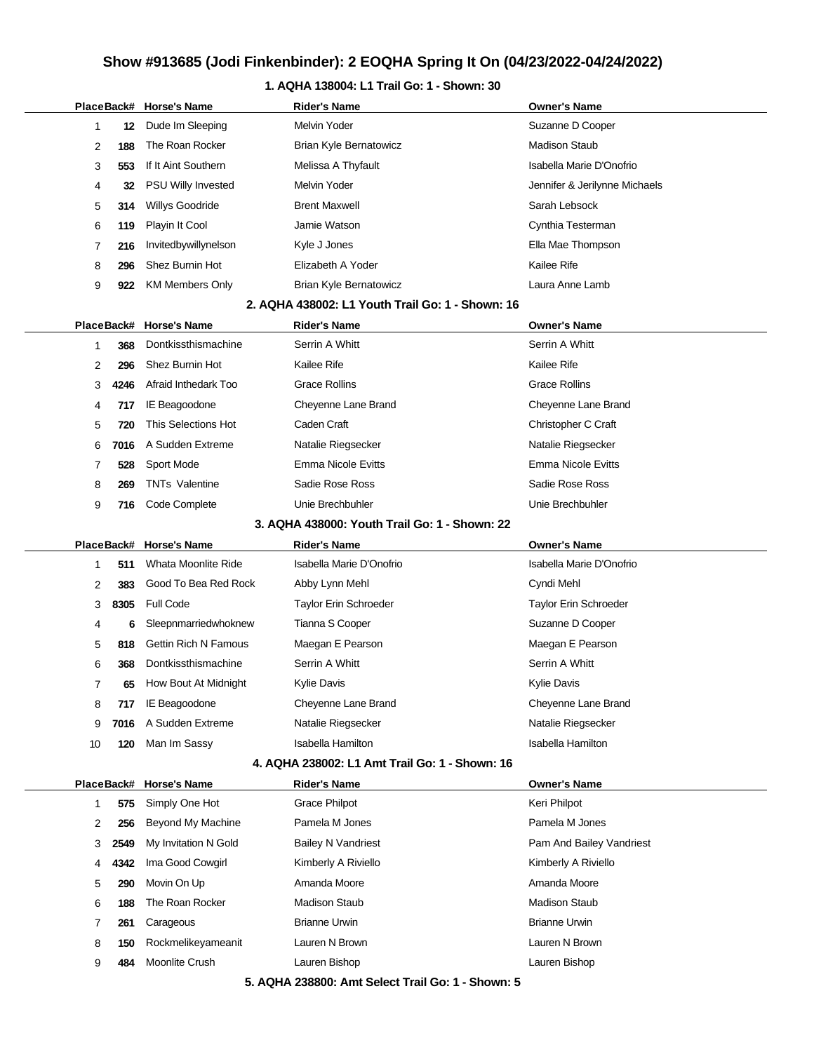#### **1. AQHA 138004: L1 Trail Go: 1 - Shown: 30**

|  |    |            | PlaceBack# Horse's Name     | <b>Rider's Name</b>                              | <b>Owner's Name</b>           |
|--|----|------------|-----------------------------|--------------------------------------------------|-------------------------------|
|  | 1  | 12         | Dude Im Sleeping            | <b>Melvin Yoder</b>                              | Suzanne D Cooper              |
|  | 2  | 188        | The Roan Rocker             | <b>Brian Kyle Bernatowicz</b>                    | <b>Madison Staub</b>          |
|  | 3  | 553        | If It Aint Southern         | Melissa A Thyfault                               | Isabella Marie D'Onofrio      |
|  | 4  | 32         | <b>PSU Willy Invested</b>   | <b>Melvin Yoder</b>                              | Jennifer & Jerilynne Michaels |
|  | 5  | 314        | Willys Goodride             | <b>Brent Maxwell</b>                             | Sarah Lebsock                 |
|  | 6  | 119        | Playin It Cool              | Jamie Watson                                     | Cynthia Testerman             |
|  | 7  | 216        | Invitedbywillynelson        | Kyle J Jones                                     | Ella Mae Thompson             |
|  | 8  | 296        | Shez Burnin Hot             | Elizabeth A Yoder                                | Kailee Rife                   |
|  | 9  | 922        | <b>KM Members Only</b>      | Brian Kyle Bernatowicz                           | Laura Anne Lamb               |
|  |    |            |                             | 2. AQHA 438002: L1 Youth Trail Go: 1 - Shown: 16 |                               |
|  |    | PlaceBack# | <b>Horse's Name</b>         | <b>Rider's Name</b>                              | <b>Owner's Name</b>           |
|  | 1  | 368        | Dontkissthismachine         | Serrin A Whitt                                   | Serrin A Whitt                |
|  | 2  | 296        | Shez Burnin Hot             | Kailee Rife                                      | Kailee Rife                   |
|  | 3  | 4246       | Afraid Inthedark Too        | <b>Grace Rollins</b>                             | <b>Grace Rollins</b>          |
|  | 4  | 717        | IE Beagoodone               | Cheyenne Lane Brand                              | Cheyenne Lane Brand           |
|  | 5  | 720        | This Selections Hot         | Caden Craft                                      | Christopher C Craft           |
|  | 6  | 7016       | A Sudden Extreme            | Natalie Riegsecker                               | Natalie Riegsecker            |
|  | 7  | 528        | Sport Mode                  | Emma Nicole Evitts                               | Emma Nicole Evitts            |
|  | 8  | 269        | <b>TNTs Valentine</b>       | Sadie Rose Ross                                  | Sadie Rose Ross               |
|  | 9  | 716        | Code Complete               | Unie Brechbuhler                                 | Unie Brechbuhler              |
|  |    |            |                             | 3. AQHA 438000: Youth Trail Go: 1 - Shown: 22    |                               |
|  |    | PlaceBack# | <b>Horse's Name</b>         | <b>Rider's Name</b>                              | <b>Owner's Name</b>           |
|  | 1  | 511        | Whata Moonlite Ride         | Isabella Marie D'Onofrio                         | Isabella Marie D'Onofrio      |
|  | 2  | 383        | Good To Bea Red Rock        | Abby Lynn Mehl                                   | Cyndi Mehl                    |
|  | 3  | 8305       | <b>Full Code</b>            | <b>Taylor Erin Schroeder</b>                     | Taylor Erin Schroeder         |
|  | 4  | 6          | Sleepnmarriedwhoknew        | Tianna S Cooper                                  | Suzanne D Cooper              |
|  | 5  | 818        | <b>Gettin Rich N Famous</b> | Maegan E Pearson                                 | Maegan E Pearson              |
|  | 6  | 368        | Dontkissthismachine         | Serrin A Whitt                                   | Serrin A Whitt                |
|  | 7  | 65         | How Bout At Midnight        | Kylie Davis                                      | <b>Kylie Davis</b>            |
|  | 8  | 717        | IE Beagoodone               | Cheyenne Lane Brand                              | Cheyenne Lane Brand           |
|  | 9  | 7016       | A Sudden Extreme            | Natalie Riegsecker                               | Natalie Riegsecker            |
|  | 10 | 120        | Man Im Sassy                | <b>Isabella Hamilton</b>                         | <b>Isabella Hamilton</b>      |
|  |    |            |                             | 4. AQHA 238002: L1 Amt Trail Go: 1 - Shown: 16   |                               |
|  |    | PlaceBack# | <b>Horse's Name</b>         | <b>Rider's Name</b>                              | <b>Owner's Name</b>           |
|  | 1  | 575        | Simply One Hot              | <b>Grace Philpot</b>                             | Keri Philpot                  |
|  | 2  | 256        | Beyond My Machine           | Pamela M Jones                                   | Pamela M Jones                |
|  | 3  | 2549       | My Invitation N Gold        | <b>Bailey N Vandriest</b>                        | Pam And Bailey Vandriest      |
|  | 4  | 4342       | Ima Good Cowgirl            | Kimberly A Riviello                              | Kimberly A Riviello           |
|  | 5  | 290        | Movin On Up                 | Amanda Moore                                     | Amanda Moore                  |
|  | 6  | 188        | The Roan Rocker             | <b>Madison Staub</b>                             | <b>Madison Staub</b>          |
|  | 7  | 261        | Carageous                   | <b>Brianne Urwin</b>                             | <b>Brianne Urwin</b>          |
|  | 8  | 150        | Rockmelikeyameanit          | Lauren N Brown                                   | Lauren N Brown                |
|  | 9  | 484        | Moonlite Crush              | Lauren Bishop                                    | Lauren Bishop                 |
|  |    |            |                             |                                                  |                               |

**5. AQHA 238800: Amt Select Trail Go: 1 - Shown: 5**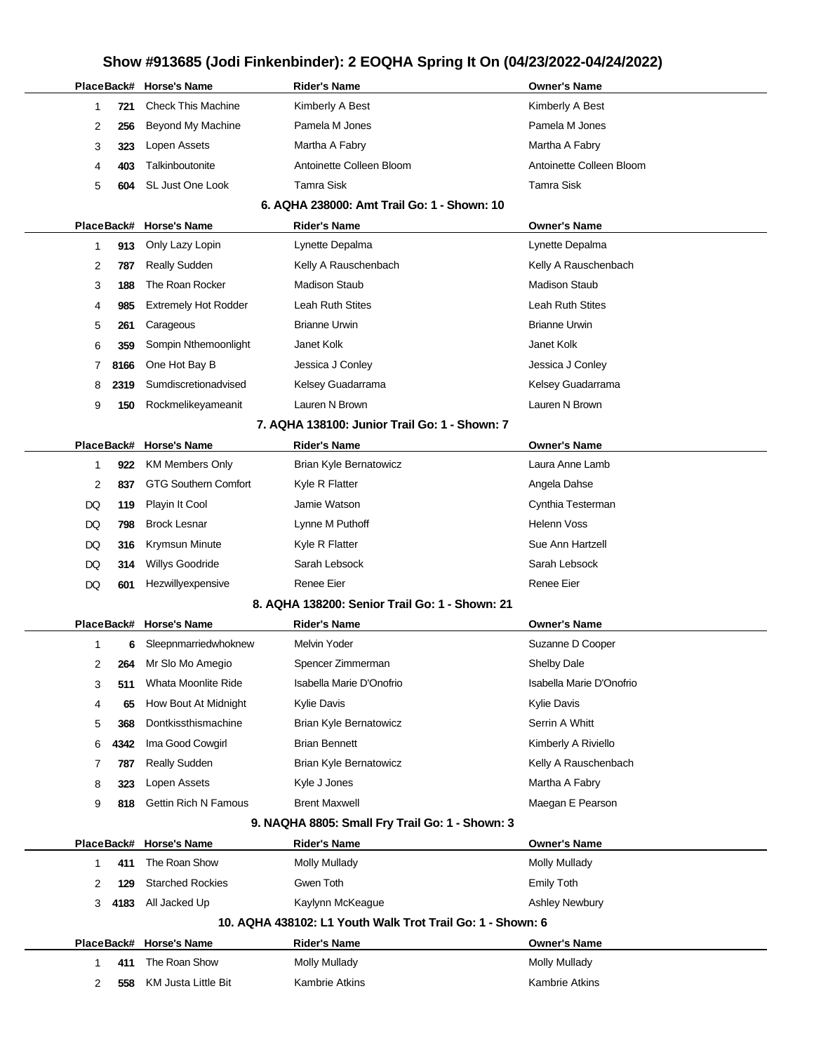|                |      | PlaceBack# Horse's Name     | <b>Rider's Name</b>                                        | <b>Owner's Name</b>      |
|----------------|------|-----------------------------|------------------------------------------------------------|--------------------------|
| 1              | 721  | <b>Check This Machine</b>   | Kimberly A Best                                            | Kimberly A Best          |
| 2              | 256  | Beyond My Machine           | Pamela M Jones                                             | Pamela M Jones           |
| 3              | 323  | Lopen Assets                | Martha A Fabry                                             | Martha A Fabry           |
| 4              | 403  | Talkinboutonite             | Antoinette Colleen Bloom                                   | Antoinette Colleen Bloom |
| 5              | 604  | SL Just One Look            | <b>Tamra Sisk</b>                                          | <b>Tamra Sisk</b>        |
|                |      |                             | 6. AQHA 238000: Amt Trail Go: 1 - Shown: 10                |                          |
|                |      | PlaceBack# Horse's Name     | <b>Rider's Name</b>                                        | <b>Owner's Name</b>      |
| 1              | 913  | Only Lazy Lopin             | Lynette Depalma                                            | Lynette Depalma          |
| 2              | 787  | <b>Really Sudden</b>        | Kelly A Rauschenbach                                       | Kelly A Rauschenbach     |
| 3              | 188  | The Roan Rocker             | <b>Madison Staub</b>                                       | <b>Madison Staub</b>     |
| 4              | 985  | <b>Extremely Hot Rodder</b> | Leah Ruth Stites                                           | <b>Leah Ruth Stites</b>  |
| 5              | 261  | Carageous                   | <b>Brianne Urwin</b>                                       | <b>Brianne Urwin</b>     |
| 6              | 359  | Sompin Nthemoonlight        | Janet Kolk                                                 | Janet Kolk               |
| $\overline{7}$ | 8166 | One Hot Bay B               | Jessica J Conley                                           | Jessica J Conley         |
| 8              | 2319 | Sumdiscretionadvised        | Kelsey Guadarrama                                          | Kelsey Guadarrama        |
| 9              | 150  | Rockmelikeyameanit          | Lauren N Brown                                             | Lauren N Brown           |
|                |      |                             | 7. AQHA 138100: Junior Trail Go: 1 - Shown: 7              |                          |
| PlaceBack#     |      | <b>Horse's Name</b>         | <b>Rider's Name</b>                                        | <b>Owner's Name</b>      |
| 1              | 922  | <b>KM Members Only</b>      | Brian Kyle Bernatowicz                                     | Laura Anne Lamb          |
| 2              | 837  | <b>GTG Southern Comfort</b> | Kyle R Flatter                                             | Angela Dahse             |
| DQ             | 119  | Playin It Cool              | Jamie Watson                                               | Cynthia Testerman        |
| DQ             | 798  | <b>Brock Lesnar</b>         | Lynne M Puthoff                                            | <b>Helenn Voss</b>       |
| DQ             | 316  | Krymsun Minute              | Kyle R Flatter                                             | Sue Ann Hartzell         |
| DQ             | 314  | <b>Willys Goodride</b>      | Sarah Lebsock                                              | Sarah Lebsock            |
| DQ             | 601  | Hezwillyexpensive           | Renee Eier                                                 | Renee Eier               |
|                |      |                             | 8. AQHA 138200: Senior Trail Go: 1 - Shown: 21             |                          |
|                |      | PlaceBack# Horse's Name     | <b>Rider's Name</b>                                        | <b>Owner's Name</b>      |
| 1              | 6    | Sleepnmarriedwhoknew        | Melvin Yoder                                               | Suzanne D Cooper         |
| 2              | 264  | Mr Slo Mo Amegio            | Spencer Zimmerman                                          | <b>Shelby Dale</b>       |
| 3              | 511  | Whata Moonlite Ride         | Isabella Marie D'Onofrio                                   | Isabella Marie D'Onofrio |
| 4              | 65   | How Bout At Midnight        | Kylie Davis                                                | <b>Kylie Davis</b>       |
| 5              | 368  | Dontkissthismachine         | <b>Brian Kyle Bernatowicz</b>                              | Serrin A Whitt           |
| 6              | 4342 | Ima Good Cowgirl            | <b>Brian Bennett</b>                                       | Kimberly A Riviello      |
| 7              | 787  | Really Sudden               | Brian Kyle Bernatowicz                                     | Kelly A Rauschenbach     |
| 8              | 323  | Lopen Assets                | Kyle J Jones                                               | Martha A Fabry           |
| 9              | 818  | <b>Gettin Rich N Famous</b> | <b>Brent Maxwell</b>                                       | Maegan E Pearson         |
|                |      |                             | 9. NAQHA 8805: Small Fry Trail Go: 1 - Shown: 3            |                          |
|                |      | PlaceBack# Horse's Name     | <b>Rider's Name</b>                                        | <b>Owner's Name</b>      |
| 1              | 411  | The Roan Show               | <b>Molly Mullady</b>                                       | Molly Mullady            |
| 2              | 129  | <b>Starched Rockies</b>     | Gwen Toth                                                  | <b>Emily Toth</b>        |
| 3              | 4183 | All Jacked Up               | Kaylynn McKeague                                           | <b>Ashley Newbury</b>    |
|                |      |                             | 10. AQHA 438102: L1 Youth Walk Trot Trail Go: 1 - Shown: 6 |                          |
|                |      | PlaceBack# Horse's Name     | <b>Rider's Name</b>                                        | <b>Owner's Name</b>      |
| 1              | 411  | The Roan Show               | <b>Molly Mullady</b>                                       | Molly Mullady            |
| 2              | 558  | <b>KM Justa Little Bit</b>  | Kambrie Atkins                                             | Kambrie Atkins           |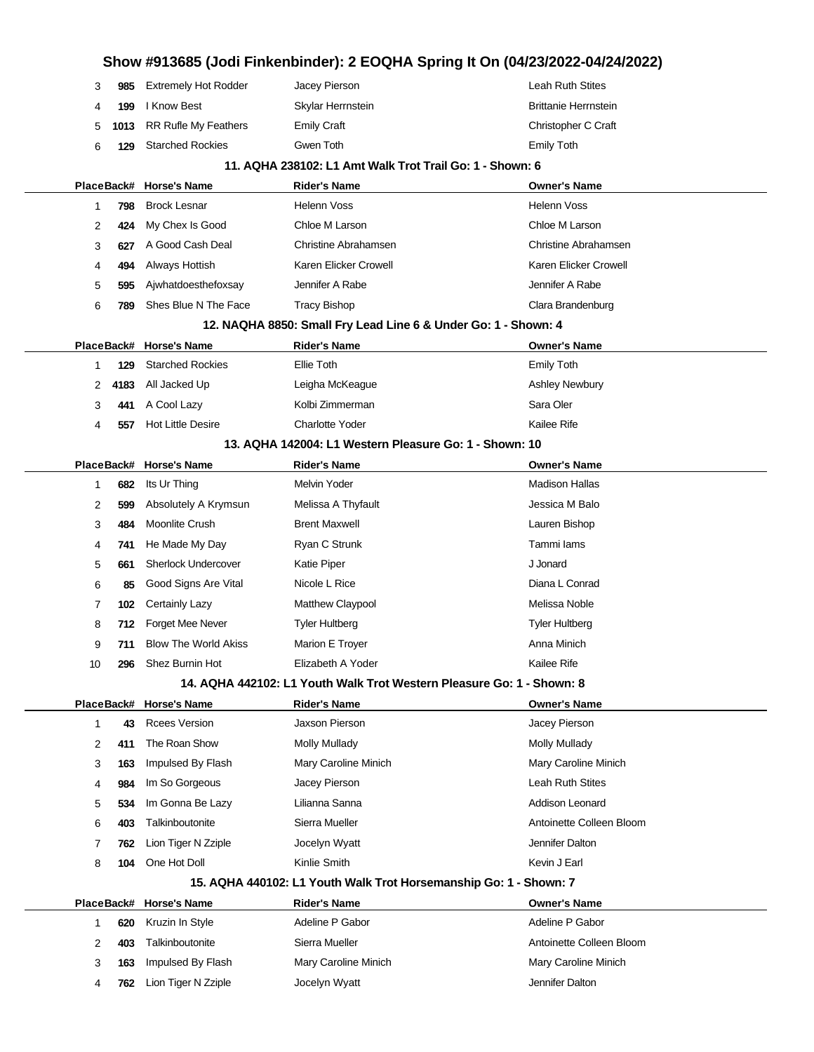# **Show #913685 (Jodi Finkenbinder): 2 EOQHA Spring It On (04/23/2022-04/24/2022) 985** Extremely Hot Rodder Jacey Pierson Leah Ruth Stites **199** I Know Best **Skylar Herrnstein** Brittanie Herrnstein Brittanie Herrnstein **1013** RR Rufle My Feathers Emily Craft Christopher C Craft Christopher C Craft **129** Starched Rockies Gwen Toth Emily Toth **11. AQHA 238102: L1 Amt Walk Trot Trail Go: 1 - Shown: 6 PlaceBack# Horse's Name Rider's Name Owner's Name 798** Brock Lesnar **Mathematic Helenn Voss Helenn Voss** Helenn Voss **424** My Chex Is Good Chloe M Larson Chloe M Larson **627** A Good Cash Deal Christine Abrahamsen Christine Abrahamsen **494** Always Hottish Karen Elicker Crowell **Karen Elicker Crowell** Karen Elicker Crowell **595** Ajwhatdoesthefoxsay Jennifer A Rabe Jennifer A Rabe **789** Shes Blue N The Face Tracy Bishop Clara Brandenburg **12. NAQHA 8850: Small Fry Lead Line 6 & Under Go: 1 - Shown: 4 PlaceBack# Horse's Name Rider's Name Owner's Name 129** Starched Rockies Ellie Toth Emily Toth **4183** All Jacked Up **Leigha McKeague Ashley Newbury** Ashley Newbury **441** A Cool Lazy **Kolbi Zimmerman** Sara Oler **557** Hot Little Desire **Charlotte Yoder** Charlotte Yoder **Kailee Rife 13. AQHA 142004: L1 Western Pleasure Go: 1 - Shown: 10 PlaceBack# Horse's Name Rider's Name Owner's Name 682** Its Ur Thing **Melvin Yoder** Melvin Yoder **Madison Hallas** Madison Hallas **599** Absolutely A Krymsun Melissa A Thyfault **Channel Accord M** Balo **484** Moonlite Crush Brent Maxwell **Brent Maxwell** Constant Maxwell Lauren Bishop **741** He Made My Day **Ryan C Strunk** Tammi Iams Tammi Iams **661** Sherlock Undercover Katie Piper **Katie Piper** And Advertise Material And Advertise Material And Advertise **85** Good Signs Are Vital Nicole L Rice Diana L Conrad **102** Certainly Lazy **Matthew Claypool** Method Melissa Noble **712** Forget Mee Never Tyler Hultberg Tyler Hultberg Tyler Hultberg Tyler Hultberg **711** Blow The World Akiss Marion E Troyer Marion E Trouble Anna Minich **296** Shez Burnin Hot **Elizabeth A Yoder** Kailee Rife **14. AQHA 442102: L1 Youth Walk Trot Western Pleasure Go: 1 - Shown: 8 PlaceBack# Horse's Name Rider's Name Owner's Name 43** Rcees Version Jaxson Pierson Jacey Pierson **411** The Roan Show Molly Mullady Mullady Molly Mullady **163** Impulsed By Flash Mary Caroline Minich Mary Caroline Minich **984** Im So Gorgeous Jacey Pierson Leah Ruth Stites **534** Im Gonna Be Lazy Lilianna Sanna **Addison Leonard** Addison Leonard **403** Talkinboutonite Sierra Mueller **Antoinette Colleen Bloom 762** Lion Tiger N Zziple Jocelyn Wyatt Jennifer Dalton **104** One Hot Doll **Kinlie Smith Kevin J Earl** Kevin J Earl **15. AQHA 440102: L1 Youth Walk Trot Horsemanship Go: 1 - Shown: 7 PlaceBack# Horse's Name Rider's Name Owner's Name 620** Kruzin In Style **Adeline P Gabor** Adeline P Gabor Adeline P Gabor Adeline P Gabor **403** Talkinboutonite Sierra Mueller **Antoinette Colleen Bloom 163** Impulsed By Flash Mary Caroline Minich Mary Caroline Minich **762** Lion Tiger N Zziple Jocelyn Wyatt Jennifer Dalton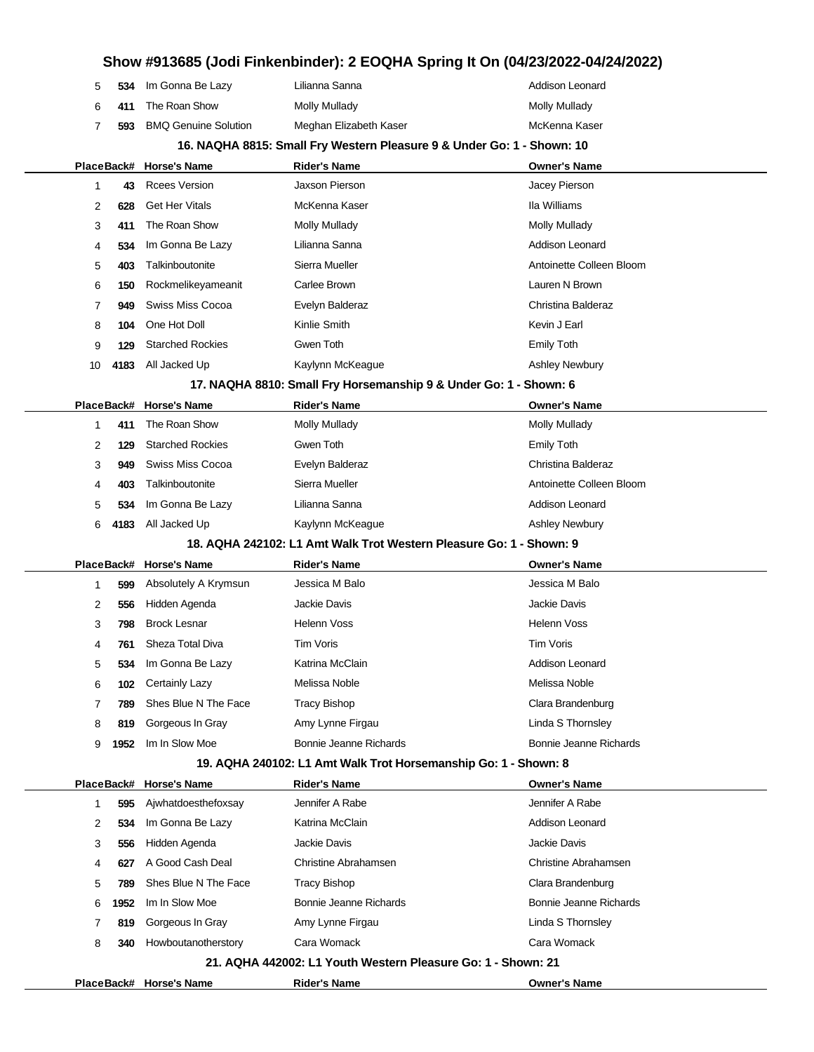| 5  | 534        | Im Gonna Be Lazy            | Lilianna Sanna                                                         | Addison Leonard             |
|----|------------|-----------------------------|------------------------------------------------------------------------|-----------------------------|
| 6  | 411        | The Roan Show               | <b>Molly Mullady</b>                                                   | <b>Molly Mullady</b>        |
| 7  | 593        | <b>BMQ Genuine Solution</b> | Meghan Elizabeth Kaser                                                 | McKenna Kaser               |
|    |            |                             | 16. NAQHA 8815: Small Fry Western Pleasure 9 & Under Go: 1 - Shown: 10 |                             |
|    |            | PlaceBack# Horse's Name     | <b>Rider's Name</b>                                                    | <b>Owner's Name</b>         |
| 1  | 43         | <b>Rcees Version</b>        | Jaxson Pierson                                                         | Jacey Pierson               |
| 2  | 628        | <b>Get Her Vitals</b>       | McKenna Kaser                                                          | Ila Williams                |
| 3  | 411        | The Roan Show               | <b>Molly Mullady</b>                                                   | <b>Molly Mullady</b>        |
| 4  | 534        | Im Gonna Be Lazy            | Lilianna Sanna                                                         | Addison Leonard             |
| 5  | 403        | Talkinboutonite             | Sierra Mueller                                                         | Antoinette Colleen Bloom    |
| 6  | 150        | Rockmelikeyameanit          | Carlee Brown                                                           | Lauren N Brown              |
| 7  | 949        | <b>Swiss Miss Cocoa</b>     | Evelyn Balderaz                                                        | Christina Balderaz          |
| 8  | 104        | One Hot Doll                | Kinlie Smith                                                           | Kevin J Earl                |
| 9  | 129        | <b>Starched Rockies</b>     | Gwen Toth                                                              | <b>Emily Toth</b>           |
| 10 | 4183       | All Jacked Up               | Kaylynn McKeague                                                       | <b>Ashley Newbury</b>       |
|    |            |                             | 17. NAQHA 8810: Small Fry Horsemanship 9 & Under Go: 1 - Shown: 6      |                             |
|    | PlaceBack# | <b>Horse's Name</b>         | <b>Rider's Name</b>                                                    | <b>Owner's Name</b>         |
| 1  | 411        | The Roan Show               | <b>Molly Mullady</b>                                                   | <b>Molly Mullady</b>        |
| 2  | 129        | <b>Starched Rockies</b>     | Gwen Toth                                                              | <b>Emily Toth</b>           |
| 3  | 949        | <b>Swiss Miss Cocoa</b>     | Evelyn Balderaz                                                        | Christina Balderaz          |
| 4  | 403        | Talkinboutonite             | Sierra Mueller                                                         | Antoinette Colleen Bloom    |
| 5  | 534        | Im Gonna Be Lazy            | Lilianna Sanna                                                         | Addison Leonard             |
| 6  | 4183       | All Jacked Up               | Kaylynn McKeague                                                       | <b>Ashley Newbury</b>       |
|    |            |                             | 18. AQHA 242102: L1 Amt Walk Trot Western Pleasure Go: 1 - Shown: 9    |                             |
|    |            | PlaceBack# Horse's Name     | <b>Rider's Name</b>                                                    | <b>Owner's Name</b>         |
| 1  | 599        | Absolutely A Krymsun        | Jessica M Balo                                                         | Jessica M Balo              |
| 2  | 556        | Hidden Agenda               | Jackie Davis                                                           | Jackie Davis                |
| 3  | 798        | <b>Brock Lesnar</b>         | <b>Helenn Voss</b>                                                     | <b>Helenn Voss</b>          |
| 4  | 761        | Sheza Total Diva            | <b>Tim Voris</b>                                                       | <b>Tim Voris</b>            |
| 5  | 534        | Im Gonna Be Lazy            | Katrina McClain                                                        | Addison Leonard             |
| 6  | 102        | Certainly Lazy              | Melissa Noble                                                          | Melissa Noble               |
| 7  | 789        | Shes Blue N The Face        | <b>Tracy Bishop</b>                                                    | Clara Brandenburg           |
| 8  | 819        | Gorgeous In Gray            | Amy Lynne Firgau                                                       | Linda S Thornsley           |
| 9  | 1952       | Im In Slow Moe              | Bonnie Jeanne Richards                                                 | Bonnie Jeanne Richards      |
|    |            |                             | 19. AQHA 240102: L1 Amt Walk Trot Horsemanship Go: 1 - Shown: 8        |                             |
|    | PlaceBack# | <b>Horse's Name</b>         | <b>Rider's Name</b>                                                    | <b>Owner's Name</b>         |
| 1  | 595        | Ajwhatdoesthefoxsay         | Jennifer A Rabe                                                        | Jennifer A Rabe             |
| 2  | 534        | Im Gonna Be Lazy            | Katrina McClain                                                        | Addison Leonard             |
| 3  | 556        | Hidden Agenda               | Jackie Davis                                                           | Jackie Davis                |
| 4  | 627        | A Good Cash Deal            | Christine Abrahamsen                                                   | <b>Christine Abrahamsen</b> |
| 5  | 789        | Shes Blue N The Face        | <b>Tracy Bishop</b>                                                    | Clara Brandenburg           |
| 6  | 1952       | Im In Slow Moe              | Bonnie Jeanne Richards                                                 | Bonnie Jeanne Richards      |
| 7  | 819        | Gorgeous In Gray            | Amy Lynne Firgau                                                       | Linda S Thornsley           |
| 8  | 340        | Howboutanotherstory         | Cara Womack                                                            | Cara Womack                 |
|    |            |                             | 21. AQHA 442002: L1 Youth Western Pleasure Go: 1 - Shown: 21           |                             |
|    |            | PlaceBack# Horse's Name     | <b>Rider's Name</b>                                                    | <b>Owner's Name</b>         |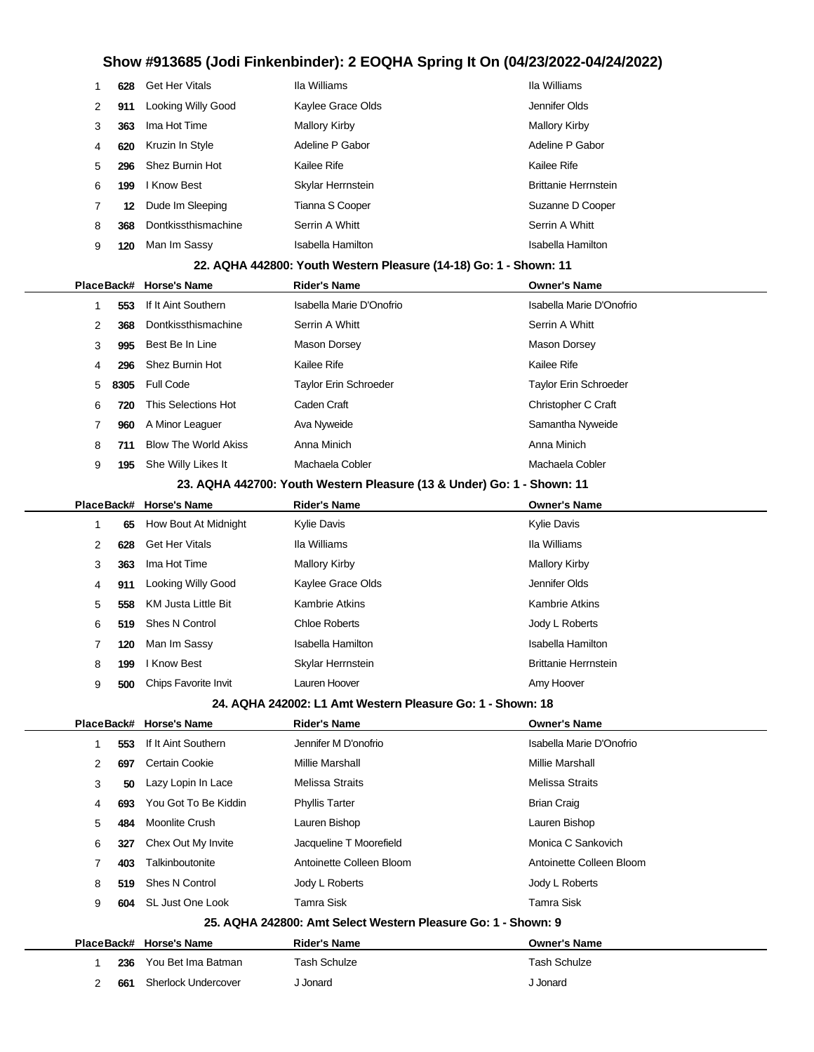|   | 628 | <b>Get Her Vitals</b> | Ila Williams         | Ila Williams                |
|---|-----|-----------------------|----------------------|-----------------------------|
| 2 | 911 | Looking Willy Good    | Kaylee Grace Olds    | Jennifer Olds               |
| 3 | 363 | Ima Hot Time          | <b>Mallory Kirby</b> | <b>Mallory Kirby</b>        |
| 4 | 620 | Kruzin In Style       | Adeline P Gabor      | Adeline P Gabor             |
| 5 | 296 | Shez Burnin Hot       | Kailee Rife          | Kailee Rife                 |
| 6 | 199 | I Know Best           | Skylar Herrnstein    | <b>Brittanie Herrnstein</b> |
|   | 12  | Dude Im Sleeping      | Tianna S Cooper      | Suzanne D Cooper            |
| 8 | 368 | Dontkissthismachine   | Serrin A Whitt       | Serrin A Whitt              |
| 9 | 120 | Man Im Sassy          | Isabella Hamilton    | Isabella Hamilton           |
|   |     |                       |                      |                             |

| 22. AQHA 442800: Youth Western Pleasure (14-18) Go: 1 - Shown: 11 |  |  |
|-------------------------------------------------------------------|--|--|
|-------------------------------------------------------------------|--|--|

|   |        | PlaceBack# Horse's Name     | <b>Rider's Name</b>      | <b>Owner's Name</b>      |
|---|--------|-----------------------------|--------------------------|--------------------------|
|   | 553    | If It Aint Southern         | Isabella Marie D'Onofrio | Isabella Marie D'Onofrio |
| 2 | 368    | Dontkissthismachine         | Serrin A Whitt           | Serrin A Whitt           |
| 3 | 995    | Best Be In Line             | Mason Dorsey             | Mason Dorsey             |
| 4 | 296    | Shez Burnin Hot             | Kailee Rife              | Kailee Rife              |
|   | 5 8305 | <b>Full Code</b>            | Taylor Erin Schroeder    | Taylor Erin Schroeder    |
| 6 | 720    | This Selections Hot         | Caden Craft              | Christopher C Craft      |
|   | 960    | A Minor Leaguer             | Ava Nyweide              | Samantha Nyweide         |
| 8 | 711    | <b>Blow The World Akiss</b> | Anna Minich              | Anna Minich              |
| 9 | 195    | She Willy Likes It          | Machaela Cobler          | Machaela Cobler          |
|   |        |                             |                          |                          |

#### **23. AQHA 442700: Youth Western Pleasure (13 & Under) Go: 1 - Shown: 11**

|   |     | PlaceBack# Horse's Name | <b>Rider's Name</b>      | <b>Owner's Name</b>         |
|---|-----|-------------------------|--------------------------|-----------------------------|
|   | 65  | How Bout At Midnight    | <b>Kylie Davis</b>       | <b>Kylie Davis</b>          |
| 2 | 628 | <b>Get Her Vitals</b>   | Ila Williams             | Ila Williams                |
| 3 | 363 | Ima Hot Time            | Mallory Kirby            | <b>Mallory Kirby</b>        |
| 4 | 911 | Looking Willy Good      | Kaylee Grace Olds        | Jennifer Olds               |
| 5 | 558 | KM Justa Little Bit     | Kambrie Atkins           | <b>Kambrie Atkins</b>       |
| 6 | 519 | Shes N Control          | <b>Chloe Roberts</b>     | Jody L Roberts              |
| 7 | 120 | Man Im Sassy            | <b>Isabella Hamilton</b> | Isabella Hamilton           |
| 8 | 199 | I Know Best             | Skylar Herrnstein        | <b>Brittanie Herrnstein</b> |
| 9 | 500 | Chips Favorite Invit    | Lauren Hoover            | Amy Hoover                  |
|   |     |                         |                          |                             |

#### **24. AQHA 242002: L1 Amt Western Pleasure Go: 1 - Shown: 18**

|  | PlaceBack# |     | <b>Horse's Name</b>        | <b>Rider's Name</b>                                           | <b>Owner's Name</b>      |
|--|------------|-----|----------------------------|---------------------------------------------------------------|--------------------------|
|  |            | 553 | If It Aint Southern        | Jennifer M D'onofrio                                          | Isabella Marie D'Onofrio |
|  | 2          | 697 | Certain Cookie             | Millie Marshall                                               | Millie Marshall          |
|  | 3          | 50  | Lazy Lopin In Lace         | Melissa Straits                                               | <b>Melissa Straits</b>   |
|  | 4          | 693 | You Got To Be Kiddin       | <b>Phyllis Tarter</b>                                         | <b>Brian Craig</b>       |
|  | 5          | 484 | Moonlite Crush             | Lauren Bishop                                                 | Lauren Bishop            |
|  | 6          | 327 | Chex Out My Invite         | Jacqueline T Moorefield                                       | Monica C Sankovich       |
|  | 7          | 403 | Talkinboutonite            | Antoinette Colleen Bloom                                      | Antoinette Colleen Bloom |
|  | 8          | 519 | <b>Shes N Control</b>      | Jody L Roberts                                                | Jody L Roberts           |
|  | 9          | 604 | SL Just One Look           | Tamra Sisk                                                    | Tamra Sisk               |
|  |            |     |                            | 25. AQHA 242800: Amt Select Western Pleasure Go: 1 - Shown: 9 |                          |
|  | PlaceBack# |     | <b>Horse's Name</b>        | <b>Rider's Name</b>                                           | <b>Owner's Name</b>      |
|  |            | 236 | You Bet Ima Batman         | Tash Schulze                                                  | Tash Schulze             |
|  | 2          | 661 | <b>Sherlock Undercover</b> | J Jonard                                                      | J Jonard                 |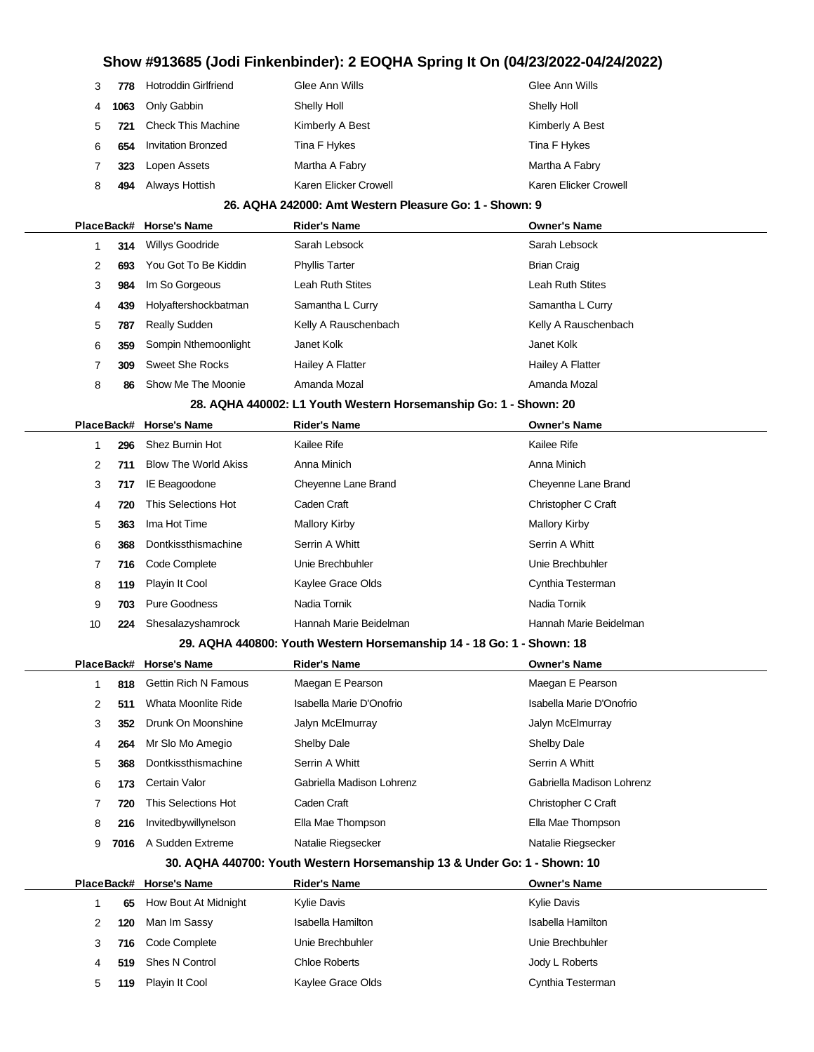| 3 | 778  | <b>Hotroddin Girlfriend</b> | Glee Ann Wills        | Glee Ann Wills        |
|---|------|-----------------------------|-----------------------|-----------------------|
| 4 | 1063 | Only Gabbin                 | Shelly Holl           | Shelly Holl           |
| 5 | 721  | <b>Check This Machine</b>   | Kimberly A Best       | Kimberly A Best       |
| 6 | 654  | <b>Invitation Bronzed</b>   | Tina F Hykes          | Tina F Hykes          |
|   | 323  | Lopen Assets                | Martha A Fabry        | Martha A Fabry        |
| 8 | 494  | Always Hottish              | Karen Elicker Crowell | Karen Elicker Crowell |
|   |      |                             |                       |                       |

#### **26. AQHA 242000: Amt Western Pleasure Go: 1 - Shown: 9**

|   |     | PlaceBack# Horse's Name | <b>Rider's Name</b>     | <b>Owner's Name</b>  |
|---|-----|-------------------------|-------------------------|----------------------|
|   | 314 | Willys Goodride         | Sarah Lebsock           | Sarah Lebsock        |
| 2 | 693 | You Got To Be Kiddin    | <b>Phyllis Tarter</b>   | <b>Brian Craig</b>   |
| 3 | 984 | Im So Gorgeous          | <b>Leah Ruth Stites</b> | Leah Ruth Stites     |
| 4 | 439 | Holyaftershockbatman    | Samantha L Curry        | Samantha L Curry     |
| 5 | 787 | Really Sudden           | Kelly A Rauschenbach    | Kelly A Rauschenbach |
| 6 | 359 | Sompin Nthemoonlight    | Janet Kolk              | Janet Kolk           |
|   | 309 | Sweet She Rocks         | Hailey A Flatter        | Hailey A Flatter     |
| 8 | 86  | Show Me The Moonie      | Amanda Mozal            | Amanda Mozal         |

#### **28. AQHA 440002: L1 Youth Western Horsemanship Go: 1 - Shown: 20**

|  |    |     | PlaceBack# Horse's Name     | <b>Rider's Name</b>    | <b>Owner's Name</b>    |
|--|----|-----|-----------------------------|------------------------|------------------------|
|  |    | 296 | Shez Burnin Hot             | Kailee Rife            | Kailee Rife            |
|  | 2  | 711 | <b>Blow The World Akiss</b> | Anna Minich            | Anna Minich            |
|  | 3  | 717 | IE Beagoodone               | Cheyenne Lane Brand    | Cheyenne Lane Brand    |
|  | 4  | 720 | This Selections Hot         | Caden Craft            | Christopher C Craft    |
|  | 5  | 363 | Ima Hot Time                | <b>Mallory Kirby</b>   | <b>Mallory Kirby</b>   |
|  | 6  | 368 | Dontkissthismachine         | Serrin A Whitt         | Serrin A Whitt         |
|  | 7  | 716 | Code Complete               | Unie Brechbuhler       | Unie Brechbuhler       |
|  | 8  | 119 | Playin It Cool              | Kaylee Grace Olds      | Cynthia Testerman      |
|  | 9  | 703 | Pure Goodness               | Nadia Tornik           | Nadia Tornik           |
|  | 10 | 224 | Shesalazyshamrock           | Hannah Marie Beidelman | Hannah Marie Beidelman |
|  |    |     |                             |                        |                        |

#### **29. AQHA 440800: Youth Western Horsemanship 14 - 18 Go: 1 - Shown: 18**

|   |      | PlaceBack# Horse's Name     | <b>Rider's Name</b>       | <b>Owner's Name</b>       |
|---|------|-----------------------------|---------------------------|---------------------------|
|   | 818  | <b>Gettin Rich N Famous</b> | Maegan E Pearson          | Maegan E Pearson          |
| 2 | 511  | Whata Moonlite Ride         | Isabella Marie D'Onofrio  | Isabella Marie D'Onofrio  |
| 3 | 352  | Drunk On Moonshine          | Jalyn McElmurray          | Jalyn McElmurray          |
| 4 | 264  | Mr Slo Mo Amegio            | Shelby Dale               | Shelby Dale               |
| 5 | 368  | Dontkissthismachine         | Serrin A Whitt            | Serrin A Whitt            |
| 6 | 173  | Certain Valor               | Gabriella Madison Lohrenz | Gabriella Madison Lohrenz |
|   | 720  | This Selections Hot         | Caden Craft               | Christopher C Craft       |
| 8 | 216  | Invitedbywillynelson        | Ella Mae Thompson         | Ella Mae Thompson         |
| 9 | 7016 | A Sudden Extreme            | Natalie Riegsecker        | Natalie Riegsecker        |
|   |      |                             |                           |                           |

#### **30. AQHA 440700: Youth Western Horsemanship 13 & Under Go: 1 - Shown: 10**

| PlaceBack# |     | <b>Horse's Name</b>     | <b>Rider's Name</b> | <b>Owner's Name</b> |
|------------|-----|-------------------------|---------------------|---------------------|
|            |     | 65 How Bout At Midnight | <b>Kylie Davis</b>  | <b>Kylie Davis</b>  |
|            | 120 | Man Im Sassy            | Isabella Hamilton   | Isabella Hamilton   |
| 3          | 716 | Code Complete           | Unie Brechbuhler    | Unie Brechbuhler    |
| 4          | 519 | Shes N Control          | Chloe Roberts       | Jody L Roberts      |
| 5.         | 119 | Playin It Cool          | Kaylee Grace Olds   | Cynthia Testerman   |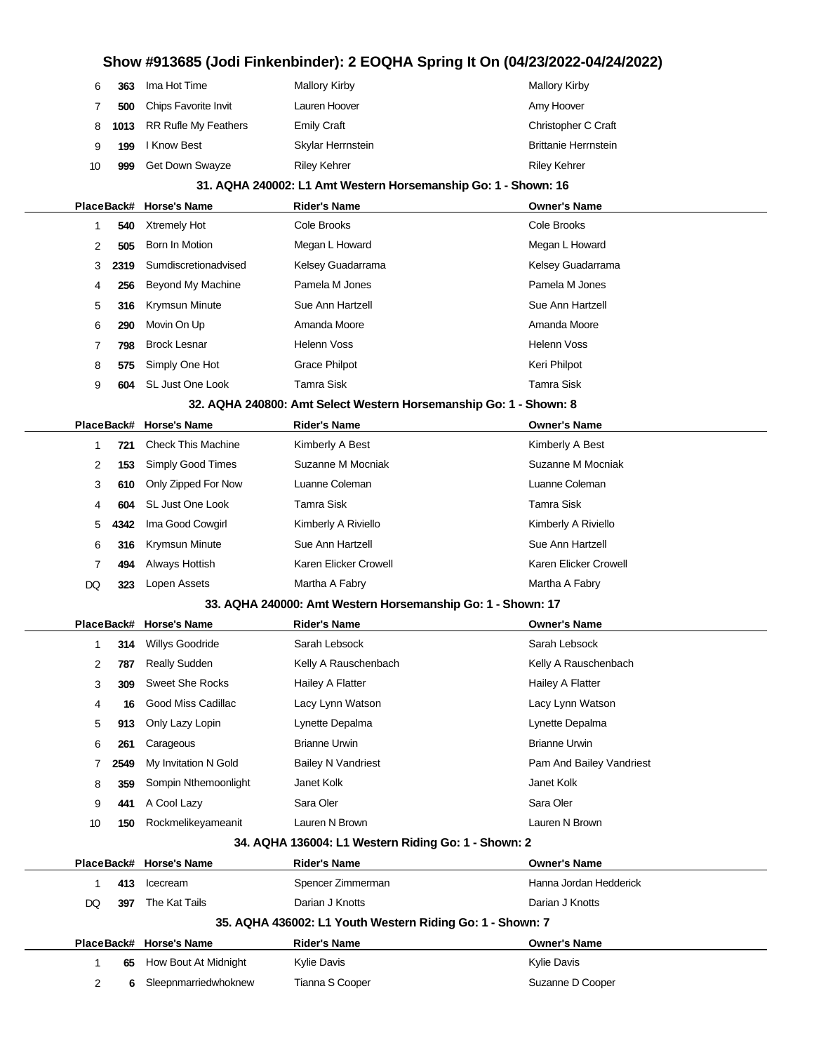|    | 6<br>363  | Ima Hot Time                | <b>Mallory Kirby</b>                                              | <b>Mallory Kirby</b>        |
|----|-----------|-----------------------------|-------------------------------------------------------------------|-----------------------------|
|    | 7<br>500  | Chips Favorite Invit        | Lauren Hoover                                                     | Amy Hoover                  |
|    | 8<br>1013 | <b>RR Rufle My Feathers</b> | <b>Emily Craft</b>                                                | Christopher C Craft         |
|    | 9<br>199  | I Know Best                 | Skylar Herrnstein                                                 | <b>Brittanie Herrnstein</b> |
| 10 | 999       | Get Down Swayze             | <b>Riley Kehrer</b>                                               | <b>Riley Kehrer</b>         |
|    |           |                             | 31. AQHA 240002: L1 Amt Western Horsemanship Go: 1 - Shown: 16    |                             |
|    |           | PlaceBack# Horse's Name     | <b>Rider's Name</b>                                               | <b>Owner's Name</b>         |
|    | 540<br>1  | <b>Xtremely Hot</b>         | Cole Brooks                                                       | Cole Brooks                 |
|    | 2<br>505  | Born In Motion              | Megan L Howard                                                    | Megan L Howard              |
|    | 3<br>2319 | Sumdiscretionadvised        | Kelsey Guadarrama                                                 | Kelsey Guadarrama           |
|    | 256<br>4  | Beyond My Machine           | Pamela M Jones                                                    | Pamela M Jones              |
|    | 5<br>316  | Krymsun Minute              | Sue Ann Hartzell                                                  | Sue Ann Hartzell            |
|    | 6<br>290  | Movin On Up                 | Amanda Moore                                                      | Amanda Moore                |
|    | 7<br>798  | <b>Brock Lesnar</b>         | Helenn Voss                                                       | <b>Helenn Voss</b>          |
|    | 8<br>575  | Simply One Hot              | <b>Grace Philpot</b>                                              | Keri Philpot                |
|    | 9<br>604  | <b>SL Just One Look</b>     | <b>Tamra Sisk</b>                                                 | <b>Tamra Sisk</b>           |
|    |           |                             | 32. AQHA 240800: Amt Select Western Horsemanship Go: 1 - Shown: 8 |                             |
|    |           | PlaceBack# Horse's Name     | <b>Rider's Name</b>                                               | <b>Owner's Name</b>         |
|    | 1<br>721  | <b>Check This Machine</b>   | Kimberly A Best                                                   | Kimberly A Best             |
|    | 2<br>153  | Simply Good Times           | Suzanne M Mocniak                                                 | Suzanne M Mocniak           |
|    | 3<br>610  | Only Zipped For Now         | Luanne Coleman                                                    | Luanne Coleman              |
|    | 604<br>4  | SL Just One Look            | Tamra Sisk                                                        | Tamra Sisk                  |
|    | 4342<br>5 | Ima Good Cowgirl            | Kimberly A Riviello                                               | Kimberly A Riviello         |
|    | 6<br>316  | Krymsun Minute              | Sue Ann Hartzell                                                  | Sue Ann Hartzell            |
|    | 7<br>494  | Always Hottish              | Karen Elicker Crowell                                             | Karen Elicker Crowell       |
| DQ | 323       | Lopen Assets                | Martha A Fabry                                                    | Martha A Fabry              |
|    |           |                             | 33. AQHA 240000: Amt Western Horsemanship Go: 1 - Shown: 17       |                             |
|    |           | PlaceBack# Horse's Name     | Rider's Name                                                      | <b>Owner's Name</b>         |
|    | 1<br>314  | Willys Goodride             | Sarah Lebsock                                                     | Sarah Lebsock               |
|    | 2<br>787  | <b>Really Sudden</b>        | Kelly A Rauschenbach                                              | Kelly A Rauschenbach        |
|    | 3<br>309  | Sweet She Rocks             | Hailey A Flatter                                                  | Hailey A Flatter            |
|    | 4<br>16   | Good Miss Cadillac          | Lacy Lynn Watson                                                  | Lacy Lynn Watson            |
|    | 5<br>913  | Only Lazy Lopin             | Lynette Depalma                                                   | Lynette Depalma             |
|    | 6<br>261  | Carageous                   | <b>Brianne Urwin</b>                                              | <b>Brianne Urwin</b>        |
|    | 2549<br>7 | My Invitation N Gold        | <b>Bailey N Vandriest</b>                                         | Pam And Bailey Vandriest    |
|    | 359<br>8  | Sompin Nthemoonlight        | Janet Kolk                                                        | Janet Kolk                  |
|    | 9<br>441  | A Cool Lazy                 | Sara Oler                                                         | Sara Oler                   |
| 10 | 150       | Rockmelikeyameanit          | Lauren N Brown                                                    | Lauren N Brown              |
|    |           |                             | 34. AQHA 136004: L1 Western Riding Go: 1 - Shown: 2               |                             |
|    |           | PlaceBack# Horse's Name     | Rider's Name                                                      | <b>Owner's Name</b>         |
|    | 1<br>413  | Icecream                    | Spencer Zimmerman                                                 | Hanna Jordan Hedderick      |
| DQ | 397       | The Kat Tails               | Darian J Knotts                                                   | Darian J Knotts             |
|    |           |                             | 35. AQHA 436002: L1 Youth Western Riding Go: 1 - Shown: 7         |                             |
|    |           | PlaceBack# Horse's Name     | <b>Rider's Name</b>                                               | <b>Owner's Name</b>         |
|    | 1<br>65   | How Bout At Midnight        | Kylie Davis                                                       | <b>Kylie Davis</b>          |
|    | 2<br>6    | Sleepnmarriedwhoknew        | Tianna S Cooper                                                   | Suzanne D Cooper            |
|    |           |                             |                                                                   |                             |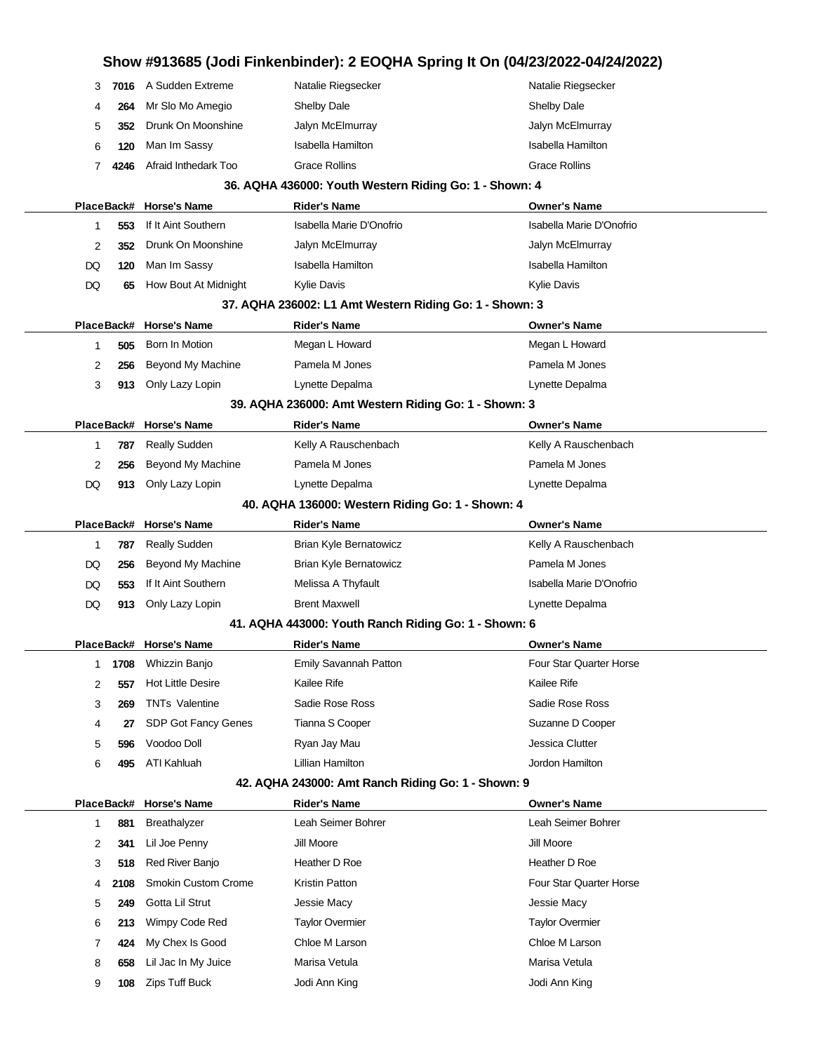# **Show #913685 (Jodi Finkenbinder): 2 EOQHA Spring It On (04/23/2022-04/24/2022)** 3 **7016** A Sudden Extreme Natalie Riegsecker Natalie Riegsecker 4 **264** Mr Slo Mo Amegio Shelby Dale Shelby Dale 5 **352** Drunk On Moonshine Jalyn McElmurray Jalyn McElmurray 6 **120** Man Im Sassy **Isabella Hamilton** Isabella Hamilton Isabella Hamilton 7 **4246** Afraid Inthedark Too Grace Rollins Grace Rollins Grace Rollins **36. AQHA 436000: Youth Western Riding Go: 1 - Shown: 4 PlaceBack# Horse's Name Rider's Name Owner's Name** 1 **553** If It Aint Southern Isabella Marie D'Onofrio Isabella Marie D'Onofrio 2 **352** Drunk On Moonshine Jalyn McElmurray Jalyn McElmurray DQ **120** Man Im Sassy **Isabella Hamilton** Isabella Hamilton Isabella Hamilton DQ 65 How Bout At Midnight Kylie Davis Kylie Davis **Kylie Davis** Kylie Davis **37. AQHA 236002: L1 Amt Western Riding Go: 1 - Shown: 3 PlaceBack# Horse's Name Rider's Name Owner's Name** 1 **505** Born In Motion Megan L Howard Megan L Howard 2 **256** Beyond My Machine **Pamela M Jones Pamela M Jones** Pamela M Jones 3 **913** Only Lazy Lopin Lynette Depalma Lynette Depalma **39. AQHA 236000: Amt Western Riding Go: 1 - Shown: 3 PlaceBack# Horse's Name Rider's Name Owner's Name** 1 **787** Really Sudden **Kelly A Rauschenbach** Kelly A Rauschenbach 2 **256** Beyond My Machine Pamela M Jones Pamela M Jones Pamela M Jones DQ **913** Only Lazy Lopin Lynette Depalma Lynette Depalma **40. AQHA 136000: Western Riding Go: 1 - Shown: 4 PlaceBack# Horse's Name Rider's Name Owner's Name** 1 **787** Really Sudden **Brian Kyle Bernatowicz Brian Kyle Bernatowicz** Kelly A Rauschenbach DQ 256 Beyond My Machine Brian Kyle Bernatowicz **Pamela M Jones** Pamela M Jones DQ 553 If It Aint Southern Melissa A Thyfault **Isabella Marie D'Onofrio** DQ **913** Only Lazy Lopin Brent Maxwell Lynette Depalma **41. AQHA 443000: Youth Ranch Riding Go: 1 - Shown: 6 PlaceBack# Horse's Name Rider's Name Owner's Name** 1 **1708** Whizzin Banjo **Emily Savannah Patton** Four Star Quarter Horse 2 **557** Hot Little Desire **Kailee Rife** Kailee Rife **Kailee Rife** Kailee Rife Kailee Rife Kailee Rife Kailee Rife 3 **269** TNTs Valentine Sadie Rose Ross Sadie Rose Ross Sadie Rose Ross 4 **27** SDP Got Fancy Genes Tianna S Cooper Suzanne D Cooper Suzanne D Cooper 5 **596** Voodoo Doll Ryan Jay Mau Jessica Clutter 6 **495** ATI Kahluah Lillian Hamilton Jordon Hamilton **42. AQHA 243000: Amt Ranch Riding Go: 1 - Shown: 9 PlaceBack# Horse's Name Rider's Name Owner's Name** 1 **881** Breathalyzer Leah Seimer Bohrer Leah Seimer Bohrer 2 **341** Lil Joe Penny Jill Moore Jill Moore 3 **518** Red River Banjo **Heather D Roe Heather D Roe** Heather D Roe 4 **2108** Smokin Custom Crome Kristin Patton **Four Star Cuarter Horse** Four Star Quarter Horse 5 **249** Gotta Lil Strut Jessie Macy Jessie Macy 6 **213** Wimpy Code Red Taylor Overmier Taylor Overmier 7 **424** My Chex Is Good Chloe M Larson Chloe M Larson 8 **658** Lil Jac In My Juice Marisa Vetula Marisa Vetula Marisa Vetula 9 **108** Zips Tuff Buck Jodi Ann King Jodi Ann King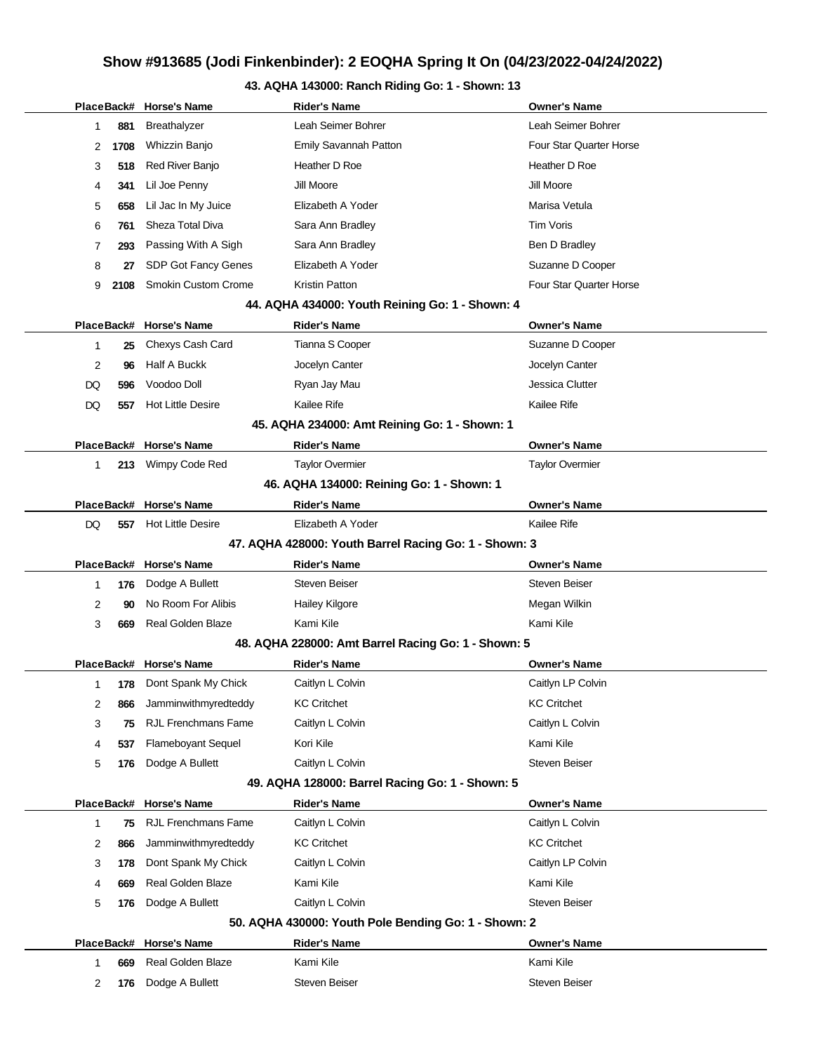# **43. AQHA 143000: Ranch Riding Go: 1 - Shown: 13**

|              |      | PlaceBack# Horse's Name    | <b>Rider's Name</b>                                   | <b>Owner's Name</b>     |
|--------------|------|----------------------------|-------------------------------------------------------|-------------------------|
| 1            | 881  | Breathalyzer               | Leah Seimer Bohrer                                    | Leah Seimer Bohrer      |
| 2            | 1708 | Whizzin Banjo              | Emily Savannah Patton                                 | Four Star Quarter Horse |
| 3            | 518  | Red River Banjo            | Heather D Roe                                         | Heather D Roe           |
| 4            | 341  | Lil Joe Penny              | Jill Moore                                            | Jill Moore              |
| 5            | 658  | Lil Jac In My Juice        | Elizabeth A Yoder                                     | Marisa Vetula           |
| 6            | 761  | Sheza Total Diva           | Sara Ann Bradley                                      | <b>Tim Voris</b>        |
| 7            | 293  | Passing With A Sigh        | Sara Ann Bradley                                      | Ben D Bradley           |
| 8            | 27   | SDP Got Fancy Genes        | Elizabeth A Yoder                                     | Suzanne D Cooper        |
| 9            | 2108 | <b>Smokin Custom Crome</b> | Kristin Patton                                        | Four Star Quarter Horse |
|              |      |                            | 44. AQHA 434000: Youth Reining Go: 1 - Shown: 4       |                         |
|              |      | PlaceBack# Horse's Name    | <b>Rider's Name</b>                                   | <b>Owner's Name</b>     |
| 1            | 25   | Chexys Cash Card           | Tianna S Cooper                                       | Suzanne D Cooper        |
| 2            | 96   | <b>Half A Buckk</b>        | Jocelyn Canter                                        | Jocelyn Canter          |
| DQ           | 596  | Voodoo Doll                | Ryan Jay Mau                                          | Jessica Clutter         |
| DQ           | 557  | <b>Hot Little Desire</b>   | Kailee Rife                                           | Kailee Rife             |
|              |      |                            | 45. AQHA 234000: Amt Reining Go: 1 - Shown: 1         |                         |
|              |      | PlaceBack# Horse's Name    | <b>Rider's Name</b>                                   | <b>Owner's Name</b>     |
| 1            |      | 213 Wimpy Code Red         | <b>Taylor Overmier</b>                                | <b>Taylor Overmier</b>  |
|              |      |                            | 46. AQHA 134000: Reining Go: 1 - Shown: 1             |                         |
|              |      | PlaceBack# Horse's Name    | <b>Rider's Name</b>                                   | <b>Owner's Name</b>     |
| DQ           | 557  | <b>Hot Little Desire</b>   | Elizabeth A Yoder                                     | Kailee Rife             |
|              |      |                            | 47. AQHA 428000: Youth Barrel Racing Go: 1 - Shown: 3 |                         |
|              |      |                            |                                                       |                         |
|              |      | PlaceBack# Horse's Name    | <b>Rider's Name</b>                                   | <b>Owner's Name</b>     |
| 1            | 176  | Dodge A Bullett            | <b>Steven Beiser</b>                                  | <b>Steven Beiser</b>    |
| 2            | 90   | No Room For Alibis         | <b>Hailey Kilgore</b>                                 | Megan Wilkin            |
| 3            | 669  | <b>Real Golden Blaze</b>   | Kami Kile                                             | Kami Kile               |
|              |      |                            | 48. AQHA 228000: Amt Barrel Racing Go: 1 - Shown: 5   |                         |
|              |      | PlaceBack# Horse's Name    | <b>Rider's Name</b>                                   | <b>Owner's Name</b>     |
| 1            | 178  | Dont Spank My Chick        | Caitlyn L Colvin                                      | Caitlyn LP Colvin       |
| 2            | 866  | Jamminwithmyredteddy       | <b>KC Critchet</b>                                    | <b>KC Critchet</b>      |
| 3            | 75   | <b>RJL Frenchmans Fame</b> | Caitlyn L Colvin                                      | Caitlyn L Colvin        |
| 4            | 537  | <b>Flameboyant Sequel</b>  | Kori Kile                                             | Kami Kile               |
| 5            | 176  | Dodge A Bullett            | Caitlyn L Colvin                                      | Steven Beiser           |
|              |      |                            | 49. AQHA 128000: Barrel Racing Go: 1 - Shown: 5       |                         |
|              |      | PlaceBack# Horse's Name    | <b>Rider's Name</b>                                   | <b>Owner's Name</b>     |
| $\mathbf{1}$ | 75   | <b>RJL Frenchmans Fame</b> | Caitlyn L Colvin                                      | Caitlyn L Colvin        |
| 2            | 866  | Jamminwithmyredteddy       | <b>KC Critchet</b>                                    | <b>KC Critchet</b>      |
| 3            | 178  | Dont Spank My Chick        | Caitlyn L Colvin                                      | Caitlyn LP Colvin       |
| 4            | 669  | <b>Real Golden Blaze</b>   | Kami Kile                                             | Kami Kile               |
| 5            | 176  | Dodge A Bullett            | Caitlyn L Colvin                                      | Steven Beiser           |
|              |      |                            | 50. AQHA 430000: Youth Pole Bending Go: 1 - Shown: 2  |                         |
|              |      | PlaceBack# Horse's Name    | <b>Rider's Name</b>                                   | <b>Owner's Name</b>     |
| 1            | 669  | <b>Real Golden Blaze</b>   | Kami Kile                                             | Kami Kile               |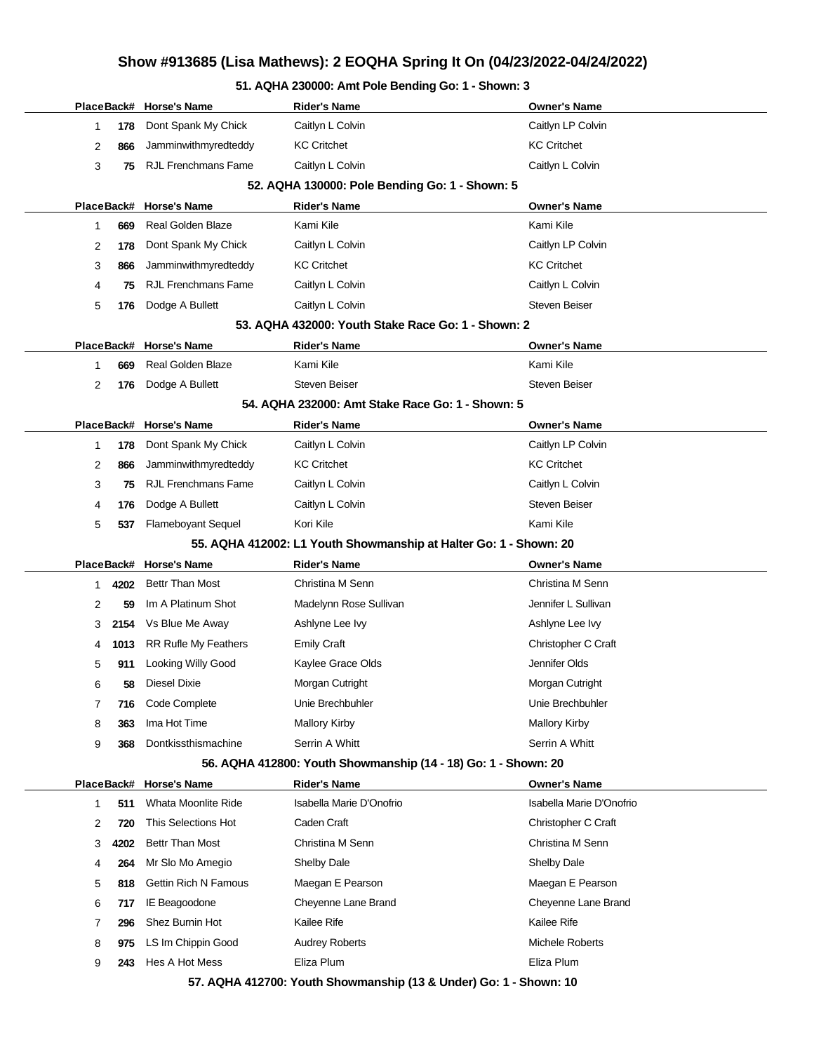# **Show #913685 (Lisa Mathews): 2 EOQHA Spring It On (04/23/2022-04/24/2022)**

### **51. AQHA 230000: Amt Pole Bending Go: 1 - Shown: 3**

|   |      | PlaceBack# Horse's Name     | <b>Rider's Name</b>                                               | <b>Owner's Name</b>      |
|---|------|-----------------------------|-------------------------------------------------------------------|--------------------------|
| 1 | 178  | Dont Spank My Chick         | Caitlyn L Colvin                                                  | Caitlyn LP Colvin        |
| 2 | 866  | Jamminwithmyredteddy        | <b>KC Critchet</b>                                                | <b>KC Critchet</b>       |
| 3 | 75   | <b>RJL Frenchmans Fame</b>  | Caitlyn L Colvin                                                  | Caitlyn L Colvin         |
|   |      |                             | 52. AQHA 130000: Pole Bending Go: 1 - Shown: 5                    |                          |
|   |      | PlaceBack# Horse's Name     | Rider's Name                                                      | <b>Owner's Name</b>      |
| 1 | 669  | <b>Real Golden Blaze</b>    | Kami Kile                                                         | Kami Kile                |
| 2 | 178  | Dont Spank My Chick         | Caitlyn L Colvin                                                  | Caitlyn LP Colvin        |
| 3 | 866  | Jamminwithmyredteddy        | <b>KC Critchet</b>                                                | <b>KC Critchet</b>       |
| 4 | 75   | <b>RJL Frenchmans Fame</b>  | Caitlyn L Colvin                                                  | Caitlyn L Colvin         |
| 5 | 176  | Dodge A Bullett             | Caitlyn L Colvin                                                  | <b>Steven Beiser</b>     |
|   |      |                             | 53. AQHA 432000: Youth Stake Race Go: 1 - Shown: 2                |                          |
|   |      | PlaceBack# Horse's Name     | <b>Rider's Name</b>                                               | <b>Owner's Name</b>      |
| 1 | 669  | Real Golden Blaze           | Kami Kile                                                         | Kami Kile                |
| 2 | 176  | Dodge A Bullett             | <b>Steven Beiser</b>                                              | <b>Steven Beiser</b>     |
|   |      |                             | 54. AQHA 232000: Amt Stake Race Go: 1 - Shown: 5                  |                          |
|   |      | PlaceBack# Horse's Name     | <b>Rider's Name</b>                                               | <b>Owner's Name</b>      |
| 1 | 178  | Dont Spank My Chick         | Caitlyn L Colvin                                                  | Caitlyn LP Colvin        |
| 2 | 866  | Jamminwithmyredteddy        | <b>KC Critchet</b>                                                | <b>KC Critchet</b>       |
| 3 | 75   | <b>RJL Frenchmans Fame</b>  | Caitlyn L Colvin                                                  | Caitlyn L Colvin         |
| 4 | 176  | Dodge A Bullett             | Caitlyn L Colvin                                                  | <b>Steven Beiser</b>     |
| 5 | 537  | <b>Flameboyant Sequel</b>   | Kori Kile                                                         | Kami Kile                |
|   |      |                             | 55. AQHA 412002: L1 Youth Showmanship at Halter Go: 1 - Shown: 20 |                          |
|   |      | PlaceBack# Horse's Name     | Rider's Name                                                      | <b>Owner's Name</b>      |
| 1 | 4202 | <b>Bettr Than Most</b>      | Christina M Senn                                                  | Christina M Senn         |
| 2 | 59   | Im A Platinum Shot          | Madelynn Rose Sullivan                                            | Jennifer L Sullivan      |
| 3 | 2154 | Vs Blue Me Away             | Ashlyne Lee Ivy                                                   | Ashlyne Lee Ivy          |
| 4 | 1013 | <b>RR Rufle My Feathers</b> | <b>Emily Craft</b>                                                | Christopher C Craft      |
| 5 | 911  | Looking Willy Good          | Kaylee Grace Olds                                                 | Jennifer Olds            |
| 6 | 58   | Diesel Dixie                | Morgan Cutright                                                   | Morgan Cutright          |
| 7 | 716  | Code Complete               | Unie Brechbuhler                                                  | Unie Brechbuhler         |
| 8 | 363  | Ima Hot Time                | <b>Mallory Kirby</b>                                              | Mallory Kirby            |
| 9 | 368  | Dontkissthismachine         | Serrin A Whitt                                                    | Serrin A Whitt           |
|   |      |                             | 56. AQHA 412800: Youth Showmanship (14 - 18) Go: 1 - Shown: 20    |                          |
|   |      | PlaceBack# Horse's Name     | <b>Rider's Name</b>                                               | <b>Owner's Name</b>      |
| 1 | 511  | Whata Moonlite Ride         | Isabella Marie D'Onofrio                                          | Isabella Marie D'Onofrio |
| 2 | 720  | This Selections Hot         | Caden Craft                                                       | Christopher C Craft      |
| 3 | 4202 | <b>Bettr Than Most</b>      | Christina M Senn                                                  | Christina M Senn         |
| 4 | 264  | Mr Slo Mo Amegio            | Shelby Dale                                                       | Shelby Dale              |
| 5 | 818  | <b>Gettin Rich N Famous</b> | Maegan E Pearson                                                  | Maegan E Pearson         |
| 6 | 717  | <b>IE Beagoodone</b>        | Cheyenne Lane Brand                                               | Cheyenne Lane Brand      |
| 7 | 296  | Shez Burnin Hot             | Kailee Rife                                                       | Kailee Rife              |
| 8 | 975  | LS Im Chippin Good          | <b>Audrey Roberts</b>                                             | Michele Roberts          |
| 9 | 243  | Hes A Hot Mess              | Eliza Plum                                                        | Eliza Plum               |
|   |      |                             | 57. AQHA 412700: Youth Showmanship (13 & Under) Go: 1 - Shown: 10 |                          |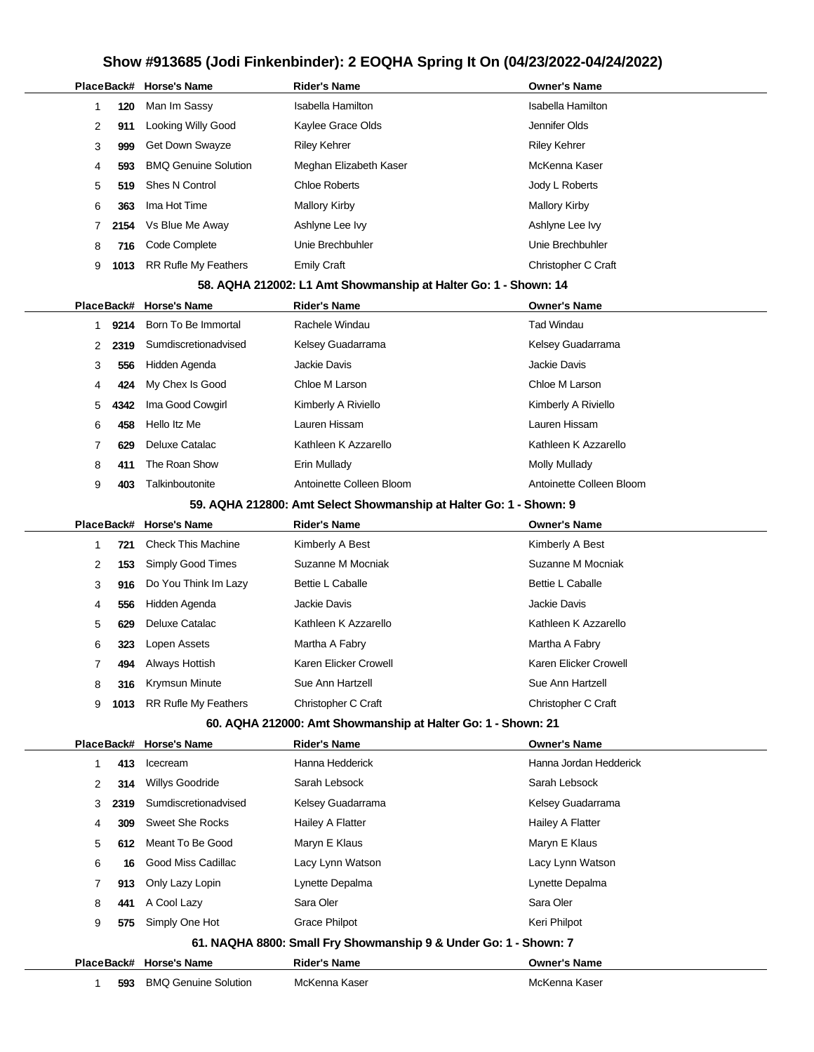|   |      | PlaceBack# Horse's Name     | <b>Rider's Name</b>                                                | <b>Owner's Name</b>      |
|---|------|-----------------------------|--------------------------------------------------------------------|--------------------------|
| 1 | 120  | Man Im Sassy                | <b>Isabella Hamilton</b>                                           | <b>Isabella Hamilton</b> |
| 2 | 911  | Looking Willy Good          | Kaylee Grace Olds                                                  | Jennifer Olds            |
| 3 | 999  | Get Down Swayze             | <b>Riley Kehrer</b>                                                | <b>Riley Kehrer</b>      |
| 4 | 593  | <b>BMQ Genuine Solution</b> | Meghan Elizabeth Kaser                                             | McKenna Kaser            |
| 5 | 519  | <b>Shes N Control</b>       | <b>Chloe Roberts</b>                                               | Jody L Roberts           |
| 6 | 363  | Ima Hot Time                | <b>Mallory Kirby</b>                                               | <b>Mallory Kirby</b>     |
| 7 | 2154 | Vs Blue Me Away             | Ashlyne Lee Ivy                                                    | Ashlyne Lee Ivy          |
| 8 | 716  | Code Complete               | Unie Brechbuhler                                                   | Unie Brechbuhler         |
| 9 | 1013 | <b>RR Rufle My Feathers</b> | <b>Emily Craft</b>                                                 | Christopher C Craft      |
|   |      |                             | 58. AQHA 212002: L1 Amt Showmanship at Halter Go: 1 - Shown: 14    |                          |
|   |      | PlaceBack# Horse's Name     | <b>Rider's Name</b>                                                | <b>Owner's Name</b>      |
| 1 | 9214 | Born To Be Immortal         | Rachele Windau                                                     | <b>Tad Windau</b>        |
| 2 | 2319 | Sumdiscretionadvised        | Kelsey Guadarrama                                                  | Kelsey Guadarrama        |
| 3 | 556  | Hidden Agenda               | Jackie Davis                                                       | <b>Jackie Davis</b>      |
| 4 | 424  | My Chex Is Good             | Chloe M Larson                                                     | Chloe M Larson           |
| 5 | 4342 | Ima Good Cowgirl            | Kimberly A Riviello                                                | Kimberly A Riviello      |
| 6 | 458  | Hello Itz Me                | Lauren Hissam                                                      | Lauren Hissam            |
| 7 | 629  | Deluxe Catalac              | Kathleen K Azzarello                                               | Kathleen K Azzarello     |
| 8 | 411  | The Roan Show               | Erin Mullady                                                       | Molly Mullady            |
| 9 | 403  | Talkinboutonite             | Antoinette Colleen Bloom                                           | Antoinette Colleen Bloom |
|   |      |                             | 59. AQHA 212800: Amt Select Showmanship at Halter Go: 1 - Shown: 9 |                          |
|   |      | PlaceBack# Horse's Name     | <b>Rider's Name</b>                                                | <b>Owner's Name</b>      |
| 1 | 721  | <b>Check This Machine</b>   | Kimberly A Best                                                    | Kimberly A Best          |
| 2 | 153  | Simply Good Times           | Suzanne M Mocniak                                                  | Suzanne M Mocniak        |
| 3 | 916  | Do You Think Im Lazy        | <b>Bettie L Caballe</b>                                            | <b>Bettie L Caballe</b>  |
| 4 | 556  | Hidden Agenda               | Jackie Davis                                                       | Jackie Davis             |
| 5 | 629  | Deluxe Catalac              | Kathleen K Azzarello                                               | Kathleen K Azzarello     |
| 6 | 323  | Lopen Assets                | Martha A Fabry                                                     | Martha A Fabry           |
| 7 | 494  | Always Hottish              | Karen Elicker Crowell                                              | Karen Elicker Crowell    |
| 8 | 316  | Krymsun Minute              | Sue Ann Hartzell                                                   | Sue Ann Hartzell         |
| 9 | 1013 | RR Rufle My Feathers        | Christopher C Craft                                                | Christopher C Craft      |
|   |      |                             | 60. AQHA 212000: Amt Showmanship at Halter Go: 1 - Shown: 21       |                          |
|   |      | PlaceBack# Horse's Name     | <b>Rider's Name</b>                                                | <b>Owner's Name</b>      |
| 1 | 413  | Icecream                    | Hanna Hedderick                                                    | Hanna Jordan Hedderick   |
| 2 | 314  | Willys Goodride             | Sarah Lebsock                                                      | Sarah Lebsock            |
| 3 | 2319 | Sumdiscretionadvised        | Kelsey Guadarrama                                                  | Kelsey Guadarrama        |
| 4 | 309  | <b>Sweet She Rocks</b>      | Hailey A Flatter                                                   | Hailey A Flatter         |
| 5 | 612  | Meant To Be Good            | Maryn E Klaus                                                      | Maryn E Klaus            |
| 6 | 16   | Good Miss Cadillac          | Lacy Lynn Watson                                                   | Lacy Lynn Watson         |
| 7 | 913  | Only Lazy Lopin             | Lynette Depalma                                                    | Lynette Depalma          |
| 8 | 441  | A Cool Lazy                 | Sara Oler                                                          | Sara Oler                |
| 9 | 575  | Simply One Hot              | <b>Grace Philpot</b>                                               | Keri Philpot             |
|   |      |                             | 61. NAQHA 8800: Small Fry Showmanship 9 & Under Go: 1 - Shown: 7   |                          |
|   |      | PlaceBack# Horse's Name     | <b>Rider's Name</b>                                                | <b>Owner's Name</b>      |
| 1 | 593  | <b>BMQ Genuine Solution</b> | McKenna Kaser                                                      | McKenna Kaser            |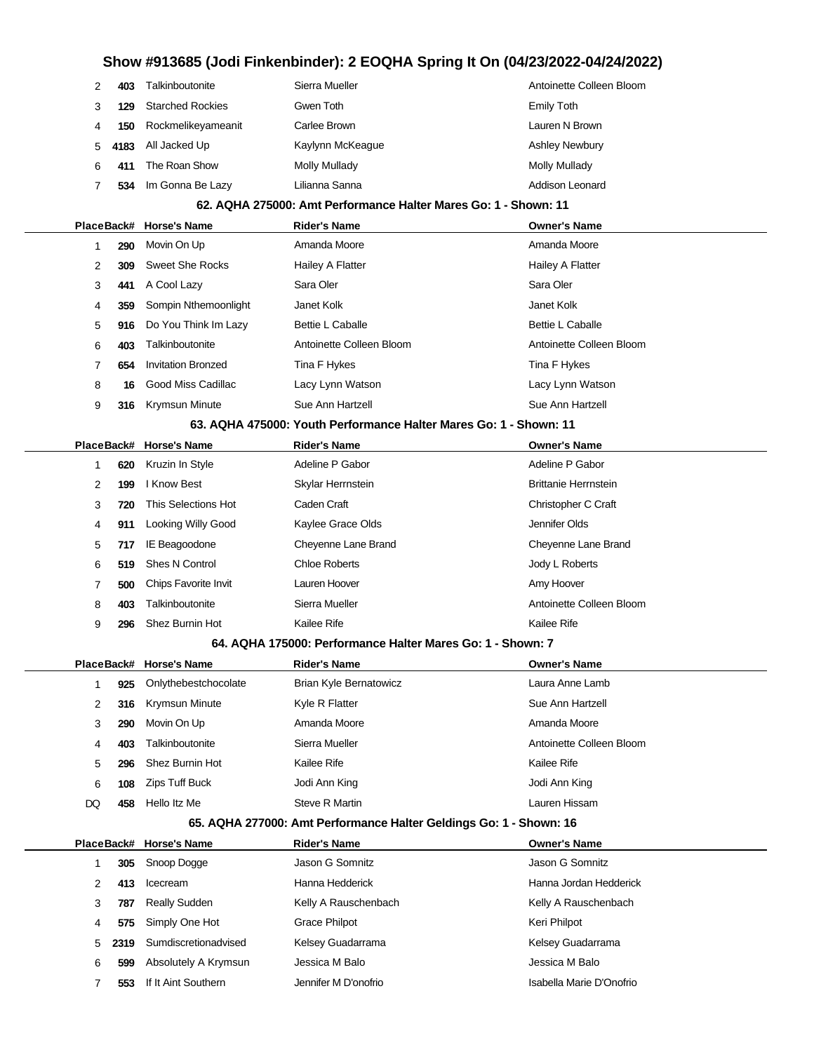|    | 403  | Talkinboutonite         | Sierra Mueller   | Antoinette Colleen Bloom |
|----|------|-------------------------|------------------|--------------------------|
|    | 129  | <b>Starched Rockies</b> | Gwen Toth        | Emily Toth               |
|    | 150  | Rockmelikeyameanit      | Carlee Brown     | Lauren N Brown           |
| 5. | 4183 | All Jacked Up           | Kaylynn McKeague | <b>Ashley Newbury</b>    |
| 6  | 411  | The Roan Show           | Molly Mullady    | Molly Mullady            |
|    | 534  | Im Gonna Be Lazy        | Lilianna Sanna   | Addison Leonard          |
|    |      |                         |                  |                          |

#### **62. AQHA 275000: Amt Performance Halter Mares Go: 1 - Shown: 11**

|                |     | PlaceBack# Horse's Name                                           | <b>Rider's Name</b>      | <b>Owner's Name</b>      |
|----------------|-----|-------------------------------------------------------------------|--------------------------|--------------------------|
|                | 290 | Movin On Up                                                       | Amanda Moore             | Amanda Moore             |
| $\overline{2}$ | 309 | <b>Sweet She Rocks</b>                                            | Hailey A Flatter         | Hailey A Flatter         |
| 3              | 441 | A Cool Lazy                                                       | Sara Oler                | Sara Oler                |
| 4              | 359 | Sompin Nthemoonlight                                              | Janet Kolk               | Janet Kolk               |
| 5              | 916 | Do You Think Im Lazy                                              | <b>Bettie L Caballe</b>  | <b>Bettie L Caballe</b>  |
| 6              | 403 | Talkinboutonite                                                   | Antoinette Colleen Bloom | Antoinette Colleen Bloom |
|                | 654 | <b>Invitation Bronzed</b>                                         | Tina F Hykes             | Tina F Hykes             |
| 8              | 16  | Good Miss Cadillac                                                | Lacy Lynn Watson         | Lacy Lynn Watson         |
| 9              | 316 | <b>Krymsun Minute</b>                                             | Sue Ann Hartzell         | Sue Ann Hartzell         |
|                |     | CO. AOUA 475000, Varith Darformanae Holton Moree Oard - Charma 44 |                          |                          |

#### **63. AQHA 475000: Youth Performance Halter Mares Go: 1 - Shown: 11**

|   |     | PlaceBack# Horse's Name | <b>Rider's Name</b>  | <b>Owner's Name</b>         |
|---|-----|-------------------------|----------------------|-----------------------------|
|   | 620 | Kruzin In Style         | Adeline P Gabor      | Adeline P Gabor             |
| 2 | 199 | l Know Best             | Skylar Herrnstein    | <b>Brittanie Herrnstein</b> |
| 3 | 720 | This Selections Hot     | Caden Craft          | Christopher C Craft         |
| 4 | 911 | Looking Willy Good      | Kaylee Grace Olds    | Jennifer Olds               |
| 5 | 717 | IE Beagoodone           | Cheyenne Lane Brand  | Cheyenne Lane Brand         |
| 6 | 519 | <b>Shes N Control</b>   | <b>Chloe Roberts</b> | Jody L Roberts              |
|   | 500 | Chips Favorite Invit    | Lauren Hoover        | Amy Hoover                  |
| 8 | 403 | Talkinboutonite         | Sierra Mueller       | Antoinette Colleen Bloom    |
| 9 | 296 | Shez Burnin Hot         | Kailee Rife          | Kailee Rife                 |

#### **64. AQHA 175000: Performance Halter Mares Go: 1 - Shown: 7**

|     |     | PlaceBack# Horse's Name | <b>Rider's Name</b>    | <b>Owner's Name</b>      |
|-----|-----|-------------------------|------------------------|--------------------------|
|     | 925 | Onlythebestchocolate    | Brian Kyle Bernatowicz | Laura Anne Lamb          |
| 2   |     | 316 Krymsun Minute      | Kyle R Flatter         | Sue Ann Hartzell         |
| 3   | 290 | Movin On Up             | Amanda Moore           | Amanda Moore             |
| 4   | 403 | Talkinboutonite         | Sierra Mueller         | Antoinette Colleen Bloom |
| 5   |     | 296 Shez Burnin Hot     | Kailee Rife            | Kailee Rife              |
| 6   | 108 | Zips Tuff Buck          | Jodi Ann King          | Jodi Ann King            |
| DQ. | 458 | Hello Itz Me            | Steve R Martin         | Lauren Hissam            |
|     |     |                         |                        |                          |

#### **65. AQHA 277000: Amt Performance Halter Geldings Go: 1 - Shown: 16**

|   |      | PlaceBack# Horse's Name | <b>Rider's Name</b>  | <b>Owner's Name</b>      |
|---|------|-------------------------|----------------------|--------------------------|
|   | 305  | Snoop Dogge             | Jason G Somnitz      | Jason G Somnitz          |
| 2 | 413  | Icecream                | Hanna Hedderick      | Hanna Jordan Hedderick   |
| 3 | 787  | <b>Really Sudden</b>    | Kelly A Rauschenbach | Kelly A Rauschenbach     |
| 4 | 575  | Simply One Hot          | <b>Grace Philpot</b> | Keri Philpot             |
| 5 | 2319 | Sumdiscretionadvised    | Kelsey Guadarrama    | Kelsey Guadarrama        |
| 6 | 599  | Absolutely A Krymsun    | Jessica M Balo       | Jessica M Balo           |
|   | 553  | If It Aint Southern     | Jennifer M D'onofrio | Isabella Marie D'Onofrio |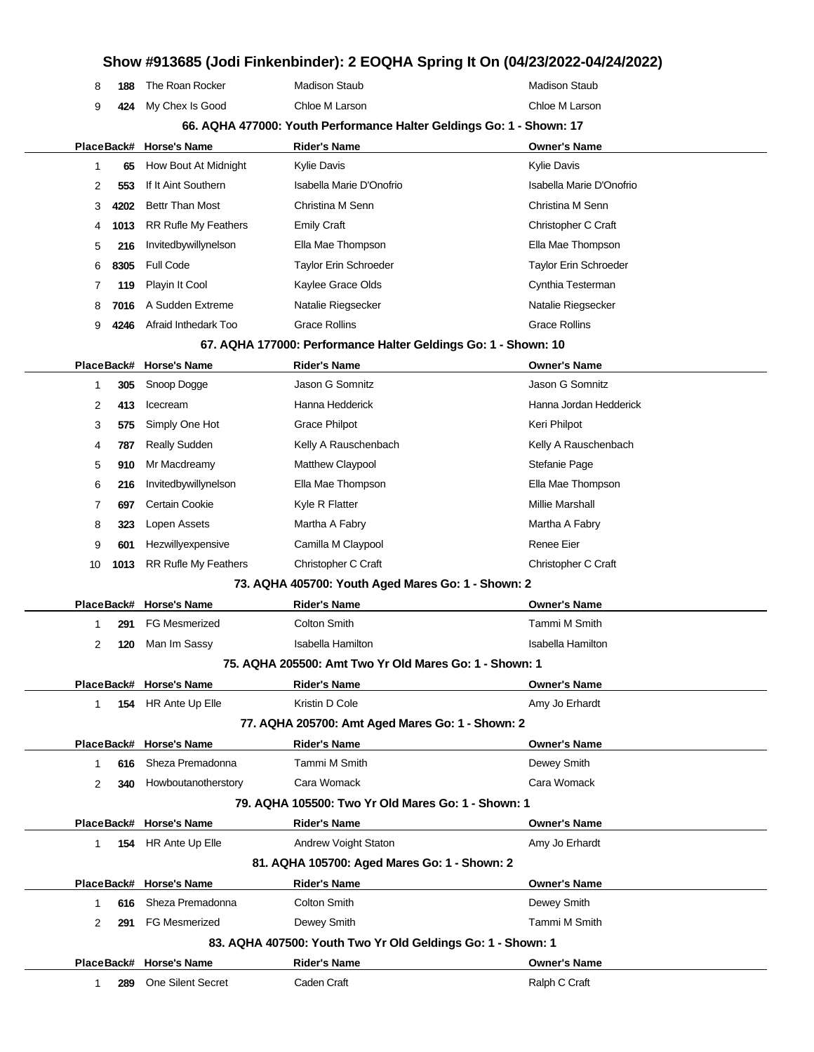# **Show #913685 (Jodi Finkenbinder): 2 EOQHA Spring It On (04/23/2022-04/24/2022) 188** The Roan Rocker Madison Staub Madison Staub **424** My Chex Is Good Chloe M Larson Chloe M Larson **66. AQHA 477000: Youth Performance Halter Geldings Go: 1 - Shown: 17 PlaceBack# Horse's Name Rider's Name Owner's Name 65** How Bout At Midnight Kylie Davis Kylie Davis Kylie Davis Kylie Davis Kylie Davis **553** If It Aint Southern Isabella Marie D'Onofrio Isabella Marie D'Onofrio **4202** Bettr Than Most Christina M Senn Christina M Senn **1013** RR Rufle My Feathers Emily Craft Emily Craft Christopher C Craft **216** Invitedbywillynelson Ella Mae Thompson Ella Mae Thompson **8305** Full Code Taylor Erin Schroeder Taylor Erin Schroeder **119** Playin It Cool **Cynthia Testerman** Kaylee Grace Olds **Cynthia Testerman 7016** A Sudden Extreme **Natalie Riegsecker** Natalie Riegsecker Natalie Riegsecker **4246** Afraid Inthedark Too Grace Rollins Grace Rollins Grace Rollins **67. AQHA 177000: Performance Halter Geldings Go: 1 - Shown: 10 PlaceBack# Horse's Name Rider's Name Owner's Name 305** Snoop Dogge Jason G Somnitz Jason G Somnitz **413** Icecream Hanna Hedderick Hanna Jordan Hedderick **575** Simply One Hot Grace Philpot **Canada Communist Communist Communist Communist Communist Communist Communist Communist Communist Communist Communist Communist Communist Communist Communist Communist Communist Communi 787** Really Sudden **Kelly A Rauschenbach** Kelly A Rauschenbach **910** Mr Macdreamy Matthew Claypool **Stefanie Page 216** Invitedbywillynelson Ella Mae Thompson Ella Mae Thompson **697** Certain Cookie **Millie Marshall** Kyle R Flatter Millie Marshall Millie Marshall **323** Lopen Assets **Martha A Fabry Martha A Fabry** Martha A Fabry **601** Hezwillyexpensive Camilla M Claypool **Camilla M Claypool** Renee Eier **1013** RR Rufle My Feathers Christopher C Craft Christopher C Craft Christopher C Craft **73. AQHA 405700: Youth Aged Mares Go: 1 - Shown: 2 PlaceBack# Horse's Name Rider's Name Owner's Name 291** FG Mesmerized Colton Smith Tammi M Smith **120** Man Im Sassy **Isabella Hamilton** Isabella Hamilton Isabella Hamilton **75. AQHA 205500: Amt Two Yr Old Mares Go: 1 - Shown: 1 PlaceBack# Horse's Name Rider's Name Owner's Name 154** HR Ante Up Elle **Kristin D Cole Amy Jo Ethardt** Amy Jo Erhardt **77. AQHA 205700: Amt Aged Mares Go: 1 - Shown: 2 PlaceBack# Horse's Name Rider's Name Owner's Name 616** Sheza Premadonna Tammi M Smith Dewey Smith **340** Howboutanotherstory Cara Womack Cara Womack **79. AQHA 105500: Two Yr Old Mares Go: 1 - Shown: 1 PlaceBack# Horse's Name Rider's Name Owner's Name 154** HR Ante Up Elle **Andrew Voight Staton** Amy Jo Erhardt **81. AQHA 105700: Aged Mares Go: 1 - Shown: 2 PlaceBack# Horse's Name Rider's Name Owner's Name 616** Sheza Premadonna Colton Smith Colton Smith Dewey Smith **291** FG Mesmerized **Dewey Smith Communist Communist Communist Communist Communist Communist Communist Communist Communist Communist Communist Communist Communist Communist Communist Communist Communist Communist Communi 83. AQHA 407500: Youth Two Yr Old Geldings Go: 1 - Shown: 1**

**PlaceBack# Horse's Name Rider's Name Owner's Name 289** One Silent Secret Caden Craft Can Craft Ralph C Craft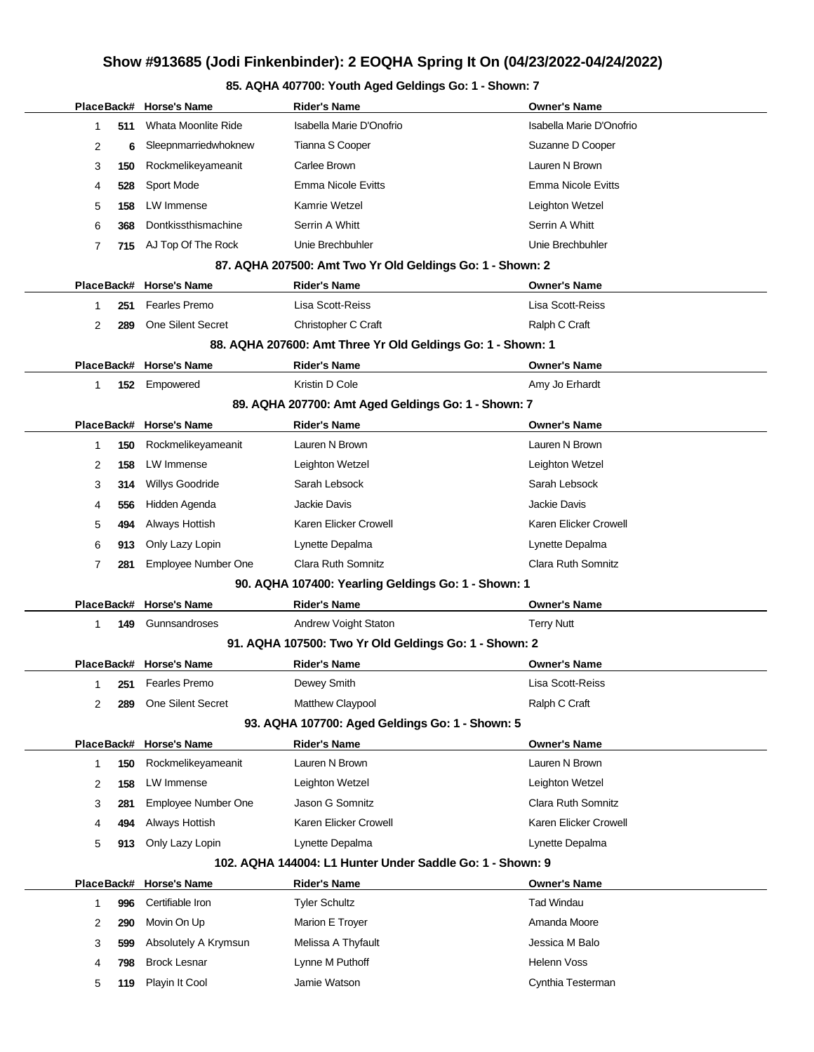# **85. AQHA 407700: Youth Aged Geldings Go: 1 - Shown: 7**

|          | PlaceBack# Horse's Name    | <b>Rider's Name</b>                                         | <b>Owner's Name</b>       |
|----------|----------------------------|-------------------------------------------------------------|---------------------------|
| 511<br>1 | Whata Moonlite Ride        | Isabella Marie D'Onofrio                                    | Isabella Marie D'Onofrio  |
| 2<br>6   | Sleepnmarriedwhoknew       | Tianna S Cooper                                             | Suzanne D Cooper          |
| 3<br>150 | Rockmelikeyameanit         | Carlee Brown                                                | Lauren N Brown            |
| 528<br>4 | Sport Mode                 | <b>Emma Nicole Evitts</b>                                   | Emma Nicole Evitts        |
| 5<br>158 | LW Immense                 | Kamrie Wetzel                                               | Leighton Wetzel           |
| 6<br>368 | Dontkissthismachine        | Serrin A Whitt                                              | Serrin A Whitt            |
| 7<br>715 | AJ Top Of The Rock         | Unie Brechbuhler                                            | Unie Brechbuhler          |
|          |                            | 87. AQHA 207500: Amt Two Yr Old Geldings Go: 1 - Shown: 2   |                           |
|          | PlaceBack# Horse's Name    | <b>Rider's Name</b>                                         | <b>Owner's Name</b>       |
| 251<br>1 | <b>Fearles Premo</b>       | Lisa Scott-Reiss                                            | Lisa Scott-Reiss          |
| 2<br>289 | One Silent Secret          | Christopher C Craft                                         | Ralph C Craft             |
|          |                            | 88. AQHA 207600: Amt Three Yr Old Geldings Go: 1 - Shown: 1 |                           |
|          | PlaceBack# Horse's Name    | <b>Rider's Name</b>                                         | <b>Owner's Name</b>       |
| 1<br>152 | Empowered                  | Kristin D Cole                                              | Amy Jo Erhardt            |
|          |                            | 89. AQHA 207700: Amt Aged Geldings Go: 1 - Shown: 7         |                           |
|          | PlaceBack# Horse's Name    | <b>Rider's Name</b>                                         | <b>Owner's Name</b>       |
| 150<br>1 | Rockmelikeyameanit         | Lauren N Brown                                              | Lauren N Brown            |
| 2<br>158 | LW Immense                 | Leighton Wetzel                                             | Leighton Wetzel           |
| 3<br>314 | <b>Willys Goodride</b>     | Sarah Lebsock                                               | Sarah Lebsock             |
| 556<br>4 | Hidden Agenda              | <b>Jackie Davis</b>                                         | Jackie Davis              |
| 5<br>494 | Always Hottish             | Karen Elicker Crowell                                       | Karen Elicker Crowell     |
| 6<br>913 | Only Lazy Lopin            | Lynette Depalma                                             | Lynette Depalma           |
| 7<br>281 | <b>Employee Number One</b> | Clara Ruth Somnitz                                          | Clara Ruth Somnitz        |
|          |                            | 90. AQHA 107400: Yearling Geldings Go: 1 - Shown: 1         |                           |
|          | PlaceBack# Horse's Name    | <b>Rider's Name</b>                                         | <b>Owner's Name</b>       |
| 149<br>1 | Gunnsandroses              | Andrew Voight Staton                                        | <b>Terry Nutt</b>         |
|          |                            | 91. AQHA 107500: Two Yr Old Geldings Go: 1 - Shown: 2       |                           |
|          | PlaceBack# Horse's Name    | <b>Rider's Name</b>                                         | <b>Owner's Name</b>       |
| 1<br>251 | <b>Fearles Premo</b>       | Dewey Smith                                                 | Lisa Scott-Reiss          |
| 2<br>289 | One Silent Secret          | Matthew Claypool                                            | Ralph C Craft             |
|          |                            | 93. AQHA 107700: Aged Geldings Go: 1 - Shown: 5             |                           |
|          | PlaceBack# Horse's Name    | <b>Rider's Name</b>                                         | <b>Owner's Name</b>       |
| 150<br>1 | Rockmelikeyameanit         | Lauren N Brown                                              | Lauren N Brown            |
| 158<br>2 | LW Immense                 | Leighton Wetzel                                             | Leighton Wetzel           |
| 3<br>281 | Employee Number One        | Jason G Somnitz                                             | <b>Clara Ruth Somnitz</b> |
| 494<br>4 | Always Hottish             | Karen Elicker Crowell                                       | Karen Elicker Crowell     |
| 5<br>913 | Only Lazy Lopin            | Lynette Depalma                                             | Lynette Depalma           |
|          |                            | 102. AQHA 144004: L1 Hunter Under Saddle Go: 1 - Shown: 9   |                           |
|          | PlaceBack# Horse's Name    | <b>Rider's Name</b>                                         | <b>Owner's Name</b>       |
| 1<br>996 | Certifiable Iron           | <b>Tyler Schultz</b>                                        | <b>Tad Windau</b>         |
| 2<br>290 | Movin On Up                | Marion E Troyer                                             | Amanda Moore              |
| 3<br>599 | Absolutely A Krymsun       | Melissa A Thyfault                                          | Jessica M Balo            |
| 798<br>4 | <b>Brock Lesnar</b>        | Lynne M Puthoff                                             | <b>Helenn Voss</b>        |
| 5<br>119 | Playin It Cool             | Jamie Watson                                                | Cynthia Testerman         |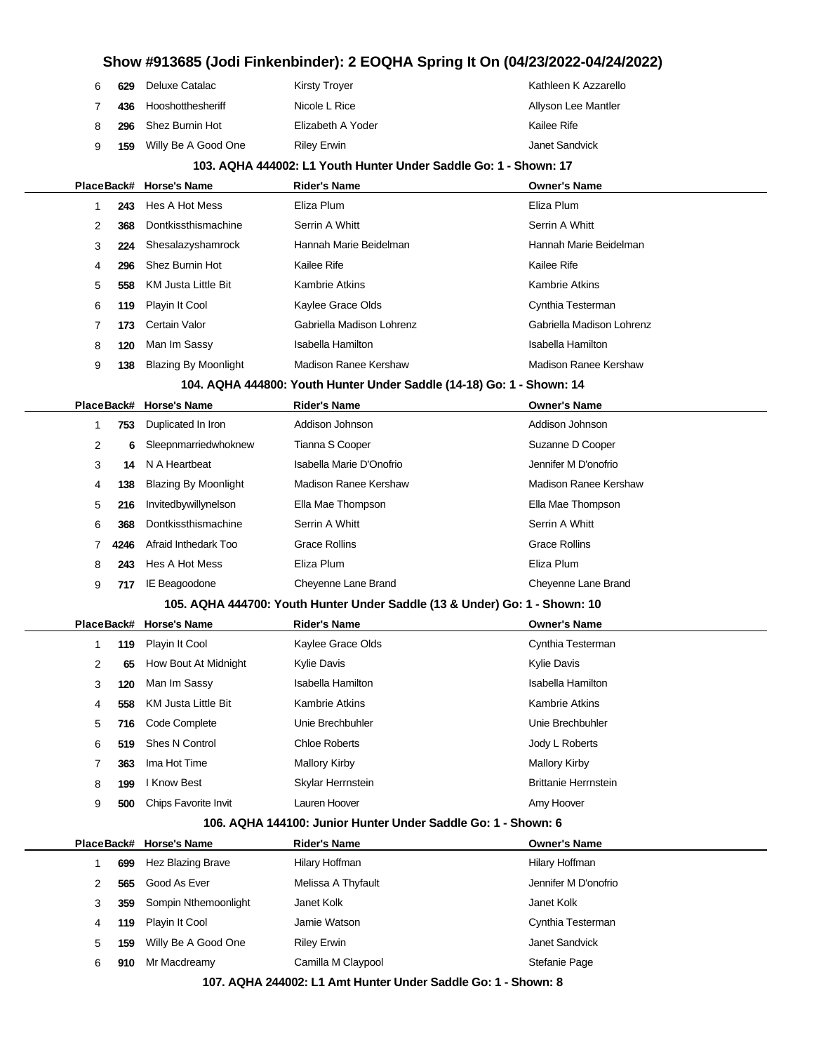| 6 | 629 | Deluxe Catalac             | <b>Kirsty Troyer</b>                                             | Kathleen K Azzarello      |
|---|-----|----------------------------|------------------------------------------------------------------|---------------------------|
| 7 | 436 | Hooshotthesheriff          | Nicole L Rice                                                    | Allyson Lee Mantler       |
| 8 | 296 | Shez Burnin Hot            | Elizabeth A Yoder                                                | Kailee Rife               |
| 9 | 159 | Willy Be A Good One        | <b>Riley Erwin</b>                                               | Janet Sandvick            |
|   |     |                            | 103. AQHA 444002: L1 Youth Hunter Under Saddle Go: 1 - Shown: 17 |                           |
|   |     | PlaceBack# Horse's Name    | <b>Rider's Name</b>                                              | <b>Owner's Name</b>       |
|   | 243 | Hes A Hot Mess             | Eliza Plum                                                       | Eliza Plum                |
| 2 | 368 | Dontkissthismachine        | Serrin A Whitt                                                   | Serrin A Whitt            |
| 3 | 224 | Shesalazyshamrock          | Hannah Marie Beidelman                                           | Hannah Marie Beidelman    |
| 4 | 296 | Shez Burnin Hot            | Kailee Rife                                                      | Kailee Rife               |
| 5 | 558 | <b>KM Justa Little Bit</b> | Kambrie Atkins                                                   | Kambrie Atkins            |
| 6 | 119 | Playin It Cool             | Kaylee Grace Olds                                                | Cynthia Testerman         |
|   | 173 | Certain Valor              | Gabriella Madison Lohrenz                                        | Gabriella Madison Lohrenz |
| 8 | 120 | Man Im Sassy               | <b>Isabella Hamilton</b>                                         | <b>Isabella Hamilton</b>  |

**138** Blazing By Moonlight Madison Ranee Kershaw Madison Ranee Kershaw

#### **104. AQHA 444800: Youth Hunter Under Saddle (14-18) Go: 1 - Shown: 14**

|   |      | PlaceBack# Horse's Name     | <b>Rider's Name</b>      | <b>Owner's Name</b>   |
|---|------|-----------------------------|--------------------------|-----------------------|
|   | 753  | Duplicated In Iron          | Addison Johnson          | Addison Johnson       |
| 2 | 6    | Sleepnmarriedwhoknew        | Tianna S Cooper          | Suzanne D Cooper      |
| 3 | 14   | N A Heartbeat               | Isabella Marie D'Onofrio | Jennifer M D'onofrio  |
| 4 | 138  | <b>Blazing By Moonlight</b> | Madison Ranee Kershaw    | Madison Ranee Kershaw |
| 5 | 216  | Invitedbywillynelson        | Ella Mae Thompson        | Ella Mae Thompson     |
| 6 | 368  | Dontkissthismachine         | Serrin A Whitt           | Serrin A Whitt        |
|   | 4246 | Afraid Inthedark Too        | <b>Grace Rollins</b>     | Grace Rollins         |
| 8 | 243  | Hes A Hot Mess              | Eliza Plum               | Eliza Plum            |
| 9 | 717  | IE Beagoodone               | Cheyenne Lane Brand      | Cheyenne Lane Brand   |

#### **105. AQHA 444700: Youth Hunter Under Saddle (13 & Under) Go: 1 - Shown: 10**

|   |     | PlaceBack# Horse's Name | <b>Rider's Name</b>  | <b>Owner's Name</b>         |
|---|-----|-------------------------|----------------------|-----------------------------|
|   | 119 | Playin It Cool          | Kaylee Grace Olds    | Cynthia Testerman           |
| 2 | 65  | How Bout At Midnight    | <b>Kylie Davis</b>   | <b>Kylie Davis</b>          |
| 3 | 120 | Man Im Sassy            | Isabella Hamilton    | Isabella Hamilton           |
| 4 | 558 | KM Justa Little Bit     | Kambrie Atkins       | <b>Kambrie Atkins</b>       |
| 5 | 716 | Code Complete           | Unie Brechbuhler     | Unie Brechbuhler            |
| 6 | 519 | Shes N Control          | <b>Chloe Roberts</b> | Jody L Roberts              |
|   | 363 | Ima Hot Time            | <b>Mallory Kirby</b> | <b>Mallory Kirby</b>        |
| 8 | 199 | I Know Best             | Skylar Herrnstein    | <b>Brittanie Herrnstein</b> |
| 9 | 500 | Chips Favorite Invit    | Lauren Hoover        | Amy Hoover                  |
|   |     |                         |                      |                             |

#### **106. AQHA 144100: Junior Hunter Under Saddle Go: 1 - Shown: 6**

|   |     | PlaceBack# Horse's Name | <b>Rider's Name</b> | <b>Owner's Name</b>  |
|---|-----|-------------------------|---------------------|----------------------|
|   | 699 | Hez Blazing Brave       | Hilary Hoffman      | Hilary Hoffman       |
| 2 | 565 | Good As Ever            | Melissa A Thyfault  | Jennifer M D'onofrio |
| 3 | 359 | Sompin Nthemoonlight    | Janet Kolk          | Janet Kolk           |
| 4 | 119 | Playin It Cool          | Jamie Watson        | Cynthia Testerman    |
| 5 | 159 | Willy Be A Good One     | <b>Riley Erwin</b>  | Janet Sandvick       |
| 6 | 910 | Mr Macdreamy            | Camilla M Claypool  | Stefanie Page        |
|   |     |                         |                     |                      |

**107. AQHA 244002: L1 Amt Hunter Under Saddle Go: 1 - Shown: 8**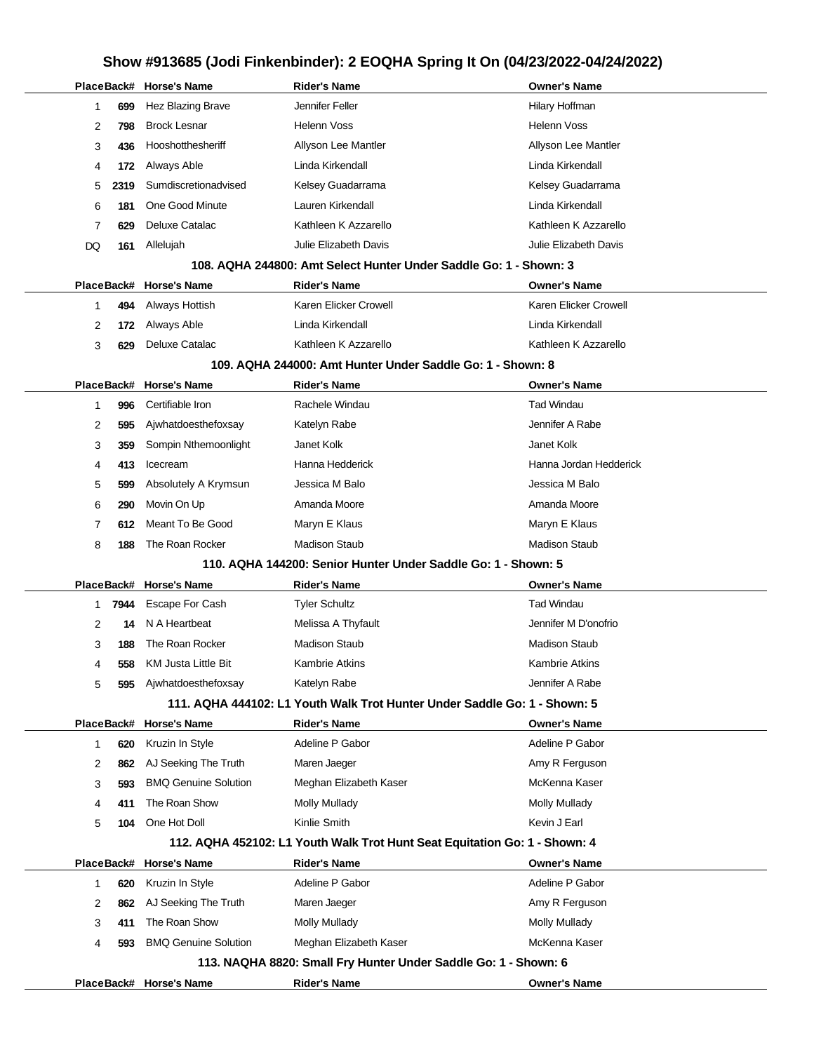|            |      | PlaceBack# Horse's Name     | <b>Rider's Name</b>                                                        | <b>Owner's Name</b>    |
|------------|------|-----------------------------|----------------------------------------------------------------------------|------------------------|
| 1          | 699  | Hez Blazing Brave           | Jennifer Feller                                                            | Hilary Hoffman         |
| 2          | 798  | <b>Brock Lesnar</b>         | Helenn Voss                                                                | <b>Helenn Voss</b>     |
| 3          | 436  | Hooshotthesheriff           | Allyson Lee Mantler                                                        | Allyson Lee Mantler    |
| 4          | 172  | Always Able                 | Linda Kirkendall                                                           | Linda Kirkendall       |
| 5          | 2319 | Sumdiscretionadvised        | Kelsey Guadarrama                                                          | Kelsey Guadarrama      |
| 6          | 181  | One Good Minute             | Lauren Kirkendall                                                          | Linda Kirkendall       |
| 7          | 629  | Deluxe Catalac              | Kathleen K Azzarello                                                       | Kathleen K Azzarello   |
| DQ         | 161  | Allelujah                   | Julie Elizabeth Davis                                                      | Julie Elizabeth Davis  |
|            |      |                             | 108. AQHA 244800: Amt Select Hunter Under Saddle Go: 1 - Shown: 3          |                        |
| PlaceBack# |      | Horse's Name                | <b>Rider's Name</b>                                                        | <b>Owner's Name</b>    |
| 1          | 494  | Always Hottish              | Karen Elicker Crowell                                                      | Karen Elicker Crowell  |
| 2          | 172  | Always Able                 | Linda Kirkendall                                                           | Linda Kirkendall       |
| 3          | 629  | Deluxe Catalac              | Kathleen K Azzarello                                                       | Kathleen K Azzarello   |
|            |      |                             | 109. AQHA 244000: Amt Hunter Under Saddle Go: 1 - Shown: 8                 |                        |
| PlaceBack# |      | <b>Horse's Name</b>         | <b>Rider's Name</b>                                                        | <b>Owner's Name</b>    |
| 1          | 996  | Certifiable Iron            | Rachele Windau                                                             | <b>Tad Windau</b>      |
| 2          | 595  | Ajwhatdoesthefoxsay         | Katelyn Rabe                                                               | Jennifer A Rabe        |
| 3          | 359  | Sompin Nthemoonlight        | Janet Kolk                                                                 | Janet Kolk             |
| 4          | 413  | Icecream                    | Hanna Hedderick                                                            | Hanna Jordan Hedderick |
| 5          | 599  | Absolutely A Krymsun        | Jessica M Balo                                                             | Jessica M Balo         |
| 6          | 290  | Movin On Up                 | Amanda Moore                                                               | Amanda Moore           |
| 7          | 612  | Meant To Be Good            | Maryn E Klaus                                                              | Maryn E Klaus          |
| 8          | 188  | The Roan Rocker             | <b>Madison Staub</b>                                                       | Madison Staub          |
|            |      |                             | 110. AQHA 144200: Senior Hunter Under Saddle Go: 1 - Shown: 5              |                        |
| PlaceBack# |      | <b>Horse's Name</b>         | <b>Rider's Name</b>                                                        | <b>Owner's Name</b>    |
| 1          | 7944 | <b>Escape For Cash</b>      | Tyler Schultz                                                              | <b>Tad Windau</b>      |
| 2          | 14   | N A Heartbeat               | Melissa A Thyfault                                                         | Jennifer M D'onofrio   |
| 3          | 188  | The Roan Rocker             | <b>Madison Staub</b>                                                       | <b>Madison Staub</b>   |
| 4          | 558  | KM Justa Little Bit         | Kambrie Atkins                                                             | Kambrie Atkins         |
| 5          | 595  | Ajwhatdoesthefoxsay         | Katelyn Rabe                                                               | Jennifer A Rabe        |
|            |      |                             | 111. AQHA 444102: L1 Youth Walk Trot Hunter Under Saddle Go: 1 - Shown: 5  |                        |
|            |      | PlaceBack# Horse's Name     | <b>Rider's Name</b>                                                        | <b>Owner's Name</b>    |
| 1          | 620  | Kruzin In Style             | Adeline P Gabor                                                            | Adeline P Gabor        |
| 2          | 862  | AJ Seeking The Truth        | Maren Jaeger                                                               | Amy R Ferguson         |
| 3          | 593  | <b>BMQ Genuine Solution</b> | Meghan Elizabeth Kaser                                                     | McKenna Kaser          |
| 4          | 411  | The Roan Show               | Molly Mullady                                                              | Molly Mullady          |
| 5          | 104  | One Hot Doll                | Kinlie Smith                                                               | Kevin J Earl           |
|            |      |                             | 112. AQHA 452102: L1 Youth Walk Trot Hunt Seat Equitation Go: 1 - Shown: 4 |                        |
| PlaceBack# |      | <b>Horse's Name</b>         | <b>Rider's Name</b>                                                        | <b>Owner's Name</b>    |
| 1          | 620  | Kruzin In Style             | Adeline P Gabor                                                            | Adeline P Gabor        |
| 2          | 862  | AJ Seeking The Truth        | Maren Jaeger                                                               | Amy R Ferguson         |
| 3          | 411  | The Roan Show               | Molly Mullady                                                              | Molly Mullady          |
| 4          | 593  | <b>BMQ Genuine Solution</b> | Meghan Elizabeth Kaser                                                     | McKenna Kaser          |
|            |      |                             | 113. NAQHA 8820: Small Fry Hunter Under Saddle Go: 1 - Shown: 6            |                        |
|            |      | PlaceBack# Horse's Name     | <b>Rider's Name</b>                                                        | <b>Owner's Name</b>    |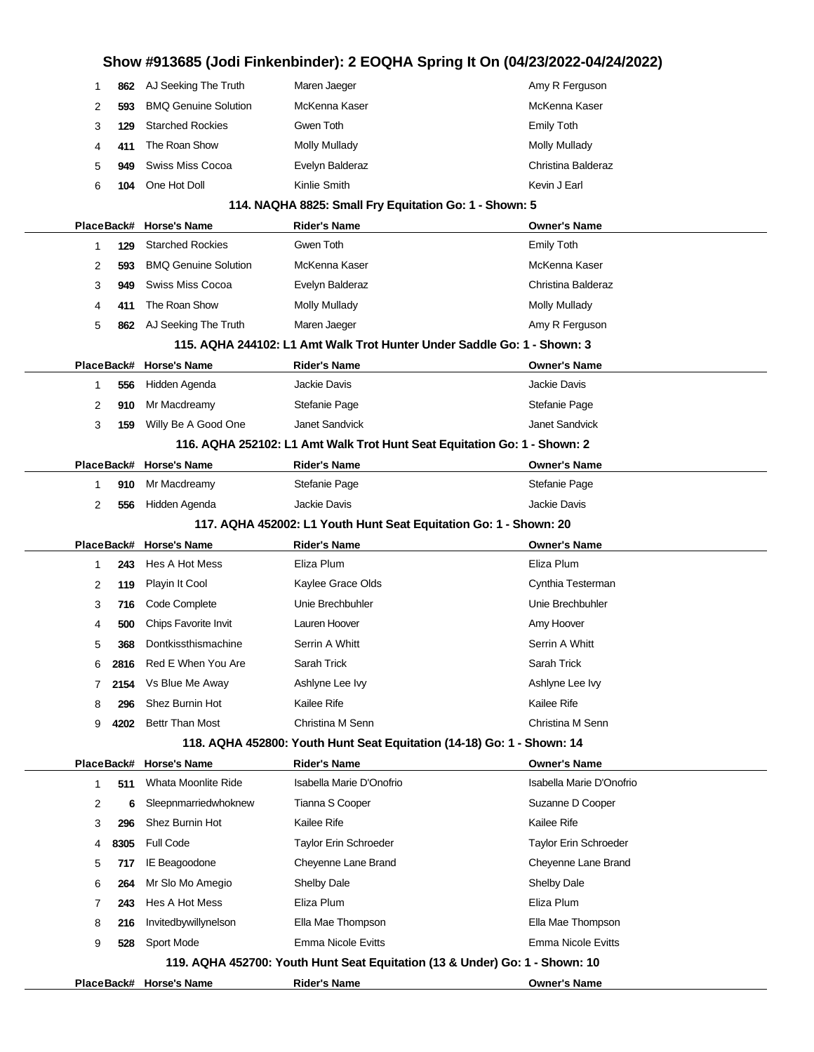|            |      |                             | Show #913685 (Jodi Finkenbinder): 2 EOQHA Spring It On (04/23/2022-04/24/2022) |                              |
|------------|------|-----------------------------|--------------------------------------------------------------------------------|------------------------------|
| 1          | 862  | AJ Seeking The Truth        | Maren Jaeger                                                                   | Amy R Ferguson               |
| 2          | 593  | <b>BMQ Genuine Solution</b> | McKenna Kaser                                                                  | McKenna Kaser                |
| 3          | 129  | <b>Starched Rockies</b>     | Gwen Toth                                                                      | <b>Emily Toth</b>            |
| 4          | 411  | The Roan Show               | <b>Molly Mullady</b>                                                           | <b>Molly Mullady</b>         |
| 5          | 949  | <b>Swiss Miss Cocoa</b>     | Evelyn Balderaz                                                                | Christina Balderaz           |
| 6          | 104  | One Hot Doll                | Kinlie Smith                                                                   | Kevin J Earl                 |
|            |      |                             | 114. NAQHA 8825: Small Fry Equitation Go: 1 - Shown: 5                         |                              |
| PlaceBack# |      | <b>Horse's Name</b>         | <b>Rider's Name</b>                                                            | Owner's Name                 |
| 1          | 129  | <b>Starched Rockies</b>     | Gwen Toth                                                                      | <b>Emily Toth</b>            |
| 2          | 593  | <b>BMQ Genuine Solution</b> | McKenna Kaser                                                                  | McKenna Kaser                |
| 3          | 949  | <b>Swiss Miss Cocoa</b>     | Evelyn Balderaz                                                                | Christina Balderaz           |
| 4          | 411  | The Roan Show               | <b>Molly Mullady</b>                                                           | <b>Molly Mullady</b>         |
| 5          | 862  | AJ Seeking The Truth        | Maren Jaeger                                                                   | Amy R Ferguson               |
|            |      |                             | 115. AQHA 244102: L1 Amt Walk Trot Hunter Under Saddle Go: 1 - Shown: 3        |                              |
| PlaceBack# |      | <b>Horse's Name</b>         | <b>Rider's Name</b>                                                            | <b>Owner's Name</b>          |
| 1          | 556  | Hidden Agenda               | Jackie Davis                                                                   | Jackie Davis                 |
| 2          | 910  | Mr Macdreamy                | Stefanie Page                                                                  | Stefanie Page                |
| 3          | 159  | Willy Be A Good One         | Janet Sandvick                                                                 | Janet Sandvick               |
|            |      |                             | 116. AQHA 252102: L1 Amt Walk Trot Hunt Seat Equitation Go: 1 - Shown: 2       |                              |
| PlaceBack# |      | <b>Horse's Name</b>         | <b>Rider's Name</b>                                                            | <b>Owner's Name</b>          |
| 1          | 910  | Mr Macdreamy                | Stefanie Page                                                                  | Stefanie Page                |
| 2          | 556  | Hidden Agenda               | <b>Jackie Davis</b>                                                            | Jackie Davis                 |
|            |      |                             | 117. AQHA 452002: L1 Youth Hunt Seat Equitation Go: 1 - Shown: 20              |                              |
| PlaceBack# |      | <b>Horse's Name</b>         | <b>Rider's Name</b>                                                            | <b>Owner's Name</b>          |
|            |      |                             |                                                                                |                              |
| 1          | 243  | Hes A Hot Mess              | Eliza Plum                                                                     | Eliza Plum                   |
| 2          | 119  | Playin It Cool              | Kaylee Grace Olds                                                              | Cynthia Testerman            |
| 3          | 716  | Code Complete               | Unie Brechbuhler                                                               | Unie Brechbuhler             |
| 4          | 500  | Chips Favorite Invit        | Lauren Hoover                                                                  | Amy Hoover                   |
| 5          | 368  | Dontkissthismachine         | Serrin A Whitt                                                                 | Serrin A Whitt               |
|            | 2816 | Red E When You Are          | Sarah Trick                                                                    | Sarah Trick                  |
| 7          | 2154 | Vs Blue Me Away             | Ashlyne Lee Ivy                                                                | Ashlyne Lee Ivy              |
| 8          | 296  | Shez Burnin Hot             | Kailee Rife                                                                    | Kailee Rife                  |
| 9          | 4202 | <b>Bettr Than Most</b>      | Christina M Senn                                                               | Christina M Senn             |
|            |      |                             | 118. AQHA 452800: Youth Hunt Seat Equitation (14-18) Go: 1 - Shown: 14         |                              |
|            |      | PlaceBack# Horse's Name     | <b>Rider's Name</b>                                                            | <b>Owner's Name</b>          |
| 1          | 511  | Whata Moonlite Ride         | Isabella Marie D'Onofrio                                                       | Isabella Marie D'Onofrio     |
| 2          | 6    | Sleepnmarriedwhoknew        | Tianna S Cooper                                                                | Suzanne D Cooper             |
| 3          | 296  | Shez Burnin Hot             | Kailee Rife                                                                    | Kailee Rife                  |
| 4          | 8305 | <b>Full Code</b>            | <b>Taylor Erin Schroeder</b>                                                   | <b>Taylor Erin Schroeder</b> |
| 5          | 717  | IE Beagoodone               | Cheyenne Lane Brand                                                            | Cheyenne Lane Brand          |
| 6          | 264  | Mr Slo Mo Amegio            | Shelby Dale                                                                    | Shelby Dale                  |
| 7          | 243  | Hes A Hot Mess              | Eliza Plum                                                                     | Eliza Plum                   |
| 8          | 216  | Invitedbywillynelson        | Ella Mae Thompson                                                              | Ella Mae Thompson            |
| 9          | 528  | Sport Mode                  | <b>Emma Nicole Evitts</b>                                                      | <b>Emma Nicole Evitts</b>    |
|            |      |                             | 119. AQHA 452700: Youth Hunt Seat Equitation (13 & Under) Go: 1 - Shown: 10    |                              |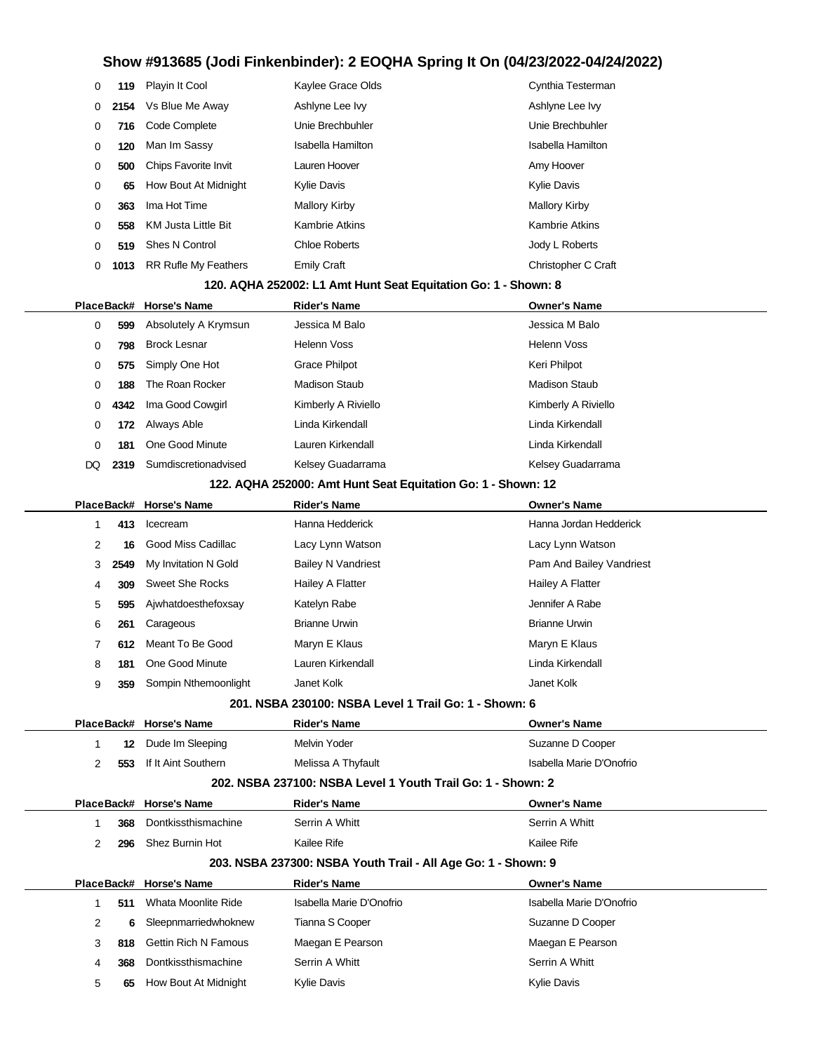| 0  | 119        | Playin It Cool              | Kaylee Grace Olds                                              | Cynthia Testerman        |
|----|------------|-----------------------------|----------------------------------------------------------------|--------------------------|
| 0  | 2154       | Vs Blue Me Away             | Ashlyne Lee Ivy                                                | Ashlyne Lee Ivy          |
| 0  | 716        | Code Complete               | Unie Brechbuhler                                               | Unie Brechbuhler         |
| 0  | 120        | Man Im Sassy                | <b>Isabella Hamilton</b>                                       | Isabella Hamilton        |
| 0  | 500        | Chips Favorite Invit        | Lauren Hoover                                                  | Amy Hoover               |
| 0  | 65         | How Bout At Midnight        | <b>Kylie Davis</b>                                             | Kylie Davis              |
| 0  | 363        | Ima Hot Time                | <b>Mallory Kirby</b>                                           | <b>Mallory Kirby</b>     |
| 0  | 558        | <b>KM Justa Little Bit</b>  | <b>Kambrie Atkins</b>                                          | <b>Kambrie Atkins</b>    |
| 0  | 519        | <b>Shes N Control</b>       | <b>Chloe Roberts</b>                                           | Jody L Roberts           |
| 0  | 1013       | <b>RR Rufle My Feathers</b> | <b>Emily Craft</b>                                             | Christopher C Craft      |
|    |            |                             | 120. AQHA 252002: L1 Amt Hunt Seat Equitation Go: 1 - Shown: 8 |                          |
|    |            | PlaceBack# Horse's Name     | <b>Rider's Name</b>                                            | <b>Owner's Name</b>      |
| 0  | 599        | Absolutely A Krymsun        | Jessica M Balo                                                 | Jessica M Balo           |
| 0  | 798        | <b>Brock Lesnar</b>         | <b>Helenn Voss</b>                                             | Helenn Voss              |
| 0  | 575        | Simply One Hot              | <b>Grace Philpot</b>                                           | Keri Philpot             |
| 0  | 188        | The Roan Rocker             | <b>Madison Staub</b>                                           | <b>Madison Staub</b>     |
| 0  | 4342       | Ima Good Cowgirl            | Kimberly A Riviello                                            | Kimberly A Riviello      |
| 0  | 172        | Always Able                 | Linda Kirkendall                                               | Linda Kirkendall         |
| 0  | 181        | One Good Minute             | Lauren Kirkendall                                              | Linda Kirkendall         |
| DQ | 2319       | Sumdiscretionadvised        | Kelsey Guadarrama                                              | Kelsey Guadarrama        |
|    |            |                             | 122. AQHA 252000: Amt Hunt Seat Equitation Go: 1 - Shown: 12   |                          |
|    | PlaceBack# | <b>Horse's Name</b>         | <b>Rider's Name</b>                                            | <b>Owner's Name</b>      |
| 1  | 413        | Icecream                    | Hanna Hedderick                                                | Hanna Jordan Hedderick   |
| 2  | 16         | Good Miss Cadillac          | Lacy Lynn Watson                                               | Lacy Lynn Watson         |
| 3  | 2549       | My Invitation N Gold        | <b>Bailey N Vandriest</b>                                      | Pam And Bailey Vandriest |
| 4  | 309        | <b>Sweet She Rocks</b>      | Hailey A Flatter                                               | Hailey A Flatter         |
| 5  | 595        | Ajwhatdoesthefoxsay         | Katelyn Rabe                                                   | Jennifer A Rabe          |
| 6  | 261        | Carageous                   | <b>Brianne Urwin</b>                                           | <b>Brianne Urwin</b>     |
| 7  | 612        | Meant To Be Good            | Maryn E Klaus                                                  | Maryn E Klaus            |
| 8  | 181        | One Good Minute             | Lauren Kirkendall                                              | Linda Kirkendall         |
| 9  |            | 359 Sompin Nthemoonlight    | Janet Kolk                                                     | Janet Kolk               |
|    |            |                             | 201. NSBA 230100: NSBA Level 1 Trail Go: 1 - Shown: 6          |                          |
|    |            | PlaceBack# Horse's Name     | <b>Rider's Name</b>                                            | <b>Owner's Name</b>      |
| 1  | 12         | Dude Im Sleeping            | Melvin Yoder                                                   | Suzanne D Cooper         |
| 2  | 553        | If It Aint Southern         | Melissa A Thyfault                                             | Isabella Marie D'Onofrio |
|    |            |                             | 202, NSBA 237100: NSBA Level 1 Youth Trail Go: 1 - Shown: 2    |                          |
|    |            | PlaceBack# Horse's Name     | <b>Rider's Name</b>                                            | Owner's Name             |
| 1  | 368        | Dontkissthismachine         | Serrin A Whitt                                                 | Serrin A Whitt           |
| 2  | 296        | Shez Burnin Hot             | Kailee Rife                                                    | Kailee Rife              |
|    |            |                             | 203. NSBA 237300: NSBA Youth Trail - All Age Go: 1 - Shown: 9  |                          |
|    | PlaceBack# | <b>Horse's Name</b>         | <b>Rider's Name</b>                                            | <b>Owner's Name</b>      |
| 1  | 511        | Whata Moonlite Ride         | Isabella Marie D'Onofrio                                       | Isabella Marie D'Onofrio |
| 2  | 6          | Sleepnmarriedwhoknew        | Tianna S Cooper                                                | Suzanne D Cooper         |
| 3  | 818        | <b>Gettin Rich N Famous</b> | Maegan E Pearson                                               | Maegan E Pearson         |
| 4  | 368        | Dontkissthismachine         | Serrin A Whitt                                                 | Serrin A Whitt           |
| 5  | 65         | How Bout At Midnight        | <b>Kylie Davis</b>                                             | Kylie Davis              |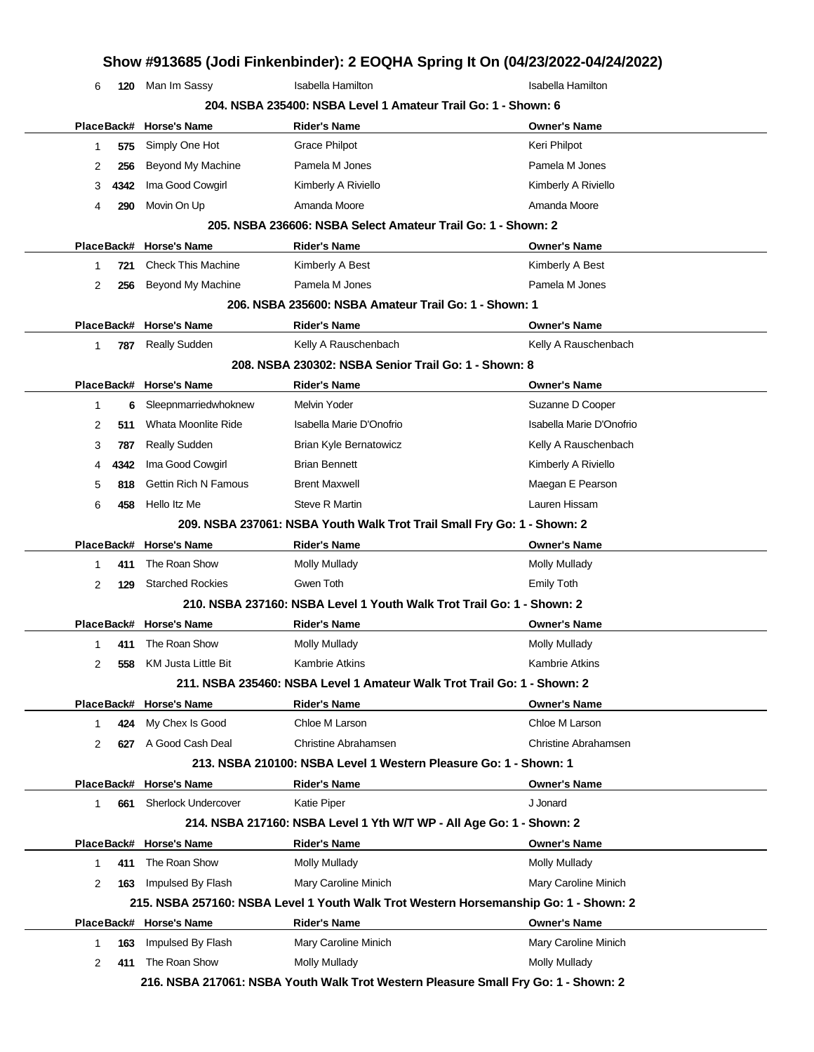| 6  |            | 120 Man Im Sassy            | Isabella Hamilton                                                                    | Isabella Hamilton        |
|----|------------|-----------------------------|--------------------------------------------------------------------------------------|--------------------------|
|    |            |                             | 204. NSBA 235400: NSBA Level 1 Amateur Trail Go: 1 - Shown: 6                        |                          |
|    |            | PlaceBack# Horse's Name     | <b>Rider's Name</b>                                                                  | <b>Owner's Name</b>      |
| 1  | 575        | Simply One Hot              | <b>Grace Philpot</b>                                                                 | Keri Philpot             |
| 2  | 256        | Beyond My Machine           | Pamela M Jones                                                                       | Pamela M Jones           |
| 3  | 4342       | Ima Good Cowgirl            | Kimberly A Riviello                                                                  | Kimberly A Riviello      |
| 4  | 290        | Movin On Up                 | Amanda Moore                                                                         | Amanda Moore             |
|    |            |                             | 205, NSBA 236606: NSBA Select Amateur Trail Go: 1 - Shown: 2                         |                          |
|    | PlaceBack# | <b>Horse's Name</b>         | <b>Rider's Name</b>                                                                  | <b>Owner's Name</b>      |
| 1  | 721        | <b>Check This Machine</b>   | Kimberly A Best                                                                      | Kimberly A Best          |
| 2  | 256        | Beyond My Machine           | Pamela M Jones                                                                       | Pamela M Jones           |
|    |            |                             | 206. NSBA 235600: NSBA Amateur Trail Go: 1 - Shown: 1                                |                          |
|    |            | PlaceBack# Horse's Name     | <b>Rider's Name</b>                                                                  | <b>Owner's Name</b>      |
| 1  | 787        | <b>Really Sudden</b>        | Kelly A Rauschenbach                                                                 | Kelly A Rauschenbach     |
|    |            |                             | 208. NSBA 230302: NSBA Senior Trail Go: 1 - Shown: 8                                 |                          |
|    |            | PlaceBack# Horse's Name     | <b>Rider's Name</b>                                                                  | <b>Owner's Name</b>      |
| 1  | 6          | Sleepnmarriedwhoknew        | Melvin Yoder                                                                         | Suzanne D Cooper         |
| 2  | 511        | Whata Moonlite Ride         | Isabella Marie D'Onofrio                                                             | Isabella Marie D'Onofrio |
| 3  | 787        | <b>Really Sudden</b>        | Brian Kyle Bernatowicz                                                               | Kelly A Rauschenbach     |
| 4  | 4342       | Ima Good Cowgirl            | <b>Brian Bennett</b>                                                                 | Kimberly A Riviello      |
| 5  | 818        | <b>Gettin Rich N Famous</b> | <b>Brent Maxwell</b>                                                                 | Maegan E Pearson         |
| 6  | 458        | Hello Itz Me                | <b>Steve R Martin</b>                                                                | Lauren Hissam            |
|    |            |                             | 209. NSBA 237061: NSBA Youth Walk Trot Trail Small Fry Go: 1 - Shown: 2              |                          |
|    |            | PlaceBack# Horse's Name     | <b>Rider's Name</b>                                                                  | <b>Owner's Name</b>      |
|    |            |                             |                                                                                      |                          |
| 1  | 411        | The Roan Show               | <b>Molly Mullady</b>                                                                 | <b>Molly Mullady</b>     |
| 2  | 129        | <b>Starched Rockies</b>     | Gwen Toth                                                                            | <b>Emily Toth</b>        |
|    |            |                             | 210. NSBA 237160: NSBA Level 1 Youth Walk Trot Trail Go: 1 - Shown: 2                |                          |
|    |            | PlaceBack# Horse's Name     | <b>Rider's Name</b>                                                                  | <b>Owner's Name</b>      |
| 1  | 411        | The Roan Show               | <b>Molly Mullady</b>                                                                 | <b>Molly Mullady</b>     |
| 2  | 558        | KM Justa Little Bit         | Kambrie Atkins                                                                       | Kambrie Atkins           |
|    |            |                             | 211. NSBA 235460: NSBA Level 1 Amateur Walk Trot Trail Go: 1 - Shown: 2              |                          |
|    |            | PlaceBack# Horse's Name     | <b>Rider's Name</b>                                                                  | <b>Owner's Name</b>      |
| 1  |            | 424 My Chex Is Good         | Chloe M Larson                                                                       | Chloe M Larson           |
| 2  | 627        | A Good Cash Deal            | <b>Christine Abrahamsen</b>                                                          | Christine Abrahamsen     |
|    |            |                             | 213. NSBA 210100: NSBA Level 1 Western Pleasure Go: 1 - Shown: 1                     |                          |
|    |            | PlaceBack# Horse's Name     | <b>Rider's Name</b>                                                                  | <b>Owner's Name</b>      |
| 1. | 661        | <b>Sherlock Undercover</b>  | <b>Katie Piper</b>                                                                   | J Jonard                 |
|    |            |                             | 214. NSBA 217160: NSBA Level 1 Yth W/T WP - All Age Go: 1 - Shown: 2                 |                          |
|    |            | PlaceBack# Horse's Name     | <b>Rider's Name</b>                                                                  | <b>Owner's Name</b>      |
| 1  | 411        | The Roan Show               | <b>Molly Mullady</b>                                                                 | <b>Molly Mullady</b>     |
| 2  |            | 163 Impulsed By Flash       | Mary Caroline Minich                                                                 | Mary Caroline Minich     |
|    |            |                             | 215. NSBA 257160: NSBA Level 1 Youth Walk Trot Western Horsemanship Go: 1 - Shown: 2 |                          |
|    |            | PlaceBack# Horse's Name     | <b>Rider's Name</b>                                                                  | <b>Owner's Name</b>      |
| 1  | 163        | Impulsed By Flash           | Mary Caroline Minich                                                                 | Mary Caroline Minich     |
| 2  | 411        | The Roan Show               | <b>Molly Mullady</b>                                                                 | Molly Mullady            |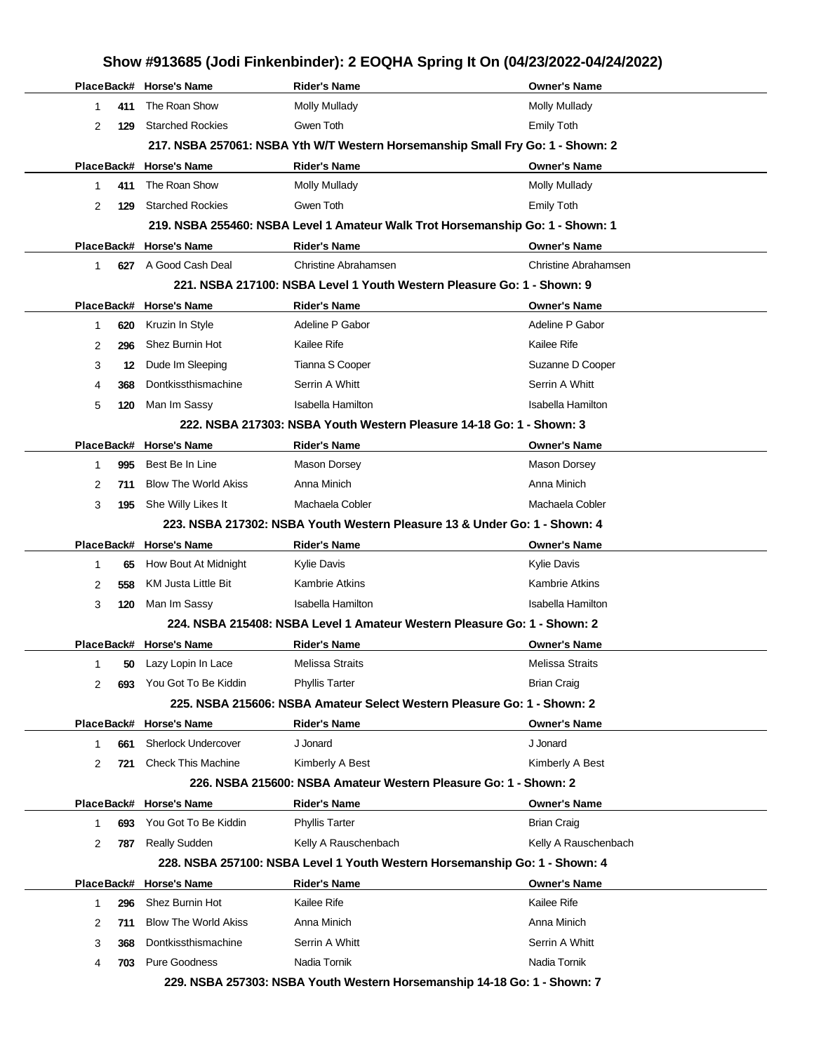| PlaceBack# Horse's Name<br><b>Rider's Name</b><br><b>Owner's Name</b><br>The Roan Show<br><b>Molly Mullady</b><br><b>Molly Mullady</b><br>$\mathbf{1}$<br>411<br><b>Starched Rockies</b><br>Gwen Toth<br><b>Emily Toth</b><br>2<br>129<br>217. NSBA 257061: NSBA Yth W/T Western Horsemanship Small Fry Go: 1 - Shown: 2<br>PlaceBack# Horse's Name<br><b>Rider's Name</b><br><b>Owner's Name</b><br>The Roan Show<br><b>Molly Mullady</b><br><b>Molly Mullady</b><br>$\mathbf{1}$<br>411<br><b>Starched Rockies</b><br>Gwen Toth<br>2<br>Emily Toth<br>129<br>219. NSBA 255460: NSBA Level 1 Amateur Walk Trot Horsemanship Go: 1 - Shown: 1<br>PlaceBack# Horse's Name<br><b>Rider's Name</b><br><b>Owner's Name</b><br>627 A Good Cash Deal<br><b>Christine Abrahamsen</b><br>Christine Abrahamsen<br>$\mathbf{1}$<br>221. NSBA 217100: NSBA Level 1 Youth Western Pleasure Go: 1 - Shown: 9<br>PlaceBack# Horse's Name<br><b>Rider's Name</b><br><b>Owner's Name</b><br>Adeline P Gabor<br>Adeline P Gabor<br>Kruzin In Style<br>620<br>-1<br>Shez Burnin Hot<br>Kailee Rife<br>Kailee Rife<br>2<br>296<br>Tianna S Cooper<br>Dude Im Sleeping<br>Suzanne D Cooper<br>3<br>12<br>Dontkissthismachine<br>Serrin A Whitt<br>Serrin A Whitt<br>4<br>368<br>Man Im Sassy<br><b>Isabella Hamilton</b><br>Isabella Hamilton<br>5<br>120<br>222, NSBA 217303: NSBA Youth Western Pleasure 14-18 Go: 1 - Shown: 3<br>PlaceBack# Horse's Name<br><b>Rider's Name</b><br><b>Owner's Name</b><br>Best Be In Line<br>Mason Dorsey<br><b>Mason Dorsey</b><br>$\mathbf{1}$<br>995<br><b>Blow The World Akiss</b><br>Anna Minich<br>Anna Minich<br>2<br>711<br>She Willy Likes It<br>Machaela Cobler<br>Machaela Cobler<br>3<br>195<br>223. NSBA 217302: NSBA Youth Western Pleasure 13 & Under Go: 1 - Shown: 4<br>PlaceBack# Horse's Name<br><b>Rider's Name</b><br><b>Owner's Name</b><br>How Bout At Midnight<br><b>Kylie Davis</b><br><b>Kylie Davis</b><br>-1<br>65<br>KM Justa Little Bit<br><b>Kambrie Atkins</b><br><b>Kambrie Atkins</b><br>2<br>558<br>3<br>Man Im Sassy<br>Isabella Hamilton<br>Isabella Hamilton<br>120<br>224, NSBA 215408; NSBA Level 1 Amateur Western Pleasure Go: 1 - Shown: 2<br>PlaceBack# Horse's Name<br><b>Owner's Name</b><br>Rider's Name<br><b>Melissa Straits</b><br>Melissa Straits<br>Lazy Lopin In Lace<br>-1<br>50<br>You Got To Be Kiddin<br><b>Brian Craig</b><br>2<br><b>Phyllis Tarter</b><br>693<br>225, NSBA 215606: NSBA Amateur Select Western Pleasure Go: 1 - Shown: 2<br>PlaceBack# Horse's Name<br>Rider's Name<br><b>Owner's Name</b><br><b>Sherlock Undercover</b><br>J Jonard<br>J Jonard<br>661<br>1<br><b>Check This Machine</b><br>Kimberly A Best<br>Kimberly A Best<br>2<br>721<br>226. NSBA 215600: NSBA Amateur Western Pleasure Go: 1 - Shown: 2<br>PlaceBack# Horse's Name<br><b>Rider's Name</b><br><b>Owner's Name</b><br>You Got To Be Kiddin<br><b>Phyllis Tarter</b><br><b>Brian Craig</b><br>$\mathbf{1}$<br>693<br><b>Really Sudden</b><br>Kelly A Rauschenbach<br>Kelly A Rauschenbach<br>2<br>787<br>228. NSBA 257100: NSBA Level 1 Youth Western Horsemanship Go: 1 - Shown: 4<br>PlaceBack# Horse's Name<br>Rider's Name<br><b>Owner's Name</b><br>Shez Burnin Hot<br>Kailee Rife<br>Kailee Rife<br>$\mathbf{1}$<br>296<br><b>Blow The World Akiss</b><br>Anna Minich<br>Anna Minich<br>2<br>711<br>Dontkissthismachine<br>Serrin A Whitt<br>Serrin A Whitt<br>3<br>368<br>Nadia Tornik<br>Nadia Tornik<br>Pure Goodness<br>703<br>4<br>229. NSBA 257303: NSBA Youth Western Horsemanship 14-18 Go: 1 - Shown: 7 |  |  | Show #913685 (Jodi Finkenbinder): 2 EOQHA Spring It On (04/23/2022-04/24/2022) |
|-----------------------------------------------------------------------------------------------------------------------------------------------------------------------------------------------------------------------------------------------------------------------------------------------------------------------------------------------------------------------------------------------------------------------------------------------------------------------------------------------------------------------------------------------------------------------------------------------------------------------------------------------------------------------------------------------------------------------------------------------------------------------------------------------------------------------------------------------------------------------------------------------------------------------------------------------------------------------------------------------------------------------------------------------------------------------------------------------------------------------------------------------------------------------------------------------------------------------------------------------------------------------------------------------------------------------------------------------------------------------------------------------------------------------------------------------------------------------------------------------------------------------------------------------------------------------------------------------------------------------------------------------------------------------------------------------------------------------------------------------------------------------------------------------------------------------------------------------------------------------------------------------------------------------------------------------------------------------------------------------------------------------------------------------------------------------------------------------------------------------------------------------------------------------------------------------------------------------------------------------------------------------------------------------------------------------------------------------------------------------------------------------------------------------------------------------------------------------------------------------------------------------------------------------------------------------------------------------------------------------------------------------------------------------------------------------------------------------------------------------------------------------------------------------------------------------------------------------------------------------------------------------------------------------------------------------------------------------------------------------------------------------------------------------------------------------------------------------------------------------------------------------------------------------------------------------------------------------------------------------------------------------------------------------------------------------------------------------------------------------------------------------------------------------------------------------------------------------------------------------------------------------------------------------------------------------------------------|--|--|--------------------------------------------------------------------------------|
|                                                                                                                                                                                                                                                                                                                                                                                                                                                                                                                                                                                                                                                                                                                                                                                                                                                                                                                                                                                                                                                                                                                                                                                                                                                                                                                                                                                                                                                                                                                                                                                                                                                                                                                                                                                                                                                                                                                                                                                                                                                                                                                                                                                                                                                                                                                                                                                                                                                                                                                                                                                                                                                                                                                                                                                                                                                                                                                                                                                                                                                                                                                                                                                                                                                                                                                                                                                                                                                                                                                                                                                         |  |  |                                                                                |
|                                                                                                                                                                                                                                                                                                                                                                                                                                                                                                                                                                                                                                                                                                                                                                                                                                                                                                                                                                                                                                                                                                                                                                                                                                                                                                                                                                                                                                                                                                                                                                                                                                                                                                                                                                                                                                                                                                                                                                                                                                                                                                                                                                                                                                                                                                                                                                                                                                                                                                                                                                                                                                                                                                                                                                                                                                                                                                                                                                                                                                                                                                                                                                                                                                                                                                                                                                                                                                                                                                                                                                                         |  |  |                                                                                |
|                                                                                                                                                                                                                                                                                                                                                                                                                                                                                                                                                                                                                                                                                                                                                                                                                                                                                                                                                                                                                                                                                                                                                                                                                                                                                                                                                                                                                                                                                                                                                                                                                                                                                                                                                                                                                                                                                                                                                                                                                                                                                                                                                                                                                                                                                                                                                                                                                                                                                                                                                                                                                                                                                                                                                                                                                                                                                                                                                                                                                                                                                                                                                                                                                                                                                                                                                                                                                                                                                                                                                                                         |  |  |                                                                                |
|                                                                                                                                                                                                                                                                                                                                                                                                                                                                                                                                                                                                                                                                                                                                                                                                                                                                                                                                                                                                                                                                                                                                                                                                                                                                                                                                                                                                                                                                                                                                                                                                                                                                                                                                                                                                                                                                                                                                                                                                                                                                                                                                                                                                                                                                                                                                                                                                                                                                                                                                                                                                                                                                                                                                                                                                                                                                                                                                                                                                                                                                                                                                                                                                                                                                                                                                                                                                                                                                                                                                                                                         |  |  |                                                                                |
|                                                                                                                                                                                                                                                                                                                                                                                                                                                                                                                                                                                                                                                                                                                                                                                                                                                                                                                                                                                                                                                                                                                                                                                                                                                                                                                                                                                                                                                                                                                                                                                                                                                                                                                                                                                                                                                                                                                                                                                                                                                                                                                                                                                                                                                                                                                                                                                                                                                                                                                                                                                                                                                                                                                                                                                                                                                                                                                                                                                                                                                                                                                                                                                                                                                                                                                                                                                                                                                                                                                                                                                         |  |  |                                                                                |
|                                                                                                                                                                                                                                                                                                                                                                                                                                                                                                                                                                                                                                                                                                                                                                                                                                                                                                                                                                                                                                                                                                                                                                                                                                                                                                                                                                                                                                                                                                                                                                                                                                                                                                                                                                                                                                                                                                                                                                                                                                                                                                                                                                                                                                                                                                                                                                                                                                                                                                                                                                                                                                                                                                                                                                                                                                                                                                                                                                                                                                                                                                                                                                                                                                                                                                                                                                                                                                                                                                                                                                                         |  |  |                                                                                |
|                                                                                                                                                                                                                                                                                                                                                                                                                                                                                                                                                                                                                                                                                                                                                                                                                                                                                                                                                                                                                                                                                                                                                                                                                                                                                                                                                                                                                                                                                                                                                                                                                                                                                                                                                                                                                                                                                                                                                                                                                                                                                                                                                                                                                                                                                                                                                                                                                                                                                                                                                                                                                                                                                                                                                                                                                                                                                                                                                                                                                                                                                                                                                                                                                                                                                                                                                                                                                                                                                                                                                                                         |  |  |                                                                                |
|                                                                                                                                                                                                                                                                                                                                                                                                                                                                                                                                                                                                                                                                                                                                                                                                                                                                                                                                                                                                                                                                                                                                                                                                                                                                                                                                                                                                                                                                                                                                                                                                                                                                                                                                                                                                                                                                                                                                                                                                                                                                                                                                                                                                                                                                                                                                                                                                                                                                                                                                                                                                                                                                                                                                                                                                                                                                                                                                                                                                                                                                                                                                                                                                                                                                                                                                                                                                                                                                                                                                                                                         |  |  |                                                                                |
|                                                                                                                                                                                                                                                                                                                                                                                                                                                                                                                                                                                                                                                                                                                                                                                                                                                                                                                                                                                                                                                                                                                                                                                                                                                                                                                                                                                                                                                                                                                                                                                                                                                                                                                                                                                                                                                                                                                                                                                                                                                                                                                                                                                                                                                                                                                                                                                                                                                                                                                                                                                                                                                                                                                                                                                                                                                                                                                                                                                                                                                                                                                                                                                                                                                                                                                                                                                                                                                                                                                                                                                         |  |  |                                                                                |
|                                                                                                                                                                                                                                                                                                                                                                                                                                                                                                                                                                                                                                                                                                                                                                                                                                                                                                                                                                                                                                                                                                                                                                                                                                                                                                                                                                                                                                                                                                                                                                                                                                                                                                                                                                                                                                                                                                                                                                                                                                                                                                                                                                                                                                                                                                                                                                                                                                                                                                                                                                                                                                                                                                                                                                                                                                                                                                                                                                                                                                                                                                                                                                                                                                                                                                                                                                                                                                                                                                                                                                                         |  |  |                                                                                |
|                                                                                                                                                                                                                                                                                                                                                                                                                                                                                                                                                                                                                                                                                                                                                                                                                                                                                                                                                                                                                                                                                                                                                                                                                                                                                                                                                                                                                                                                                                                                                                                                                                                                                                                                                                                                                                                                                                                                                                                                                                                                                                                                                                                                                                                                                                                                                                                                                                                                                                                                                                                                                                                                                                                                                                                                                                                                                                                                                                                                                                                                                                                                                                                                                                                                                                                                                                                                                                                                                                                                                                                         |  |  |                                                                                |
|                                                                                                                                                                                                                                                                                                                                                                                                                                                                                                                                                                                                                                                                                                                                                                                                                                                                                                                                                                                                                                                                                                                                                                                                                                                                                                                                                                                                                                                                                                                                                                                                                                                                                                                                                                                                                                                                                                                                                                                                                                                                                                                                                                                                                                                                                                                                                                                                                                                                                                                                                                                                                                                                                                                                                                                                                                                                                                                                                                                                                                                                                                                                                                                                                                                                                                                                                                                                                                                                                                                                                                                         |  |  |                                                                                |
|                                                                                                                                                                                                                                                                                                                                                                                                                                                                                                                                                                                                                                                                                                                                                                                                                                                                                                                                                                                                                                                                                                                                                                                                                                                                                                                                                                                                                                                                                                                                                                                                                                                                                                                                                                                                                                                                                                                                                                                                                                                                                                                                                                                                                                                                                                                                                                                                                                                                                                                                                                                                                                                                                                                                                                                                                                                                                                                                                                                                                                                                                                                                                                                                                                                                                                                                                                                                                                                                                                                                                                                         |  |  |                                                                                |
|                                                                                                                                                                                                                                                                                                                                                                                                                                                                                                                                                                                                                                                                                                                                                                                                                                                                                                                                                                                                                                                                                                                                                                                                                                                                                                                                                                                                                                                                                                                                                                                                                                                                                                                                                                                                                                                                                                                                                                                                                                                                                                                                                                                                                                                                                                                                                                                                                                                                                                                                                                                                                                                                                                                                                                                                                                                                                                                                                                                                                                                                                                                                                                                                                                                                                                                                                                                                                                                                                                                                                                                         |  |  |                                                                                |
|                                                                                                                                                                                                                                                                                                                                                                                                                                                                                                                                                                                                                                                                                                                                                                                                                                                                                                                                                                                                                                                                                                                                                                                                                                                                                                                                                                                                                                                                                                                                                                                                                                                                                                                                                                                                                                                                                                                                                                                                                                                                                                                                                                                                                                                                                                                                                                                                                                                                                                                                                                                                                                                                                                                                                                                                                                                                                                                                                                                                                                                                                                                                                                                                                                                                                                                                                                                                                                                                                                                                                                                         |  |  |                                                                                |
|                                                                                                                                                                                                                                                                                                                                                                                                                                                                                                                                                                                                                                                                                                                                                                                                                                                                                                                                                                                                                                                                                                                                                                                                                                                                                                                                                                                                                                                                                                                                                                                                                                                                                                                                                                                                                                                                                                                                                                                                                                                                                                                                                                                                                                                                                                                                                                                                                                                                                                                                                                                                                                                                                                                                                                                                                                                                                                                                                                                                                                                                                                                                                                                                                                                                                                                                                                                                                                                                                                                                                                                         |  |  |                                                                                |
|                                                                                                                                                                                                                                                                                                                                                                                                                                                                                                                                                                                                                                                                                                                                                                                                                                                                                                                                                                                                                                                                                                                                                                                                                                                                                                                                                                                                                                                                                                                                                                                                                                                                                                                                                                                                                                                                                                                                                                                                                                                                                                                                                                                                                                                                                                                                                                                                                                                                                                                                                                                                                                                                                                                                                                                                                                                                                                                                                                                                                                                                                                                                                                                                                                                                                                                                                                                                                                                                                                                                                                                         |  |  |                                                                                |
|                                                                                                                                                                                                                                                                                                                                                                                                                                                                                                                                                                                                                                                                                                                                                                                                                                                                                                                                                                                                                                                                                                                                                                                                                                                                                                                                                                                                                                                                                                                                                                                                                                                                                                                                                                                                                                                                                                                                                                                                                                                                                                                                                                                                                                                                                                                                                                                                                                                                                                                                                                                                                                                                                                                                                                                                                                                                                                                                                                                                                                                                                                                                                                                                                                                                                                                                                                                                                                                                                                                                                                                         |  |  |                                                                                |
|                                                                                                                                                                                                                                                                                                                                                                                                                                                                                                                                                                                                                                                                                                                                                                                                                                                                                                                                                                                                                                                                                                                                                                                                                                                                                                                                                                                                                                                                                                                                                                                                                                                                                                                                                                                                                                                                                                                                                                                                                                                                                                                                                                                                                                                                                                                                                                                                                                                                                                                                                                                                                                                                                                                                                                                                                                                                                                                                                                                                                                                                                                                                                                                                                                                                                                                                                                                                                                                                                                                                                                                         |  |  |                                                                                |
|                                                                                                                                                                                                                                                                                                                                                                                                                                                                                                                                                                                                                                                                                                                                                                                                                                                                                                                                                                                                                                                                                                                                                                                                                                                                                                                                                                                                                                                                                                                                                                                                                                                                                                                                                                                                                                                                                                                                                                                                                                                                                                                                                                                                                                                                                                                                                                                                                                                                                                                                                                                                                                                                                                                                                                                                                                                                                                                                                                                                                                                                                                                                                                                                                                                                                                                                                                                                                                                                                                                                                                                         |  |  |                                                                                |
|                                                                                                                                                                                                                                                                                                                                                                                                                                                                                                                                                                                                                                                                                                                                                                                                                                                                                                                                                                                                                                                                                                                                                                                                                                                                                                                                                                                                                                                                                                                                                                                                                                                                                                                                                                                                                                                                                                                                                                                                                                                                                                                                                                                                                                                                                                                                                                                                                                                                                                                                                                                                                                                                                                                                                                                                                                                                                                                                                                                                                                                                                                                                                                                                                                                                                                                                                                                                                                                                                                                                                                                         |  |  |                                                                                |
|                                                                                                                                                                                                                                                                                                                                                                                                                                                                                                                                                                                                                                                                                                                                                                                                                                                                                                                                                                                                                                                                                                                                                                                                                                                                                                                                                                                                                                                                                                                                                                                                                                                                                                                                                                                                                                                                                                                                                                                                                                                                                                                                                                                                                                                                                                                                                                                                                                                                                                                                                                                                                                                                                                                                                                                                                                                                                                                                                                                                                                                                                                                                                                                                                                                                                                                                                                                                                                                                                                                                                                                         |  |  |                                                                                |
|                                                                                                                                                                                                                                                                                                                                                                                                                                                                                                                                                                                                                                                                                                                                                                                                                                                                                                                                                                                                                                                                                                                                                                                                                                                                                                                                                                                                                                                                                                                                                                                                                                                                                                                                                                                                                                                                                                                                                                                                                                                                                                                                                                                                                                                                                                                                                                                                                                                                                                                                                                                                                                                                                                                                                                                                                                                                                                                                                                                                                                                                                                                                                                                                                                                                                                                                                                                                                                                                                                                                                                                         |  |  |                                                                                |
|                                                                                                                                                                                                                                                                                                                                                                                                                                                                                                                                                                                                                                                                                                                                                                                                                                                                                                                                                                                                                                                                                                                                                                                                                                                                                                                                                                                                                                                                                                                                                                                                                                                                                                                                                                                                                                                                                                                                                                                                                                                                                                                                                                                                                                                                                                                                                                                                                                                                                                                                                                                                                                                                                                                                                                                                                                                                                                                                                                                                                                                                                                                                                                                                                                                                                                                                                                                                                                                                                                                                                                                         |  |  |                                                                                |
|                                                                                                                                                                                                                                                                                                                                                                                                                                                                                                                                                                                                                                                                                                                                                                                                                                                                                                                                                                                                                                                                                                                                                                                                                                                                                                                                                                                                                                                                                                                                                                                                                                                                                                                                                                                                                                                                                                                                                                                                                                                                                                                                                                                                                                                                                                                                                                                                                                                                                                                                                                                                                                                                                                                                                                                                                                                                                                                                                                                                                                                                                                                                                                                                                                                                                                                                                                                                                                                                                                                                                                                         |  |  |                                                                                |
|                                                                                                                                                                                                                                                                                                                                                                                                                                                                                                                                                                                                                                                                                                                                                                                                                                                                                                                                                                                                                                                                                                                                                                                                                                                                                                                                                                                                                                                                                                                                                                                                                                                                                                                                                                                                                                                                                                                                                                                                                                                                                                                                                                                                                                                                                                                                                                                                                                                                                                                                                                                                                                                                                                                                                                                                                                                                                                                                                                                                                                                                                                                                                                                                                                                                                                                                                                                                                                                                                                                                                                                         |  |  |                                                                                |
|                                                                                                                                                                                                                                                                                                                                                                                                                                                                                                                                                                                                                                                                                                                                                                                                                                                                                                                                                                                                                                                                                                                                                                                                                                                                                                                                                                                                                                                                                                                                                                                                                                                                                                                                                                                                                                                                                                                                                                                                                                                                                                                                                                                                                                                                                                                                                                                                                                                                                                                                                                                                                                                                                                                                                                                                                                                                                                                                                                                                                                                                                                                                                                                                                                                                                                                                                                                                                                                                                                                                                                                         |  |  |                                                                                |
|                                                                                                                                                                                                                                                                                                                                                                                                                                                                                                                                                                                                                                                                                                                                                                                                                                                                                                                                                                                                                                                                                                                                                                                                                                                                                                                                                                                                                                                                                                                                                                                                                                                                                                                                                                                                                                                                                                                                                                                                                                                                                                                                                                                                                                                                                                                                                                                                                                                                                                                                                                                                                                                                                                                                                                                                                                                                                                                                                                                                                                                                                                                                                                                                                                                                                                                                                                                                                                                                                                                                                                                         |  |  |                                                                                |
|                                                                                                                                                                                                                                                                                                                                                                                                                                                                                                                                                                                                                                                                                                                                                                                                                                                                                                                                                                                                                                                                                                                                                                                                                                                                                                                                                                                                                                                                                                                                                                                                                                                                                                                                                                                                                                                                                                                                                                                                                                                                                                                                                                                                                                                                                                                                                                                                                                                                                                                                                                                                                                                                                                                                                                                                                                                                                                                                                                                                                                                                                                                                                                                                                                                                                                                                                                                                                                                                                                                                                                                         |  |  |                                                                                |
|                                                                                                                                                                                                                                                                                                                                                                                                                                                                                                                                                                                                                                                                                                                                                                                                                                                                                                                                                                                                                                                                                                                                                                                                                                                                                                                                                                                                                                                                                                                                                                                                                                                                                                                                                                                                                                                                                                                                                                                                                                                                                                                                                                                                                                                                                                                                                                                                                                                                                                                                                                                                                                                                                                                                                                                                                                                                                                                                                                                                                                                                                                                                                                                                                                                                                                                                                                                                                                                                                                                                                                                         |  |  |                                                                                |
|                                                                                                                                                                                                                                                                                                                                                                                                                                                                                                                                                                                                                                                                                                                                                                                                                                                                                                                                                                                                                                                                                                                                                                                                                                                                                                                                                                                                                                                                                                                                                                                                                                                                                                                                                                                                                                                                                                                                                                                                                                                                                                                                                                                                                                                                                                                                                                                                                                                                                                                                                                                                                                                                                                                                                                                                                                                                                                                                                                                                                                                                                                                                                                                                                                                                                                                                                                                                                                                                                                                                                                                         |  |  |                                                                                |
|                                                                                                                                                                                                                                                                                                                                                                                                                                                                                                                                                                                                                                                                                                                                                                                                                                                                                                                                                                                                                                                                                                                                                                                                                                                                                                                                                                                                                                                                                                                                                                                                                                                                                                                                                                                                                                                                                                                                                                                                                                                                                                                                                                                                                                                                                                                                                                                                                                                                                                                                                                                                                                                                                                                                                                                                                                                                                                                                                                                                                                                                                                                                                                                                                                                                                                                                                                                                                                                                                                                                                                                         |  |  |                                                                                |
|                                                                                                                                                                                                                                                                                                                                                                                                                                                                                                                                                                                                                                                                                                                                                                                                                                                                                                                                                                                                                                                                                                                                                                                                                                                                                                                                                                                                                                                                                                                                                                                                                                                                                                                                                                                                                                                                                                                                                                                                                                                                                                                                                                                                                                                                                                                                                                                                                                                                                                                                                                                                                                                                                                                                                                                                                                                                                                                                                                                                                                                                                                                                                                                                                                                                                                                                                                                                                                                                                                                                                                                         |  |  |                                                                                |
|                                                                                                                                                                                                                                                                                                                                                                                                                                                                                                                                                                                                                                                                                                                                                                                                                                                                                                                                                                                                                                                                                                                                                                                                                                                                                                                                                                                                                                                                                                                                                                                                                                                                                                                                                                                                                                                                                                                                                                                                                                                                                                                                                                                                                                                                                                                                                                                                                                                                                                                                                                                                                                                                                                                                                                                                                                                                                                                                                                                                                                                                                                                                                                                                                                                                                                                                                                                                                                                                                                                                                                                         |  |  |                                                                                |
|                                                                                                                                                                                                                                                                                                                                                                                                                                                                                                                                                                                                                                                                                                                                                                                                                                                                                                                                                                                                                                                                                                                                                                                                                                                                                                                                                                                                                                                                                                                                                                                                                                                                                                                                                                                                                                                                                                                                                                                                                                                                                                                                                                                                                                                                                                                                                                                                                                                                                                                                                                                                                                                                                                                                                                                                                                                                                                                                                                                                                                                                                                                                                                                                                                                                                                                                                                                                                                                                                                                                                                                         |  |  |                                                                                |
|                                                                                                                                                                                                                                                                                                                                                                                                                                                                                                                                                                                                                                                                                                                                                                                                                                                                                                                                                                                                                                                                                                                                                                                                                                                                                                                                                                                                                                                                                                                                                                                                                                                                                                                                                                                                                                                                                                                                                                                                                                                                                                                                                                                                                                                                                                                                                                                                                                                                                                                                                                                                                                                                                                                                                                                                                                                                                                                                                                                                                                                                                                                                                                                                                                                                                                                                                                                                                                                                                                                                                                                         |  |  |                                                                                |
|                                                                                                                                                                                                                                                                                                                                                                                                                                                                                                                                                                                                                                                                                                                                                                                                                                                                                                                                                                                                                                                                                                                                                                                                                                                                                                                                                                                                                                                                                                                                                                                                                                                                                                                                                                                                                                                                                                                                                                                                                                                                                                                                                                                                                                                                                                                                                                                                                                                                                                                                                                                                                                                                                                                                                                                                                                                                                                                                                                                                                                                                                                                                                                                                                                                                                                                                                                                                                                                                                                                                                                                         |  |  |                                                                                |
|                                                                                                                                                                                                                                                                                                                                                                                                                                                                                                                                                                                                                                                                                                                                                                                                                                                                                                                                                                                                                                                                                                                                                                                                                                                                                                                                                                                                                                                                                                                                                                                                                                                                                                                                                                                                                                                                                                                                                                                                                                                                                                                                                                                                                                                                                                                                                                                                                                                                                                                                                                                                                                                                                                                                                                                                                                                                                                                                                                                                                                                                                                                                                                                                                                                                                                                                                                                                                                                                                                                                                                                         |  |  |                                                                                |
|                                                                                                                                                                                                                                                                                                                                                                                                                                                                                                                                                                                                                                                                                                                                                                                                                                                                                                                                                                                                                                                                                                                                                                                                                                                                                                                                                                                                                                                                                                                                                                                                                                                                                                                                                                                                                                                                                                                                                                                                                                                                                                                                                                                                                                                                                                                                                                                                                                                                                                                                                                                                                                                                                                                                                                                                                                                                                                                                                                                                                                                                                                                                                                                                                                                                                                                                                                                                                                                                                                                                                                                         |  |  |                                                                                |
|                                                                                                                                                                                                                                                                                                                                                                                                                                                                                                                                                                                                                                                                                                                                                                                                                                                                                                                                                                                                                                                                                                                                                                                                                                                                                                                                                                                                                                                                                                                                                                                                                                                                                                                                                                                                                                                                                                                                                                                                                                                                                                                                                                                                                                                                                                                                                                                                                                                                                                                                                                                                                                                                                                                                                                                                                                                                                                                                                                                                                                                                                                                                                                                                                                                                                                                                                                                                                                                                                                                                                                                         |  |  |                                                                                |
|                                                                                                                                                                                                                                                                                                                                                                                                                                                                                                                                                                                                                                                                                                                                                                                                                                                                                                                                                                                                                                                                                                                                                                                                                                                                                                                                                                                                                                                                                                                                                                                                                                                                                                                                                                                                                                                                                                                                                                                                                                                                                                                                                                                                                                                                                                                                                                                                                                                                                                                                                                                                                                                                                                                                                                                                                                                                                                                                                                                                                                                                                                                                                                                                                                                                                                                                                                                                                                                                                                                                                                                         |  |  |                                                                                |
|                                                                                                                                                                                                                                                                                                                                                                                                                                                                                                                                                                                                                                                                                                                                                                                                                                                                                                                                                                                                                                                                                                                                                                                                                                                                                                                                                                                                                                                                                                                                                                                                                                                                                                                                                                                                                                                                                                                                                                                                                                                                                                                                                                                                                                                                                                                                                                                                                                                                                                                                                                                                                                                                                                                                                                                                                                                                                                                                                                                                                                                                                                                                                                                                                                                                                                                                                                                                                                                                                                                                                                                         |  |  |                                                                                |
|                                                                                                                                                                                                                                                                                                                                                                                                                                                                                                                                                                                                                                                                                                                                                                                                                                                                                                                                                                                                                                                                                                                                                                                                                                                                                                                                                                                                                                                                                                                                                                                                                                                                                                                                                                                                                                                                                                                                                                                                                                                                                                                                                                                                                                                                                                                                                                                                                                                                                                                                                                                                                                                                                                                                                                                                                                                                                                                                                                                                                                                                                                                                                                                                                                                                                                                                                                                                                                                                                                                                                                                         |  |  |                                                                                |
|                                                                                                                                                                                                                                                                                                                                                                                                                                                                                                                                                                                                                                                                                                                                                                                                                                                                                                                                                                                                                                                                                                                                                                                                                                                                                                                                                                                                                                                                                                                                                                                                                                                                                                                                                                                                                                                                                                                                                                                                                                                                                                                                                                                                                                                                                                                                                                                                                                                                                                                                                                                                                                                                                                                                                                                                                                                                                                                                                                                                                                                                                                                                                                                                                                                                                                                                                                                                                                                                                                                                                                                         |  |  |                                                                                |
|                                                                                                                                                                                                                                                                                                                                                                                                                                                                                                                                                                                                                                                                                                                                                                                                                                                                                                                                                                                                                                                                                                                                                                                                                                                                                                                                                                                                                                                                                                                                                                                                                                                                                                                                                                                                                                                                                                                                                                                                                                                                                                                                                                                                                                                                                                                                                                                                                                                                                                                                                                                                                                                                                                                                                                                                                                                                                                                                                                                                                                                                                                                                                                                                                                                                                                                                                                                                                                                                                                                                                                                         |  |  |                                                                                |
|                                                                                                                                                                                                                                                                                                                                                                                                                                                                                                                                                                                                                                                                                                                                                                                                                                                                                                                                                                                                                                                                                                                                                                                                                                                                                                                                                                                                                                                                                                                                                                                                                                                                                                                                                                                                                                                                                                                                                                                                                                                                                                                                                                                                                                                                                                                                                                                                                                                                                                                                                                                                                                                                                                                                                                                                                                                                                                                                                                                                                                                                                                                                                                                                                                                                                                                                                                                                                                                                                                                                                                                         |  |  |                                                                                |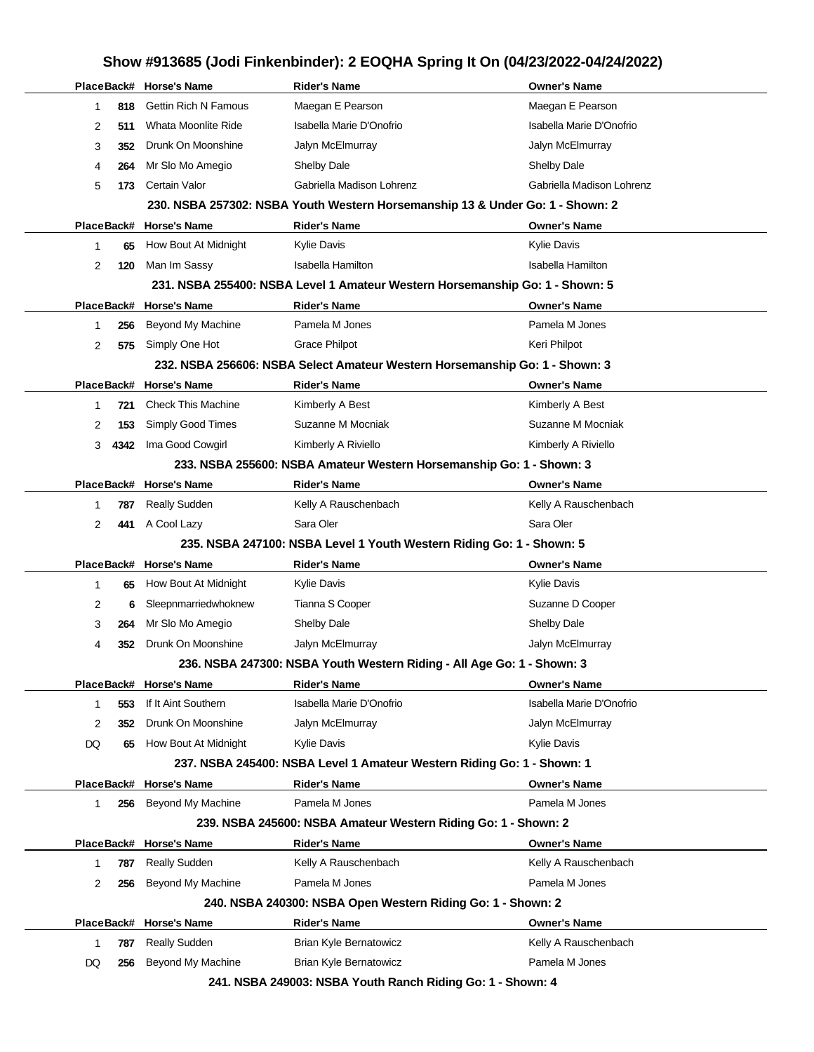# **PlaceBack# Horse's Name Rider's Name Owner's Name** 1 **818** Gettin Rich N Famous Maegan E Pearson Maegan E Pearson 2 **511** Whata Moonlite Ride Isabella Marie D'Onofrio **International Marie D'Onofrio** Isabella Marie D'Onofrio 3 **352** Drunk On Moonshine Jalyn McElmurray Jalyn McElmurray 4 **264** Mr Slo Mo Amegio Shelby Dale Shelby Dale 5 **173** Certain Valor Gabriella Madison Lohrenz Gabriella Madison Lohrenz **230. NSBA 257302: NSBA Youth Western Horsemanship 13 & Under Go: 1 - Shown: 2 PlaceBack# Horse's Name Rider's Name Owner's Name** 1 **65** How Bout At Midnight Kylie Davis Kylie Davis Kylie Davis Kylie Davis Kylie Davis 2 **120** Man Im Sassy **Isabella Hamilton** Isabella Hamilton Isabella Hamilton **231. NSBA 255400: NSBA Level 1 Amateur Western Horsemanship Go: 1 - Shown: 5 PlaceBack# Horse's Name Rider's Name Owner's Name** 1 **256** Beyond My Machine Pamela M Jones Pamela M Jones 2 **575** Simply One Hot Grace Philpot **Cance Rights** Keri Philpot **232. NSBA 256606: NSBA Select Amateur Western Horsemanship Go: 1 - Shown: 3 PlaceBack# Horse's Name Rider's Name Owner's Name** 1 **721** Check This Machine Kimberly A Best Kimberly A Best Kimberly A Best 2 **153** Simply Good Times Suzanne M Mocniak Suzanne M Mocniak 3 **4342** Ima Good Cowgirl Kimberly A Riviello Kimberly A Riviello Kimberly A Riviello **233. NSBA 255600: NSBA Amateur Western Horsemanship Go: 1 - Shown: 3 PlaceBack# Horse's Name Rider's Name Owner's Name** 1 **787** Really Sudden Kelly A Rauschenbach Kelly A Rauschenbach 2 **441** A Cool Lazy Sara Oler Sara Oler Sara Oler Sara Oler **235. NSBA 247100: NSBA Level 1 Youth Western Riding Go: 1 - Shown: 5 PlaceBack# Horse's Name Rider's Name Owner's Name** 1 **65** How Bout At Midnight Kylie Davis **Kylie Davis** Kylie Davis Kylie Davis 2 **6** Sleepnmarriedwhoknew Tianna S Cooper Suzanne D Cooper Suzanne D Cooper 3 **264** Mr Slo Mo Amegio Shelby Dale Shelby Dale 4 **352** Drunk On Moonshine Jalyn McElmurray Jalyn McElmurray **236. NSBA 247300: NSBA Youth Western Riding - All Age Go: 1 - Shown: 3 PlaceBack# Horse's Name Rider's Name Owner's Name** 1 **553** If It Aint Southern **Isabella Marie D'Onofrio** Isabella Marie D'Onofrio 2 **352** Drunk On Moonshine Jalyn McElmurray Jalyn McElmurray DQ 65 How Bout At Midnight Kylie Davis Kylie Davis **Kylie Davis** Kylie Davis **237. NSBA 245400: NSBA Level 1 Amateur Western Riding Go: 1 - Shown: 1 PlaceBack# Horse's Name Rider's Name Owner's Name** 1 **256** Beyond My Machine Pamela M Jones Pamela M Jones **239. NSBA 245600: NSBA Amateur Western Riding Go: 1 - Shown: 2 PlaceBack# Horse's Name Rider's Name Owner's Name** 1 **787** Really Sudden **Kelly A Rauschenbach** Kelly A Rauschenbach Kelly A Rauschenbach 2 **256** Beyond My Machine **Pamela M Jones Pamela M Jones** Pamela M Jones **240. NSBA 240300: NSBA Open Western Riding Go: 1 - Shown: 2 PlaceBack# Horse's Name Rider's Name Owner's Name** 1 **787** Really Sudden **Brian Kyle Bernatowicz Example 2** Kelly A Rauschenbach DQ 256 Beyond My Machine Brian Kyle Bernatowicz **Pamela M Jones** Pamela M Jones

#### **Show #913685 (Jodi Finkenbinder): 2 EOQHA Spring It On (04/23/2022-04/24/2022)**

**241. NSBA 249003: NSBA Youth Ranch Riding Go: 1 - Shown: 4**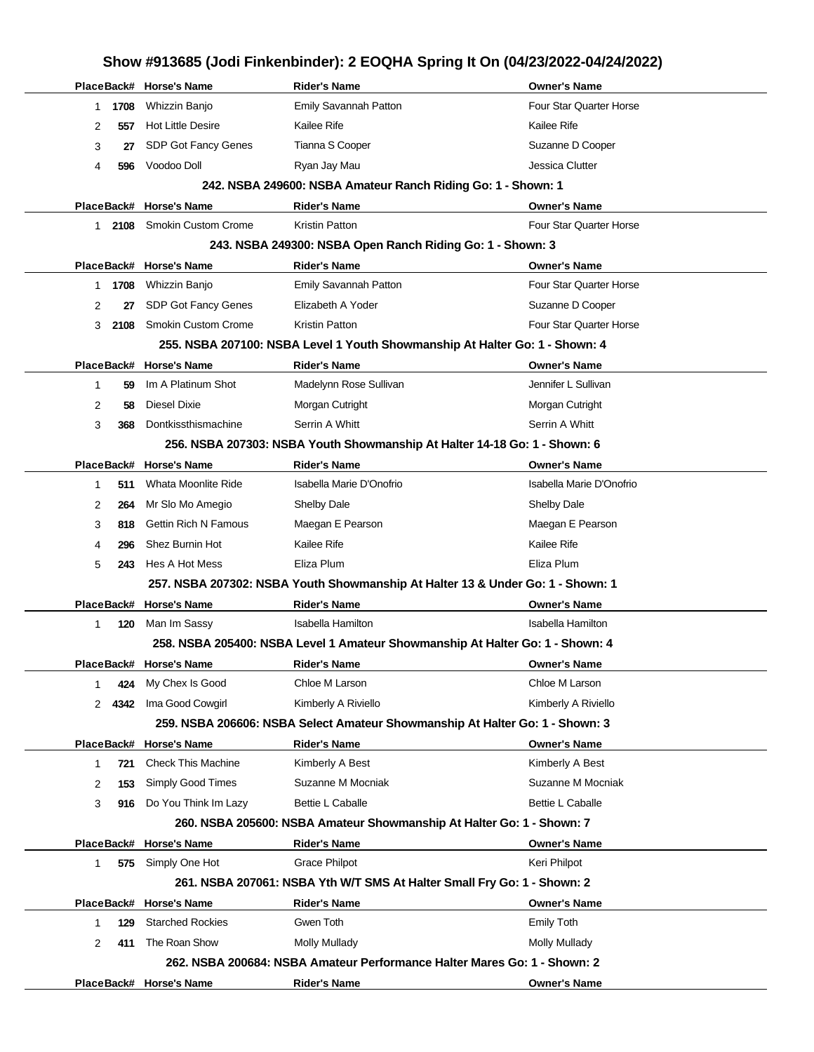|              |      | PlaceBack# Horse's Name     | <b>Rider's Name</b>                                                            | Owner's Name             |
|--------------|------|-----------------------------|--------------------------------------------------------------------------------|--------------------------|
| 1            | 1708 | Whizzin Banjo               | Emily Savannah Patton                                                          | Four Star Quarter Horse  |
| 2            | 557  | <b>Hot Little Desire</b>    | Kailee Rife                                                                    | Kailee Rife              |
| 3            | 27   | SDP Got Fancy Genes         | Tianna S Cooper                                                                | Suzanne D Cooper         |
| 4            | 596  | Voodoo Doll                 | Ryan Jay Mau                                                                   | Jessica Clutter          |
|              |      |                             | 242. NSBA 249600: NSBA Amateur Ranch Riding Go: 1 - Shown: 1                   |                          |
|              |      | PlaceBack# Horse's Name     | <b>Rider's Name</b>                                                            | Owner's Name             |
| 1.           | 2108 | <b>Smokin Custom Crome</b>  | <b>Kristin Patton</b>                                                          | Four Star Quarter Horse  |
|              |      |                             | 243. NSBA 249300: NSBA Open Ranch Riding Go: 1 - Shown: 3                      |                          |
|              |      | PlaceBack# Horse's Name     | <b>Rider's Name</b>                                                            | <b>Owner's Name</b>      |
| 1            | 1708 | Whizzin Banjo               | Emily Savannah Patton                                                          | Four Star Quarter Horse  |
| 2            | 27   | SDP Got Fancy Genes         | Elizabeth A Yoder                                                              | Suzanne D Cooper         |
| 3            | 2108 | <b>Smokin Custom Crome</b>  | <b>Kristin Patton</b>                                                          | Four Star Quarter Horse  |
|              |      |                             | 255. NSBA 207100: NSBA Level 1 Youth Showmanship At Halter Go: 1 - Shown: 4    |                          |
|              |      | PlaceBack# Horse's Name     | <b>Rider's Name</b>                                                            | <b>Owner's Name</b>      |
| 1            | 59   | Im A Platinum Shot          | Madelynn Rose Sullivan                                                         | Jennifer L Sullivan      |
| 2            | 58   | <b>Diesel Dixie</b>         | Morgan Cutright                                                                | Morgan Cutright          |
| 3            | 368  | Dontkissthismachine         | Serrin A Whitt                                                                 | Serrin A Whitt           |
|              |      |                             | 256. NSBA 207303: NSBA Youth Showmanship At Halter 14-18 Go: 1 - Shown: 6      |                          |
|              |      | PlaceBack# Horse's Name     | <b>Rider's Name</b>                                                            | <b>Owner's Name</b>      |
| 1            | 511  | Whata Moonlite Ride         | Isabella Marie D'Onofrio                                                       | Isabella Marie D'Onofrio |
| 2            | 264  | Mr Slo Mo Amegio            | Shelby Dale                                                                    | Shelby Dale              |
| 3            | 818  | <b>Gettin Rich N Famous</b> | Maegan E Pearson                                                               | Maegan E Pearson         |
| 4            | 296  | Shez Burnin Hot             | Kailee Rife                                                                    | Kailee Rife              |
| 5            | 243  | Hes A Hot Mess              | Eliza Plum                                                                     | Eliza Plum               |
|              |      |                             | 257. NSBA 207302: NSBA Youth Showmanship At Halter 13 & Under Go: 1 - Shown: 1 |                          |
|              |      | PlaceBack# Horse's Name     | <b>Rider's Name</b>                                                            | <b>Owner's Name</b>      |
| 1            | 120  | Man Im Sassy                | <b>Isabella Hamilton</b>                                                       | <b>Isabella Hamilton</b> |
|              |      |                             | 258. NSBA 205400: NSBA Level 1 Amateur Showmanship At Halter Go: 1 - Shown: 4  |                          |
|              |      | PlaceBack# Horse's Name     | <b>Rider's Name</b>                                                            | <b>Owner's Name</b>      |
| 1            | 424  | My Chex Is Good             | Chloe M Larson                                                                 | Chloe M Larson           |
| 2            | 4342 | Ima Good Cowgirl            | Kimberly A Riviello                                                            | Kimberly A Riviello      |
|              |      |                             | 259. NSBA 206606: NSBA Select Amateur Showmanship At Halter Go: 1 - Shown: 3   |                          |
|              |      | PlaceBack# Horse's Name     | <b>Rider's Name</b>                                                            | <b>Owner's Name</b>      |
| 1            | 721  | <b>Check This Machine</b>   | Kimberly A Best                                                                | Kimberly A Best          |
| 2            | 153  | Simply Good Times           | Suzanne M Mocniak                                                              | Suzanne M Mocniak        |
| 3            | 916  | Do You Think Im Lazy        | Bettie L Caballe                                                               | Bettie L Caballe         |
|              |      |                             | 260. NSBA 205600: NSBA Amateur Showmanship At Halter Go: 1 - Shown: 7          |                          |
|              |      | PlaceBack# Horse's Name     | <b>Rider's Name</b>                                                            | <b>Owner's Name</b>      |
| $\mathbf{1}$ | 575  | Simply One Hot              | <b>Grace Philpot</b>                                                           | Keri Philpot             |
|              |      |                             | 261. NSBA 207061: NSBA Yth W/T SMS At Halter Small Fry Go: 1 - Shown: 2        |                          |
|              |      | PlaceBack# Horse's Name     | <b>Rider's Name</b>                                                            | <b>Owner's Name</b>      |
| 1            | 129  | <b>Starched Rockies</b>     | Gwen Toth                                                                      | Emily Toth               |
| 2            | 411  | The Roan Show               | <b>Molly Mullady</b>                                                           | <b>Molly Mullady</b>     |
|              |      |                             | 262. NSBA 200684: NSBA Amateur Performance Halter Mares Go: 1 - Shown: 2       |                          |
|              |      | PlaceBack# Horse's Name     | <b>Rider's Name</b>                                                            | <b>Owner's Name</b>      |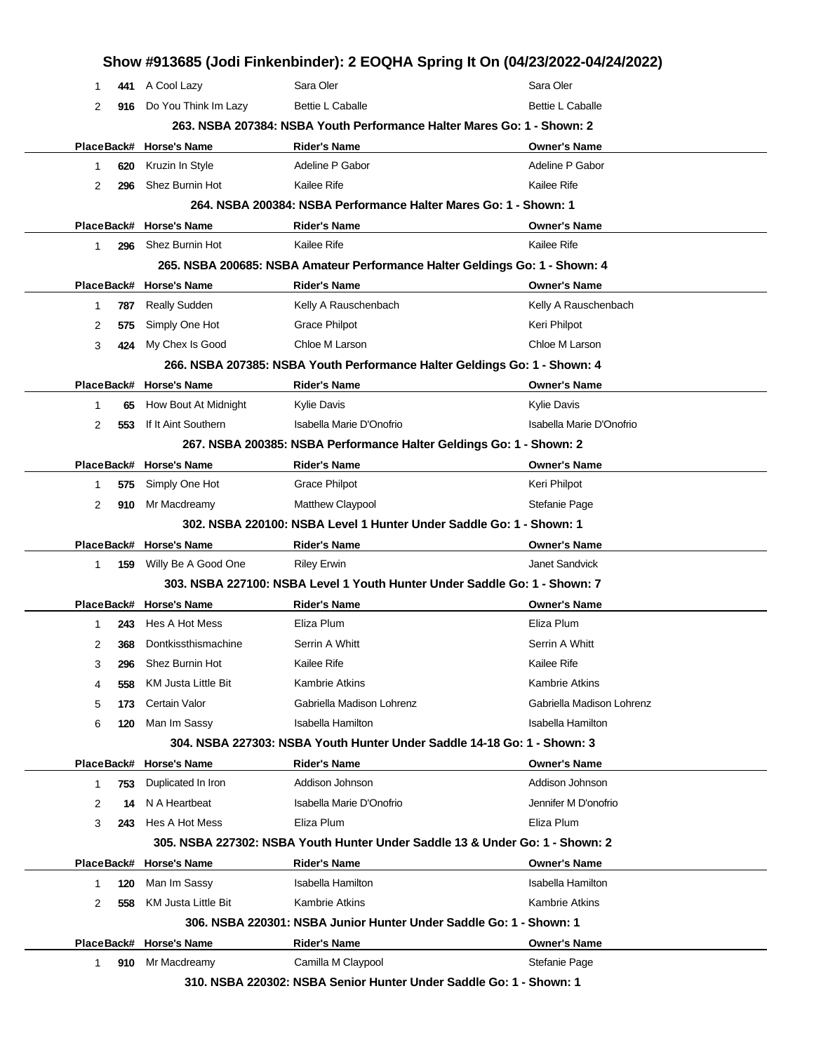|   |     |                            |                                                                              | Show #913685 (Jodi Finkenbinder): 2 EOQHA Spring It On (04/23/2022-04/24/2022) |
|---|-----|----------------------------|------------------------------------------------------------------------------|--------------------------------------------------------------------------------|
| 1 | 441 | A Cool Lazy                | Sara Oler                                                                    | Sara Oler                                                                      |
| 2 |     | 916 Do You Think Im Lazy   | <b>Bettie L Caballe</b>                                                      | <b>Bettie L Caballe</b>                                                        |
|   |     |                            | 263. NSBA 207384: NSBA Youth Performance Halter Mares Go: 1 - Shown: 2       |                                                                                |
|   |     | PlaceBack# Horse's Name    | <b>Rider's Name</b>                                                          | <b>Owner's Name</b>                                                            |
| 1 | 620 | Kruzin In Style            | Adeline P Gabor                                                              | Adeline P Gabor                                                                |
| 2 | 296 | Shez Burnin Hot            | Kailee Rife                                                                  | Kailee Rife                                                                    |
|   |     |                            | 264, NSBA 200384: NSBA Performance Halter Mares Go: 1 - Shown: 1             |                                                                                |
|   |     | PlaceBack# Horse's Name    | <b>Rider's Name</b>                                                          | <b>Owner's Name</b>                                                            |
| 1 | 296 | Shez Burnin Hot            | Kailee Rife                                                                  | Kailee Rife                                                                    |
|   |     |                            | 265. NSBA 200685: NSBA Amateur Performance Halter Geldings Go: 1 - Shown: 4  |                                                                                |
|   |     | PlaceBack# Horse's Name    | <b>Rider's Name</b>                                                          | <b>Owner's Name</b>                                                            |
| 1 | 787 | Really Sudden              | Kelly A Rauschenbach                                                         | Kelly A Rauschenbach                                                           |
| 2 | 575 | Simply One Hot             | <b>Grace Philpot</b>                                                         | Keri Philpot                                                                   |
| 3 | 424 | My Chex Is Good            | Chloe M Larson                                                               | Chloe M Larson                                                                 |
|   |     |                            | 266. NSBA 207385: NSBA Youth Performance Halter Geldings Go: 1 - Shown: 4    |                                                                                |
|   |     | PlaceBack# Horse's Name    | <b>Rider's Name</b>                                                          | <b>Owner's Name</b>                                                            |
| 1 | 65  | How Bout At Midnight       | Kylie Davis                                                                  | <b>Kylie Davis</b>                                                             |
| 2 | 553 | If It Aint Southern        | Isabella Marie D'Onofrio                                                     | Isabella Marie D'Onofrio                                                       |
|   |     |                            | 267. NSBA 200385: NSBA Performance Halter Geldings Go: 1 - Shown: 2          |                                                                                |
|   |     | PlaceBack# Horse's Name    | <b>Rider's Name</b>                                                          | <b>Owner's Name</b>                                                            |
| 1 | 575 | Simply One Hot             | <b>Grace Philpot</b>                                                         | Keri Philpot                                                                   |
| 2 | 910 | Mr Macdreamy               | Matthew Claypool                                                             | Stefanie Page                                                                  |
|   |     |                            | 302. NSBA 220100: NSBA Level 1 Hunter Under Saddle Go: 1 - Shown: 1          |                                                                                |
|   |     | PlaceBack# Horse's Name    | <b>Rider's Name</b>                                                          | <b>Owner's Name</b>                                                            |
| 1 |     | 159 Willy Be A Good One    | <b>Riley Erwin</b>                                                           | <b>Janet Sandvick</b>                                                          |
|   |     |                            | 303. NSBA 227100: NSBA Level 1 Youth Hunter Under Saddle Go: 1 - Shown: 7    |                                                                                |
|   |     | PlaceBack# Horse's Name    | <b>Rider's Name</b>                                                          | <b>Owner's Name</b>                                                            |
| 1 | 243 | Hes A Hot Mess             | Eliza Plum                                                                   | Eliza Plum                                                                     |
| 2 | 368 | Dontkissthismachine        | Serrin A Whitt                                                               | Serrin A Whitt                                                                 |
| 3 | 296 | Shez Burnin Hot            | Kailee Rife                                                                  | Kailee Rife                                                                    |
| 4 | 558 | <b>KM Justa Little Bit</b> | <b>Kambrie Atkins</b>                                                        | <b>Kambrie Atkins</b>                                                          |
| 5 |     | 173 Certain Valor          | Gabriella Madison Lohrenz                                                    | Gabriella Madison Lohrenz                                                      |
| 6 | 120 | Man Im Sassy               | Isabella Hamilton                                                            | Isabella Hamilton                                                              |
|   |     |                            | 304, NSBA 227303: NSBA Youth Hunter Under Saddle 14-18 Go: 1 - Shown: 3      |                                                                                |
|   |     | PlaceBack# Horse's Name    | <b>Rider's Name</b>                                                          | Owner's Name                                                                   |
| 1 | 753 | Duplicated In Iron         | Addison Johnson                                                              | Addison Johnson                                                                |
| 2 | 14  | N A Heartbeat              | Isabella Marie D'Onofrio                                                     | Jennifer M D'onofrio                                                           |
| 3 | 243 | Hes A Hot Mess             | Eliza Plum                                                                   | Eliza Plum                                                                     |
|   |     |                            | 305. NSBA 227302: NSBA Youth Hunter Under Saddle 13 & Under Go: 1 - Shown: 2 |                                                                                |
|   |     | PlaceBack# Horse's Name    | <b>Rider's Name</b>                                                          | <b>Owner's Name</b>                                                            |
| 1 | 120 | Man Im Sassy               | <b>Isabella Hamilton</b>                                                     | <b>Isabella Hamilton</b>                                                       |
| 2 | 558 | <b>KM Justa Little Bit</b> | Kambrie Atkins                                                               | <b>Kambrie Atkins</b>                                                          |
|   |     |                            | 306. NSBA 220301: NSBA Junior Hunter Under Saddle Go: 1 - Shown: 1           |                                                                                |
|   |     | PlaceBack# Horse's Name    | <b>Rider's Name</b>                                                          | <b>Owner's Name</b>                                                            |
| 1 | 910 | Mr Macdreamy               | Camilla M Claypool                                                           | Stefanie Page                                                                  |
|   |     |                            | 310. NSBA 220302: NSBA Senior Hunter Under Saddle Go: 1 - Shown: 1           |                                                                                |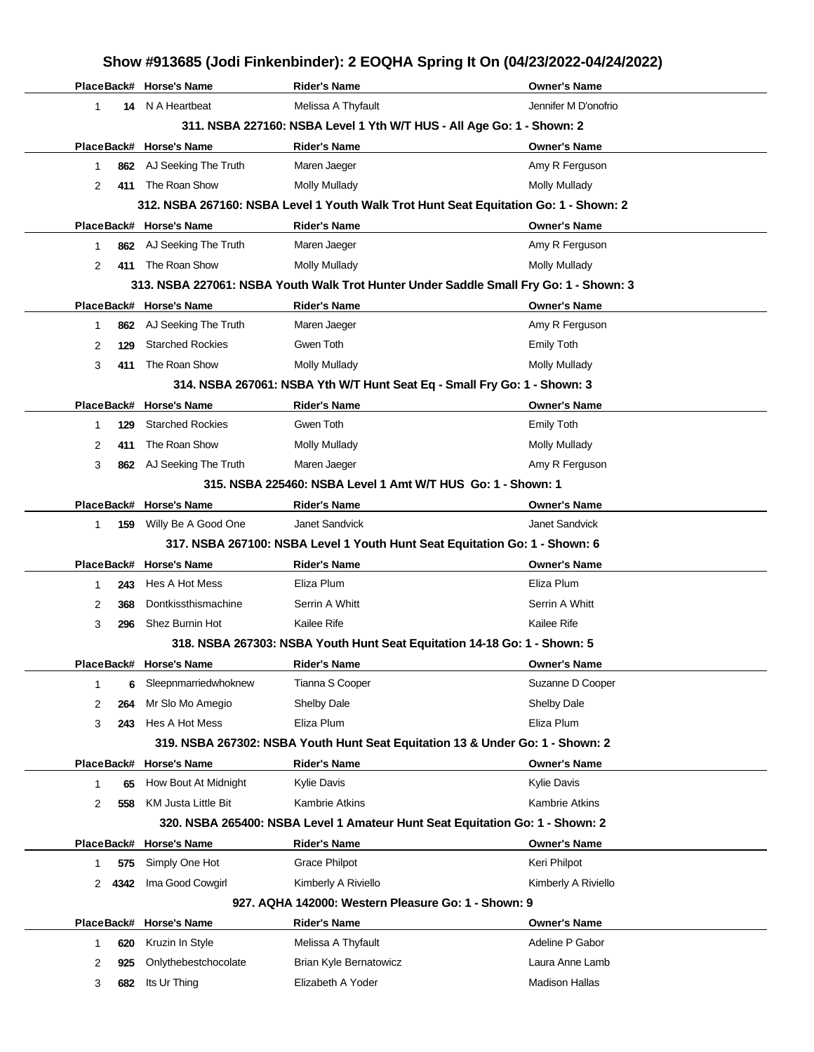|   |      |                                                    |                                                                               | Show #913685 (Jodi Finkenbinder): 2 EOQHA Spring It On (04/23/2022-04/24/2022)        |
|---|------|----------------------------------------------------|-------------------------------------------------------------------------------|---------------------------------------------------------------------------------------|
|   |      | PlaceBack# Horse's Name                            | <b>Rider's Name</b>                                                           | <b>Owner's Name</b>                                                                   |
| 1 | 14   | N A Heartbeat                                      | Melissa A Thyfault                                                            | Jennifer M D'onofrio                                                                  |
|   |      |                                                    | 311. NSBA 227160: NSBA Level 1 Yth W/T HUS - All Age Go: 1 - Shown: 2         |                                                                                       |
|   |      | PlaceBack# Horse's Name                            | <b>Rider's Name</b>                                                           | <b>Owner's Name</b>                                                                   |
| 1 |      | 862 AJ Seeking The Truth                           | Maren Jaeger                                                                  | Amy R Ferguson                                                                        |
| 2 | 411  | The Roan Show                                      | Molly Mullady                                                                 | Molly Mullady                                                                         |
|   |      |                                                    |                                                                               | 312. NSBA 267160: NSBA Level 1 Youth Walk Trot Hunt Seat Equitation Go: 1 - Shown: 2  |
|   |      | PlaceBack# Horse's Name                            | <b>Rider's Name</b>                                                           | <b>Owner's Name</b>                                                                   |
| 1 |      | 862 AJ Seeking The Truth                           | Maren Jaeger                                                                  | Amy R Ferguson                                                                        |
| 2 | 411  | The Roan Show                                      | Molly Mullady                                                                 | <b>Molly Mullady</b>                                                                  |
|   |      |                                                    |                                                                               | 313. NSBA 227061: NSBA Youth Walk Trot Hunter Under Saddle Small Fry Go: 1 - Shown: 3 |
|   |      | PlaceBack# Horse's Name                            | <b>Rider's Name</b>                                                           | <b>Owner's Name</b>                                                                   |
| 1 | 862  | AJ Seeking The Truth                               | Maren Jaeger                                                                  | Amy R Ferguson                                                                        |
| 2 | 129  | <b>Starched Rockies</b>                            | Gwen Toth                                                                     | <b>Emily Toth</b>                                                                     |
| 3 | 411  | The Roan Show                                      | Molly Mullady                                                                 | <b>Molly Mullady</b>                                                                  |
|   |      |                                                    | 314. NSBA 267061: NSBA Yth W/T Hunt Seat Eq - Small Fry Go: 1 - Shown: 3      |                                                                                       |
|   |      | PlaceBack# Horse's Name                            | <b>Rider's Name</b>                                                           | <b>Owner's Name</b>                                                                   |
| 1 | 129  | <b>Starched Rockies</b>                            | Gwen Toth                                                                     | <b>Emily Toth</b>                                                                     |
| 2 | 411  | The Roan Show                                      | <b>Molly Mullady</b>                                                          | <b>Molly Mullady</b>                                                                  |
| 3 | 862  | AJ Seeking The Truth                               | Maren Jaeger                                                                  | Amy R Ferguson                                                                        |
|   |      |                                                    | 315. NSBA 225460: NSBA Level 1 Amt W/T HUS Go: 1 - Shown: 1                   |                                                                                       |
|   |      | PlaceBack# Horse's Name                            | <b>Rider's Name</b>                                                           | <b>Owner's Name</b>                                                                   |
| 1 | 159  | Willy Be A Good One                                | Janet Sandvick                                                                | Janet Sandvick                                                                        |
|   |      |                                                    | 317. NSBA 267100: NSBA Level 1 Youth Hunt Seat Equitation Go: 1 - Shown: 6    |                                                                                       |
|   |      | PlaceBack# Horse's Name                            | <b>Rider's Name</b>                                                           | <b>Owner's Name</b>                                                                   |
| 1 | 243  | Hes A Hot Mess                                     | Eliza Plum                                                                    | Eliza Plum                                                                            |
| 2 | 368  | Dontkissthismachine                                | Serrin A Whitt                                                                | Serrin A Whitt                                                                        |
| 3 | 296  | Shez Burnin Hot                                    | Kailee Rife                                                                   | Kailee Rife                                                                           |
|   |      |                                                    | 318. NSBA 267303: NSBA Youth Hunt Seat Equitation 14-18 Go: 1 - Shown: 5      |                                                                                       |
|   |      | PlaceBack# Horse's Name                            | <b>Rider's Name</b>                                                           | <b>Owner's Name</b>                                                                   |
| 1 | 6    | Sleepnmarriedwhoknew                               | Tianna S Cooper                                                               | Suzanne D Cooper                                                                      |
| 2 | 264  | Mr Slo Mo Amegio                                   | Shelby Dale                                                                   | Shelby Dale                                                                           |
| 3 | 243  | Hes A Hot Mess                                     | Eliza Plum                                                                    | Eliza Plum                                                                            |
|   |      |                                                    | 319. NSBA 267302: NSBA Youth Hunt Seat Equitation 13 & Under Go: 1 - Shown: 2 |                                                                                       |
|   |      | PlaceBack# Horse's Name                            | <b>Rider's Name</b>                                                           | <b>Owner's Name</b><br>Kylie Davis                                                    |
| 1 | 65   | How Bout At Midnight<br><b>KM Justa Little Bit</b> | <b>Kylie Davis</b>                                                            | <b>Kambrie Atkins</b>                                                                 |
| 2 | 558  |                                                    | Kambrie Atkins                                                                |                                                                                       |
|   |      | PlaceBack# Horse's Name                            | 320. NSBA 265400: NSBA Level 1 Amateur Hunt Seat Equitation Go: 1 - Shown: 2  |                                                                                       |
| 1 | 575  | Simply One Hot                                     | <b>Rider's Name</b><br>Grace Philpot                                          | <b>Owner's Name</b><br>Keri Philpot                                                   |
| 2 | 4342 | Ima Good Cowgirl                                   | Kimberly A Riviello                                                           | Kimberly A Riviello                                                                   |
|   |      |                                                    | 927. AQHA 142000: Western Pleasure Go: 1 - Shown: 9                           |                                                                                       |
|   |      | PlaceBack# Horse's Name                            | <b>Rider's Name</b>                                                           | <b>Owner's Name</b>                                                                   |
| 1 | 620  | Kruzin In Style                                    | Melissa A Thyfault                                                            | Adeline P Gabor                                                                       |
| 2 | 925  | Onlythebestchocolate                               | <b>Brian Kyle Bernatowicz</b>                                                 | Laura Anne Lamb                                                                       |
| 3 | 682  | Its Ur Thing                                       | Elizabeth A Yoder                                                             | <b>Madison Hallas</b>                                                                 |
|   |      |                                                    |                                                                               |                                                                                       |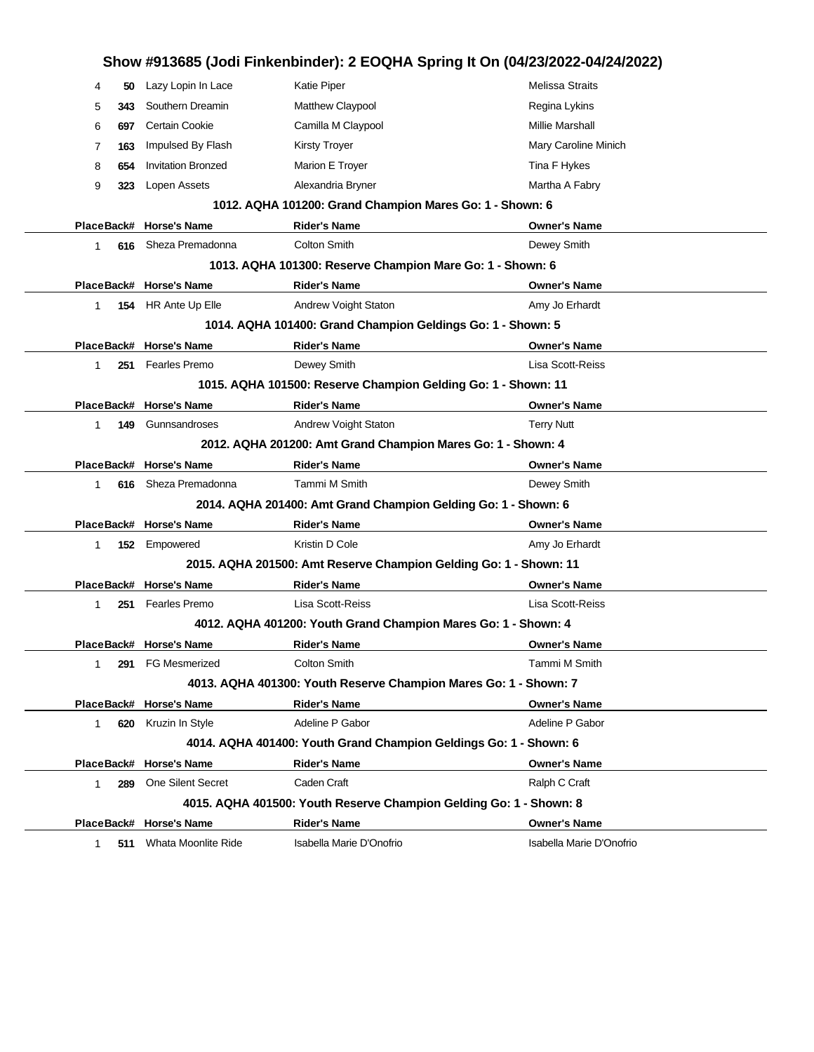|              |     |                           |                                                                    | Show #913685 (Jodi Finkenbinder): 2 EOQHA Spring It On (04/23/2022-04/24/2022) |
|--------------|-----|---------------------------|--------------------------------------------------------------------|--------------------------------------------------------------------------------|
| 4            | 50  | Lazy Lopin In Lace        | <b>Katie Piper</b>                                                 | <b>Melissa Straits</b>                                                         |
| 5            | 343 | Southern Dreamin          | Matthew Claypool                                                   | Regina Lykins                                                                  |
| 6            | 697 | Certain Cookie            | Camilla M Claypool                                                 | <b>Millie Marshall</b>                                                         |
| 7            | 163 | Impulsed By Flash         | <b>Kirsty Troyer</b>                                               | Mary Caroline Minich                                                           |
| 8            | 654 | <b>Invitation Bronzed</b> | Marion E Troyer                                                    | Tina F Hykes                                                                   |
| 9            | 323 | Lopen Assets              | Alexandria Bryner                                                  | Martha A Fabry                                                                 |
|              |     |                           | 1012. AQHA 101200: Grand Champion Mares Go: 1 - Shown: 6           |                                                                                |
|              |     | PlaceBack# Horse's Name   | <b>Rider's Name</b>                                                | <b>Owner's Name</b>                                                            |
| $\mathbf{1}$ | 616 | Sheza Premadonna          | <b>Colton Smith</b>                                                | Dewey Smith                                                                    |
|              |     |                           | 1013. AQHA 101300: Reserve Champion Mare Go: 1 - Shown: 6          |                                                                                |
|              |     | PlaceBack# Horse's Name   | <b>Rider's Name</b>                                                | <b>Owner's Name</b>                                                            |
| 1.           | 154 | HR Ante Up Elle           | Andrew Voight Staton                                               | Amy Jo Erhardt                                                                 |
|              |     |                           | 1014. AQHA 101400: Grand Champion Geldings Go: 1 - Shown: 5        |                                                                                |
|              |     | PlaceBack# Horse's Name   | <b>Rider's Name</b>                                                | <b>Owner's Name</b>                                                            |
| $\mathbf{1}$ | 251 | <b>Fearles Premo</b>      | Dewey Smith                                                        | Lisa Scott-Reiss                                                               |
|              |     |                           | 1015. AQHA 101500: Reserve Champion Gelding Go: 1 - Shown: 11      |                                                                                |
|              |     | PlaceBack# Horse's Name   | <b>Rider's Name</b>                                                | <b>Owner's Name</b>                                                            |
| 1            | 149 | Gunnsandroses             | Andrew Voight Staton                                               | <b>Terry Nutt</b>                                                              |
|              |     |                           | 2012. AQHA 201200: Amt Grand Champion Mares Go: 1 - Shown: 4       |                                                                                |
|              |     | PlaceBack# Horse's Name   | <b>Rider's Name</b>                                                | <b>Owner's Name</b>                                                            |
| $\mathbf{1}$ | 616 | Sheza Premadonna          | Tammi M Smith                                                      | Dewey Smith                                                                    |
|              |     |                           | 2014. AQHA 201400: Amt Grand Champion Gelding Go: 1 - Shown: 6     |                                                                                |
|              |     | PlaceBack# Horse's Name   | <b>Rider's Name</b>                                                | <b>Owner's Name</b>                                                            |
| 1.           | 152 | Empowered                 | Kristin D Cole                                                     | Amy Jo Erhardt                                                                 |
|              |     |                           | 2015. AQHA 201500: Amt Reserve Champion Gelding Go: 1 - Shown: 11  |                                                                                |
|              |     | PlaceBack# Horse's Name   | <b>Rider's Name</b>                                                | <b>Owner's Name</b>                                                            |
| 1.           | 251 | <b>Fearles Premo</b>      | Lisa Scott-Reiss                                                   | Lisa Scott-Reiss                                                               |
|              |     |                           | 4012. AQHA 401200: Youth Grand Champion Mares Go: 1 - Shown: 4     |                                                                                |
|              |     | PlaceBack# Horse's Name   | <b>Rider's Name</b>                                                | <b>Owner's Name</b>                                                            |
| 1            | 291 | <b>FG Mesmerized</b>      | <b>Colton Smith</b>                                                | Tammi M Smith                                                                  |
|              |     |                           | 4013. AQHA 401300: Youth Reserve Champion Mares Go: 1 - Shown: 7   |                                                                                |
|              |     | PlaceBack# Horse's Name   | <b>Rider's Name</b>                                                | <b>Owner's Name</b>                                                            |
| $\mathbf{1}$ | 620 | Kruzin In Style           | Adeline P Gabor                                                    | Adeline P Gabor                                                                |
|              |     |                           | 4014. AQHA 401400: Youth Grand Champion Geldings Go: 1 - Shown: 6  |                                                                                |
|              |     | PlaceBack# Horse's Name   | <b>Rider's Name</b>                                                | <b>Owner's Name</b>                                                            |
| $\mathbf{1}$ | 289 | <b>One Silent Secret</b>  | Caden Craft                                                        | Ralph C Craft                                                                  |
|              |     |                           | 4015. AQHA 401500: Youth Reserve Champion Gelding Go: 1 - Shown: 8 |                                                                                |
|              |     | PlaceBack# Horse's Name   | <b>Rider's Name</b>                                                | <b>Owner's Name</b>                                                            |
| $\mathbf{1}$ |     | 511 Whata Moonlite Ride   | Isabella Marie D'Onofrio                                           | Isabella Marie D'Onofrio                                                       |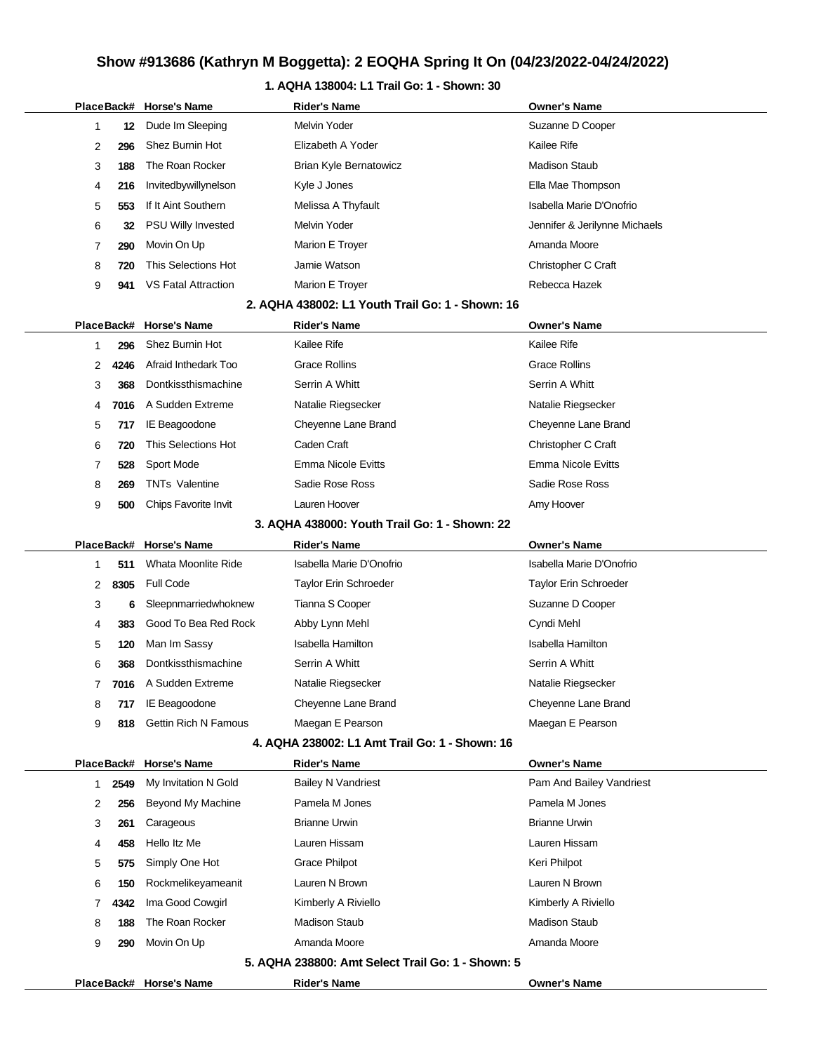### **1. AQHA 138004: L1 Trail Go: 1 - Shown: 30**

|  |              |            | PlaceBack# Horse's Name     | <b>Rider's Name</b>                               | Owner's Name                  |
|--|--------------|------------|-----------------------------|---------------------------------------------------|-------------------------------|
|  | 1            | 12         | Dude Im Sleeping            | <b>Melvin Yoder</b>                               | Suzanne D Cooper              |
|  | 2            | 296        | <b>Shez Burnin Hot</b>      | Elizabeth A Yoder                                 | Kailee Rife                   |
|  | 3            | 188        | The Roan Rocker             | <b>Brian Kyle Bernatowicz</b>                     | <b>Madison Staub</b>          |
|  | 4            | 216        | Invitedbywillynelson        | Kyle J Jones                                      | Ella Mae Thompson             |
|  | 5            | 553        | If It Aint Southern         | Melissa A Thyfault                                | Isabella Marie D'Onofrio      |
|  | 6            | 32         | PSU Willy Invested          | Melvin Yoder                                      | Jennifer & Jerilynne Michaels |
|  | 7            | 290        | Movin On Up                 | Marion E Troyer                                   | Amanda Moore                  |
|  | 8            | 720        | This Selections Hot         | Jamie Watson                                      | Christopher C Craft           |
|  | 9            | 941        | <b>VS Fatal Attraction</b>  | Marion E Troyer                                   | Rebecca Hazek                 |
|  |              |            |                             | 2. AQHA 438002: L1 Youth Trail Go: 1 - Shown: 16  |                               |
|  | PlaceBack#   |            | <b>Horse's Name</b>         | <b>Rider's Name</b>                               | Owner's Name                  |
|  | 1            | 296        | <b>Shez Burnin Hot</b>      | Kailee Rife                                       | Kailee Rife                   |
|  | 2            | 4246       | Afraid Inthedark Too        | <b>Grace Rollins</b>                              | Grace Rollins                 |
|  | 3            | 368        | Dontkissthismachine         | Serrin A Whitt                                    | Serrin A Whitt                |
|  | 4            | 7016       | A Sudden Extreme            | Natalie Riegsecker                                | Natalie Riegsecker            |
|  | 5            | 717        | IE Beagoodone               | Cheyenne Lane Brand                               | Cheyenne Lane Brand           |
|  | 6            | 720        | This Selections Hot         | Caden Craft                                       | Christopher C Craft           |
|  | 7            | 528        | Sport Mode                  | <b>Emma Nicole Evitts</b>                         | <b>Emma Nicole Evitts</b>     |
|  | 8            | 269        | <b>TNTs Valentine</b>       | Sadie Rose Ross                                   | Sadie Rose Ross               |
|  | 9            | 500        | Chips Favorite Invit        | Lauren Hoover                                     | Amy Hoover                    |
|  |              |            |                             | 3. AQHA 438000: Youth Trail Go: 1 - Shown: 22     |                               |
|  | PlaceBack#   |            | <b>Horse's Name</b>         | <b>Rider's Name</b>                               | <b>Owner's Name</b>           |
|  | 1            | 511        | Whata Moonlite Ride         | Isabella Marie D'Onofrio                          | Isabella Marie D'Onofrio      |
|  | 2            | 8305       | <b>Full Code</b>            | Taylor Erin Schroeder                             | Taylor Erin Schroeder         |
|  | 3            | 6          | Sleepnmarriedwhoknew        | Tianna S Cooper                                   | Suzanne D Cooper              |
|  | 4            | 383        | Good To Bea Red Rock        | Abby Lynn Mehl                                    | Cyndi Mehl                    |
|  | 5            | 120        | Man Im Sassy                | Isabella Hamilton                                 | <b>Isabella Hamilton</b>      |
|  | 6            | 368        | Dontkissthismachine         | Serrin A Whitt                                    | Serrin A Whitt                |
|  | 7            | 7016       | A Sudden Extreme            | Natalie Riegsecker                                | Natalie Riegsecker            |
|  | 8            | 717        | IE Beagoodone               | Cheyenne Lane Brand                               | Cheyenne Lane Brand           |
|  | 9            | 818        | <b>Gettin Rich N Famous</b> | Maegan E Pearson                                  | Maegan E Pearson              |
|  |              |            |                             | 4. AQHA 238002: L1 Amt Trail Go: 1 - Shown: 16    |                               |
|  |              | PlaceBack# | <b>Horse's Name</b>         | <b>Rider's Name</b>                               | <b>Owner's Name</b>           |
|  | $\mathbf{1}$ | 2549       | My Invitation N Gold        | <b>Bailey N Vandriest</b>                         | Pam And Bailey Vandriest      |
|  | 2            | 256        | Beyond My Machine           | Pamela M Jones                                    | Pamela M Jones                |
|  | 3            | 261        | Carageous                   | <b>Brianne Urwin</b>                              | <b>Brianne Urwin</b>          |
|  | 4            | 458        | Hello Itz Me                | Lauren Hissam                                     | Lauren Hissam                 |
|  | 5            | 575        | Simply One Hot              | <b>Grace Philpot</b>                              | Keri Philpot                  |
|  | 6            | 150        | Rockmelikeyameanit          | Lauren N Brown                                    | Lauren N Brown                |
|  | 7            | 4342       | Ima Good Cowgirl            | Kimberly A Riviello                               | Kimberly A Riviello           |
|  | 8            | 188        | The Roan Rocker             | <b>Madison Staub</b>                              | <b>Madison Staub</b>          |
|  | 9            | 290        | Movin On Up                 | Amanda Moore                                      | Amanda Moore                  |
|  |              |            |                             | 5. AQHA 238800: Amt Select Trail Go: 1 - Shown: 5 |                               |
|  |              |            | PlaceBack# Horse's Name     | <b>Rider's Name</b>                               | <b>Owner's Name</b>           |
|  |              |            |                             |                                                   |                               |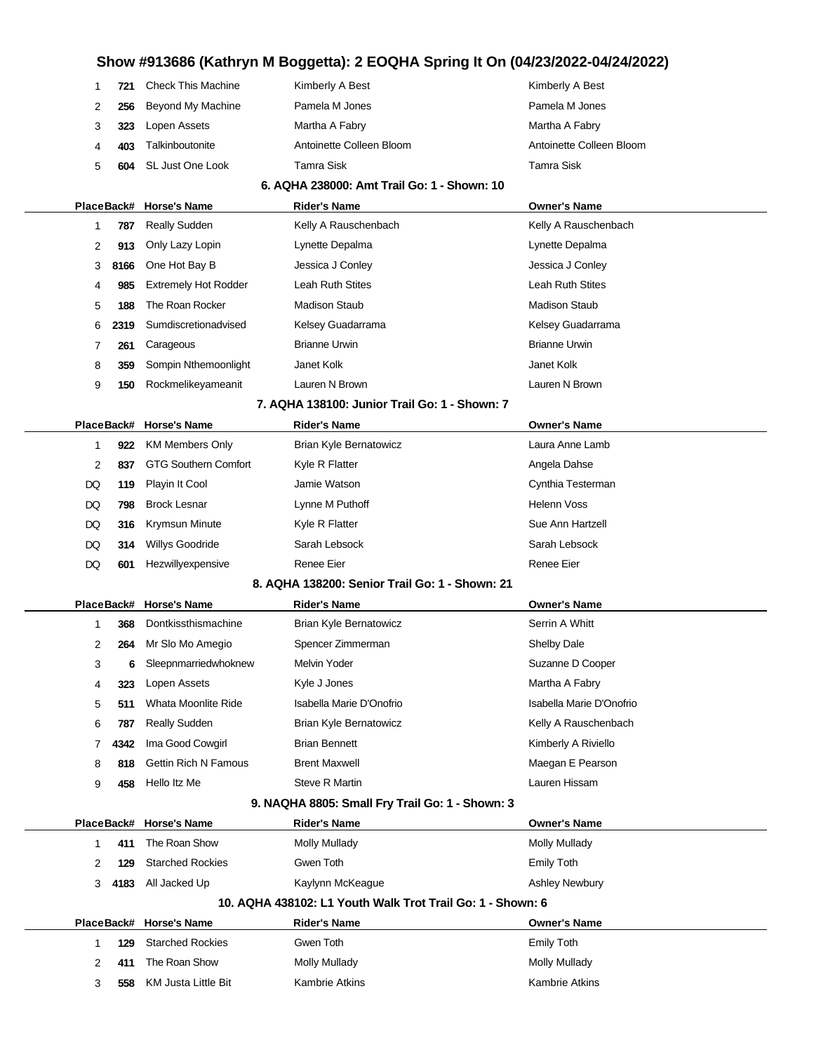|    | 1<br>721   | <b>Check This Machine</b>   | Kimberly A Best                                            | Kimberly A Best          |
|----|------------|-----------------------------|------------------------------------------------------------|--------------------------|
|    | 2<br>256   | <b>Beyond My Machine</b>    | Pamela M Jones                                             | Pamela M Jones           |
|    | 3<br>323   | Lopen Assets                | Martha A Fabry                                             | Martha A Fabry           |
|    | 4<br>403   | Talkinboutonite             | Antoinette Colleen Bloom                                   | Antoinette Colleen Bloom |
|    | 5<br>604   | SL Just One Look            | <b>Tamra Sisk</b>                                          | Tamra Sisk               |
|    |            |                             | 6. AQHA 238000: Amt Trail Go: 1 - Shown: 10                |                          |
|    | PlaceBack# | <b>Horse's Name</b>         | <b>Rider's Name</b>                                        | <b>Owner's Name</b>      |
|    | 1<br>787   | <b>Really Sudden</b>        | Kelly A Rauschenbach                                       | Kelly A Rauschenbach     |
|    | 2<br>913   | Only Lazy Lopin             | Lynette Depalma                                            | Lynette Depalma          |
|    | 3<br>8166  | One Hot Bay B               | Jessica J Conley                                           | Jessica J Conley         |
|    | 985<br>4   | <b>Extremely Hot Rodder</b> | Leah Ruth Stites                                           | Leah Ruth Stites         |
|    | 5<br>188   | The Roan Rocker             | <b>Madison Staub</b>                                       | <b>Madison Staub</b>     |
|    | 6<br>2319  | Sumdiscretionadvised        | Kelsey Guadarrama                                          | Kelsey Guadarrama        |
|    | 7<br>261   | Carageous                   | <b>Brianne Urwin</b>                                       | <b>Brianne Urwin</b>     |
|    | 8<br>359   | Sompin Nthemoonlight        | Janet Kolk                                                 | Janet Kolk               |
|    | 9<br>150   | Rockmelikeyameanit          | Lauren N Brown                                             | Lauren N Brown           |
|    |            |                             | 7. AQHA 138100: Junior Trail Go: 1 - Shown: 7              |                          |
|    | PlaceBack# | <b>Horse's Name</b>         | <b>Rider's Name</b>                                        | <b>Owner's Name</b>      |
|    | 1<br>922   | <b>KM Members Only</b>      | <b>Brian Kyle Bernatowicz</b>                              | Laura Anne Lamb          |
|    | 2<br>837   | <b>GTG Southern Comfort</b> | Kyle R Flatter                                             | Angela Dahse             |
| DQ | 119        | Playin It Cool              | Jamie Watson                                               | Cynthia Testerman        |
| DQ | 798        | <b>Brock Lesnar</b>         | Lynne M Puthoff                                            | <b>Helenn Voss</b>       |
| DQ | 316        | Krymsun Minute              | Kyle R Flatter                                             | Sue Ann Hartzell         |
| DQ | 314        | Willys Goodride             | Sarah Lebsock                                              | Sarah Lebsock            |
| DQ | 601        | Hezwillyexpensive           | <b>Renee Eier</b>                                          | Renee Eier               |
|    |            |                             | 8. AQHA 138200: Senior Trail Go: 1 - Shown: 21             |                          |
|    | PlaceBack# | <b>Horse's Name</b>         | <b>Rider's Name</b>                                        | <b>Owner's Name</b>      |
|    | 1<br>368   | Dontkissthismachine         | Brian Kyle Bernatowicz                                     | Serrin A Whitt           |
|    | 2<br>264   | Mr Slo Mo Amegio            | Spencer Zimmerman                                          | Shelby Dale              |
|    | 3<br>6     | Sleepnmarriedwhoknew        | Melvin Yoder                                               | Suzanne D Cooper         |
|    | 323<br>4   | Lopen Assets                | Kyle J Jones                                               | Martha A Fabry           |
|    | 5<br>511   | Whata Moonlite Ride         | Isabella Marie D'Onofrio                                   | Isabella Marie D'Onofrio |
|    | 6<br>787   | <b>Really Sudden</b>        | Brian Kyle Bernatowicz                                     | Kelly A Rauschenbach     |
|    | 7<br>4342  | Ima Good Cowgirl            | <b>Brian Bennett</b>                                       | Kimberly A Riviello      |
|    | 8<br>818   | <b>Gettin Rich N Famous</b> | <b>Brent Maxwell</b>                                       | Maegan E Pearson         |
|    | 9<br>458   | Hello Itz Me                | <b>Steve R Martin</b>                                      | Lauren Hissam            |
|    |            |                             | 9. NAQHA 8805: Small Fry Trail Go: 1 - Shown: 3            |                          |
|    | PlaceBack# | <b>Horse's Name</b>         | <b>Rider's Name</b>                                        | <b>Owner's Name</b>      |
|    | 411<br>1   | The Roan Show               | <b>Molly Mullady</b>                                       | <b>Molly Mullady</b>     |
|    | 2<br>129   | <b>Starched Rockies</b>     | Gwen Toth                                                  | <b>Emily Toth</b>        |
|    | 3<br>4183  | All Jacked Up               | Kaylynn McKeague                                           | <b>Ashley Newbury</b>    |
|    |            |                             | 10. AQHA 438102: L1 Youth Walk Trot Trail Go: 1 - Shown: 6 |                          |
|    |            | PlaceBack# Horse's Name     | <b>Rider's Name</b>                                        | <b>Owner's Name</b>      |
|    | 1<br>129   | <b>Starched Rockies</b>     | Gwen Toth                                                  | <b>Emily Toth</b>        |
|    | 2<br>411   | The Roan Show               | <b>Molly Mullady</b>                                       | <b>Molly Mullady</b>     |
|    | 3<br>558   | KM Justa Little Bit         | <b>Kambrie Atkins</b>                                      | Kambrie Atkins           |
|    |            |                             |                                                            |                          |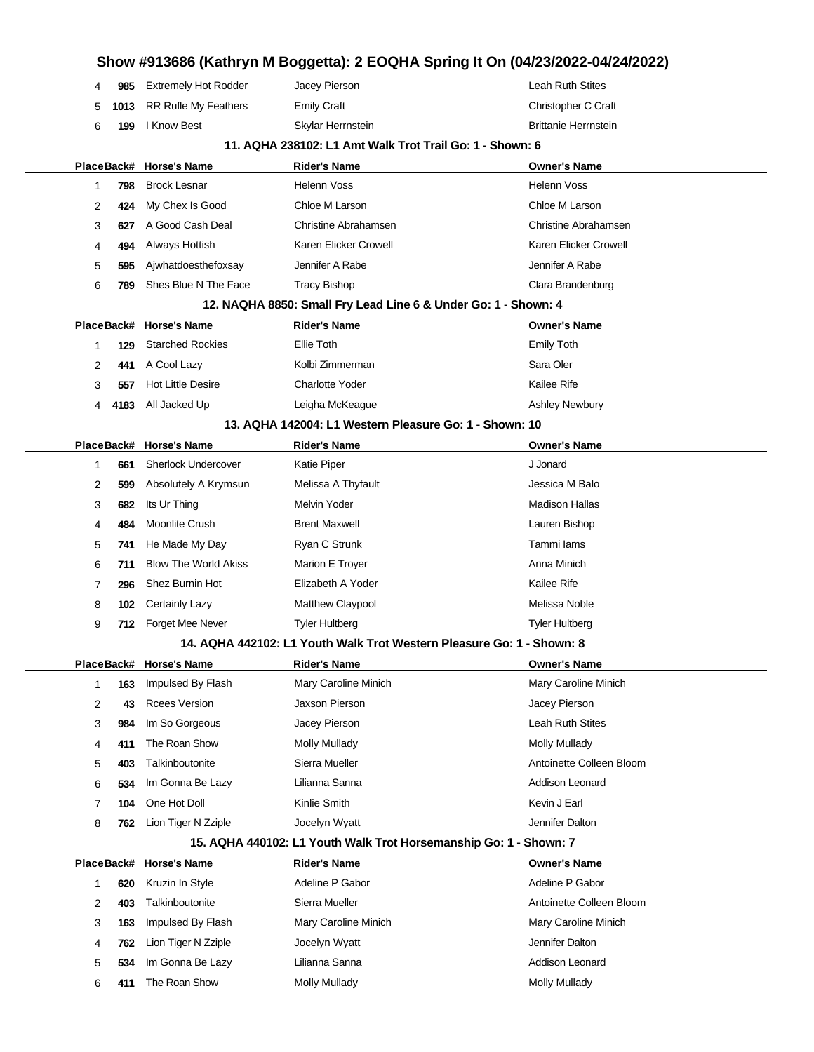|   |      |                             |                                                                       | Show #913686 (Kathryn M Boggetta): 2 EOQHA Spring It On (04/23/2022-04/24/2022) |
|---|------|-----------------------------|-----------------------------------------------------------------------|---------------------------------------------------------------------------------|
| 4 | 985  | <b>Extremely Hot Rodder</b> | Jacey Pierson                                                         | Leah Ruth Stites                                                                |
| 5 | 1013 | <b>RR Rufle My Feathers</b> | <b>Emily Craft</b>                                                    | Christopher C Craft                                                             |
| 6 | 199  | I Know Best                 | Skylar Herrnstein                                                     | <b>Brittanie Herrnstein</b>                                                     |
|   |      |                             | 11. AQHA 238102: L1 Amt Walk Trot Trail Go: 1 - Shown: 6              |                                                                                 |
|   |      | PlaceBack# Horse's Name     | Rider's Name                                                          | Owner's Name                                                                    |
| 1 | 798  | <b>Brock Lesnar</b>         | <b>Helenn Voss</b>                                                    | Helenn Voss                                                                     |
| 2 | 424  | My Chex Is Good             | Chloe M Larson                                                        | Chloe M Larson                                                                  |
| 3 | 627  | A Good Cash Deal            | Christine Abrahamsen                                                  | Christine Abrahamsen                                                            |
| 4 | 494  | Always Hottish              | Karen Elicker Crowell                                                 | Karen Elicker Crowell                                                           |
| 5 | 595  | Ajwhatdoesthefoxsay         | Jennifer A Rabe                                                       | Jennifer A Rabe                                                                 |
| 6 | 789  | Shes Blue N The Face        | <b>Tracy Bishop</b>                                                   | Clara Brandenburg                                                               |
|   |      |                             | 12. NAQHA 8850: Small Fry Lead Line 6 & Under Go: 1 - Shown: 4        |                                                                                 |
|   |      | PlaceBack# Horse's Name     | <b>Rider's Name</b>                                                   | <b>Owner's Name</b>                                                             |
| 1 | 129  | <b>Starched Rockies</b>     | Ellie Toth                                                            | <b>Emily Toth</b>                                                               |
| 2 | 441  | A Cool Lazy                 | Kolbi Zimmerman                                                       | Sara Oler                                                                       |
| 3 | 557  | <b>Hot Little Desire</b>    | Charlotte Yoder                                                       | Kailee Rife                                                                     |
| 4 | 4183 | All Jacked Up               | Leigha McKeague                                                       | <b>Ashley Newbury</b>                                                           |
|   |      |                             | 13. AQHA 142004: L1 Western Pleasure Go: 1 - Shown: 10                |                                                                                 |
|   |      | PlaceBack# Horse's Name     | <b>Rider's Name</b>                                                   | <b>Owner's Name</b>                                                             |
| 1 | 661  | <b>Sherlock Undercover</b>  | Katie Piper                                                           | J Jonard                                                                        |
| 2 | 599  | Absolutely A Krymsun        | Melissa A Thyfault                                                    | Jessica M Balo                                                                  |
| 3 | 682  | Its Ur Thing                | <b>Melvin Yoder</b>                                                   | <b>Madison Hallas</b>                                                           |
| 4 | 484  | <b>Moonlite Crush</b>       | <b>Brent Maxwell</b>                                                  | Lauren Bishop                                                                   |
| 5 | 741  | He Made My Day              | Ryan C Strunk                                                         | Tammi lams                                                                      |
| 6 | 711  | <b>Blow The World Akiss</b> | Marion E Troyer                                                       | Anna Minich                                                                     |
| 7 | 296  | Shez Burnin Hot             | Elizabeth A Yoder                                                     | Kailee Rife                                                                     |
| 8 | 102  | <b>Certainly Lazy</b>       | Matthew Claypool                                                      | Melissa Noble                                                                   |
| 9 | 712  | Forget Mee Never            | <b>Tyler Hultberg</b>                                                 | Tyler Hultberg                                                                  |
|   |      |                             | 14. AQHA 442102: L1 Youth Walk Trot Western Pleasure Go: 1 - Shown: 8 |                                                                                 |
|   |      | PlaceBack# Horse's Name     | Rider's Name                                                          | <b>Owner's Name</b>                                                             |
| 1 | 163  | Impulsed By Flash           | Mary Caroline Minich                                                  | Mary Caroline Minich                                                            |
| 2 | 43   | <b>Rcees Version</b>        | Jaxson Pierson                                                        | Jacey Pierson                                                                   |
| 3 | 984  | Im So Gorgeous              | Jacey Pierson                                                         | Leah Ruth Stites                                                                |
| 4 | 411  | The Roan Show               | Molly Mullady                                                         | Molly Mullady                                                                   |
| 5 | 403  | Talkinboutonite             | Sierra Mueller                                                        | Antoinette Colleen Bloom                                                        |
| 6 | 534  | Im Gonna Be Lazy            | Lilianna Sanna                                                        | Addison Leonard                                                                 |
| 7 | 104  | One Hot Doll                | Kinlie Smith                                                          | Kevin J Earl                                                                    |
| 8 | 762  | Lion Tiger N Zziple         | Jocelyn Wyatt                                                         | Jennifer Dalton                                                                 |
|   |      |                             | 15. AQHA 440102: L1 Youth Walk Trot Horsemanship Go: 1 - Shown: 7     |                                                                                 |
|   |      | PlaceBack# Horse's Name     | <b>Rider's Name</b>                                                   | <b>Owner's Name</b>                                                             |
| 1 | 620  | Kruzin In Style             | Adeline P Gabor                                                       | Adeline P Gabor                                                                 |
| 2 | 403  | Talkinboutonite             | Sierra Mueller                                                        | Antoinette Colleen Bloom                                                        |
| 3 | 163  | Impulsed By Flash           | Mary Caroline Minich                                                  | Mary Caroline Minich                                                            |
| 4 | 762  | Lion Tiger N Zziple         | Jocelyn Wyatt                                                         | Jennifer Dalton                                                                 |

**534** Im Gonna Be Lazy Lilianna Sanna **Addison Leonard** Addison Leonard **411** The Roan Show Molly Mullady Mullady Molly Mullady Molly Mullady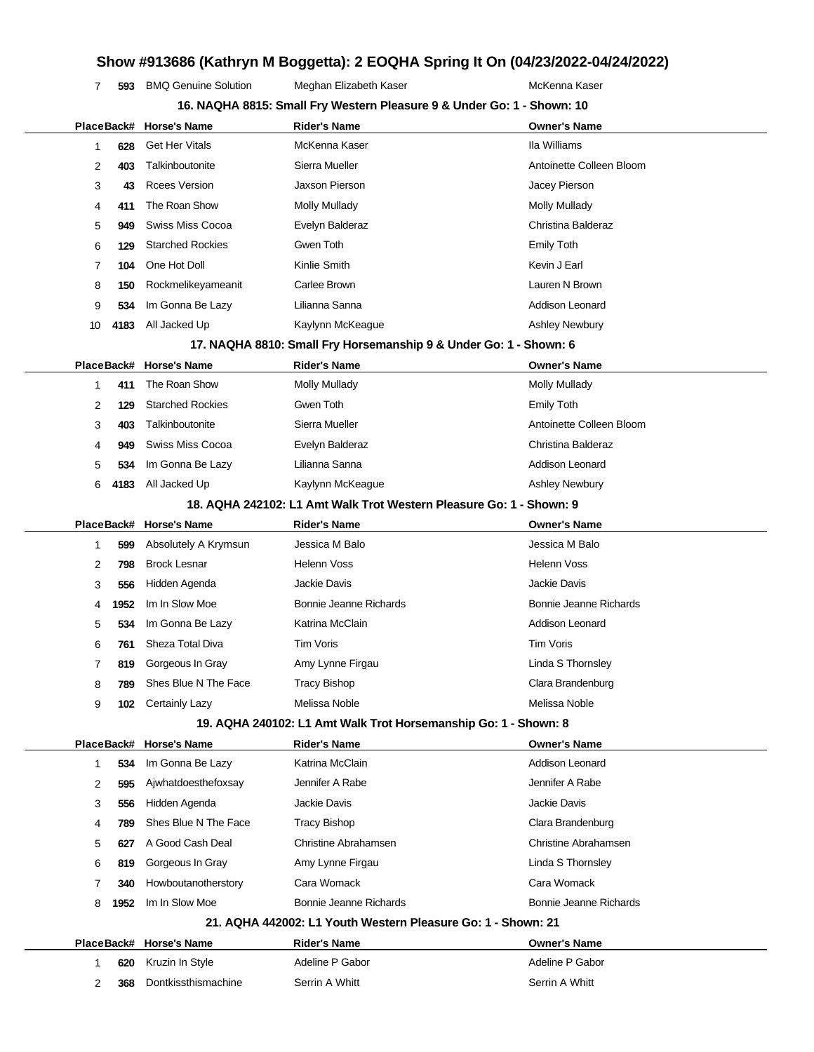**593** BMQ Genuine Solution Meghan Elizabeth Kaser **MCKenna Kaser** McKenna Kaser

| 16. NAQHA 8815: Small Fry Western Pleasure 9 & Under Go: 1 - Shown: 10 |      |                           |                                                                     |                          |
|------------------------------------------------------------------------|------|---------------------------|---------------------------------------------------------------------|--------------------------|
|                                                                        |      | PlaceBack# Horse's Name   | <b>Rider's Name</b>                                                 | <b>Owner's Name</b>      |
| 1                                                                      | 628  | <b>Get Her Vitals</b>     | McKenna Kaser                                                       | Ila Williams             |
| 2                                                                      | 403  | Talkinboutonite           | Sierra Mueller                                                      | Antoinette Colleen Bloom |
| 3                                                                      | 43   | <b>Rcees Version</b>      | Jaxson Pierson                                                      | Jacey Pierson            |
| 4                                                                      | 411  | The Roan Show             | <b>Molly Mullady</b>                                                | <b>Molly Mullady</b>     |
| 5                                                                      | 949  | <b>Swiss Miss Cocoa</b>   | Evelyn Balderaz                                                     | Christina Balderaz       |
| 6                                                                      | 129  | <b>Starched Rockies</b>   | Gwen Toth                                                           | <b>Emily Toth</b>        |
| 7                                                                      | 104  | One Hot Doll              | Kinlie Smith                                                        | Kevin J Earl             |
| 8                                                                      | 150  | Rockmelikeyameanit        | Carlee Brown                                                        | Lauren N Brown           |
| 9                                                                      | 534  | Im Gonna Be Lazy          | Lilianna Sanna                                                      | Addison Leonard          |
| 10                                                                     | 4183 | All Jacked Up             | Kaylynn McKeague                                                    | <b>Ashley Newbury</b>    |
|                                                                        |      |                           | 17. NAQHA 8810: Small Fry Horsemanship 9 & Under Go: 1 - Shown: 6   |                          |
|                                                                        |      | PlaceBack# Horse's Name   | <b>Rider's Name</b>                                                 | <b>Owner's Name</b>      |
| 1                                                                      | 411  | The Roan Show             | <b>Molly Mullady</b>                                                | <b>Molly Mullady</b>     |
| 2                                                                      | 129  | <b>Starched Rockies</b>   | Gwen Toth                                                           | <b>Emily Toth</b>        |
| 3                                                                      | 403  | Talkinboutonite           | Sierra Mueller                                                      | Antoinette Colleen Bloom |
| 4                                                                      | 949  | Swiss Miss Cocoa          | Evelyn Balderaz                                                     | Christina Balderaz       |
| 5                                                                      | 534  | Im Gonna Be Lazy          | Lilianna Sanna                                                      | Addison Leonard          |
| 6                                                                      | 4183 | All Jacked Up             | Kaylynn McKeague                                                    | <b>Ashley Newbury</b>    |
|                                                                        |      |                           | 18. AQHA 242102: L1 Amt Walk Trot Western Pleasure Go: 1 - Shown: 9 |                          |
|                                                                        |      | PlaceBack# Horse's Name   | <b>Rider's Name</b>                                                 | <b>Owner's Name</b>      |
| 1                                                                      | 599  | Absolutely A Krymsun      | Jessica M Balo                                                      | Jessica M Balo           |
| 2                                                                      | 798  | <b>Brock Lesnar</b>       | <b>Helenn Voss</b>                                                  | <b>Helenn Voss</b>       |
| 3                                                                      | 556  | Hidden Agenda             | Jackie Davis                                                        | Jackie Davis             |
| 4                                                                      | 1952 | Im In Slow Moe            | Bonnie Jeanne Richards                                              | Bonnie Jeanne Richards   |
| 5                                                                      | 534  | Im Gonna Be Lazy          | Katrina McClain                                                     | Addison Leonard          |
| 6                                                                      | 761  | Sheza Total Diva          | Tim Voris                                                           | Tim Voris                |
| 7                                                                      | 819  | Gorgeous In Gray          | Amy Lynne Firgau                                                    | Linda S Thornsley        |
| 8                                                                      | 789  | Shes Blue N The Face      | <b>Tracy Bishop</b>                                                 | Clara Brandenburg        |
| 9                                                                      |      | <b>102</b> Certainly Lazy | Melissa Noble                                                       | Melissa Noble            |
|                                                                        |      |                           | 19. AQHA 240102: L1 Amt Walk Trot Horsemanship Go: 1 - Shown: 8     |                          |
|                                                                        |      | PlaceBack# Horse's Name   | <b>Rider's Name</b>                                                 | <b>Owner's Name</b>      |
| 1                                                                      | 534  | Im Gonna Be Lazy          | Katrina McClain                                                     | Addison Leonard          |
| 2                                                                      | 595  | Ajwhatdoesthefoxsay       | Jennifer A Rabe                                                     | Jennifer A Rabe          |
| 3                                                                      | 556  | Hidden Agenda             | Jackie Davis                                                        | <b>Jackie Davis</b>      |
| 4                                                                      | 789  | Shes Blue N The Face      | <b>Tracy Bishop</b>                                                 | Clara Brandenburg        |
| 5                                                                      | 627  | A Good Cash Deal          | Christine Abrahamsen                                                | Christine Abrahamsen     |
| 6                                                                      | 819  | Gorgeous In Gray          | Amy Lynne Firgau                                                    | Linda S Thornsley        |
| 7                                                                      | 340  | Howboutanotherstory       | Cara Womack                                                         | Cara Womack              |
| 8                                                                      | 1952 | Im In Slow Moe            | Bonnie Jeanne Richards                                              | Bonnie Jeanne Richards   |
|                                                                        |      |                           | 21. AQHA 442002: L1 Youth Western Pleasure Go: 1 - Shown: 21        |                          |
|                                                                        |      | PlaceBack# Horse's Name   | <b>Rider's Name</b>                                                 | <b>Owner's Name</b>      |
| 1                                                                      | 620  | Kruzin In Style           | Adeline P Gabor                                                     | Adeline P Gabor          |
|                                                                        |      | Dontkissthismachine       | Serrin A Whitt                                                      | Serrin A Whitt           |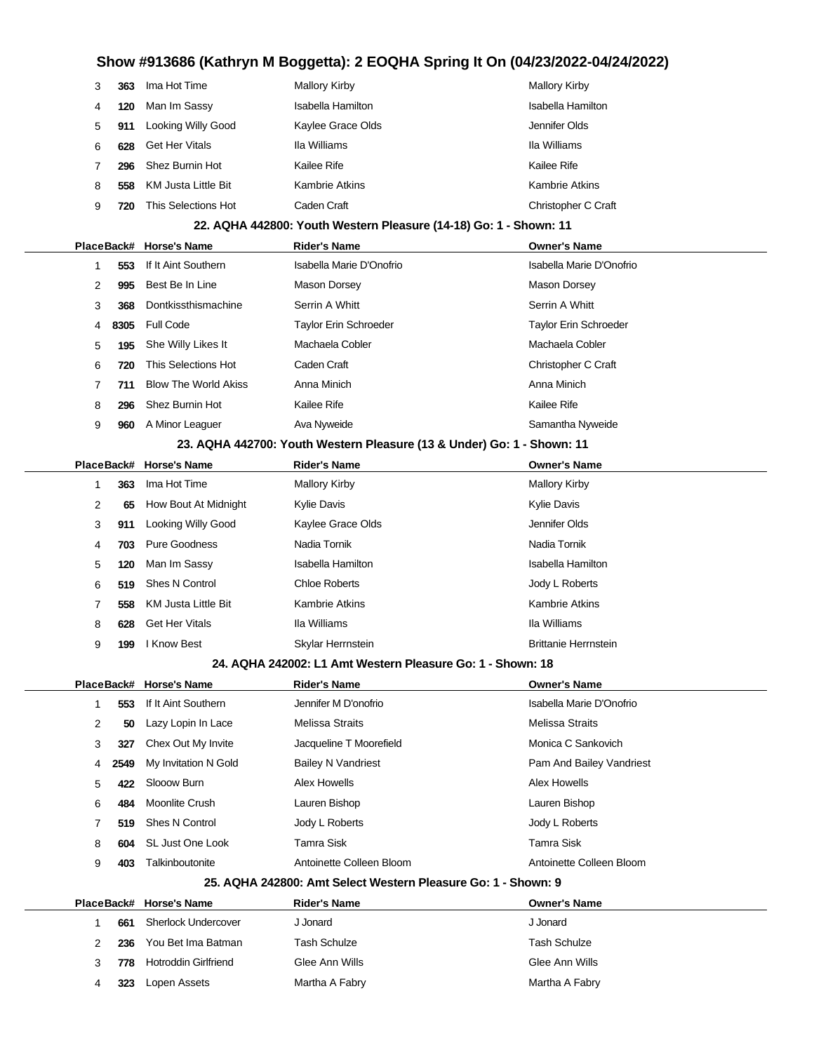|   | 363 | Ima Hot Time          | Mallory Kirby         | <b>Mallory Kirby</b>  |
|---|-----|-----------------------|-----------------------|-----------------------|
| 4 | 120 | Man Im Sassy          | Isabella Hamilton     | Isabella Hamilton     |
| 5 | 911 | Looking Willy Good    | Kaylee Grace Olds     | Jennifer Olds         |
| 6 | 628 | <b>Get Her Vitals</b> | Ila Williams          | Ila Williams          |
|   | 296 | Shez Burnin Hot       | Kailee Rife           | Kailee Rife           |
| 8 | 558 | KM Justa Little Bit   | <b>Kambrie Atkins</b> | <b>Kambrie Atkins</b> |
|   | 720 | This Selections Hot   | Caden Craft           | Christopher C Craft   |

#### **22. AQHA 442800: Youth Western Pleasure (14-18) Go: 1 - Shown: 11**

|   |                                                                        | PlaceBack# Horse's Name     | <b>Rider's Name</b>          | <b>Owner's Name</b>          |  |  |  |
|---|------------------------------------------------------------------------|-----------------------------|------------------------------|------------------------------|--|--|--|
|   | 553                                                                    | If It Aint Southern         | Isabella Marie D'Onofrio     | Isabella Marie D'Onofrio     |  |  |  |
| 2 | 995                                                                    | Best Be In Line             | Mason Dorsey                 | Mason Dorsey                 |  |  |  |
| 3 | 368                                                                    | Dontkissthismachine         | Serrin A Whitt               | Serrin A Whitt               |  |  |  |
| 4 | 8305                                                                   | Full Code                   | <b>Taylor Erin Schroeder</b> | <b>Taylor Erin Schroeder</b> |  |  |  |
| 5 | 195                                                                    | She Willy Likes It          | Machaela Cobler              | Machaela Cobler              |  |  |  |
| 6 | 720                                                                    | This Selections Hot         | Caden Craft                  | Christopher C Craft          |  |  |  |
|   | 711                                                                    | <b>Blow The World Akiss</b> | Anna Minich                  | Anna Minich                  |  |  |  |
| 8 | 296                                                                    | Shez Burnin Hot             | Kailee Rife                  | Kailee Rife                  |  |  |  |
| 9 | 960                                                                    | A Minor Leaguer             | Ava Nyweide                  | Samantha Nyweide             |  |  |  |
|   | 23. AQHA 442700: Youth Western Pleasure (13 & Under) Go: 1 - Shown: 11 |                             |                              |                              |  |  |  |

### **PlaceBack# Horse's Name Rider's Name Owner's Name**

|  |   |     | г гассыасмт гногэсэ нашс | NUGI 3 NGHIG          | <b>UWIIGI STRAING</b>       |
|--|---|-----|--------------------------|-----------------------|-----------------------------|
|  |   | 363 | Ima Hot Time             | <b>Mallory Kirby</b>  | <b>Mallory Kirby</b>        |
|  | 2 | 65  | How Bout At Midnight     | <b>Kylie Davis</b>    | Kylie Davis                 |
|  | 3 | 911 | Looking Willy Good       | Kaylee Grace Olds     | Jennifer Olds               |
|  | 4 | 703 | Pure Goodness            | Nadia Tornik          | Nadia Tornik                |
|  | 5 | 120 | Man Im Sassy             | Isabella Hamilton     | Isabella Hamilton           |
|  | 6 | 519 | Shes N Control           | <b>Chloe Roberts</b>  | Jody L Roberts              |
|  |   | 558 | KM Justa Little Bit      | <b>Kambrie Atkins</b> | <b>Kambrie Atkins</b>       |
|  | 8 | 628 | <b>Get Her Vitals</b>    | Ila Williams          | Ila Williams                |
|  | 9 | 199 | I Know Best              | Skylar Herrnstein     | <b>Brittanie Herrnstein</b> |

#### **24. AQHA 242002: L1 Amt Western Pleasure Go: 1 - Shown: 18**

|  |   |      | PlaceBack# Horse's Name | <b>Rider's Name</b>                                                                                                                                                                                                                                                                                       | <b>Owner's Name</b>      |
|--|---|------|-------------------------|-----------------------------------------------------------------------------------------------------------------------------------------------------------------------------------------------------------------------------------------------------------------------------------------------------------|--------------------------|
|  |   | 553  | If It Aint Southern     | Jennifer M D'onofrio                                                                                                                                                                                                                                                                                      | Isabella Marie D'Onofrio |
|  | 2 | 50   | Lazy Lopin In Lace      | Melissa Straits                                                                                                                                                                                                                                                                                           | Melissa Straits          |
|  | 3 | 327  | Chex Out My Invite      | Jacqueline T Moorefield                                                                                                                                                                                                                                                                                   | Monica C Sankovich       |
|  | 4 | 2549 | My Invitation N Gold    | <b>Bailey N Vandriest</b>                                                                                                                                                                                                                                                                                 | Pam And Bailey Vandriest |
|  | 5 | 422  | Slooow Burn             | Alex Howells                                                                                                                                                                                                                                                                                              | Alex Howells             |
|  | 6 | 484  | Moonlite Crush          | Lauren Bishop                                                                                                                                                                                                                                                                                             | Lauren Bishop            |
|  |   | 519  | Shes N Control          | Jody L Roberts                                                                                                                                                                                                                                                                                            | Jody L Roberts           |
|  | 8 | 604  | SL Just One Look        | Tamra Sisk                                                                                                                                                                                                                                                                                                | Tamra Sisk               |
|  | 9 | 403  | Talkinboutonite         | Antoinette Colleen Bloom                                                                                                                                                                                                                                                                                  | Antoinette Colleen Bloom |
|  |   |      |                         | $\overline{AB}$ in $\overline{AB}$ is a set of $\overline{AB}$ is the set of $\overline{AB}$ is a set of $\overline{AB}$ is a set of $\overline{AB}$ is a set of $\overline{AB}$ is a set of $\overline{AB}$ is a set of $\overline{AB}$ is a set of $\overline{AB}$ is a set of $\overline{AB}$ is a set |                          |

#### **25. AQHA 242800: Amt Select Western Pleasure Go: 1 - Shown: 9**

|  |     | PlaceBack# Horse's Name | <b>Rider's Name</b> | <b>Owner's Name</b> |  |
|--|-----|-------------------------|---------------------|---------------------|--|
|  | 661 | Sherlock Undercover     | J Jonard            | J Jonard            |  |
|  | 236 | You Bet Ima Batman      | Tash Schulze        | Tash Schulze        |  |
|  | 778 | Hotroddin Girlfriend    | Glee Ann Wills      | Glee Ann Wills      |  |
|  | 323 | Lopen Assets            | Martha A Fabry      | Martha A Fabry      |  |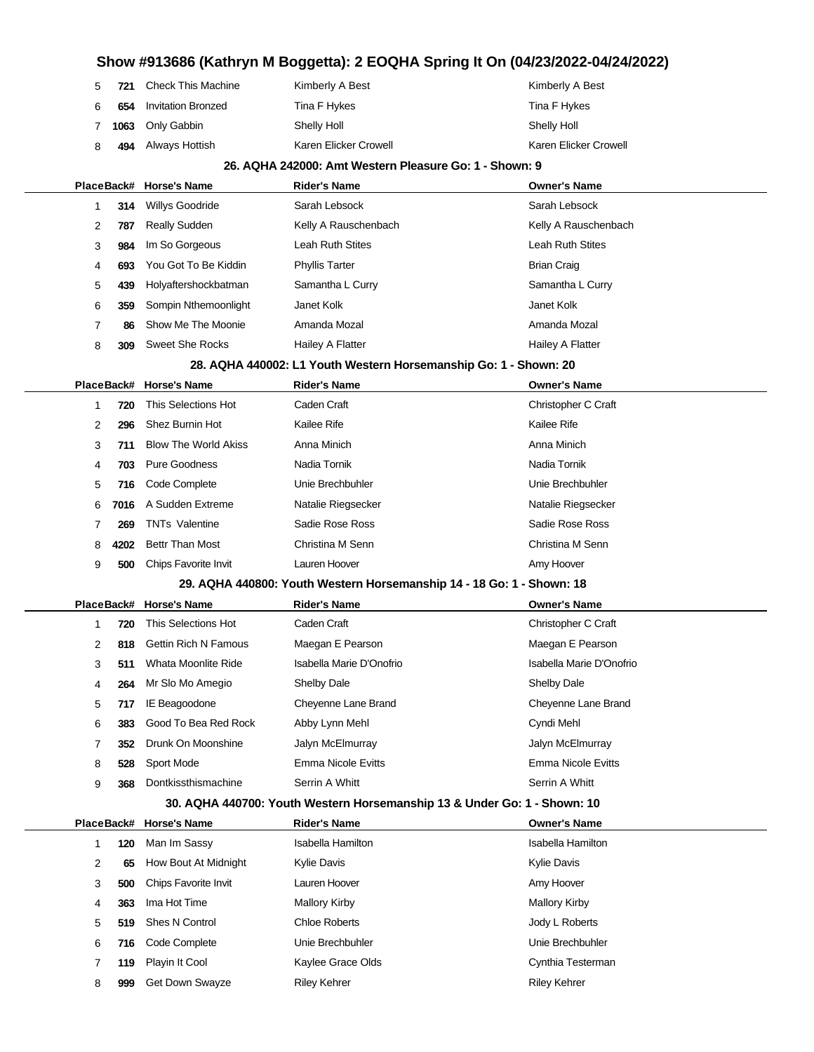| 5           |     | <b>721</b> Check This Machine | Kimberly A Best       | Kimberly A Best       |
|-------------|-----|-------------------------------|-----------------------|-----------------------|
|             | 654 | <b>Invitation Bronzed</b>     | Tina F Hykes          | Tina F Hykes          |
| $7^{\circ}$ |     | 1063 Only Gabbin              | Shelly Holl           | Shelly Holl           |
| 8           | 494 | Always Hottish                | Karen Elicker Crowell | Karen Elicker Crowell |

#### **26. AQHA 242000: Amt Western Pleasure Go: 1 - Shown: 9**

|            |      | PlaceBack# Horse's Name     | <b>Rider's Name</b>                                                      | <b>Owner's Name</b>      |
|------------|------|-----------------------------|--------------------------------------------------------------------------|--------------------------|
| 1          | 314  | Willys Goodride             | Sarah Lebsock                                                            | Sarah Lebsock            |
| 2          | 787  | <b>Really Sudden</b>        | Kelly A Rauschenbach                                                     | Kelly A Rauschenbach     |
| 3          | 984  | Im So Gorgeous              | Leah Ruth Stites                                                         | Leah Ruth Stites         |
| 4          | 693  | You Got To Be Kiddin        | <b>Phyllis Tarter</b>                                                    | <b>Brian Craig</b>       |
| 5          | 439  | Holyaftershockbatman        | Samantha L Curry                                                         | Samantha L Curry         |
| 6          | 359  | Sompin Nthemoonlight        | Janet Kolk                                                               | Janet Kolk               |
| 7          | 86   | Show Me The Moonie          | Amanda Mozal                                                             | Amanda Mozal             |
| 8          | 309  | <b>Sweet She Rocks</b>      | Hailey A Flatter                                                         | Hailey A Flatter         |
|            |      |                             | 28. AQHA 440002: L1 Youth Western Horsemanship Go: 1 - Shown: 20         |                          |
| PlaceBack# |      | <b>Horse's Name</b>         | <b>Rider's Name</b>                                                      | <b>Owner's Name</b>      |
| 1          | 720  | This Selections Hot         | Caden Craft                                                              | Christopher C Craft      |
| 2          | 296  | Shez Burnin Hot             | Kailee Rife                                                              | Kailee Rife              |
| 3          | 711  | <b>Blow The World Akiss</b> | Anna Minich                                                              | Anna Minich              |
| 4          | 703  | <b>Pure Goodness</b>        | Nadia Tornik                                                             | Nadia Tornik             |
| 5          | 716  | Code Complete               | Unie Brechbuhler                                                         | Unie Brechbuhler         |
| 6          | 7016 | A Sudden Extreme            | Natalie Riegsecker                                                       | Natalie Riegsecker       |
| 7          | 269  | <b>TNTs Valentine</b>       | Sadie Rose Ross                                                          | Sadie Rose Ross          |
| 8          | 4202 | <b>Bettr Than Most</b>      | Christina M Senn                                                         | Christina M Senn         |
| 9          | 500  | Chips Favorite Invit        | Lauren Hoover                                                            | Amy Hoover               |
|            |      |                             | 29. AQHA 440800: Youth Western Horsemanship 14 - 18 Go: 1 - Shown: 18    |                          |
| PlaceBack# |      | <b>Horse's Name</b>         | <b>Rider's Name</b>                                                      | <b>Owner's Name</b>      |
| 1          | 720  | This Selections Hot         | Caden Craft                                                              | Christopher C Craft      |
| 2          | 818  | <b>Gettin Rich N Famous</b> | Maegan E Pearson                                                         | Maegan E Pearson         |
| 3          | 511  | Whata Moonlite Ride         | Isabella Marie D'Onofrio                                                 | Isabella Marie D'Onofrio |
| 4          | 264  | Mr Slo Mo Amegio            | Shelby Dale                                                              | Shelby Dale              |
| 5          | 717  | IE Beagoodone               | Cheyenne Lane Brand                                                      | Cheyenne Lane Brand      |
| 6          | 383  | Good To Bea Red Rock        | Abby Lynn Mehl                                                           | Cyndi Mehl               |
| 7          | 352  | Drunk On Moonshine          | Jalyn McElmurray                                                         | Jalyn McElmurray         |
| 8          | 528  | Sport Mode                  | Emma Nicole Evitts                                                       | Emma Nicole Evitts       |
| 9          | 368  | Dontkissthismachine         | Serrin A Whitt                                                           | Serrin A Whitt           |
|            |      |                             | 30. AQHA 440700: Youth Western Horsemanship 13 & Under Go: 1 - Shown: 10 |                          |
| PlaceBack# |      | <b>Horse's Name</b>         | <b>Rider's Name</b>                                                      | <b>Owner's Name</b>      |
| 1          | 120  | Man Im Sassy                | <b>Isabella Hamilton</b>                                                 | <b>Isabella Hamilton</b> |
| 2          | 65   | How Bout At Midnight        | Kylie Davis                                                              | <b>Kylie Davis</b>       |
| 3          | 500  | Chips Favorite Invit        | Lauren Hoover                                                            | Amy Hoover               |
| 4          | 363  | Ima Hot Time                | <b>Mallory Kirby</b>                                                     | <b>Mallory Kirby</b>     |
| 5          | 519  | <b>Shes N Control</b>       | <b>Chloe Roberts</b>                                                     | Jody L Roberts           |
| 6          | 716  | Code Complete               | Unie Brechbuhler                                                         | Unie Brechbuhler         |

 **119** Playin It Cool Kaylee Grace Olds Cynthia Testerman **999** Get Down Swayze Riley Kehrer Riley Kehrer Riley Kehrer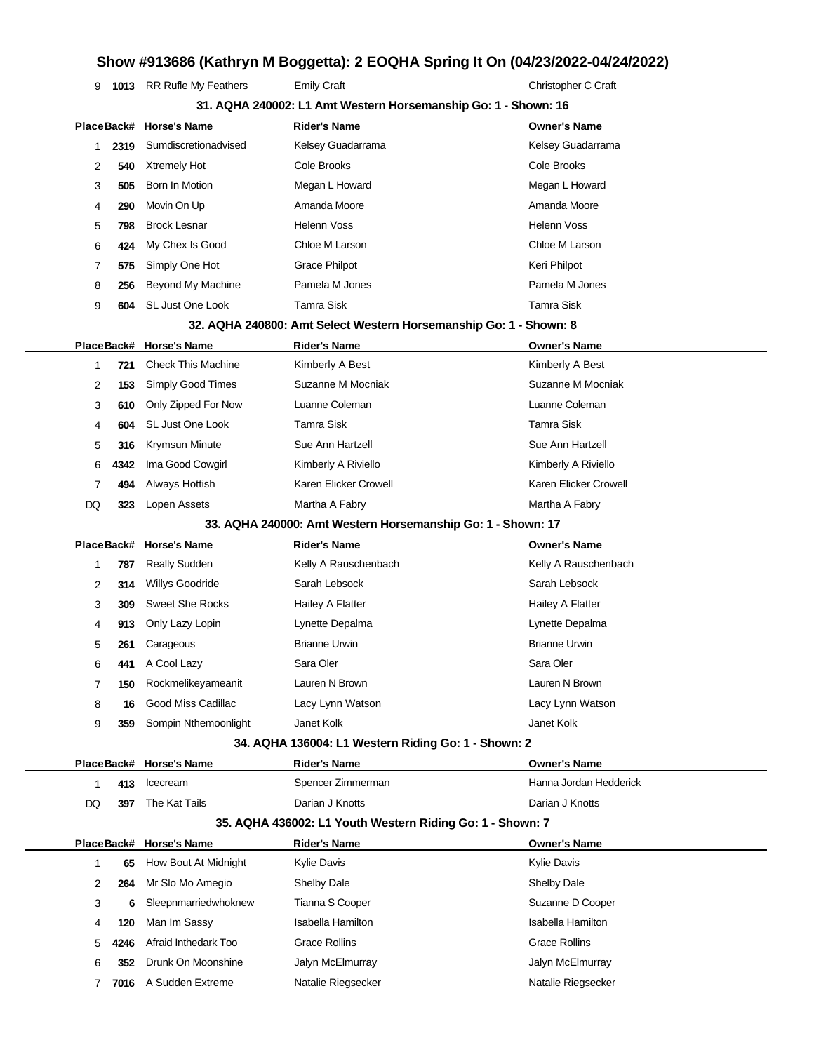**1013** RR Rufle My Feathers Emily Craft Emily Craft Christopher C Craft

|            | 31. AQHA 240002: L1 Amt Western Horsemanship Go: 1 - Shown: 16 |                           |                                                                   |                          |  |
|------------|----------------------------------------------------------------|---------------------------|-------------------------------------------------------------------|--------------------------|--|
|            |                                                                | PlaceBack# Horse's Name   | <b>Rider's Name</b>                                               | <b>Owner's Name</b>      |  |
| 1          | 2319                                                           | Sumdiscretionadvised      | Kelsey Guadarrama                                                 | Kelsey Guadarrama        |  |
| 2          | 540                                                            | <b>Xtremely Hot</b>       | Cole Brooks                                                       | Cole Brooks              |  |
| 3          | 505                                                            | Born In Motion            | Megan L Howard                                                    | Megan L Howard           |  |
| 4          | 290                                                            | Movin On Up               | Amanda Moore                                                      | Amanda Moore             |  |
| 5          | 798                                                            | <b>Brock Lesnar</b>       | <b>Helenn Voss</b>                                                | <b>Helenn Voss</b>       |  |
| 6          | 424                                                            | My Chex Is Good           | Chloe M Larson                                                    | Chloe M Larson           |  |
| 7          | 575                                                            | Simply One Hot            | <b>Grace Philpot</b>                                              | Keri Philpot             |  |
| 8          | 256                                                            | Beyond My Machine         | Pamela M Jones                                                    | Pamela M Jones           |  |
| 9          | 604                                                            | SL Just One Look          | <b>Tamra Sisk</b>                                                 | <b>Tamra Sisk</b>        |  |
|            |                                                                |                           | 32. AQHA 240800: Amt Select Western Horsemanship Go: 1 - Shown: 8 |                          |  |
|            |                                                                | PlaceBack# Horse's Name   | <b>Rider's Name</b>                                               | <b>Owner's Name</b>      |  |
| 1          | 721                                                            | <b>Check This Machine</b> | Kimberly A Best                                                   | Kimberly A Best          |  |
| 2          | 153                                                            | Simply Good Times         | Suzanne M Mocniak                                                 | Suzanne M Mocniak        |  |
| 3          | 610                                                            | Only Zipped For Now       | Luanne Coleman                                                    | Luanne Coleman           |  |
| 4          | 604                                                            | SL Just One Look          | <b>Tamra Sisk</b>                                                 | <b>Tamra Sisk</b>        |  |
| 5          | 316                                                            | Krymsun Minute            | Sue Ann Hartzell                                                  | Sue Ann Hartzell         |  |
| 6          | 4342                                                           | Ima Good Cowgirl          | Kimberly A Riviello                                               | Kimberly A Riviello      |  |
| 7          | 494                                                            | Always Hottish            | Karen Elicker Crowell                                             | Karen Elicker Crowell    |  |
| DQ         | 323                                                            | Lopen Assets              | Martha A Fabry                                                    | Martha A Fabry           |  |
|            |                                                                |                           | 33. AQHA 240000: Amt Western Horsemanship Go: 1 - Shown: 17       |                          |  |
| PlaceBack# |                                                                | <b>Horse's Name</b>       | <b>Rider's Name</b>                                               | <b>Owner's Name</b>      |  |
| 1          | 787                                                            | <b>Really Sudden</b>      | Kelly A Rauschenbach                                              | Kelly A Rauschenbach     |  |
| 2          | 314                                                            | <b>Willys Goodride</b>    | Sarah Lebsock                                                     | Sarah Lebsock            |  |
| 3          | 309                                                            | <b>Sweet She Rocks</b>    | Hailey A Flatter                                                  | Hailey A Flatter         |  |
| 4          | 913                                                            | Only Lazy Lopin           | Lynette Depalma                                                   | Lynette Depalma          |  |
| 5          | 261                                                            | Carageous                 | <b>Brianne Urwin</b>                                              | <b>Brianne Urwin</b>     |  |
| 6          | 441                                                            | A Cool Lazy               | Sara Oler                                                         | Sara Oler                |  |
| 7          | 150                                                            | Rockmelikeyameanit        | Lauren N Brown                                                    | Lauren N Brown           |  |
| 8          | 16                                                             | Good Miss Cadillac        | Lacy Lynn Watson                                                  | Lacy Lynn Watson         |  |
| 9          | 359                                                            | Sompin Nthemoonlight      | Janet Kolk                                                        | Janet Kolk               |  |
|            |                                                                |                           | 34. AQHA 136004: L1 Western Riding Go: 1 - Shown: 2               |                          |  |
|            |                                                                | PlaceBack# Horse's Name   | <b>Rider's Name</b>                                               | <b>Owner's Name</b>      |  |
| 1          | 413                                                            | Icecream                  | Spencer Zimmerman                                                 | Hanna Jordan Hedderick   |  |
| DQ         | 397                                                            | The Kat Tails             | Darian J Knotts                                                   | Darian J Knotts          |  |
|            |                                                                |                           | 35. AQHA 436002: L1 Youth Western Riding Go: 1 - Shown: 7         |                          |  |
|            |                                                                | PlaceBack# Horse's Name   | <b>Rider's Name</b>                                               | <b>Owner's Name</b>      |  |
| 1          | 65                                                             | How Bout At Midnight      | Kylie Davis                                                       | <b>Kylie Davis</b>       |  |
| 2          | 264                                                            | Mr Slo Mo Amegio          | Shelby Dale                                                       | <b>Shelby Dale</b>       |  |
| 3          | 6                                                              | Sleepnmarriedwhoknew      | Tianna S Cooper                                                   | Suzanne D Cooper         |  |
| 4          | 120                                                            | Man Im Sassy              | <b>Isabella Hamilton</b>                                          | <b>Isabella Hamilton</b> |  |
| 5          | 4246                                                           | Afraid Inthedark Too      | <b>Grace Rollins</b>                                              | <b>Grace Rollins</b>     |  |
| 6          | 352                                                            | Drunk On Moonshine        | Jalyn McElmurray                                                  | Jalyn McElmurray         |  |
| 7          | 7016                                                           | A Sudden Extreme          | Natalie Riegsecker                                                | Natalie Riegsecker       |  |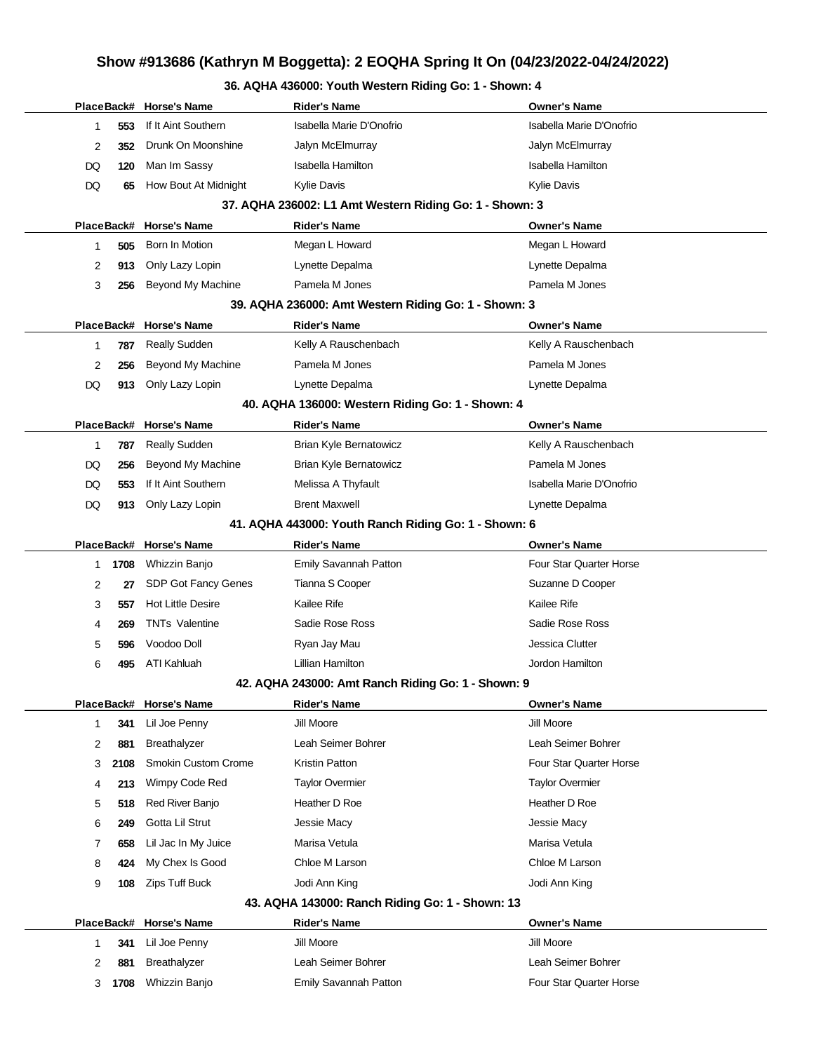### **36. AQHA 436000: Youth Western Riding Go: 1 - Shown: 4**

|                                                         |            | PlaceBack# Horse's Name    | <b>Rider's Name</b>                                  | <b>Owner's Name</b>            |  |  |  |  |  |
|---------------------------------------------------------|------------|----------------------------|------------------------------------------------------|--------------------------------|--|--|--|--|--|
| 1                                                       | 553        | If It Aint Southern        | Isabella Marie D'Onofrio                             | Isabella Marie D'Onofrio       |  |  |  |  |  |
| 2                                                       | 352        | Drunk On Moonshine         | Jalyn McElmurray                                     | Jalyn McElmurray               |  |  |  |  |  |
| DQ                                                      | 120        | Man Im Sassy               | Isabella Hamilton                                    | Isabella Hamilton              |  |  |  |  |  |
| DQ                                                      | 65         | How Bout At Midnight       | Kylie Davis                                          | <b>Kylie Davis</b>             |  |  |  |  |  |
| 37. AQHA 236002: L1 Amt Western Riding Go: 1 - Shown: 3 |            |                            |                                                      |                                |  |  |  |  |  |
|                                                         | PlaceBack# | <b>Horse's Name</b>        | <b>Rider's Name</b>                                  | <b>Owner's Name</b>            |  |  |  |  |  |
| 1                                                       | 505        | Born In Motion             | Megan L Howard                                       | Megan L Howard                 |  |  |  |  |  |
| 2                                                       | 913        | Only Lazy Lopin            | Lynette Depalma                                      | Lynette Depalma                |  |  |  |  |  |
| 3                                                       | 256        | Beyond My Machine          | Pamela M Jones                                       | Pamela M Jones                 |  |  |  |  |  |
| 39. AQHA 236000: Amt Western Riding Go: 1 - Shown: 3    |            |                            |                                                      |                                |  |  |  |  |  |
|                                                         | PlaceBack# | <b>Horse's Name</b>        | <b>Rider's Name</b>                                  | <b>Owner's Name</b>            |  |  |  |  |  |
| 1                                                       | 787        | <b>Really Sudden</b>       | Kelly A Rauschenbach                                 | Kelly A Rauschenbach           |  |  |  |  |  |
| 2                                                       | 256        | Beyond My Machine          | Pamela M Jones                                       | Pamela M Jones                 |  |  |  |  |  |
| DQ                                                      | 913        | Only Lazy Lopin            | Lynette Depalma                                      | Lynette Depalma                |  |  |  |  |  |
| 40. AQHA 136000: Western Riding Go: 1 - Shown: 4        |            |                            |                                                      |                                |  |  |  |  |  |
|                                                         |            | PlaceBack# Horse's Name    | <b>Rider's Name</b>                                  | <b>Owner's Name</b>            |  |  |  |  |  |
| 1                                                       | 787        | <b>Really Sudden</b>       | Brian Kyle Bernatowicz                               | Kelly A Rauschenbach           |  |  |  |  |  |
| DQ                                                      | 256        | Beyond My Machine          | Brian Kyle Bernatowicz                               | Pamela M Jones                 |  |  |  |  |  |
| DQ                                                      | 553        | If It Aint Southern        | Melissa A Thyfault                                   | Isabella Marie D'Onofrio       |  |  |  |  |  |
| DQ                                                      | 913        | Only Lazy Lopin            | <b>Brent Maxwell</b>                                 | Lynette Depalma                |  |  |  |  |  |
|                                                         |            |                            | 41. AQHA 443000: Youth Ranch Riding Go: 1 - Shown: 6 |                                |  |  |  |  |  |
|                                                         |            | PlaceBack# Horse's Name    | <b>Rider's Name</b>                                  | <b>Owner's Name</b>            |  |  |  |  |  |
| 1                                                       | 1708       | Whizzin Banjo              | Emily Savannah Patton                                | <b>Four Star Quarter Horse</b> |  |  |  |  |  |
| 2                                                       | 27         | SDP Got Fancy Genes        | Tianna S Cooper                                      | Suzanne D Cooper               |  |  |  |  |  |
| 3                                                       | 557        | <b>Hot Little Desire</b>   | Kailee Rife                                          | Kailee Rife                    |  |  |  |  |  |
| 4                                                       | 269        | <b>TNTs Valentine</b>      | Sadie Rose Ross                                      | Sadie Rose Ross                |  |  |  |  |  |
| 5                                                       | 596        | Voodoo Doll                | Ryan Jay Mau                                         | Jessica Clutter                |  |  |  |  |  |
| 6                                                       | 495        | ATI Kahluah                | Lillian Hamilton                                     | Jordon Hamilton                |  |  |  |  |  |
|                                                         |            |                            | 42. AQHA 243000: Amt Ranch Riding Go: 1 - Shown: 9   |                                |  |  |  |  |  |
|                                                         |            | PlaceBack# Horse's Name    | <b>Rider's Name</b>                                  | <b>Owner's Name</b>            |  |  |  |  |  |
| 1                                                       | 341        | Lil Joe Penny              | Jill Moore                                           | Jill Moore                     |  |  |  |  |  |
| 2                                                       | 881        | Breathalyzer               | Leah Seimer Bohrer                                   | Leah Seimer Bohrer             |  |  |  |  |  |
| 3                                                       | 2108       | <b>Smokin Custom Crome</b> | Kristin Patton                                       | Four Star Quarter Horse        |  |  |  |  |  |
| 4                                                       | 213        | Wimpy Code Red             | <b>Taylor Overmier</b>                               | <b>Taylor Overmier</b>         |  |  |  |  |  |
| 5                                                       | 518        | Red River Banjo            | Heather D Roe                                        | Heather D Roe                  |  |  |  |  |  |
| 6                                                       | 249        | Gotta Lil Strut            | Jessie Macy                                          | Jessie Macy                    |  |  |  |  |  |
| 7                                                       | 658        | Lil Jac In My Juice        | Marisa Vetula                                        | Marisa Vetula                  |  |  |  |  |  |
| 8                                                       | 424        | My Chex Is Good            | Chloe M Larson                                       | Chloe M Larson                 |  |  |  |  |  |
| 9                                                       | 108        | Zips Tuff Buck             | Jodi Ann King                                        | Jodi Ann King                  |  |  |  |  |  |
| 43. AQHA 143000: Ranch Riding Go: 1 - Shown: 13         |            |                            |                                                      |                                |  |  |  |  |  |
|                                                         | PlaceBack# | <b>Horse's Name</b>        | <b>Rider's Name</b>                                  | <b>Owner's Name</b>            |  |  |  |  |  |
| 1                                                       | 341        | Lil Joe Penny              | Jill Moore                                           | Jill Moore                     |  |  |  |  |  |
| 2                                                       | 881        | Breathalyzer               | Leah Seimer Bohrer                                   | Leah Seimer Bohrer             |  |  |  |  |  |
| 3                                                       | 1708       | Whizzin Banjo              | Emily Savannah Patton                                | Four Star Quarter Horse        |  |  |  |  |  |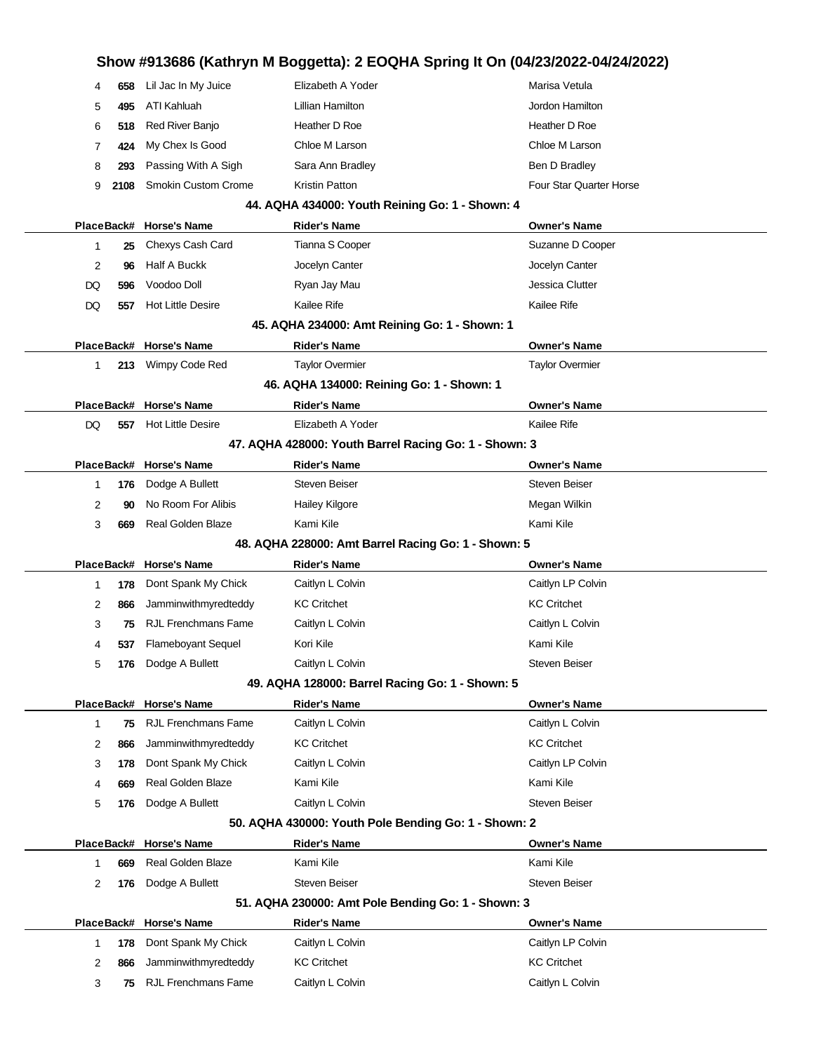# **Show #913686 (Kathryn M Boggetta): 2 EOQHA Spring It On (04/23/2022-04/24/2022)** 4 **658** Lil Jac In My Juice **Elizabeth A Yoder** Marisa Vetula 5 **495** ATI Kahluah Lillian Hamilton Jordon Hamilton 6 **518** Red River Banjo Heather D Roe Heather D Roe 7 **424** My Chex Is Good Chloe M Larson Chloe M Larson 8 **293** Passing With A Sigh Sara Ann Bradley Sara Ann Bradley Ben D Bradley 9 **2108** Smokin Custom Crome Kristin Patton **Four Star Quarter Horse** Four Star Quarter Horse **44. AQHA 434000: Youth Reining Go: 1 - Shown: 4 PlaceBack# Horse's Name Rider's Name Owner's Name** 1 **25** Chexys Cash Card Tianna S Cooper Suzanne D Cooper Suzanne D Cooper 2 **96** Half A Buckk Jocelyn Canter Jocelyn Canter DQ 596 Voodoo Doll **Ryan Jay Mau Jessica Clutter** Jessica Clutter DQ 557 Hot Little Desire Kailee Rife Kailee Rife Kailee Rife Kailee Rife Kailee Rife Kailee Rife Kailee Rife Kailee Rife Kailee Rife Kailee Rife Kailee Rife Kailee Rife Kailee Rife Kailee Rife Kailee Rife Kailee Rife Kaile **45. AQHA 234000: Amt Reining Go: 1 - Shown: 1 PlaceBack# Horse's Name Rider's Name Owner's Name** 1 **213** Wimpy Code Red Taylor Overmier Taylor Overmier **46. AQHA 134000: Reining Go: 1 - Shown: 1 PlaceBack# Horse's Name Rider's Name Owner's Name** DQ 557 Hot Little Desire **Elizabeth A Yoder** Kailee Rife **47. AQHA 428000: Youth Barrel Racing Go: 1 - Shown: 3 PlaceBack# Horse's Name Rider's Name Owner's Name** 1 **176** Dodge A Bullett Steven Beiser Steven Beiser Steven Beiser 2 **90** No Room For Alibis **Hailey Kilgore** Megan Wilkin Megan Wilkin 3 **669** Real Golden Blaze Kami Kile Kami Kile Kami Kile **48. AQHA 228000: Amt Barrel Racing Go: 1 - Shown: 5 PlaceBack# Horse's Name Rider's Name Owner's Name** 1 **178** Dont Spank My Chick Caitlyn L Colvin Caitlyn Lexible Caitlyn LP Colvin 2 **866** Jamminwithmyredteddy KC Critchet KC Critchet 3 **75** RJL Frenchmans Fame Caitlyn L Colvin Caitlyn L Colvin 4 **537** Flameboyant Sequel Kori Kile Kori Kile Kami Kile 5 **176** Dodge A Bullett Caitlyn L Colvin Caitlyn Colvin Steven Beiser **49. AQHA 128000: Barrel Racing Go: 1 - Shown: 5 PlaceBack# Horse's Name Rider's Name Owner's Name** 1 **75** RJL Frenchmans Fame Caitlyn L Colvin Caitles Caitlyn L Colvin 2 **866** Jamminwithmyredteddy KC Critchet KC Critchet 3 **178** Dont Spank My Chick Caitlyn L Colvin Caitlyn LP Colvin 4 **669** Real Golden Blaze Kami Kile Kami Kile Kami Kile Kami Kile Kami Kile 5 **176** Dodge A Bullett Caitlyn L Colvin Colvin Steven Beiser **50. AQHA 430000: Youth Pole Bending Go: 1 - Shown: 2 PlaceBack# Horse's Name Rider's Name Owner's Name** 1 **669** Real Golden Blaze Kami Kile Kami Kile Kami Kile 2 **176** Dodge A Bullett Steven Beiser Steven Beiser Steven Beiser **51. AQHA 230000: Amt Pole Bending Go: 1 - Shown: 3 PlaceBack# Horse's Name Rider's Name Owner's Name** 1 **178** Dont Spank My Chick Caitlyn L Colvin Caitlyn L Colvin Caitlyn LP Colvin 2 866 Jamminwithmyredteddy KC Critchet KC Critchet KC Critchet KC Critchet 3 **75** RJL Frenchmans Fame Caitlyn L Colvin Caitlyn L Colvin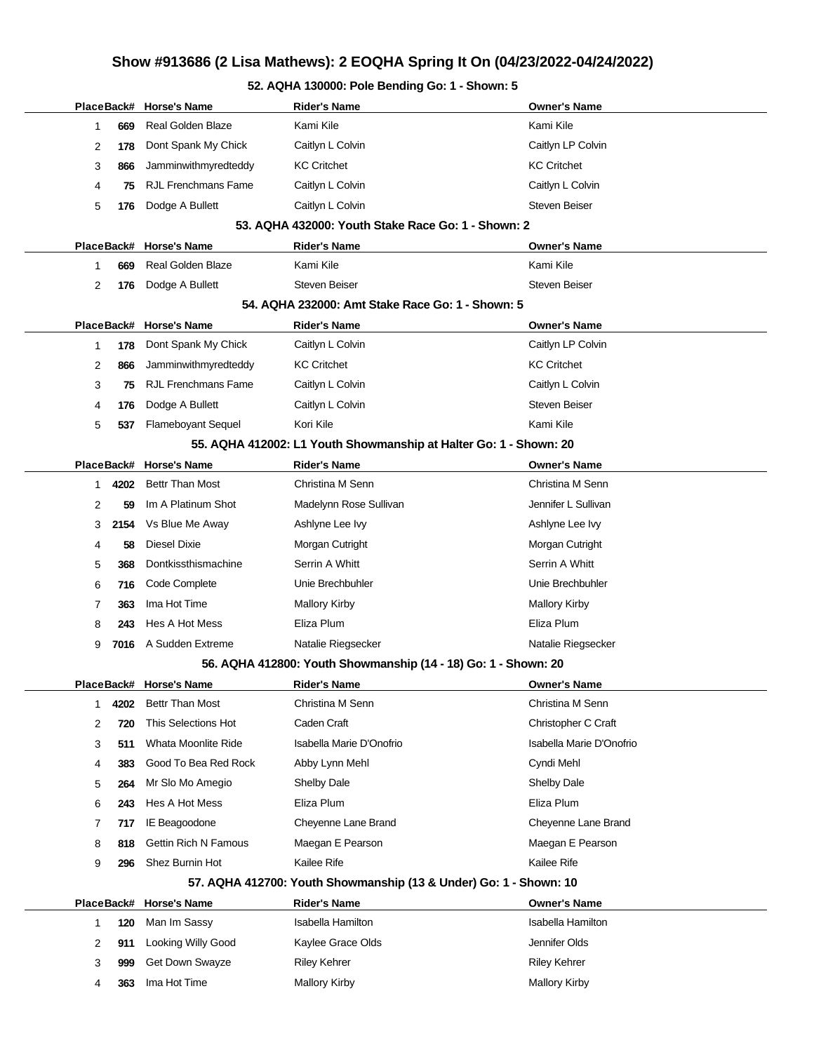# **Show #913686 (2 Lisa Mathews): 2 EOQHA Spring It On (04/23/2022-04/24/2022)**

### **52. AQHA 130000: Pole Bending Go: 1 - Shown: 5**

Ĭ.

|                                                    |                                                                   |      | PlaceBack# Horse's Name     | <b>Rider's Name</b>                                               | <b>Owner's Name</b>      |  |  |  |  |  |
|----------------------------------------------------|-------------------------------------------------------------------|------|-----------------------------|-------------------------------------------------------------------|--------------------------|--|--|--|--|--|
|                                                    | 1                                                                 | 669  | Real Golden Blaze           | Kami Kile                                                         | Kami Kile                |  |  |  |  |  |
|                                                    | 2                                                                 | 178  | Dont Spank My Chick         | Caitlyn L Colvin                                                  | Caitlyn LP Colvin        |  |  |  |  |  |
|                                                    | 3                                                                 | 866  | Jamminwithmyredteddy        | <b>KC Critchet</b>                                                | <b>KC Critchet</b>       |  |  |  |  |  |
|                                                    | 4                                                                 | 75   | <b>RJL Frenchmans Fame</b>  | Caitlyn L Colvin                                                  | Caitlyn L Colvin         |  |  |  |  |  |
|                                                    | 5                                                                 | 176  | Dodge A Bullett             | Caitlyn L Colvin                                                  | <b>Steven Beiser</b>     |  |  |  |  |  |
| 53. AQHA 432000: Youth Stake Race Go: 1 - Shown: 2 |                                                                   |      |                             |                                                                   |                          |  |  |  |  |  |
|                                                    |                                                                   |      | PlaceBack# Horse's Name     | Rider's Name                                                      | Owner's Name             |  |  |  |  |  |
|                                                    | 1                                                                 | 669  | <b>Real Golden Blaze</b>    | Kami Kile                                                         | Kami Kile                |  |  |  |  |  |
|                                                    | 2                                                                 | 176  | Dodge A Bullett             | <b>Steven Beiser</b>                                              | <b>Steven Beiser</b>     |  |  |  |  |  |
| 54. AQHA 232000: Amt Stake Race Go: 1 - Shown: 5   |                                                                   |      |                             |                                                                   |                          |  |  |  |  |  |
|                                                    |                                                                   |      | PlaceBack# Horse's Name     | <b>Rider's Name</b>                                               | Owner's Name             |  |  |  |  |  |
|                                                    | 1                                                                 | 178  | Dont Spank My Chick         | Caitlyn L Colvin                                                  | Caitlyn LP Colvin        |  |  |  |  |  |
|                                                    | 2                                                                 | 866  | Jamminwithmyredteddy        | <b>KC Critchet</b>                                                | <b>KC Critchet</b>       |  |  |  |  |  |
|                                                    | 3                                                                 | 75   | <b>RJL Frenchmans Fame</b>  | Caitlyn L Colvin                                                  | Caitlyn L Colvin         |  |  |  |  |  |
|                                                    | 4                                                                 | 176  | Dodge A Bullett             | Caitlyn L Colvin                                                  | <b>Steven Beiser</b>     |  |  |  |  |  |
|                                                    | 5                                                                 | 537  | <b>Flameboyant Sequel</b>   | Kori Kile                                                         | Kami Kile                |  |  |  |  |  |
|                                                    | 55. AQHA 412002: L1 Youth Showmanship at Halter Go: 1 - Shown: 20 |      |                             |                                                                   |                          |  |  |  |  |  |
|                                                    |                                                                   |      | PlaceBack# Horse's Name     | <b>Rider's Name</b>                                               | <b>Owner's Name</b>      |  |  |  |  |  |
|                                                    | 1.                                                                | 4202 | <b>Bettr Than Most</b>      | Christina M Senn                                                  | Christina M Senn         |  |  |  |  |  |
|                                                    | 2                                                                 | 59   | Im A Platinum Shot          | Madelynn Rose Sullivan                                            | Jennifer L Sullivan      |  |  |  |  |  |
|                                                    | 3                                                                 | 2154 | Vs Blue Me Away             | Ashlyne Lee Ivy                                                   | Ashlyne Lee Ivy          |  |  |  |  |  |
|                                                    | 4                                                                 | 58   | <b>Diesel Dixie</b>         | Morgan Cutright                                                   | Morgan Cutright          |  |  |  |  |  |
|                                                    | 5                                                                 | 368  | Dontkissthismachine         | Serrin A Whitt                                                    | Serrin A Whitt           |  |  |  |  |  |
|                                                    | 6                                                                 | 716  | Code Complete               | Unie Brechbuhler                                                  | Unie Brechbuhler         |  |  |  |  |  |
|                                                    | 7                                                                 | 363  | Ima Hot Time                | <b>Mallory Kirby</b>                                              | <b>Mallory Kirby</b>     |  |  |  |  |  |
|                                                    | 8                                                                 | 243  | Hes A Hot Mess              | Eliza Plum                                                        | Eliza Plum               |  |  |  |  |  |
|                                                    | 9                                                                 | 7016 | A Sudden Extreme            | Natalie Riegsecker                                                | Natalie Riegsecker       |  |  |  |  |  |
|                                                    |                                                                   |      |                             | 56. AQHA 412800: Youth Showmanship (14 - 18) Go: 1 - Shown: 20    |                          |  |  |  |  |  |
|                                                    |                                                                   |      | PlaceBack# Horse's Name     | <b>Rider's Name</b>                                               | Owner's Name             |  |  |  |  |  |
|                                                    | 1                                                                 | 4202 | <b>Bettr Than Most</b>      | Christina M Senn                                                  | Christina M Senn         |  |  |  |  |  |
|                                                    | 2                                                                 | 720  | This Selections Hot         | Caden Craft                                                       | Christopher C Craft      |  |  |  |  |  |
|                                                    | 3                                                                 | 511  | Whata Moonlite Ride         | Isabella Marie D'Onofrio                                          | Isabella Marie D'Onofrio |  |  |  |  |  |
|                                                    | 4                                                                 | 383  | Good To Bea Red Rock        | Abby Lynn Mehl                                                    | Cyndi Mehl               |  |  |  |  |  |
|                                                    | 5                                                                 | 264  | Mr Slo Mo Amegio            | <b>Shelby Dale</b>                                                | Shelby Dale              |  |  |  |  |  |
|                                                    | 6                                                                 | 243  | Hes A Hot Mess              | Eliza Plum                                                        | Eliza Plum               |  |  |  |  |  |
|                                                    | 7                                                                 | 717  | IE Beagoodone               | Cheyenne Lane Brand                                               | Cheyenne Lane Brand      |  |  |  |  |  |
|                                                    | 8                                                                 | 818  | <b>Gettin Rich N Famous</b> | Maegan E Pearson                                                  | Maegan E Pearson         |  |  |  |  |  |
|                                                    | 9                                                                 | 296  | Shez Burnin Hot             | Kailee Rife                                                       | Kailee Rife              |  |  |  |  |  |
|                                                    |                                                                   |      |                             | 57. AQHA 412700: Youth Showmanship (13 & Under) Go: 1 - Shown: 10 |                          |  |  |  |  |  |
|                                                    |                                                                   |      | PlaceBack# Horse's Name     | <b>Rider's Name</b>                                               | <b>Owner's Name</b>      |  |  |  |  |  |
|                                                    | 1                                                                 | 120  | Man Im Sassy                | <b>Isabella Hamilton</b>                                          | <b>Isabella Hamilton</b> |  |  |  |  |  |
|                                                    | 2                                                                 | 911  | Looking Willy Good          | Kaylee Grace Olds                                                 | Jennifer Olds            |  |  |  |  |  |
|                                                    | 3                                                                 | 999  | Get Down Swayze             | <b>Riley Kehrer</b>                                               | <b>Riley Kehrer</b>      |  |  |  |  |  |
|                                                    | 4                                                                 | 363  | Ima Hot Time                | Mallory Kirby                                                     | <b>Mallory Kirby</b>     |  |  |  |  |  |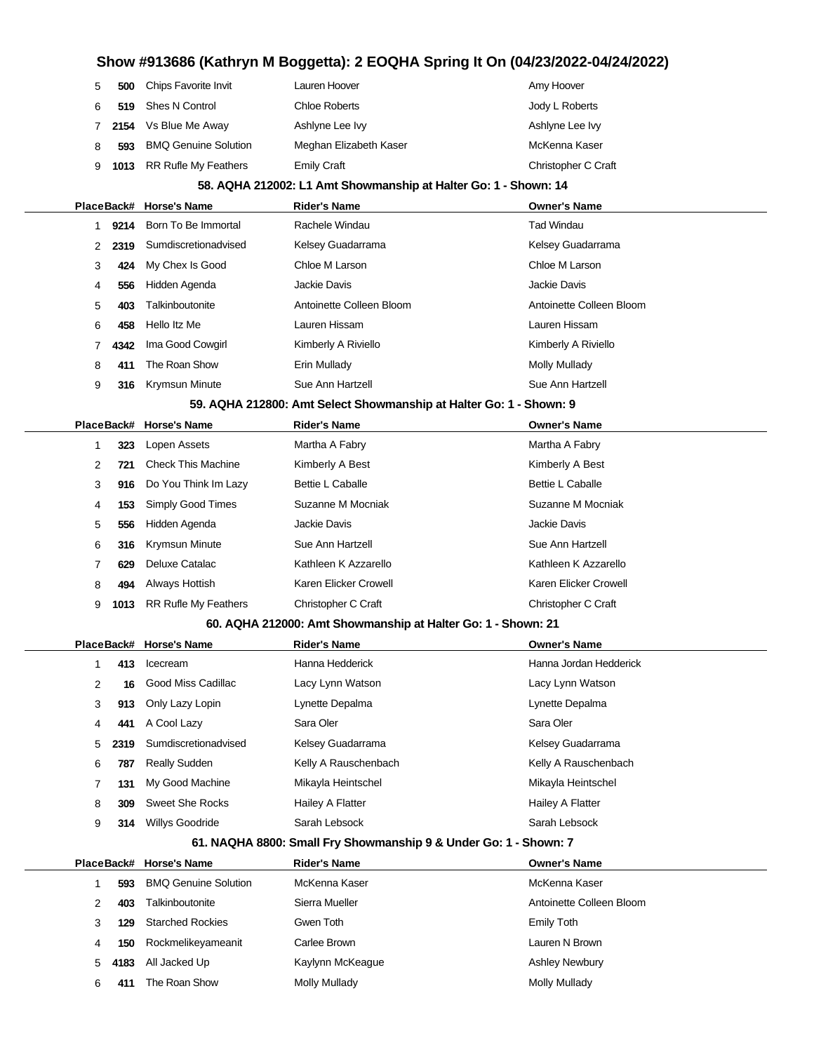| 5                                                                | 500   | Chips Favorite Invit        | Lauren Hoover                                                      | Amy Hoover               |  |  |  |  |
|------------------------------------------------------------------|-------|-----------------------------|--------------------------------------------------------------------|--------------------------|--|--|--|--|
| 6                                                                | 519   | <b>Shes N Control</b>       | <b>Chloe Roberts</b>                                               | Jody L Roberts           |  |  |  |  |
| 7                                                                | 2154  | Vs Blue Me Away             | Ashlyne Lee Ivy                                                    | Ashlyne Lee Ivy          |  |  |  |  |
| 8                                                                | 593   | <b>BMQ Genuine Solution</b> | Meghan Elizabeth Kaser                                             | McKenna Kaser            |  |  |  |  |
| 9                                                                | 1013  | <b>RR Rufle My Feathers</b> | <b>Emily Craft</b>                                                 | Christopher C Craft      |  |  |  |  |
| 58. AQHA 212002: L1 Amt Showmanship at Halter Go: 1 - Shown: 14  |       |                             |                                                                    |                          |  |  |  |  |
|                                                                  |       | PlaceBack# Horse's Name     | <b>Rider's Name</b>                                                | <b>Owner's Name</b>      |  |  |  |  |
| 1                                                                | 9214  | Born To Be Immortal         | Rachele Windau                                                     | <b>Tad Windau</b>        |  |  |  |  |
| 2                                                                | 2319  | Sumdiscretionadvised        | Kelsey Guadarrama                                                  | Kelsey Guadarrama        |  |  |  |  |
| 3                                                                | 424   | My Chex Is Good             | Chloe M Larson                                                     | Chloe M Larson           |  |  |  |  |
| 4                                                                | 556   | Hidden Agenda               | Jackie Davis                                                       | <b>Jackie Davis</b>      |  |  |  |  |
| 5                                                                | 403   | Talkinboutonite             | Antoinette Colleen Bloom                                           | Antoinette Colleen Bloom |  |  |  |  |
| 6                                                                | 458   | Hello Itz Me                | Lauren Hissam                                                      | Lauren Hissam            |  |  |  |  |
| 7                                                                | 4342  | Ima Good Cowgirl            | Kimberly A Riviello                                                | Kimberly A Riviello      |  |  |  |  |
| 8                                                                | 411   | The Roan Show               | Erin Mullady                                                       | <b>Molly Mullady</b>     |  |  |  |  |
| 9                                                                | 316   | <b>Krymsun Minute</b>       | Sue Ann Hartzell                                                   | Sue Ann Hartzell         |  |  |  |  |
|                                                                  |       |                             | 59. AQHA 212800: Amt Select Showmanship at Halter Go: 1 - Shown: 9 |                          |  |  |  |  |
|                                                                  |       | PlaceBack# Horse's Name     | <b>Rider's Name</b>                                                | <b>Owner's Name</b>      |  |  |  |  |
| 1                                                                | 323   | Lopen Assets                | Martha A Fabry                                                     | Martha A Fabry           |  |  |  |  |
| 2                                                                | 721   | <b>Check This Machine</b>   | Kimberly A Best                                                    | Kimberly A Best          |  |  |  |  |
| 3                                                                | 916   | Do You Think Im Lazy        | Bettie L Caballe                                                   | <b>Bettie L Caballe</b>  |  |  |  |  |
| 4                                                                | 153   | Simply Good Times           | Suzanne M Mocniak                                                  | Suzanne M Mocniak        |  |  |  |  |
| 5                                                                | 556   | Hidden Agenda               | Jackie Davis                                                       | <b>Jackie Davis</b>      |  |  |  |  |
| 6                                                                | 316   | Krymsun Minute              | Sue Ann Hartzell                                                   | Sue Ann Hartzell         |  |  |  |  |
| 7                                                                | 629   | Deluxe Catalac              | Kathleen K Azzarello                                               | Kathleen K Azzarello     |  |  |  |  |
| 8                                                                | 494   | Always Hottish              | Karen Elicker Crowell                                              | Karen Elicker Crowell    |  |  |  |  |
| 9                                                                | 1013  | <b>RR Rufle My Feathers</b> | Christopher C Craft                                                | Christopher C Craft      |  |  |  |  |
|                                                                  |       |                             | 60. AQHA 212000: Amt Showmanship at Halter Go: 1 - Shown: 21       |                          |  |  |  |  |
|                                                                  |       | PlaceBack# Horse's Name     | <b>Rider's Name</b>                                                | <b>Owner's Name</b>      |  |  |  |  |
| 1                                                                | 413   | Icecream                    | Hanna Hedderick                                                    | Hanna Jordan Hedderick   |  |  |  |  |
| 2                                                                | 16    | Good Miss Cadillac          | Lacy Lynn Watson                                                   | Lacy Lynn Watson         |  |  |  |  |
| 3                                                                | 913   | Only Lazy Lopin             | Lynette Depalma                                                    | Lynette Depalma          |  |  |  |  |
| 4                                                                | 441   | A Cool Lazy                 | Sara Oler                                                          | Sara Oler                |  |  |  |  |
| 5                                                                | 2319  | Sumdiscretionadvised        | Kelsey Guadarrama                                                  | Kelsey Guadarrama        |  |  |  |  |
| 6                                                                | 787   | <b>Really Sudden</b>        | Kelly A Rauschenbach                                               | Kelly A Rauschenbach     |  |  |  |  |
| 7                                                                | 131   | My Good Machine             | Mikayla Heintschel                                                 | Mikayla Heintschel       |  |  |  |  |
| 8                                                                | 309   | <b>Sweet She Rocks</b>      | Hailey A Flatter                                                   | Hailey A Flatter         |  |  |  |  |
| 9                                                                | 314   | Willys Goodride             | Sarah Lebsock                                                      | Sarah Lebsock            |  |  |  |  |
| 61. NAQHA 8800: Small Fry Showmanship 9 & Under Go: 1 - Shown: 7 |       |                             |                                                                    |                          |  |  |  |  |
|                                                                  |       | PlaceBack# Horse's Name     | <b>Rider's Name</b>                                                | <b>Owner's Name</b>      |  |  |  |  |
| 1                                                                | 593   | <b>BMQ Genuine Solution</b> | McKenna Kaser                                                      | McKenna Kaser            |  |  |  |  |
| 2                                                                | 403   | Talkinboutonite             | Sierra Mueller                                                     | Antoinette Colleen Bloom |  |  |  |  |
| 3                                                                | 129   | <b>Starched Rockies</b>     | Gwen Toth                                                          | <b>Emily Toth</b>        |  |  |  |  |
|                                                                  | 4 E M | <b>Dookmalikovamoonit</b>   | Corloo Drown                                                       | ouron N Drown            |  |  |  |  |

 **150** Rockmelikeyameanit Carlee Brown Lauren N Brown **4183** All Jacked Up **Kaylynn McKeague Ashley Newbury** Ashley Newbury **411** The Roan Show Molly Mullady Mullady Molly Mullady Mullady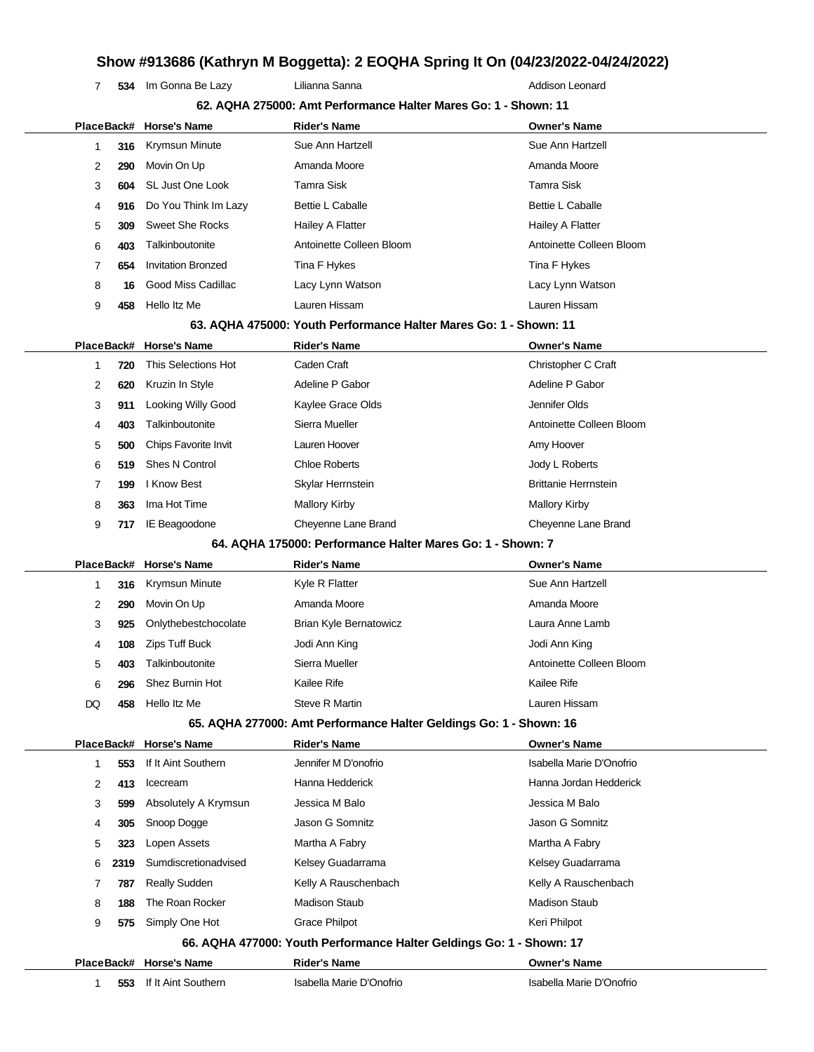**534** Im Gonna Be Lazy **Lilianna Sanna** Alexandre Addison Leonard

|            |      | PlaceBack# Horse's Name   | <b>Rider's Name</b>                                                  | <b>Owner's Name</b>         |
|------------|------|---------------------------|----------------------------------------------------------------------|-----------------------------|
| 1          | 316  | Krymsun Minute            | Sue Ann Hartzell                                                     | Sue Ann Hartzell            |
| 2          | 290  | Movin On Up               | Amanda Moore                                                         | Amanda Moore                |
| 3          | 604  | SL Just One Look          | <b>Tamra Sisk</b>                                                    | <b>Tamra Sisk</b>           |
| 4          | 916  | Do You Think Im Lazy      | <b>Bettie L Caballe</b>                                              | <b>Bettie L Caballe</b>     |
| 5          | 309  | <b>Sweet She Rocks</b>    | Hailey A Flatter                                                     | Hailey A Flatter            |
| 6          | 403  | Talkinboutonite           | Antoinette Colleen Bloom                                             | Antoinette Colleen Bloom    |
| 7          | 654  | <b>Invitation Bronzed</b> | Tina F Hykes                                                         | Tina F Hykes                |
| 8          | 16   | Good Miss Cadillac        | Lacy Lynn Watson                                                     | Lacy Lynn Watson            |
| 9          | 458  | Hello Itz Me              | Lauren Hissam                                                        | Lauren Hissam               |
|            |      |                           | 63. AQHA 475000: Youth Performance Halter Mares Go: 1 - Shown: 11    |                             |
| PlaceBack# |      | <b>Horse's Name</b>       | <b>Rider's Name</b>                                                  | <b>Owner's Name</b>         |
| 1          | 720  | This Selections Hot       | Caden Craft                                                          | Christopher C Craft         |
| 2          | 620  | Kruzin In Style           | Adeline P Gabor                                                      | Adeline P Gabor             |
| 3          | 911  | Looking Willy Good        | Kaylee Grace Olds                                                    | Jennifer Olds               |
| 4          | 403  | Talkinboutonite           | Sierra Mueller                                                       | Antoinette Colleen Bloom    |
| 5          | 500  | Chips Favorite Invit      | Lauren Hoover                                                        | Amy Hoover                  |
| 6          | 519  | Shes N Control            | <b>Chloe Roberts</b>                                                 | Jody L Roberts              |
| 7          | 199  | I Know Best               | Skylar Herrnstein                                                    | <b>Brittanie Herrnstein</b> |
| 8          | 363  | Ima Hot Time              | <b>Mallory Kirby</b>                                                 | <b>Mallory Kirby</b>        |
| 9          | 717  | IE Beagoodone             | Cheyenne Lane Brand                                                  | Cheyenne Lane Brand         |
|            |      |                           | 64. AQHA 175000: Performance Halter Mares Go: 1 - Shown: 7           |                             |
| PlaceBack# |      | <b>Horse's Name</b>       | <b>Rider's Name</b>                                                  | <b>Owner's Name</b>         |
| 1          | 316  | <b>Krymsun Minute</b>     | Kyle R Flatter                                                       | Sue Ann Hartzell            |
| 2          | 290  | Movin On Up               | Amanda Moore                                                         | Amanda Moore                |
| 3          | 925  | Onlythebestchocolate      | Brian Kyle Bernatowicz                                               | Laura Anne Lamb             |
| 4          | 108  | <b>Zips Tuff Buck</b>     | Jodi Ann King                                                        | Jodi Ann King               |
| 5          | 403  | Talkinboutonite           | Sierra Mueller                                                       | Antoinette Colleen Bloom    |
| 6          | 296  | Shez Burnin Hot           | Kailee Rife                                                          | Kailee Rife                 |
| DQ         | 458  | Hello Itz Me              | Steve R Martin                                                       | Lauren Hissam               |
|            |      |                           | 65. AQHA 277000: Amt Performance Halter Geldings Go: 1 - Shown: 16   |                             |
|            |      | PlaceBack# Horse's Name   | <b>Rider's Name</b>                                                  | <b>Owner's Name</b>         |
| 1          | 553  | If It Aint Southern       | Jennifer M D'onofrio                                                 | Isabella Marie D'Onofrio    |
|            | 413  | Icecream                  | Hanna Hedderick                                                      | Hanna Jordan Hedderick      |
| 2          |      |                           |                                                                      |                             |
| 3          | 599  | Absolutely A Krymsun      | Jessica M Balo                                                       | Jessica M Balo              |
| 4          | 305  | Snoop Dogge               | Jason G Somnitz                                                      | Jason G Somnitz             |
| 5          | 323  | Lopen Assets              | Martha A Fabry                                                       | Martha A Fabry              |
| 6          | 2319 | Sumdiscretionadvised      | Kelsey Guadarrama                                                    | Kelsey Guadarrama           |
| 7          | 787  | <b>Really Sudden</b>      | Kelly A Rauschenbach                                                 | Kelly A Rauschenbach        |
| 8          | 188  | The Roan Rocker           | <b>Madison Staub</b>                                                 | <b>Madison Staub</b>        |
| 9          | 575  | Simply One Hot            | <b>Grace Philpot</b>                                                 | Keri Philpot                |
|            |      |                           | 66. AQHA 477000: Youth Performance Halter Geldings Go: 1 - Shown: 17 |                             |
|            |      | PlaceBack# Horse's Name   | <b>Rider's Name</b>                                                  | <b>Owner's Name</b>         |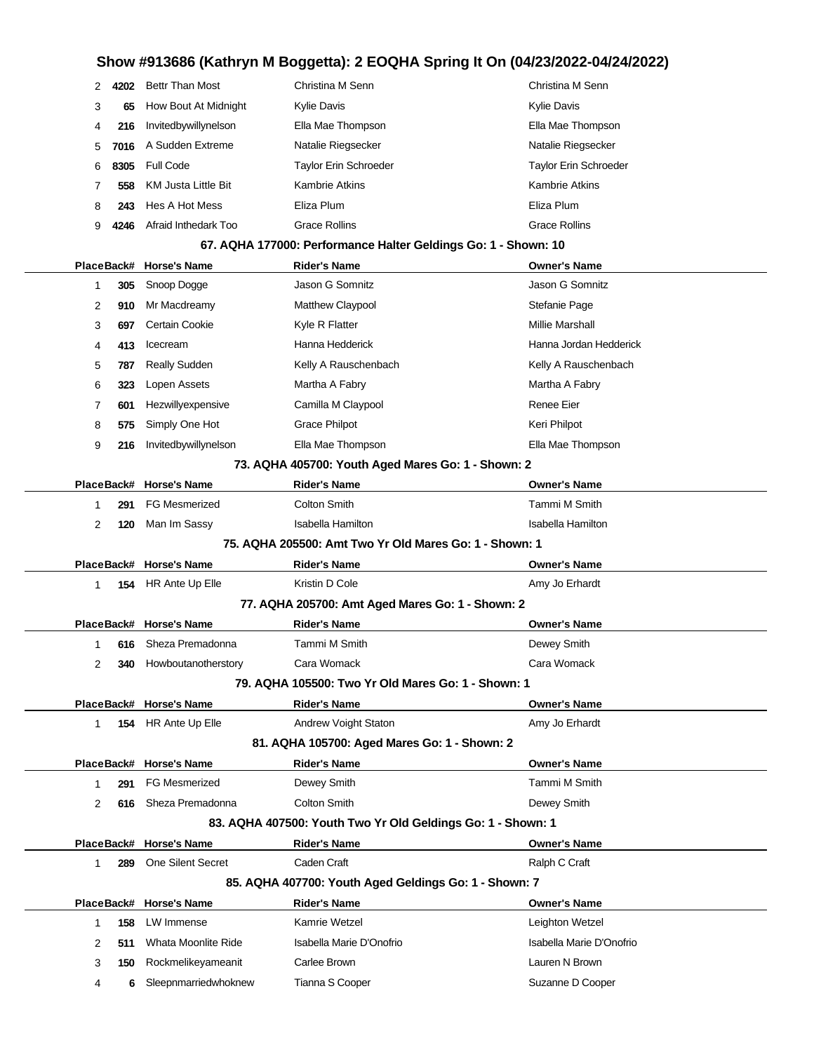| 2  | 4202       | <b>Bettr Than Most</b> | Christina M Senn                                               | Christina M Senn       |
|----|------------|------------------------|----------------------------------------------------------------|------------------------|
| 3  | 65         | How Bout At Midnight   | Kylie Davis                                                    | Kylie Davis            |
| 4  | 216        | Invitedbywillynelson   | Ella Mae Thompson                                              | Ella Mae Thompson      |
| 5. |            | 7016 A Sudden Extreme  | Natalie Riegsecker                                             | Natalie Riegsecker     |
| 6  | 8305       | Full Code              | Taylor Erin Schroeder                                          | Taylor Erin Schroeder  |
|    | 558        | KM Justa Little Bit    | Kambrie Atkins                                                 | <b>Kambrie Atkins</b>  |
| 8  | 243        | Hes A Hot Mess         | Eliza Plum                                                     | Eliza Plum             |
| 9  | 4246       | Afraid Inthedark Too   | Grace Rollins                                                  | <b>Grace Rollins</b>   |
|    |            |                        | 67. AQHA 177000: Performance Halter Geldings Go: 1 - Shown: 10 |                        |
|    | PlaceBack# | <b>Horse's Name</b>    | <b>Rider's Name</b>                                            | <b>Owner's Name</b>    |
|    | 305        | Snoop Dogge            | Jason G Somnitz                                                | Jason G Somnitz        |
| 2  | 910        | Mr Macdreamy           | <b>Matthew Claypool</b>                                        | Stefanie Page          |
| 3  | 697        | <b>Certain Cookie</b>  | Kyle R Flatter                                                 | <b>Millie Marshall</b> |

**413** Icecream **Hanna Hedderick** Hanna Hedderick Hanna Jordan Hedderick 5 787 Really Sudden **Kelly A Rauschenbach** Kelly A Rauschenbach **323** Lopen Assets Martha A Fabry Martha A Fabry **601** Hezwillyexpensive Camilla M Claypool **Camilla M** Claypool **575** Simply One Hot Grace Philpot Grace Philpot

**216** Invitedbywillynelson Ella Mae Thompson Ella Mae Thompson

|                                                        | 73. AQHA 405700: Youth Aged Mares Go: 1 - Shown: 2 |     |                         |                     |                     |  |  |
|--------------------------------------------------------|----------------------------------------------------|-----|-------------------------|---------------------|---------------------|--|--|
|                                                        |                                                    |     | PlaceBack# Horse's Name | <b>Rider's Name</b> | <b>Owner's Name</b> |  |  |
|                                                        |                                                    | 291 | FG Mesmerized           | Colton Smith        | Tammi M Smith       |  |  |
|                                                        | 2                                                  | 120 | Man Im Sassy            | Isabella Hamilton   | Isabella Hamilton   |  |  |
| 75. AQHA 205500: Amt Two Yr Old Mares Go: 1 - Shown: 1 |                                                    |     |                         |                     |                     |  |  |
|                                                        |                                                    |     | PlaceBack# Horse's Name | <b>Rider's Name</b> | <b>Owner's Name</b> |  |  |

| PlaceBack#                                                  |     | <b>Horse's Name</b>      | <b>Rider's Name</b>                                   | <b>Owner's Name</b> |  |  |  |  |
|-------------------------------------------------------------|-----|--------------------------|-------------------------------------------------------|---------------------|--|--|--|--|
| 1.                                                          | 154 | HR Ante Up Elle          | Kristin D Cole                                        | Amy Jo Erhardt      |  |  |  |  |
| 77. AQHA 205700: Amt Aged Mares Go: 1 - Shown: 2            |     |                          |                                                       |                     |  |  |  |  |
|                                                             |     | PlaceBack# Horse's Name  | <b>Rider's Name</b>                                   | <b>Owner's Name</b> |  |  |  |  |
| 1                                                           | 616 | Sheza Premadonna         | Tammi M Smith                                         | Dewey Smith         |  |  |  |  |
| 2                                                           | 340 | Howboutanotherstory      | Cara Womack                                           | Cara Womack         |  |  |  |  |
|                                                             |     |                          | 79. AQHA 105500: Two Yr Old Mares Go: 1 - Shown: 1    |                     |  |  |  |  |
|                                                             |     | PlaceBack# Horse's Name  | <b>Rider's Name</b>                                   | <b>Owner's Name</b> |  |  |  |  |
| 1                                                           | 154 | HR Ante Up Elle          | <b>Andrew Voight Staton</b>                           | Amy Jo Erhardt      |  |  |  |  |
|                                                             |     |                          | 81. AQHA 105700: Aged Mares Go: 1 - Shown: 2          |                     |  |  |  |  |
|                                                             |     | PlaceBack# Horse's Name  | <b>Rider's Name</b>                                   | <b>Owner's Name</b> |  |  |  |  |
| 1                                                           | 291 | <b>FG Mesmerized</b>     | Dewey Smith                                           | Tammi M Smith       |  |  |  |  |
| 2                                                           | 616 | Sheza Premadonna         | Colton Smith                                          | Dewey Smith         |  |  |  |  |
| 83. AQHA 407500: Youth Two Yr Old Geldings Go: 1 - Shown: 1 |     |                          |                                                       |                     |  |  |  |  |
|                                                             |     | PlaceBack# Horse's Name  | <b>Rider's Name</b>                                   | <b>Owner's Name</b> |  |  |  |  |
| 1                                                           | 289 | <b>One Silent Secret</b> | Caden Craft                                           | Ralph C Craft       |  |  |  |  |
|                                                             |     |                          | 85. AQHA 407700: Youth Aged Geldings Go: 1 - Shown: 7 |                     |  |  |  |  |
|                                                             |     | PlaceBack# Horse's Name  | <b>Rider's Name</b>                                   | <b>Owner's Name</b> |  |  |  |  |

 **158** LW Immense Kamrie Wetzel Leighton Wetzel **511** Whata Moonlite Ride Isabella Marie D'Onofrio Isabella Marie D'Onofrio **150** Rockmelikeyameanit Carlee Brown Lauren N Brown **6** Sleepnmarriedwhoknew Tianna S Cooper Suzanne D Cooper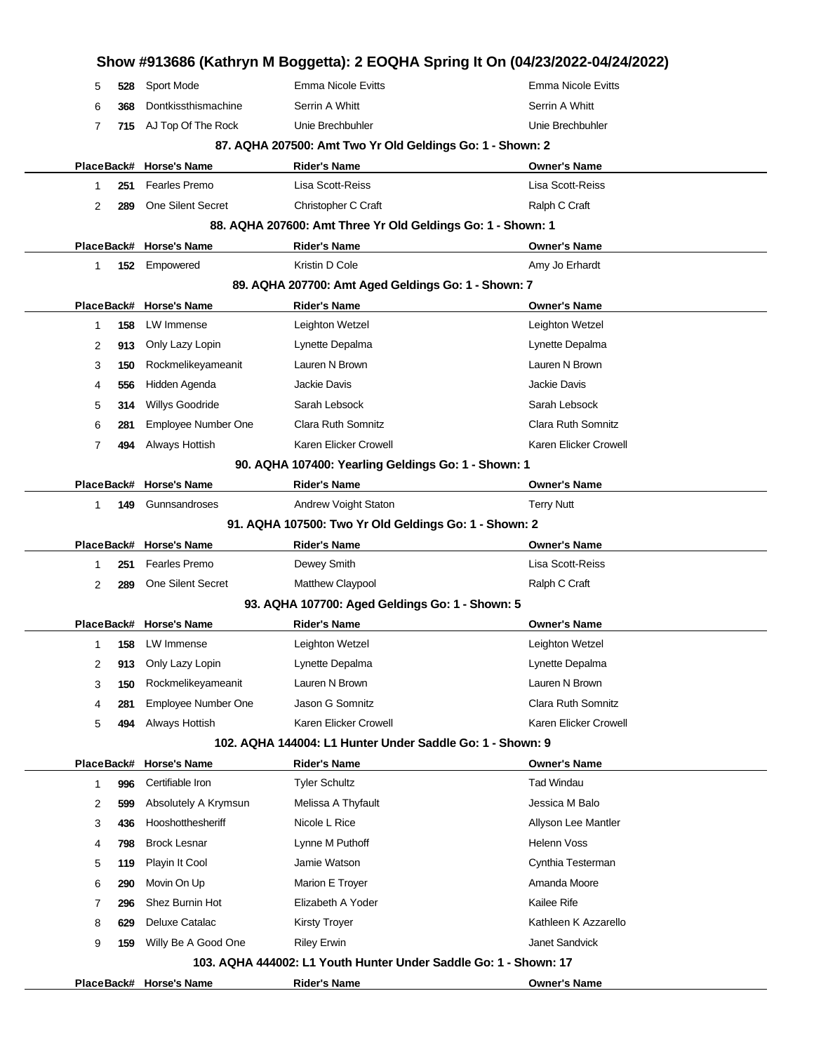|            |     |                          |                                                                  | Show #913686 (Kathryn M Boggetta): 2 EOQHA Spring It On (04/23/2022-04/24/2022) |
|------------|-----|--------------------------|------------------------------------------------------------------|---------------------------------------------------------------------------------|
| 5          | 528 | Sport Mode               | Emma Nicole Evitts                                               | <b>Emma Nicole Evitts</b>                                                       |
| 6          | 368 | Dontkissthismachine      | Serrin A Whitt                                                   | Serrin A Whitt                                                                  |
| 7          | 715 | AJ Top Of The Rock       | Unie Brechbuhler                                                 | Unie Brechbuhler                                                                |
|            |     |                          | 87. AQHA 207500: Amt Two Yr Old Geldings Go: 1 - Shown: 2        |                                                                                 |
| PlaceBack# |     | <b>Horse's Name</b>      | <b>Rider's Name</b>                                              | <b>Owner's Name</b>                                                             |
| 1          | 251 | Fearles Premo            | Lisa Scott-Reiss                                                 | Lisa Scott-Reiss                                                                |
| 2          | 289 | <b>One Silent Secret</b> | Christopher C Craft                                              | Ralph C Craft                                                                   |
|            |     |                          | 88. AQHA 207600: Amt Three Yr Old Geldings Go: 1 - Shown: 1      |                                                                                 |
|            |     | PlaceBack# Horse's Name  | <b>Rider's Name</b>                                              | <b>Owner's Name</b>                                                             |
| 1.         | 152 | Empowered                | Kristin D Cole                                                   | Amy Jo Erhardt                                                                  |
|            |     |                          | 89. AQHA 207700: Amt Aged Geldings Go: 1 - Shown: 7              |                                                                                 |
|            |     | PlaceBack# Horse's Name  | <b>Rider's Name</b>                                              | <b>Owner's Name</b>                                                             |
| 1          | 158 | LW Immense               | Leighton Wetzel                                                  | Leighton Wetzel                                                                 |
| 2          | 913 | Only Lazy Lopin          | Lynette Depalma                                                  | Lynette Depalma                                                                 |
| 3          | 150 | Rockmelikeyameanit       | Lauren N Brown                                                   | Lauren N Brown                                                                  |
| 4          | 556 | Hidden Agenda            | Jackie Davis                                                     | <b>Jackie Davis</b>                                                             |
| 5          | 314 | Willys Goodride          | Sarah Lebsock                                                    | Sarah Lebsock                                                                   |
| 6          | 281 | Employee Number One      | Clara Ruth Somnitz                                               | Clara Ruth Somnitz                                                              |
| 7          | 494 | Always Hottish           | Karen Elicker Crowell                                            | Karen Elicker Crowell                                                           |
|            |     |                          | 90. AQHA 107400: Yearling Geldings Go: 1 - Shown: 1              |                                                                                 |
| PlaceBack# |     | <b>Horse's Name</b>      | <b>Rider's Name</b>                                              | <b>Owner's Name</b>                                                             |
| 1.         | 149 | Gunnsandroses            | Andrew Voight Staton                                             | <b>Terry Nutt</b>                                                               |
|            |     |                          | 91. AQHA 107500: Two Yr Old Geldings Go: 1 - Shown: 2            |                                                                                 |
|            |     | PlaceBack# Horse's Name  | <b>Rider's Name</b>                                              | <b>Owner's Name</b>                                                             |
| 1          | 251 | Fearles Premo            | Dewey Smith                                                      | Lisa Scott-Reiss                                                                |
| 2          | 289 | <b>One Silent Secret</b> | Matthew Claypool                                                 | Ralph C Craft                                                                   |
|            |     |                          | 93. AQHA 107700: Aged Geldings Go: 1 - Shown: 5                  |                                                                                 |
|            |     | PlaceBack# Horse's Name  | <b>Rider's Name</b>                                              | <b>Owner's Name</b>                                                             |
| 1          | 158 | LW Immense               | Leighton Wetzel                                                  | Leighton Wetzel                                                                 |
| 2          | 913 | Only Lazy Lopin          | Lynette Depalma                                                  | Lynette Depalma                                                                 |
| 3          | 150 | Rockmelikeyameanit       | Lauren N Brown                                                   | Lauren N Brown                                                                  |
| 4          | 281 | Employee Number One      | Jason G Somnitz                                                  | Clara Ruth Somnitz                                                              |
| 5          | 494 | Always Hottish           | Karen Elicker Crowell                                            | Karen Elicker Crowell                                                           |
|            |     |                          | 102. AQHA 144004: L1 Hunter Under Saddle Go: 1 - Shown: 9        |                                                                                 |
| PlaceBack# |     | <b>Horse's Name</b>      | <b>Rider's Name</b>                                              | <b>Owner's Name</b>                                                             |
| 1          | 996 | Certifiable Iron         | <b>Tyler Schultz</b>                                             | <b>Tad Windau</b>                                                               |
| 2          | 599 | Absolutely A Krymsun     | Melissa A Thyfault                                               | Jessica M Balo                                                                  |
| 3          | 436 | Hooshotthesheriff        | Nicole L Rice                                                    | Allyson Lee Mantler                                                             |
| 4          | 798 | <b>Brock Lesnar</b>      | Lynne M Puthoff                                                  | <b>Helenn Voss</b>                                                              |
| 5          | 119 | Playin It Cool           | Jamie Watson                                                     | Cynthia Testerman                                                               |
| 6          | 290 | Movin On Up              | Marion E Troyer                                                  | Amanda Moore                                                                    |
| 7          | 296 | Shez Burnin Hot          | Elizabeth A Yoder                                                | <b>Kailee Rife</b>                                                              |
| 8          | 629 | Deluxe Catalac           | <b>Kirsty Troyer</b>                                             | Kathleen K Azzarello                                                            |
| 9          | 159 | Willy Be A Good One      | <b>Riley Erwin</b>                                               | Janet Sandvick                                                                  |
|            |     |                          | 103. AQHA 444002: L1 Youth Hunter Under Saddle Go: 1 - Shown: 17 |                                                                                 |
|            |     | PlaceBack# Horse's Name  | <b>Rider's Name</b>                                              | <b>Owner's Name</b>                                                             |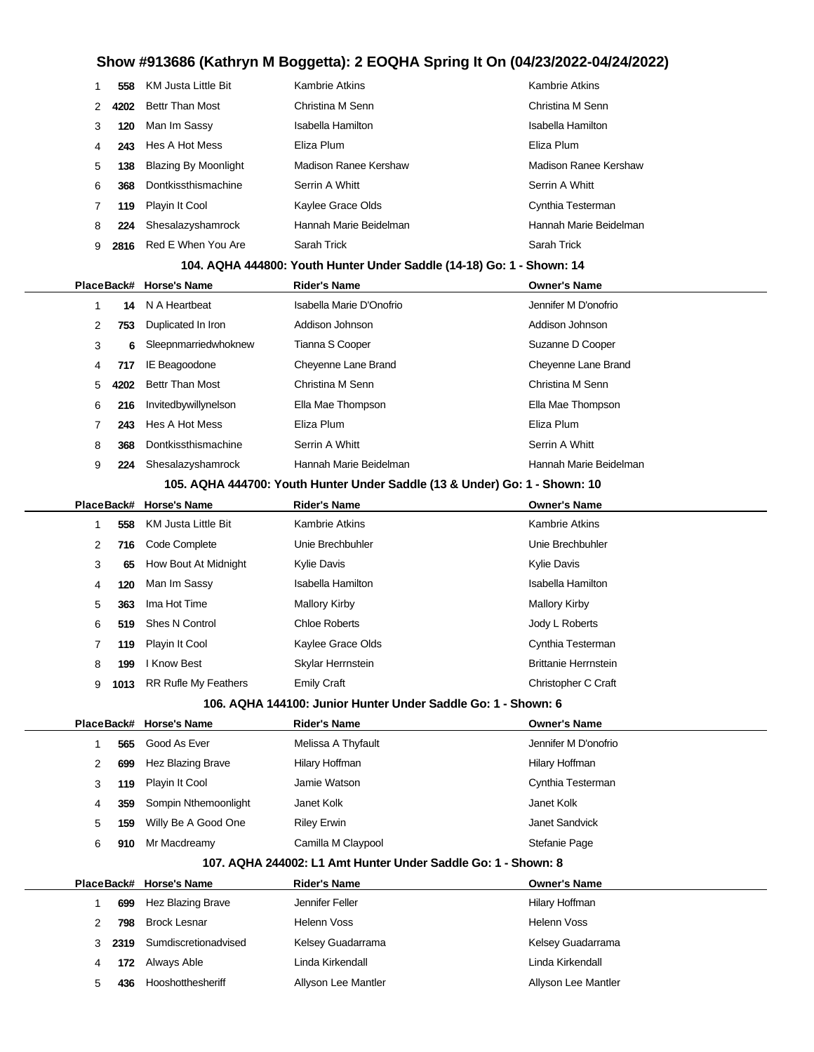| 1 | 558  | KM Justa Little Bit              | Kambrie Atkins                                                             | <b>Kambrie Atkins</b>        |  |  |  |  |
|---|------|----------------------------------|----------------------------------------------------------------------------|------------------------------|--|--|--|--|
| 2 | 4202 | <b>Bettr Than Most</b>           | Christina M Senn                                                           | Christina M Senn             |  |  |  |  |
| 3 | 120  | Man Im Sassy                     | Isabella Hamilton                                                          | Isabella Hamilton            |  |  |  |  |
| 4 | 243  | Hes A Hot Mess                   | Eliza Plum                                                                 | Eliza Plum                   |  |  |  |  |
| 5 | 138  | <b>Blazing By Moonlight</b>      | <b>Madison Ranee Kershaw</b>                                               | <b>Madison Ranee Kershaw</b> |  |  |  |  |
| 6 | 368  | Dontkissthismachine              | Serrin A Whitt                                                             | Serrin A Whitt               |  |  |  |  |
| 7 | 119  | Playin It Cool                   | Kaylee Grace Olds                                                          | Cynthia Testerman            |  |  |  |  |
| 8 | 224  | Shesalazyshamrock                | Hannah Marie Beidelman                                                     | Hannah Marie Beidelman       |  |  |  |  |
| 9 | 2816 | Red E When You Are               | Sarah Trick                                                                | Sarah Trick                  |  |  |  |  |
|   |      |                                  | 104. AQHA 444800: Youth Hunter Under Saddle (14-18) Go: 1 - Shown: 14      |                              |  |  |  |  |
|   |      | PlaceBack# Horse's Name          | <b>Rider's Name</b>                                                        | <b>Owner's Name</b>          |  |  |  |  |
| 1 | 14   | N A Heartbeat                    | Isabella Marie D'Onofrio                                                   | Jennifer M D'onofrio         |  |  |  |  |
| 2 | 753  | Duplicated In Iron               | Addison Johnson                                                            | Addison Johnson              |  |  |  |  |
| 3 | 6    | Sleepnmarriedwhoknew             | Tianna S Cooper                                                            | Suzanne D Cooper             |  |  |  |  |
| 4 | 717  | IE Beagoodone                    | Cheyenne Lane Brand                                                        | Cheyenne Lane Brand          |  |  |  |  |
| 5 | 4202 | <b>Bettr Than Most</b>           | Christina M Senn                                                           | Christina M Senn             |  |  |  |  |
| 6 | 216  | Invitedbywillynelson             | Ella Mae Thompson                                                          | Ella Mae Thompson            |  |  |  |  |
| 7 | 243  | Hes A Hot Mess                   | Eliza Plum                                                                 | Eliza Plum                   |  |  |  |  |
| 8 | 368  | Dontkissthismachine              | Serrin A Whitt                                                             | Serrin A Whitt               |  |  |  |  |
| 9 | 224  | Shesalazyshamrock                | Hannah Marie Beidelman                                                     | Hannah Marie Beidelman       |  |  |  |  |
|   |      |                                  | 105. AQHA 444700: Youth Hunter Under Saddle (13 & Under) Go: 1 - Shown: 10 |                              |  |  |  |  |
|   |      | PlaceBack# Horse's Name          | <b>Rider's Name</b>                                                        | <b>Owner's Name</b>          |  |  |  |  |
| 1 | 558  | KM Justa Little Bit              | Kambrie Atkins                                                             | <b>Kambrie Atkins</b>        |  |  |  |  |
| 2 | 716  | Code Complete                    | Unie Brechbuhler                                                           | Unie Brechbuhler             |  |  |  |  |
| 3 | 65   | How Bout At Midnight             | Kylie Davis                                                                | <b>Kylie Davis</b>           |  |  |  |  |
| 4 | 120  | Man Im Sassy                     | <b>Isabella Hamilton</b>                                                   | <b>Isabella Hamilton</b>     |  |  |  |  |
| 5 | 363  | Ima Hot Time                     | <b>Mallory Kirby</b>                                                       | <b>Mallory Kirby</b>         |  |  |  |  |
| 6 | 519  | <b>Shes N Control</b>            | <b>Chloe Roberts</b>                                                       | Jody L Roberts               |  |  |  |  |
| 7 | 119  | Playin It Cool                   | Kaylee Grace Olds                                                          | Cynthia Testerman            |  |  |  |  |
| 8 | 199  | I Know Best                      | Skylar Herrnstein                                                          | <b>Brittanie Herrnstein</b>  |  |  |  |  |
| 9 |      | <b>1013</b> RR Rufle My Feathers | Emily Craft                                                                | Christopher C Craft          |  |  |  |  |
|   |      |                                  | 106. AQHA 144100: Junior Hunter Under Saddle Go: 1 - Shown: 6              |                              |  |  |  |  |
|   |      | PlaceBack# Horse's Name          | <b>Rider's Name</b>                                                        | <b>Owner's Name</b>          |  |  |  |  |
| 1 | 565  | Good As Ever                     | Melissa A Thyfault                                                         | Jennifer M D'onofrio         |  |  |  |  |
| 2 | 699  | Hez Blazing Brave                | Hilary Hoffman                                                             | Hilary Hoffman               |  |  |  |  |
| 3 | 119  | Playin It Cool                   | Jamie Watson                                                               | Cynthia Testerman            |  |  |  |  |
| 4 | 359  | Sompin Nthemoonlight             | Janet Kolk                                                                 | Janet Kolk                   |  |  |  |  |
| 5 | 159  | Willy Be A Good One              | <b>Riley Erwin</b>                                                         | Janet Sandvick               |  |  |  |  |
| 6 | 910  | Mr Macdreamy                     | Camilla M Claypool                                                         | Stefanie Page                |  |  |  |  |
|   |      |                                  | 107. AQHA 244002: L1 Amt Hunter Under Saddle Go: 1 - Shown: 8              |                              |  |  |  |  |
|   |      | PlaceBack# Horse's Name          | Rider's Name                                                               | <b>Owner's Name</b>          |  |  |  |  |
| 1 | 699  | Hez Blazing Brave                | Jennifer Feller                                                            | Hilary Hoffman               |  |  |  |  |
| 2 | 798  | <b>Brock Lesnar</b>              | Helenn Voss                                                                | Helenn Voss                  |  |  |  |  |
| 3 | 2319 | Sumdiscretionadvised             | Kelsey Guadarrama                                                          | Kelsey Guadarrama            |  |  |  |  |
| 4 | 172  | Always Able                      | Linda Kirkendall                                                           | Linda Kirkendall             |  |  |  |  |
| 5 | 436  | Hooshotthesheriff                | Allyson Lee Mantler                                                        | Allyson Lee Mantler          |  |  |  |  |
|   |      |                                  |                                                                            |                              |  |  |  |  |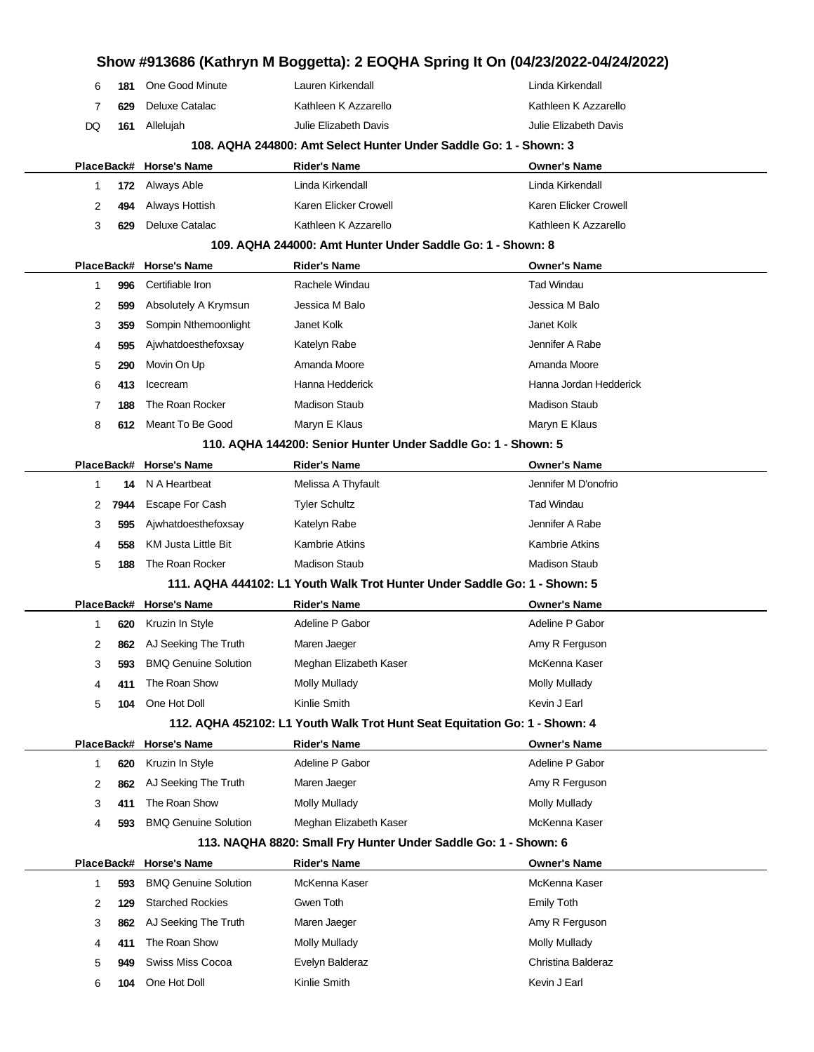|            |      |                             |                                                                   | Show #913686 (Kathryn M Boggetta): 2 EOQHA Spring It On (04/23/2022-04/24/2022) |
|------------|------|-----------------------------|-------------------------------------------------------------------|---------------------------------------------------------------------------------|
| 6          | 181  | One Good Minute             | Lauren Kirkendall                                                 | Linda Kirkendall                                                                |
| 7          | 629  | Deluxe Catalac              | Kathleen K Azzarello                                              | Kathleen K Azzarello                                                            |
| DQ         | 161  | Allelujah                   | Julie Elizabeth Davis                                             | Julie Elizabeth Davis                                                           |
|            |      |                             | 108. AQHA 244800: Amt Select Hunter Under Saddle Go: 1 - Shown: 3 |                                                                                 |
| PlaceBack# |      | <b>Horse's Name</b>         | <b>Rider's Name</b>                                               | Owner's Name                                                                    |
| 1          | 172  | Always Able                 | Linda Kirkendall                                                  | Linda Kirkendall                                                                |
| 2          | 494  | Always Hottish              | Karen Elicker Crowell                                             | Karen Elicker Crowell                                                           |
| 3          | 629  | <b>Deluxe Catalac</b>       | Kathleen K Azzarello                                              | Kathleen K Azzarello                                                            |
|            |      |                             | 109. AQHA 244000: Amt Hunter Under Saddle Go: 1 - Shown: 8        |                                                                                 |
| PlaceBack# |      | <b>Horse's Name</b>         | <b>Rider's Name</b>                                               | <b>Owner's Name</b>                                                             |
| 1          | 996  | Certifiable Iron            | Rachele Windau                                                    | Tad Windau                                                                      |
| 2          | 599  | Absolutely A Krymsun        | Jessica M Balo                                                    | Jessica M Balo                                                                  |
| 3          | 359  | Sompin Nthemoonlight        | Janet Kolk                                                        | Janet Kolk                                                                      |
| 4          | 595  | Ajwhatdoesthefoxsay         | Katelyn Rabe                                                      | Jennifer A Rabe                                                                 |
| 5          | 290  | Movin On Up                 | Amanda Moore                                                      | Amanda Moore                                                                    |
| 6          | 413  | Icecream                    | Hanna Hedderick                                                   | Hanna Jordan Hedderick                                                          |
| 7          | 188  | The Roan Rocker             | <b>Madison Staub</b>                                              | <b>Madison Staub</b>                                                            |
| 8          | 612  | Meant To Be Good            | Maryn E Klaus                                                     | Maryn E Klaus                                                                   |
|            |      |                             | 110. AQHA 144200: Senior Hunter Under Saddle Go: 1 - Shown: 5     |                                                                                 |
|            |      | PlaceBack# Horse's Name     | <b>Rider's Name</b>                                               | <b>Owner's Name</b>                                                             |
| 1          | 14   | N A Heartbeat               | Melissa A Thyfault                                                | Jennifer M D'onofrio                                                            |
| 2          | 7944 | <b>Escape For Cash</b>      | <b>Tyler Schultz</b>                                              | <b>Tad Windau</b>                                                               |
| 3          | 595  | Ajwhatdoesthefoxsay         | Katelyn Rabe                                                      | Jennifer A Rabe                                                                 |
| 4          | 558  | <b>KM Justa Little Bit</b>  | <b>Kambrie Atkins</b>                                             | <b>Kambrie Atkins</b>                                                           |
| 5          | 188  | The Roan Rocker             | <b>Madison Staub</b>                                              | <b>Madison Staub</b>                                                            |
|            |      |                             |                                                                   | 111. AQHA 444102: L1 Youth Walk Trot Hunter Under Saddle Go: 1 - Shown: 5       |
| PlaceBack# |      | <b>Horse's Name</b>         | Rider's Name                                                      | Owner's Name                                                                    |
| 1          | 620  | Kruzin In Style             | Adeline P Gabor                                                   | Adeline P Gabor                                                                 |
| 2          | 862  | AJ Seeking The Truth        | Maren Jaeger                                                      | Amy R Ferguson                                                                  |
| 3          | 593  | <b>BMQ Genuine Solution</b> | Meghan Elizabeth Kaser                                            | McKenna Kaser                                                                   |
| 4          | 411  | The Roan Show               | <b>Molly Mullady</b>                                              | <b>Molly Mullady</b>                                                            |
| 5          | 104  | One Hot Doll                | Kinlie Smith                                                      | Kevin J Earl                                                                    |
|            |      |                             |                                                                   | 112. AQHA 452102: L1 Youth Walk Trot Hunt Seat Equitation Go: 1 - Shown: 4      |
| PlaceBack# |      | <b>Horse's Name</b>         | <b>Rider's Name</b>                                               | <b>Owner's Name</b>                                                             |
| 1          | 620  | Kruzin In Style             | Adeline P Gabor                                                   | Adeline P Gabor                                                                 |
| 2          | 862  | AJ Seeking The Truth        | Maren Jaeger                                                      | Amy R Ferguson                                                                  |
| 3          | 411  | The Roan Show               | <b>Molly Mullady</b>                                              | Molly Mullady                                                                   |
| 4          | 593  | <b>BMQ Genuine Solution</b> | Meghan Elizabeth Kaser                                            | McKenna Kaser                                                                   |
|            |      |                             | 113. NAQHA 8820: Small Fry Hunter Under Saddle Go: 1 - Shown: 6   |                                                                                 |
| PlaceBack# |      | <b>Horse's Name</b>         | <b>Rider's Name</b>                                               | <b>Owner's Name</b>                                                             |
| 1          | 593  | <b>BMQ Genuine Solution</b> | McKenna Kaser                                                     | McKenna Kaser                                                                   |
| 2          | 129  | <b>Starched Rockies</b>     | Gwen Toth                                                         | <b>Emily Toth</b>                                                               |
| 3          | 862  | AJ Seeking The Truth        | Maren Jaeger                                                      | Amy R Ferguson                                                                  |
| 4          | 411  | The Roan Show               | <b>Molly Mullady</b>                                              | Molly Mullady                                                                   |
| 5          | 949  | Swiss Miss Cocoa            | Evelyn Balderaz                                                   | Christina Balderaz                                                              |
| 6          | 104  | One Hot Doll                | Kinlie Smith                                                      | Kevin J Earl                                                                    |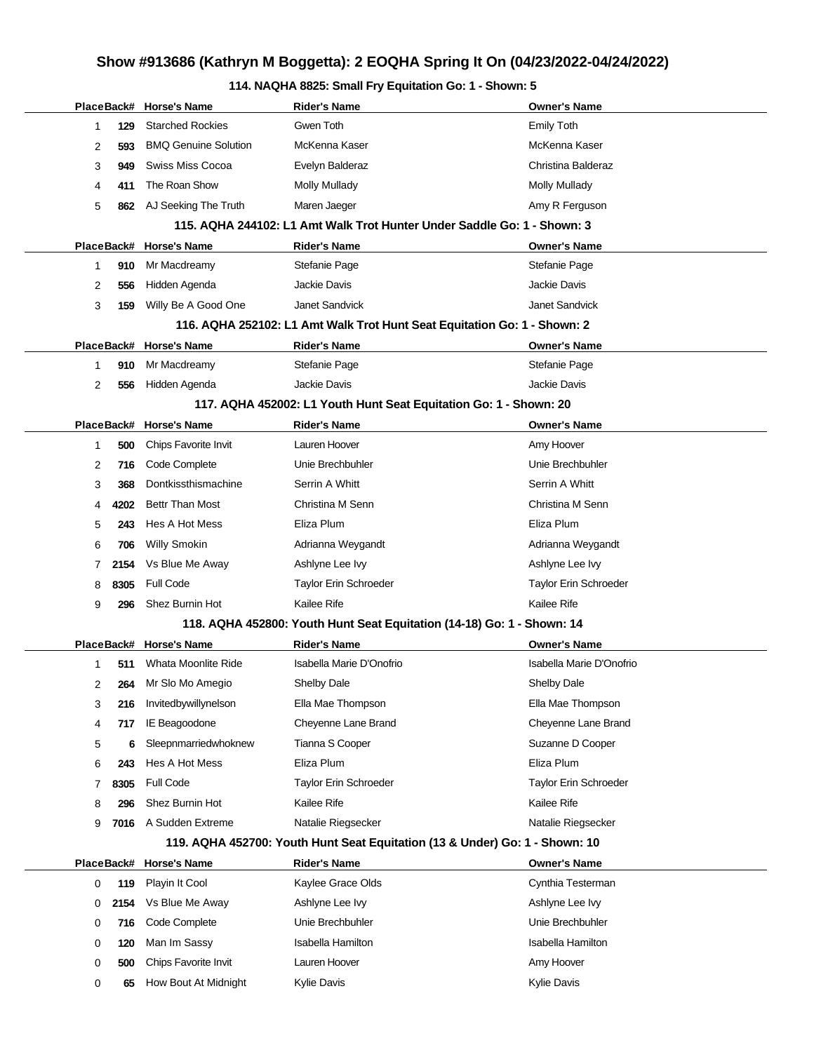## **114. NAQHA 8825: Small Fry Equitation Go: 1 - Shown: 5**

|            |      | PlaceBack# Horse's Name     | <b>Rider's Name</b>                                                         | Owner's Name             |
|------------|------|-----------------------------|-----------------------------------------------------------------------------|--------------------------|
| 1          | 129  | <b>Starched Rockies</b>     | Gwen Toth                                                                   | <b>Emily Toth</b>        |
| 2          | 593  | <b>BMQ Genuine Solution</b> | McKenna Kaser                                                               | McKenna Kaser            |
| 3          | 949  | Swiss Miss Cocoa            | Evelyn Balderaz                                                             | Christina Balderaz       |
| 4          | 411  | The Roan Show               | <b>Molly Mullady</b>                                                        | Molly Mullady            |
| 5          | 862  | AJ Seeking The Truth        | Maren Jaeger                                                                | Amy R Ferguson           |
|            |      |                             | 115. AQHA 244102: L1 Amt Walk Trot Hunter Under Saddle Go: 1 - Shown: 3     |                          |
| PlaceBack# |      | <b>Horse's Name</b>         | Rider's Name                                                                | Owner's Name             |
| 1          | 910  | Mr Macdreamy                | Stefanie Page                                                               | Stefanie Page            |
| 2          | 556  | Hidden Agenda               | <b>Jackie Davis</b>                                                         | Jackie Davis             |
| 3          | 159  | Willy Be A Good One         | Janet Sandvick                                                              | Janet Sandvick           |
|            |      |                             | 116. AQHA 252102: L1 Amt Walk Trot Hunt Seat Equitation Go: 1 - Shown: 2    |                          |
| PlaceBack# |      | <b>Horse's Name</b>         | <b>Rider's Name</b>                                                         | Owner's Name             |
| 1          | 910  | Mr Macdreamy                | Stefanie Page                                                               | Stefanie Page            |
| 2          | 556  | Hidden Agenda               | <b>Jackie Davis</b>                                                         | Jackie Davis             |
|            |      |                             | 117. AQHA 452002: L1 Youth Hunt Seat Equitation Go: 1 - Shown: 20           |                          |
| PlaceBack# |      | <b>Horse's Name</b>         | <b>Rider's Name</b>                                                         | <b>Owner's Name</b>      |
| 1          | 500  | Chips Favorite Invit        | Lauren Hoover                                                               | Amy Hoover               |
| 2          | 716  | Code Complete               | Unie Brechbuhler                                                            | Unie Brechbuhler         |
| 3          | 368  | Dontkissthismachine         | Serrin A Whitt                                                              | Serrin A Whitt           |
| 4          | 4202 | <b>Bettr Than Most</b>      | Christina M Senn                                                            | Christina M Senn         |
| 5          | 243  | Hes A Hot Mess              | Eliza Plum                                                                  | Eliza Plum               |
| 6          | 706  | <b>Willy Smokin</b>         | Adrianna Weygandt                                                           | Adrianna Weygandt        |
| 7          | 2154 | Vs Blue Me Away             | Ashlyne Lee Ivy                                                             | Ashlyne Lee Ivy          |
| 8          | 8305 | <b>Full Code</b>            | Taylor Erin Schroeder                                                       | Taylor Erin Schroeder    |
| 9          | 296  | Shez Burnin Hot             | Kailee Rife                                                                 | Kailee Rife              |
|            |      |                             | 118. AQHA 452800: Youth Hunt Seat Equitation (14-18) Go: 1 - Shown: 14      |                          |
| PlaceBack# |      | <b>Horse's Name</b>         | Rider's Name                                                                | <b>Owner's Name</b>      |
| 1          | 511  | Whata Moonlite Ride         | Isabella Marie D'Onofrio                                                    | Isabella Marie D'Onofrio |
| 2          | 264  | Mr Slo Mo Amegio            | Shelby Dale                                                                 | Shelby Dale              |
| 3          | 216  | Invitedbywillynelson        | Ella Mae Thompson                                                           | Ella Mae Thompson        |
| 4          | 717  | IE Beagoodone               | Cheyenne Lane Brand                                                         | Cheyenne Lane Brand      |
| 5          | 6    | Sleepnmarriedwhoknew        | Tianna S Cooper                                                             | Suzanne D Cooper         |
| 6          | 243  | Hes A Hot Mess              | Eliza Plum                                                                  | Eliza Plum               |
| 7          | 8305 | Full Code                   | Taylor Erin Schroeder                                                       | Taylor Erin Schroeder    |
| 8          | 296  | Shez Burnin Hot             | Kailee Rife                                                                 | Kailee Rife              |
| 9          | 7016 | A Sudden Extreme            | Natalie Riegsecker                                                          | Natalie Riegsecker       |
|            |      |                             | 119. AQHA 452700: Youth Hunt Seat Equitation (13 & Under) Go: 1 - Shown: 10 |                          |
| PlaceBack# |      | <b>Horse's Name</b>         | <b>Rider's Name</b>                                                         | <b>Owner's Name</b>      |
| 0          | 119  | Playin It Cool              | Kaylee Grace Olds                                                           | Cynthia Testerman        |
| 0          | 2154 | Vs Blue Me Away             | Ashlyne Lee Ivy                                                             | Ashlyne Lee Ivy          |
| 0          | 716  | Code Complete               | Unie Brechbuhler                                                            | Unie Brechbuhler         |
| 0          | 120  | Man Im Sassy                | <b>Isabella Hamilton</b>                                                    | <b>Isabella Hamilton</b> |
| 0          | 500  | Chips Favorite Invit        | Lauren Hoover                                                               | Amy Hoover               |
| 0          | 65   | How Bout At Midnight        | Kylie Davis                                                                 | Kylie Davis              |
|            |      |                             |                                                                             |                          |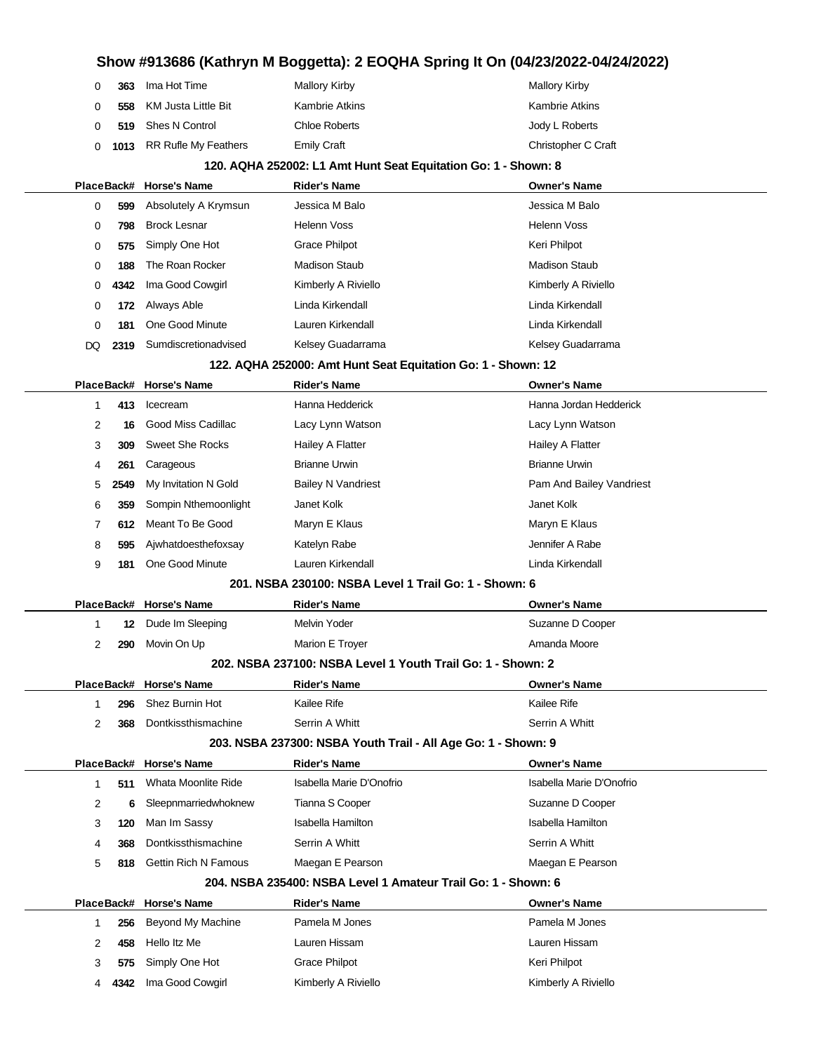| 363 | Ima Hot Time                | Mallory Kirby      | Mallory Kirby       |
|-----|-----------------------------|--------------------|---------------------|
| 558 | KM Justa Little Bit         | Kambrie Atkins     | Kambrie Atkins      |
|     | 519 Shes N Control          | Chloe Roberts      | Jody L Roberts      |
|     | 0 1013 RR Rufle My Feathers | <b>Emily Craft</b> | Christopher C Craft |

#### **120. AQHA 252002: L1 Amt Hunt Seat Equitation Go: 1 - Shown: 8**

|                                                              |      | PlaceBack# Horse's Name | <b>Rider's Name</b>  | <b>Owner's Name</b>  |  |  |
|--------------------------------------------------------------|------|-------------------------|----------------------|----------------------|--|--|
| 0                                                            | 599  | Absolutely A Krymsun    | Jessica M Balo       | Jessica M Balo       |  |  |
| 0                                                            | 798  | <b>Brock Lesnar</b>     | Helenn Voss          | Helenn Voss          |  |  |
| 0                                                            | 575  | Simply One Hot          | <b>Grace Philpot</b> | Keri Philpot         |  |  |
| 0                                                            | 188  | The Roan Rocker         | <b>Madison Staub</b> | <b>Madison Staub</b> |  |  |
| 0                                                            | 4342 | Ima Good Cowgirl        | Kimberly A Riviello  | Kimberly A Riviello  |  |  |
| $\mathbf 0$                                                  | 172  | Always Able             | Linda Kirkendall     | Linda Kirkendall     |  |  |
| $\Omega$                                                     | 181  | One Good Minute         | Lauren Kirkendall    | Linda Kirkendall     |  |  |
| DQ.                                                          | 2319 | Sumdiscretionadvised    | Kelsey Guadarrama    | Kelsey Guadarrama    |  |  |
| 122. AQHA 252000: Amt Hunt Seat Equitation Go: 1 - Shown: 12 |      |                         |                      |                      |  |  |
|                                                              |      |                         |                      |                      |  |  |

|   |      | PlaceBack# Horse's Name | <b>Rider's Name</b>       | <b>Owner's Name</b>      |
|---|------|-------------------------|---------------------------|--------------------------|
|   | 413  | Icecream                | Hanna Hedderick           | Hanna Jordan Hedderick   |
| 2 | 16   | Good Miss Cadillac      | Lacy Lynn Watson          | Lacy Lynn Watson         |
| 3 | 309  | Sweet She Rocks         | Hailey A Flatter          | Hailey A Flatter         |
| 4 | 261  | Carageous               | <b>Brianne Urwin</b>      | <b>Brianne Urwin</b>     |
| 5 | 2549 | My Invitation N Gold    | <b>Bailey N Vandriest</b> | Pam And Bailey Vandriest |
| 6 | 359  | Sompin Nthemoonlight    | Janet Kolk                | Janet Kolk               |
|   | 612  | Meant To Be Good        | Maryn E Klaus             | Maryn E Klaus            |
| 8 | 595  | Ajwhatdoesthefoxsay     | Katelyn Rabe              | Jennifer A Rabe          |
| 9 | 181  | One Good Minute         | Lauren Kirkendall         | Linda Kirkendall         |

#### **201. NSBA 230100: NSBA Level 1 Trail Go: 1 - Shown: 6**

|                                                             |            | PlaceBack# Horse's Name | <b>Rider's Name</b> | <b>Owner's Name</b> |  |  |  |
|-------------------------------------------------------------|------------|-------------------------|---------------------|---------------------|--|--|--|
|                                                             | 12         | Dude Im Sleeping        | Melvin Yoder        | Suzanne D Cooper    |  |  |  |
|                                                             | <b>290</b> | Movin On Up             | Marion E Troyer     | Amanda Moore        |  |  |  |
| 202. NSBA 237100: NSBA Level 1 Youth Trail Go: 1 - Shown: 2 |            |                         |                     |                     |  |  |  |
|                                                             |            | PlaceBack# Horse's Name | <b>Rider's Name</b> | <b>Owner's Name</b> |  |  |  |

|            | 296  | Shez Burnin Hot             | Kailee Rife                                                   | Kailee Rife              |
|------------|------|-----------------------------|---------------------------------------------------------------|--------------------------|
| 2          | 368  | Dontkissthismachine         | Serrin A Whitt                                                | Serrin A Whitt           |
|            |      |                             | 203. NSBA 237300: NSBA Youth Trail - All Age Go: 1 - Shown: 9 |                          |
|            |      | PlaceBack# Horse's Name     | <b>Rider's Name</b>                                           | <b>Owner's Name</b>      |
| 1          | 511  | Whata Moonlite Ride         | Isabella Marie D'Onofrio                                      | Isabella Marie D'Onofrio |
| 2          | 6    | Sleepnmarriedwhoknew        | Tianna S Cooper                                               | Suzanne D Cooper         |
| 3          | 120  | Man Im Sassy                | Isabella Hamilton                                             | Isabella Hamilton        |
| 4          | 368  | Dontkissthismachine         | Serrin A Whitt                                                | Serrin A Whitt           |
| 5          | 818  | <b>Gettin Rich N Famous</b> | Maegan E Pearson                                              | Maegan E Pearson         |
|            |      |                             | 204, NSBA 235400: NSBA Level 1 Amateur Trail Go: 1 - Shown: 6 |                          |
| PlaceBack# |      | <b>Horse's Name</b>         | <b>Rider's Name</b>                                           | <b>Owner's Name</b>      |
|            | 256  | Beyond My Machine           | Pamela M Jones                                                | Pamela M Jones           |
| 2          | 458  | Hello Itz Me                | Lauren Hissam                                                 | Lauren Hissam            |
| 3          | 575  | Simply One Hot              | Grace Philpot                                                 | Keri Philpot             |
|            | 4342 | Ima Good Cowgirl            | Kimberly A Riviello                                           | Kimberly A Riviello      |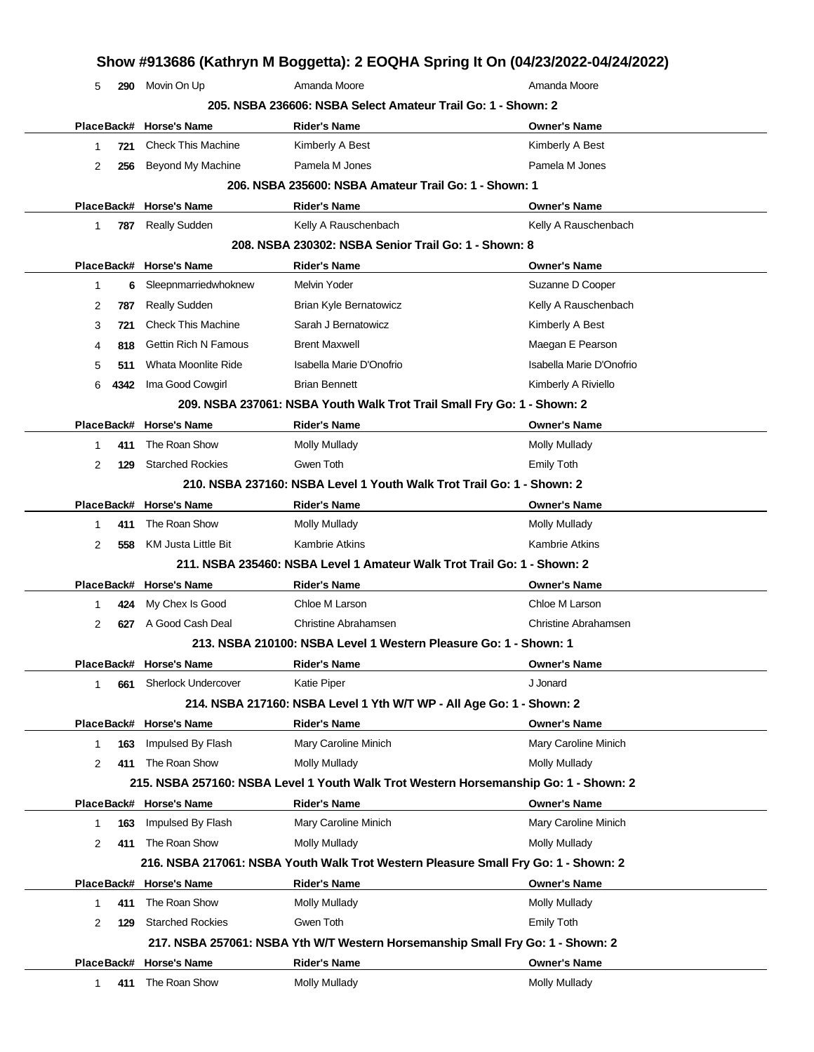|                |      |                             |                                                                         | Show #913686 (Kathryn M Boggetta): 2 EOQHA Spring It On (04/23/2022-04/24/2022)      |
|----------------|------|-----------------------------|-------------------------------------------------------------------------|--------------------------------------------------------------------------------------|
| 5              | 290  | Movin On Up                 | Amanda Moore                                                            | Amanda Moore                                                                         |
|                |      |                             | 205, NSBA 236606: NSBA Select Amateur Trail Go: 1 - Shown: 2            |                                                                                      |
|                |      | PlaceBack# Horse's Name     | <b>Rider's Name</b>                                                     | <b>Owner's Name</b>                                                                  |
| 1              | 721  | <b>Check This Machine</b>   | Kimberly A Best                                                         | Kimberly A Best                                                                      |
| 2              | 256  | Beyond My Machine           | Pamela M Jones                                                          | Pamela M Jones                                                                       |
|                |      |                             | 206, NSBA 235600: NSBA Amateur Trail Go: 1 - Shown: 1                   |                                                                                      |
|                |      | PlaceBack# Horse's Name     | <b>Rider's Name</b>                                                     | <b>Owner's Name</b>                                                                  |
| 1              | 787  | <b>Really Sudden</b>        | Kelly A Rauschenbach                                                    | Kelly A Rauschenbach                                                                 |
|                |      |                             | 208. NSBA 230302: NSBA Senior Trail Go: 1 - Shown: 8                    |                                                                                      |
|                |      | PlaceBack# Horse's Name     | <b>Rider's Name</b>                                                     | <b>Owner's Name</b>                                                                  |
| 1              | 6    | Sleepnmarriedwhoknew        | Melvin Yoder                                                            | Suzanne D Cooper                                                                     |
| 2              | 787  | <b>Really Sudden</b>        | Brian Kyle Bernatowicz                                                  | Kelly A Rauschenbach                                                                 |
| 3              | 721  | <b>Check This Machine</b>   | Sarah J Bernatowicz                                                     | Kimberly A Best                                                                      |
| 4              | 818  | <b>Gettin Rich N Famous</b> | <b>Brent Maxwell</b>                                                    | Maegan E Pearson                                                                     |
| 5              | 511  | Whata Moonlite Ride         | Isabella Marie D'Onofrio                                                | Isabella Marie D'Onofrio                                                             |
| 6              | 4342 | Ima Good Cowgirl            | <b>Brian Bennett</b>                                                    | Kimberly A Riviello                                                                  |
|                |      |                             | 209. NSBA 237061: NSBA Youth Walk Trot Trail Small Fry Go: 1 - Shown: 2 |                                                                                      |
|                |      | PlaceBack# Horse's Name     | <b>Rider's Name</b>                                                     | <b>Owner's Name</b>                                                                  |
| 1              | 411  | The Roan Show               | <b>Molly Mullady</b>                                                    | <b>Molly Mullady</b>                                                                 |
| 2              | 129  | <b>Starched Rockies</b>     | Gwen Toth                                                               | <b>Emily Toth</b>                                                                    |
|                |      |                             | 210. NSBA 237160: NSBA Level 1 Youth Walk Trot Trail Go: 1 - Shown: 2   |                                                                                      |
|                |      | PlaceBack# Horse's Name     | <b>Rider's Name</b>                                                     | <b>Owner's Name</b>                                                                  |
| 1              | 411  | The Roan Show               | <b>Molly Mullady</b>                                                    | <b>Molly Mullady</b>                                                                 |
| 2              | 558  | KM Justa Little Bit         | <b>Kambrie Atkins</b>                                                   | <b>Kambrie Atkins</b>                                                                |
|                |      |                             | 211. NSBA 235460: NSBA Level 1 Amateur Walk Trot Trail Go: 1 - Shown: 2 |                                                                                      |
|                |      | PlaceBack# Horse's Name     | <b>Rider's Name</b>                                                     | <b>Owner's Name</b>                                                                  |
| 1              | 424  | My Chex Is Good             | Chloe M Larson                                                          | Chloe M Larson                                                                       |
| 2              | 627  | A Good Cash Deal            | <b>Christine Abrahamsen</b>                                             | <b>Christine Abrahamsen</b>                                                          |
|                |      |                             | 213. NSBA 210100: NSBA Level 1 Western Pleasure Go: 1 - Shown: 1        |                                                                                      |
|                |      | PlaceBack# Horse's Name     | <b>Rider's Name</b>                                                     | <b>Owner's Name</b>                                                                  |
| $\mathbf{1}$   | 661  | <b>Sherlock Undercover</b>  | Katie Piper                                                             | J Jonard                                                                             |
|                |      |                             | 214. NSBA 217160: NSBA Level 1 Yth W/T WP - All Age Go: 1 - Shown: 2    |                                                                                      |
|                |      | PlaceBack# Horse's Name     | <b>Rider's Name</b>                                                     | <b>Owner's Name</b>                                                                  |
| 1              | 163  | Impulsed By Flash           | Mary Caroline Minich                                                    | Mary Caroline Minich                                                                 |
| $\overline{2}$ | 411  | The Roan Show               | <b>Molly Mullady</b>                                                    | <b>Molly Mullady</b>                                                                 |
|                |      |                             |                                                                         | 215. NSBA 257160: NSBA Level 1 Youth Walk Trot Western Horsemanship Go: 1 - Shown: 2 |
|                |      | PlaceBack# Horse's Name     | <b>Rider's Name</b>                                                     | <b>Owner's Name</b>                                                                  |
| 1              | 163  | Impulsed By Flash           | Mary Caroline Minich                                                    | Mary Caroline Minich                                                                 |
| $\overline{2}$ |      | 411 The Roan Show           | Molly Mullady                                                           | <b>Molly Mullady</b>                                                                 |
|                |      |                             |                                                                         | 216. NSBA 217061: NSBA Youth Walk Trot Western Pleasure Small Fry Go: 1 - Shown: 2   |
|                |      | PlaceBack# Horse's Name     | <b>Rider's Name</b>                                                     | <b>Owner's Name</b>                                                                  |
| 1              | 411  | The Roan Show               | <b>Molly Mullady</b>                                                    | Molly Mullady                                                                        |
| $\overline{2}$ | 129  | <b>Starched Rockies</b>     | Gwen Toth                                                               | <b>Emily Toth</b>                                                                    |
|                |      |                             |                                                                         | 217. NSBA 257061: NSBA Yth W/T Western Horsemanship Small Fry Go: 1 - Shown: 2       |
|                |      | PlaceBack# Horse's Name     | <b>Rider's Name</b>                                                     | <b>Owner's Name</b>                                                                  |
| 1              | 411  | The Roan Show               | <b>Molly Mullady</b>                                                    | <b>Molly Mullady</b>                                                                 |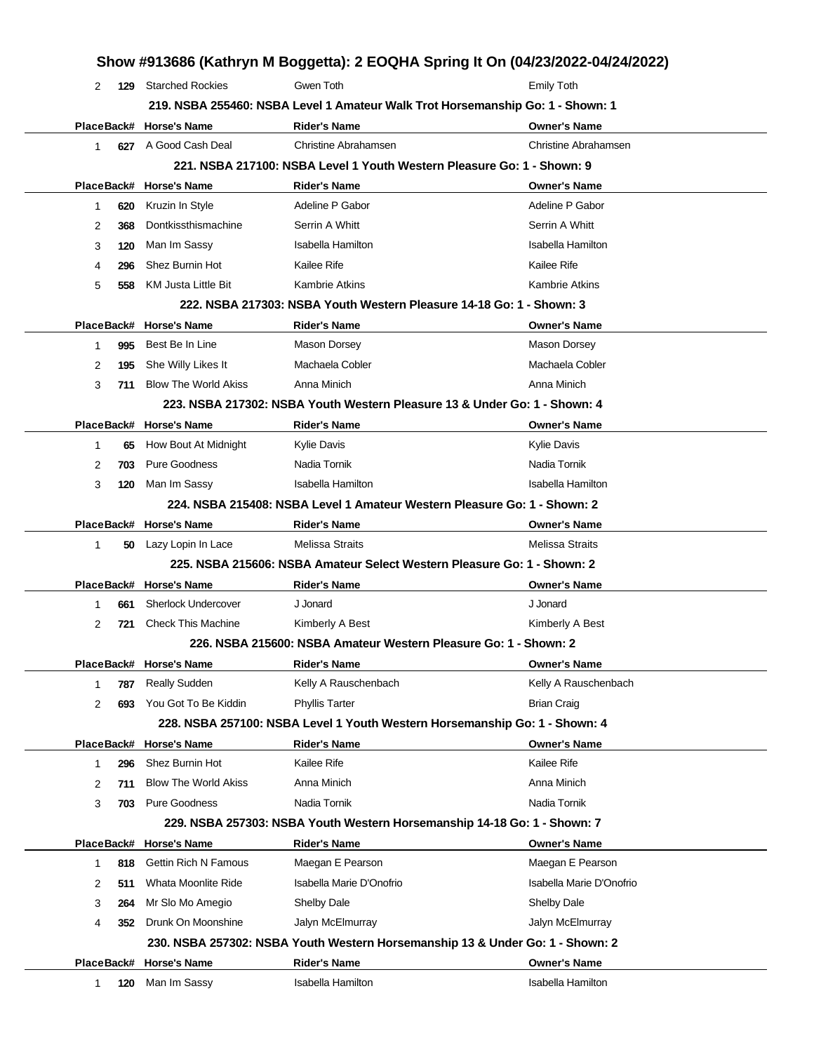|              |            |                             | Show #913686 (Kathryn M Boggetta): 2 EOQHA Spring It On (04/23/2022-04/24/2022) |                             |
|--------------|------------|-----------------------------|---------------------------------------------------------------------------------|-----------------------------|
| 2            | 129        | <b>Starched Rockies</b>     | Gwen Toth                                                                       | <b>Emily Toth</b>           |
|              |            |                             | 219. NSBA 255460: NSBA Level 1 Amateur Walk Trot Horsemanship Go: 1 - Shown: 1  |                             |
|              |            | PlaceBack# Horse's Name     | <b>Rider's Name</b>                                                             | <b>Owner's Name</b>         |
| $\mathbf{1}$ |            | 627 A Good Cash Deal        | <b>Christine Abrahamsen</b>                                                     | <b>Christine Abrahamsen</b> |
|              |            |                             | 221. NSBA 217100: NSBA Level 1 Youth Western Pleasure Go: 1 - Shown: 9          |                             |
|              | PlaceBack# | <b>Horse's Name</b>         | <b>Rider's Name</b>                                                             | <b>Owner's Name</b>         |
| 1            | 620        | Kruzin In Style             | Adeline P Gabor                                                                 | Adeline P Gabor             |
| 2            | 368        | Dontkissthismachine         | Serrin A Whitt                                                                  | Serrin A Whitt              |
| 3            | 120        | Man Im Sassy                | Isabella Hamilton                                                               | Isabella Hamilton           |
| 4            | 296        | Shez Burnin Hot             | Kailee Rife                                                                     | <b>Kailee Rife</b>          |
| 5            | 558        | <b>KM Justa Little Bit</b>  | <b>Kambrie Atkins</b>                                                           | <b>Kambrie Atkins</b>       |
|              |            |                             | 222, NSBA 217303: NSBA Youth Western Pleasure 14-18 Go: 1 - Shown: 3            |                             |
|              | PlaceBack# | <b>Horse's Name</b>         | <b>Rider's Name</b>                                                             | <b>Owner's Name</b>         |
| 1            | 995        | Best Be In Line             | Mason Dorsey                                                                    | Mason Dorsey                |
| 2            | 195        | She Willy Likes It          | Machaela Cobler                                                                 | Machaela Cobler             |
| 3            | 711        | <b>Blow The World Akiss</b> | Anna Minich                                                                     | Anna Minich                 |
|              |            |                             | 223. NSBA 217302: NSBA Youth Western Pleasure 13 & Under Go: 1 - Shown: 4       |                             |
|              |            | PlaceBack# Horse's Name     | <b>Rider's Name</b>                                                             | <b>Owner's Name</b>         |
| 1            | 65         | How Bout At Midnight        | <b>Kylie Davis</b>                                                              | <b>Kylie Davis</b>          |
| 2            | 703        | <b>Pure Goodness</b>        | Nadia Tornik                                                                    | Nadia Tornik                |
| 3            | 120        | Man Im Sassy                | <b>Isabella Hamilton</b>                                                        | Isabella Hamilton           |
|              |            |                             | 224. NSBA 215408: NSBA Level 1 Amateur Western Pleasure Go: 1 - Shown: 2        |                             |
|              | PlaceBack# | <b>Horse's Name</b>         | <b>Rider's Name</b>                                                             | <b>Owner's Name</b>         |
| 1            | 50.        | Lazy Lopin In Lace          | <b>Melissa Straits</b>                                                          | <b>Melissa Straits</b>      |
|              |            |                             | 225, NSBA 215606: NSBA Amateur Select Western Pleasure Go: 1 - Shown: 2         |                             |
|              | PlaceBack# | <b>Horse's Name</b>         | <b>Rider's Name</b>                                                             | <b>Owner's Name</b>         |
| 1            | 661        | <b>Sherlock Undercover</b>  | J Jonard                                                                        | J Jonard                    |
| 2            | 721        | <b>Check This Machine</b>   | Kimberly A Best                                                                 | Kimberly A Best             |
|              |            |                             | 226. NSBA 215600: NSBA Amateur Western Pleasure Go: 1 - Shown: 2                |                             |
|              |            | PlaceBack# Horse's Name     | <b>Rider's Name</b>                                                             | <b>Owner's Name</b>         |
| 1            | 787        | <b>Really Sudden</b>        | Kelly A Rauschenbach                                                            | Kelly A Rauschenbach        |
| 2            | 693        | You Got To Be Kiddin        | <b>Phyllis Tarter</b>                                                           | <b>Brian Craig</b>          |
|              |            |                             | 228. NSBA 257100: NSBA Level 1 Youth Western Horsemanship Go: 1 - Shown: 4      |                             |
|              |            | PlaceBack# Horse's Name     | <b>Rider's Name</b>                                                             | <b>Owner's Name</b>         |
| 1            | 296        | Shez Burnin Hot             | Kailee Rife                                                                     | Kailee Rife                 |
| 2            | 711        | <b>Blow The World Akiss</b> | Anna Minich                                                                     | Anna Minich                 |
| 3            | 703        | <b>Pure Goodness</b>        | Nadia Tornik                                                                    | Nadia Tornik                |
|              |            |                             | 229. NSBA 257303: NSBA Youth Western Horsemanship 14-18 Go: 1 - Shown: 7        |                             |
|              | PlaceBack# | <b>Horse's Name</b>         | <b>Rider's Name</b>                                                             | <b>Owner's Name</b>         |
| 1            | 818        | <b>Gettin Rich N Famous</b> | Maegan E Pearson                                                                | Maegan E Pearson            |
| 2            | 511        | Whata Moonlite Ride         | Isabella Marie D'Onofrio                                                        | Isabella Marie D'Onofrio    |
| 3            | 264        | Mr Slo Mo Amegio            | Shelby Dale                                                                     | Shelby Dale                 |
| 4            | 352        | Drunk On Moonshine          | Jalyn McElmurray                                                                | Jalyn McElmurray            |
|              |            |                             | 230. NSBA 257302: NSBA Youth Western Horsemanship 13 & Under Go: 1 - Shown: 2   |                             |
|              | PlaceBack# | <b>Horse's Name</b>         | <b>Rider's Name</b>                                                             | <b>Owner's Name</b>         |
| 1            | 120        | Man Im Sassy                | <b>Isabella Hamilton</b>                                                        | <b>Isabella Hamilton</b>    |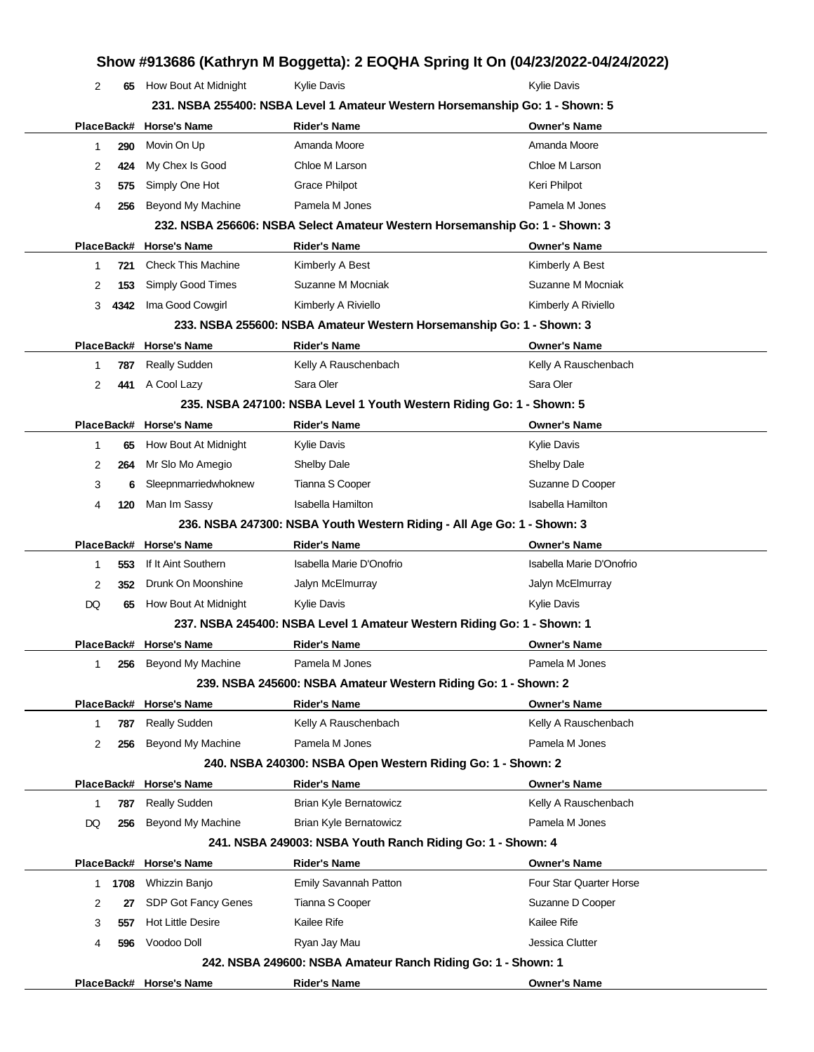|    |      |                           |                                                                        | Show #913686 (Kathryn M Boggetta): 2 EOQHA Spring It On (04/23/2022-04/24/2022) |
|----|------|---------------------------|------------------------------------------------------------------------|---------------------------------------------------------------------------------|
| 2  | 65   | How Bout At Midnight      | Kylie Davis                                                            | <b>Kylie Davis</b>                                                              |
|    |      |                           |                                                                        | 231. NSBA 255400: NSBA Level 1 Amateur Western Horsemanship Go: 1 - Shown: 5    |
|    |      | PlaceBack# Horse's Name   | <b>Rider's Name</b>                                                    | <b>Owner's Name</b>                                                             |
| 1  | 290  | Movin On Up               | Amanda Moore                                                           | Amanda Moore                                                                    |
| 2  | 424  | My Chex Is Good           | Chloe M Larson                                                         | Chloe M Larson                                                                  |
| 3  | 575  | Simply One Hot            | <b>Grace Philpot</b>                                                   | Keri Philpot                                                                    |
| 4  | 256  | Beyond My Machine         | Pamela M Jones                                                         | Pamela M Jones                                                                  |
|    |      |                           |                                                                        | 232. NSBA 256606: NSBA Select Amateur Western Horsemanship Go: 1 - Shown: 3     |
|    |      | PlaceBack# Horse's Name   | <b>Rider's Name</b>                                                    | <b>Owner's Name</b>                                                             |
| 1  | 721  | <b>Check This Machine</b> | Kimberly A Best                                                        | Kimberly A Best                                                                 |
| 2  | 153  | Simply Good Times         | Suzanne M Mocniak                                                      | Suzanne M Mocniak                                                               |
| 3  | 4342 | Ima Good Cowgirl          | Kimberly A Riviello                                                    | Kimberly A Riviello                                                             |
|    |      |                           | 233. NSBA 255600: NSBA Amateur Western Horsemanship Go: 1 - Shown: 3   |                                                                                 |
|    |      | PlaceBack# Horse's Name   | <b>Rider's Name</b>                                                    | <b>Owner's Name</b>                                                             |
| 1  | 787  | Really Sudden             | Kelly A Rauschenbach                                                   | Kelly A Rauschenbach                                                            |
| 2  | 441  | A Cool Lazy               | Sara Oler                                                              | Sara Oler                                                                       |
|    |      |                           | 235. NSBA 247100: NSBA Level 1 Youth Western Riding Go: 1 - Shown: 5   |                                                                                 |
|    |      | PlaceBack# Horse's Name   | <b>Rider's Name</b>                                                    | <b>Owner's Name</b>                                                             |
| 1  | 65   | How Bout At Midnight      | Kylie Davis                                                            | Kylie Davis                                                                     |
| 2  | 264  | Mr Slo Mo Amegio          | <b>Shelby Dale</b>                                                     | <b>Shelby Dale</b>                                                              |
| 3  | 6    | Sleepnmarriedwhoknew      | Tianna S Cooper                                                        | Suzanne D Cooper                                                                |
| 4  | 120  | Man Im Sassy              | Isabella Hamilton                                                      | Isabella Hamilton                                                               |
|    |      |                           | 236. NSBA 247300: NSBA Youth Western Riding - All Age Go: 1 - Shown: 3 |                                                                                 |
|    |      | PlaceBack# Horse's Name   | <b>Rider's Name</b>                                                    | <b>Owner's Name</b>                                                             |
| 1  | 553  | If It Aint Southern       | Isabella Marie D'Onofrio                                               | Isabella Marie D'Onofrio                                                        |
| 2  | 352  | Drunk On Moonshine        | Jalyn McElmurray                                                       | Jalyn McElmurray                                                                |
| DQ | 65   | How Bout At Midnight      | Kylie Davis                                                            | Kylie Davis                                                                     |
|    |      |                           | 237. NSBA 245400: NSBA Level 1 Amateur Western Riding Go: 1 - Shown: 1 |                                                                                 |
|    |      | PlaceBack# Horse's Name   | <b>Rider's Name</b>                                                    | <b>Owner's Name</b>                                                             |
| 1  | 256  | <b>Beyond My Machine</b>  | Pamela M Jones                                                         | Pamela M Jones                                                                  |
|    |      |                           | 239. NSBA 245600: NSBA Amateur Western Riding Go: 1 - Shown: 2         |                                                                                 |
|    |      | PlaceBack# Horse's Name   | <b>Rider's Name</b>                                                    | <b>Owner's Name</b>                                                             |
| 1  | 787  | <b>Really Sudden</b>      | Kelly A Rauschenbach                                                   | Kelly A Rauschenbach                                                            |
| 2  | 256  | Beyond My Machine         | Pamela M Jones                                                         | Pamela M Jones                                                                  |
|    |      |                           | 240. NSBA 240300: NSBA Open Western Riding Go: 1 - Shown: 2            |                                                                                 |
|    |      | PlaceBack# Horse's Name   | <b>Rider's Name</b>                                                    | <b>Owner's Name</b>                                                             |
| 1  | 787  | Really Sudden             | <b>Brian Kyle Bernatowicz</b>                                          | Kelly A Rauschenbach                                                            |
| DQ | 256  | Beyond My Machine         | <b>Brian Kyle Bernatowicz</b>                                          | Pamela M Jones                                                                  |
|    |      |                           | 241. NSBA 249003: NSBA Youth Ranch Riding Go: 1 - Shown: 4             |                                                                                 |
|    |      | PlaceBack# Horse's Name   | <b>Rider's Name</b>                                                    | <b>Owner's Name</b>                                                             |
| 1  | 1708 | Whizzin Banjo             | Emily Savannah Patton                                                  | Four Star Quarter Horse                                                         |
| 2  | 27   | SDP Got Fancy Genes       | Tianna S Cooper                                                        | Suzanne D Cooper                                                                |
| 3  | 557  | <b>Hot Little Desire</b>  | Kailee Rife                                                            | Kailee Rife                                                                     |
| 4  | 596  | Voodoo Doll               | Ryan Jay Mau                                                           | Jessica Clutter                                                                 |
|    |      |                           | 242. NSBA 249600: NSBA Amateur Ranch Riding Go: 1 - Shown: 1           |                                                                                 |
|    |      | PlaceBack# Horse's Name   | <b>Rider's Name</b>                                                    | <b>Owner's Name</b>                                                             |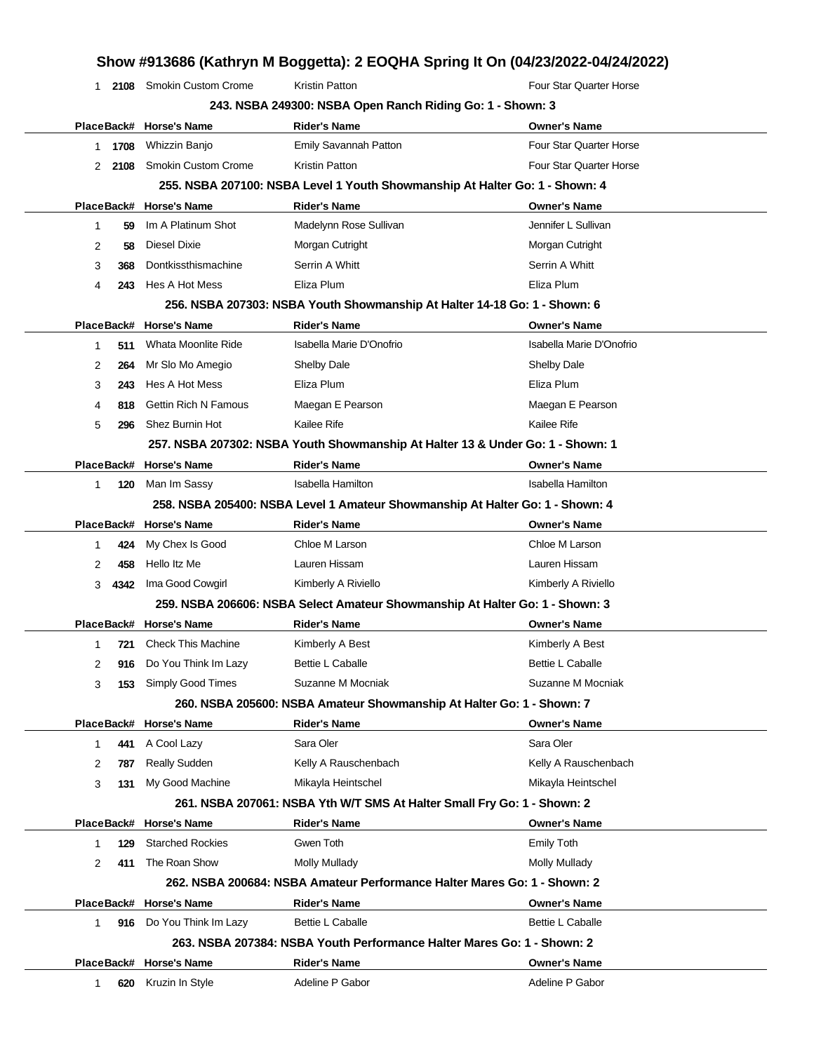|    |        |                             |                                                           | Show #913686 (Kathryn M Boggetta): 2 EOQHA Spring It On (04/23/2022-04/24/2022) |
|----|--------|-----------------------------|-----------------------------------------------------------|---------------------------------------------------------------------------------|
| 1. |        | 2108 Smokin Custom Crome    | Kristin Patton                                            | Four Star Quarter Horse                                                         |
|    |        |                             | 243. NSBA 249300: NSBA Open Ranch Riding Go: 1 - Shown: 3 |                                                                                 |
|    |        | PlaceBack# Horse's Name     | <b>Rider's Name</b>                                       | <b>Owner's Name</b>                                                             |
|    | 1 1708 | Whizzin Banjo               | Emily Savannah Patton                                     | Four Star Quarter Horse                                                         |
| 2  | 2108   | <b>Smokin Custom Crome</b>  | Kristin Patton                                            | Four Star Quarter Horse                                                         |
|    |        |                             |                                                           | 255. NSBA 207100: NSBA Level 1 Youth Showmanship At Halter Go: 1 - Shown: 4     |
|    |        | PlaceBack# Horse's Name     | <b>Rider's Name</b>                                       | <b>Owner's Name</b>                                                             |
| 1  | 59     | Im A Platinum Shot          | Madelynn Rose Sullivan                                    | Jennifer L Sullivan                                                             |
| 2  | 58     | Diesel Dixie                | Morgan Cutright                                           | Morgan Cutright                                                                 |
| 3  | 368    | Dontkissthismachine         | Serrin A Whitt                                            | Serrin A Whitt                                                                  |
| 4  | 243    | Hes A Hot Mess              | Eliza Plum                                                | Eliza Plum                                                                      |
|    |        |                             |                                                           | 256. NSBA 207303: NSBA Youth Showmanship At Halter 14-18 Go: 1 - Shown: 6       |
|    |        | PlaceBack# Horse's Name     | <b>Rider's Name</b>                                       | <b>Owner's Name</b>                                                             |
| 1  | 511    | Whata Moonlite Ride         | Isabella Marie D'Onofrio                                  | Isabella Marie D'Onofrio                                                        |
| 2  | 264    | Mr Slo Mo Amegio            | <b>Shelby Dale</b>                                        | <b>Shelby Dale</b>                                                              |
| 3  | 243    | Hes A Hot Mess              | Eliza Plum                                                | Eliza Plum                                                                      |
| 4  | 818    | <b>Gettin Rich N Famous</b> | Maegan E Pearson                                          | Maegan E Pearson                                                                |
| 5  | 296    | Shez Burnin Hot             | Kailee Rife                                               | Kailee Rife                                                                     |
|    |        |                             |                                                           | 257. NSBA 207302: NSBA Youth Showmanship At Halter 13 & Under Go: 1 - Shown: 1  |
|    |        | PlaceBack# Horse's Name     | <b>Rider's Name</b>                                       | <b>Owner's Name</b>                                                             |
| 1  | 120    | Man Im Sassy                | <b>Isabella Hamilton</b>                                  | <b>Isabella Hamilton</b>                                                        |
|    |        |                             |                                                           | 258. NSBA 205400: NSBA Level 1 Amateur Showmanship At Halter Go: 1 - Shown: 4   |
|    |        | PlaceBack# Horse's Name     | <b>Rider's Name</b>                                       | <b>Owner's Name</b>                                                             |
| 1  | 424    | My Chex Is Good             | Chloe M Larson                                            | Chloe M Larson                                                                  |
| 2  | 458    | Hello Itz Me                | Lauren Hissam                                             | Lauren Hissam                                                                   |
| 3  | 4342   | Ima Good Cowgirl            | Kimberly A Riviello                                       | Kimberly A Riviello                                                             |
|    |        |                             |                                                           | 259. NSBA 206606: NSBA Select Amateur Showmanship At Halter Go: 1 - Shown: 3    |
|    |        | PlaceBack# Horse's Name     | <b>Rider's Name</b>                                       | <b>Owner's Name</b>                                                             |
| 1  | 721    | <b>Check This Machine</b>   | Kimberly A Best                                           | Kimberly A Best                                                                 |
| 2  | 916    | Do You Think Im Lazy        | <b>Bettie L Caballe</b>                                   | <b>Bettie L Caballe</b>                                                         |
| 3  | 153    | Simply Good Times           | Suzanne M Mocniak                                         | Suzanne M Mocniak                                                               |
|    |        |                             |                                                           | 260. NSBA 205600: NSBA Amateur Showmanship At Halter Go: 1 - Shown: 7           |
|    |        | PlaceBack# Horse's Name     | <b>Rider's Name</b>                                       | <b>Owner's Name</b>                                                             |
| 1  | 441    | A Cool Lazy                 | Sara Oler                                                 | Sara Oler                                                                       |
| 2  | 787    | <b>Really Sudden</b>        | Kelly A Rauschenbach                                      | Kelly A Rauschenbach                                                            |
| 3  | 131    | My Good Machine             | Mikayla Heintschel                                        | Mikayla Heintschel                                                              |
|    |        |                             |                                                           | 261. NSBA 207061: NSBA Yth W/T SMS At Halter Small Fry Go: 1 - Shown: 2         |
|    |        | PlaceBack# Horse's Name     | <b>Rider's Name</b>                                       | <b>Owner's Name</b>                                                             |
| 1  | 129    | <b>Starched Rockies</b>     | Gwen Toth                                                 | <b>Emily Toth</b>                                                               |
| 2  | 411    | The Roan Show               | <b>Molly Mullady</b>                                      | Molly Mullady                                                                   |
|    |        |                             |                                                           | 262. NSBA 200684: NSBA Amateur Performance Halter Mares Go: 1 - Shown: 2        |
|    |        | PlaceBack# Horse's Name     | <b>Rider's Name</b>                                       | <b>Owner's Name</b>                                                             |
| 1  |        | 916 Do You Think Im Lazy    | <b>Bettie L Caballe</b>                                   | Bettie L Caballe                                                                |
|    |        |                             |                                                           | 263, NSBA 207384: NSBA Youth Performance Halter Mares Go: 1 - Shown: 2          |
|    |        | PlaceBack# Horse's Name     | <b>Rider's Name</b>                                       | <b>Owner's Name</b>                                                             |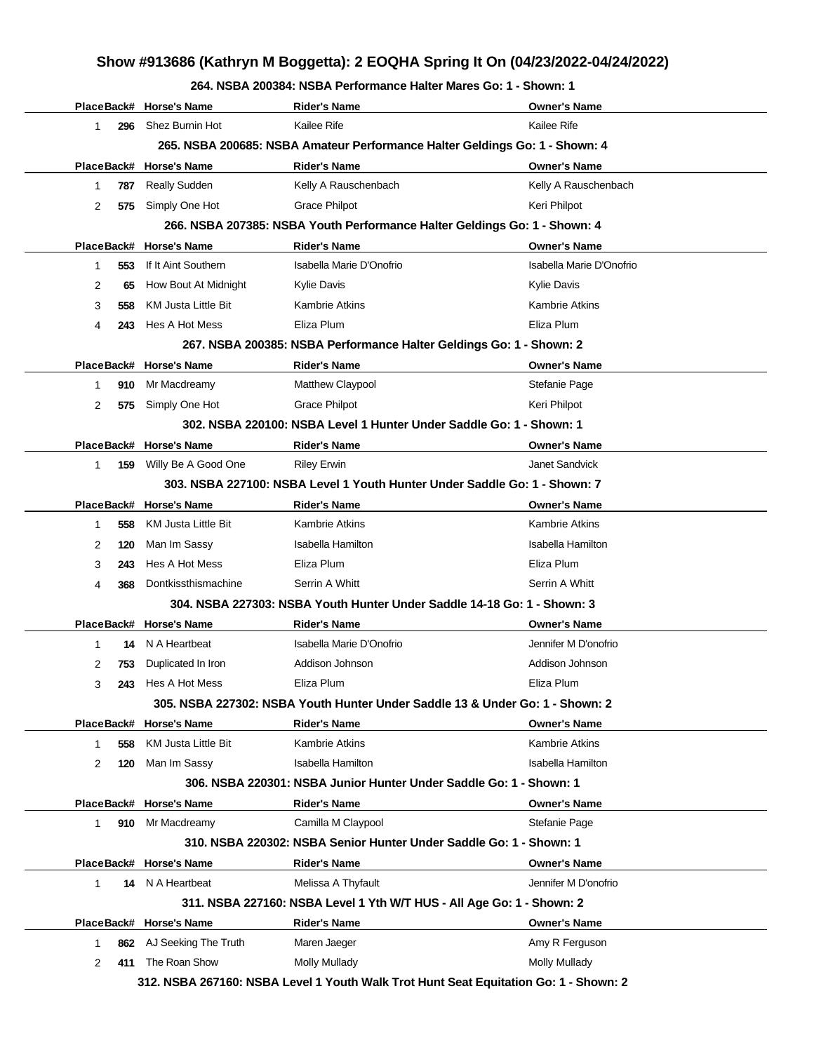#### **264. NSBA 200384: NSBA Performance Halter Mares Go: 1 - Shown: 1**

|           | PlaceBack# Horse's Name | <b>Rider's Name</b>                                                                  | Owner's Name             |
|-----------|-------------------------|--------------------------------------------------------------------------------------|--------------------------|
| 296<br>1. | Shez Burnin Hot         | Kailee Rife                                                                          | Kailee Rife              |
|           |                         | 265. NSBA 200685: NSBA Amateur Performance Halter Geldings Go: 1 - Shown: 4          |                          |
|           | PlaceBack# Horse's Name | <b>Rider's Name</b>                                                                  | <b>Owner's Name</b>      |
| 1<br>787  | <b>Really Sudden</b>    | Kelly A Rauschenbach                                                                 | Kelly A Rauschenbach     |
| 2<br>575  | Simply One Hot          | <b>Grace Philpot</b>                                                                 | Keri Philpot             |
|           |                         | 266. NSBA 207385: NSBA Youth Performance Halter Geldings Go: 1 - Shown: 4            |                          |
|           | PlaceBack# Horse's Name | <b>Rider's Name</b>                                                                  | Owner's Name             |
| 553<br>1  | If It Aint Southern     | Isabella Marie D'Onofrio                                                             | Isabella Marie D'Onofrio |
| 2<br>65   | How Bout At Midnight    | Kylie Davis                                                                          | Kylie Davis              |
| 3<br>558  | KM Justa Little Bit     | Kambrie Atkins                                                                       | Kambrie Atkins           |
| 4<br>243  | Hes A Hot Mess          | Eliza Plum                                                                           | Eliza Plum               |
|           |                         | 267. NSBA 200385: NSBA Performance Halter Geldings Go: 1 - Shown: 2                  |                          |
|           | PlaceBack# Horse's Name | <b>Rider's Name</b>                                                                  | <b>Owner's Name</b>      |
| 910<br>1  | Mr Macdreamy            | Matthew Claypool                                                                     | Stefanie Page            |
| 2<br>575  | Simply One Hot          | Grace Philpot                                                                        | Keri Philpot             |
|           |                         | 302. NSBA 220100: NSBA Level 1 Hunter Under Saddle Go: 1 - Shown: 1                  |                          |
|           | PlaceBack# Horse's Name | <b>Rider's Name</b>                                                                  | <b>Owner's Name</b>      |
| 1.<br>159 | Willy Be A Good One     | <b>Riley Erwin</b>                                                                   | Janet Sandvick           |
|           |                         | 303. NSBA 227100: NSBA Level 1 Youth Hunter Under Saddle Go: 1 - Shown: 7            |                          |
|           | PlaceBack# Horse's Name | <b>Rider's Name</b>                                                                  | <b>Owner's Name</b>      |
| 558<br>1  | KM Justa Little Bit     | Kambrie Atkins                                                                       | Kambrie Atkins           |
| 2<br>120  | Man Im Sassy            | Isabella Hamilton                                                                    | Isabella Hamilton        |
| 3<br>243  | Hes A Hot Mess          | Eliza Plum                                                                           | Eliza Plum               |
| 4<br>368  | Dontkissthismachine     | Serrin A Whitt                                                                       | Serrin A Whitt           |
|           |                         | 304. NSBA 227303: NSBA Youth Hunter Under Saddle 14-18 Go: 1 - Shown: 3              |                          |
|           | PlaceBack# Horse's Name | <b>Rider's Name</b>                                                                  | Owner's Name             |
| 1         | 14 N A Heartbeat        | Isabella Marie D'Onofrio                                                             | Jennifer M D'onofrio     |
| 2<br>753  | Duplicated In Iron      | Addison Johnson                                                                      | Addison Johnson          |
| 3         | 243 Hes A Hot Mess      | Eliza Plum                                                                           | Eliza Plum               |
|           |                         | 305. NSBA 227302: NSBA Youth Hunter Under Saddle 13 & Under Go: 1 - Shown: 2         |                          |
|           | PlaceBack# Horse's Name | <b>Rider's Name</b>                                                                  | <b>Owner's Name</b>      |
| 1<br>558  | KM Justa Little Bit     | Kambrie Atkins                                                                       | Kambrie Atkins           |
| 2<br>120  | Man Im Sassy            | Isabella Hamilton                                                                    | Isabella Hamilton        |
|           |                         | 306. NSBA 220301: NSBA Junior Hunter Under Saddle Go: 1 - Shown: 1                   |                          |
|           | PlaceBack# Horse's Name | <b>Rider's Name</b>                                                                  | Owner's Name             |
| 1.        | 910 Mr Macdreamy        | Camilla M Claypool                                                                   | Stefanie Page            |
|           |                         | 310. NSBA 220302: NSBA Senior Hunter Under Saddle Go: 1 - Shown: 1                   |                          |
|           | PlaceBack# Horse's Name | <b>Rider's Name</b>                                                                  | <b>Owner's Name</b>      |
| 1         | 14 N A Heartbeat        | Melissa A Thyfault                                                                   | Jennifer M D'onofrio     |
|           |                         | 311. NSBA 227160: NSBA Level 1 Yth W/T HUS - All Age Go: 1 - Shown: 2                |                          |
|           | PlaceBack# Horse's Name | <b>Rider's Name</b>                                                                  | Owner's Name             |
| 1<br>862  | AJ Seeking The Truth    | Maren Jaeger                                                                         | Amy R Ferguson           |
| 2         | 411 The Roan Show       | <b>Molly Mullady</b>                                                                 | <b>Molly Mullady</b>     |
|           |                         | 312. NSBA 267160: NSBA Level 1 Youth Walk Trot Hunt Seat Equitation Go: 1 - Shown: 2 |                          |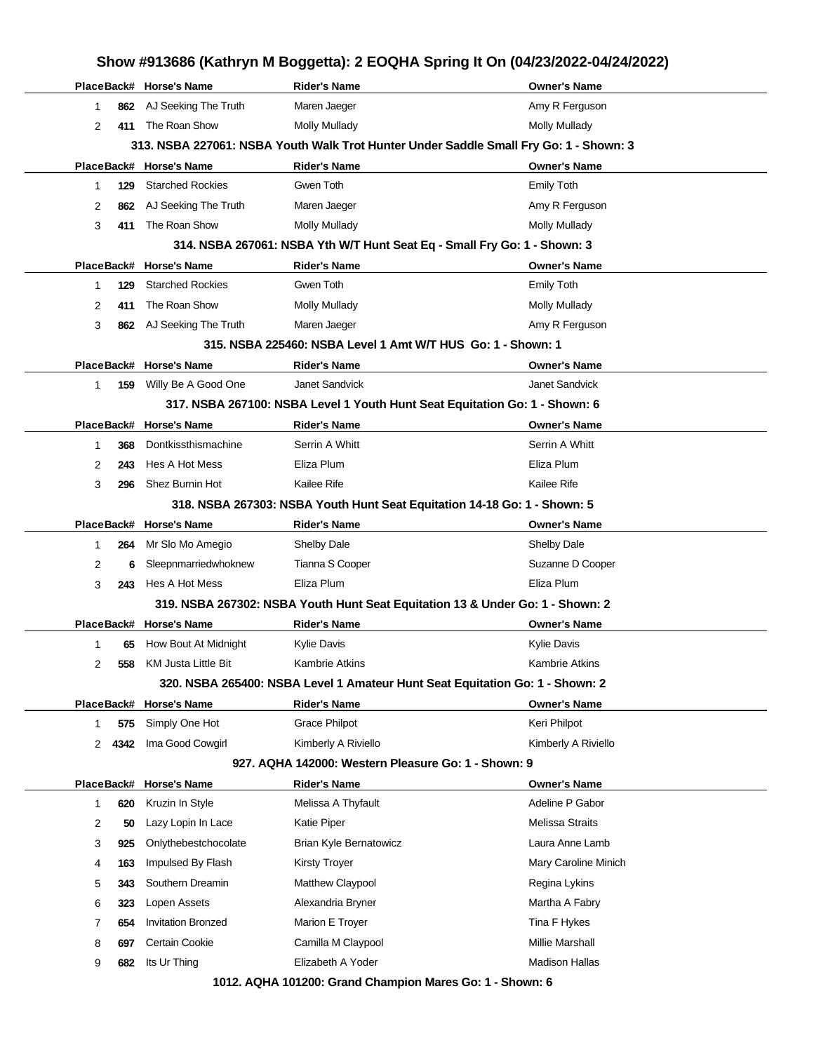# **PlaceBack# Horse's Name Rider's Name Owner's Name** 1 **862** AJ Seeking The Truth Maren Jaeger Amy R Ferguson Amy R Ferguson 2 **411** The Roan Show Molly Mullady **Molly Mullady** Molly Mullady **313. NSBA 227061: NSBA Youth Walk Trot Hunter Under Saddle Small Fry Go: 1 - Shown: 3 PlaceBack# Horse's Name Rider's Name Owner's Name** 1 **129** Starched Rockies Gwen Toth **Gwen Toth Emily Toth** Emily Toth 2 **862** AJ Seeking The Truth Maren Jaeger Amy R Ferguson 3 **411** The Roan Show Molly Mullady Mullady Molly Mullady **314. NSBA 267061: NSBA Yth W/T Hunt Seat Eq - Small Fry Go: 1 - Shown: 3 PlaceBack# Horse's Name Rider's Name Owner's Name** 1 **129** Starched Rockies Gwen Toth Emily Toth 2 **411** The Roan Show Molly Mullady **Molly Mullady** Molly Mullady 3 **862** AJ Seeking The Truth Maren Jaeger Amy R Ferguson **315. NSBA 225460: NSBA Level 1 Amt W/T HUS Go: 1 - Shown: 1 PlaceBack# Horse's Name Rider's Name Owner's Name** 1 **159** Willy Be A Good One Janet Sandvick **Janet Sandvick** Janet Sandvick **317. NSBA 267100: NSBA Level 1 Youth Hunt Seat Equitation Go: 1 - Shown: 6 PlaceBack# Horse's Name Rider's Name Owner's Name** 1 **368** Dontkissthismachine Serrin A Whitt Serrin A Whitt Serrin A Whitt 2 **243** Hes A Hot Mess Eliza Plum Eliza Plum 3 **296** Shez Burnin Hot Kailee Rife **Kailee Rife** Kailee Rife Kailee Rife Kailee Rife **318. NSBA 267303: NSBA Youth Hunt Seat Equitation 14-18 Go: 1 - Shown: 5 PlaceBack# Horse's Name Rider's Name Owner's Name** 1 **264** Mr Slo Mo Amegio Shelby Dale Shelby Dale 2 **6** Sleepnmarriedwhoknew Tianna S Cooper Suzanne D Cooper Suzanne D Cooper 3 **243** Hes A Hot Mess Eliza Plum Eliza Plum **319. NSBA 267302: NSBA Youth Hunt Seat Equitation 13 & Under Go: 1 - Shown: 2 PlaceBack# Horse's Name Rider's Name Owner's Name** 1 **65** How Bout At Midnight Kylie Davis **Kylie Davis** Kylie Davis **Kylie Davis** Kylie Davis 2 **558** KM Justa Little Bit Kambrie Atkins **Kambrie Atkins** Kambrie Atkins **320. NSBA 265400: NSBA Level 1 Amateur Hunt Seat Equitation Go: 1 - Shown: 2 PlaceBack# Horse's Name Rider's Name Owner's Name** 1 **575** Simply One Hot Grace Philpot **Communist Communist Communist Communist Communist Communist Communist Communist Communist Communist Communist Communist Communist Communist Communist Communist Communist Communist Comm** 2 **4342** Ima Good Cowgirl Kimberly A Riviello **Kimberly A Riviello** Kimberly A Riviello **927. AQHA 142000: Western Pleasure Go: 1 - Shown: 9 PlaceBack# Horse's Name Rider's Name Owner's Name** 1 **620** Kruzin In Style **Melissa A Thyfault** Adeline P Gabor 2 **50** Lazy Lopin In Lace **Katie Piper Melissa Straits** Melissa Straits 3 **925** Onlythebestchocolate Brian Kyle Bernatowicz Laura Anne Lamb 4 **163** Impulsed By Flash Kirsty Troyer Mary Caroline Minich 5 **343** Southern Dreamin **Matthew Claypool** Matthew Claypool Regina Lykins 6 **323** Lopen Assets **Alexandria Bryner** Martha A Fabry 7 **654** Invitation Bronzed Marion E Troyer The State of Tina F Hykes 8 **697** Certain Cookie Camilla M Claypool **Camilla M** Claypool Millie Marshall

**1012. AQHA 101200: Grand Champion Mares Go: 1 - Shown: 6**

9 **682** Its Ur Thing **Elizabeth A Yoder** Madison Hallas

## **Show #913686 (Kathryn M Boggetta): 2 EOQHA Spring It On (04/23/2022-04/24/2022)**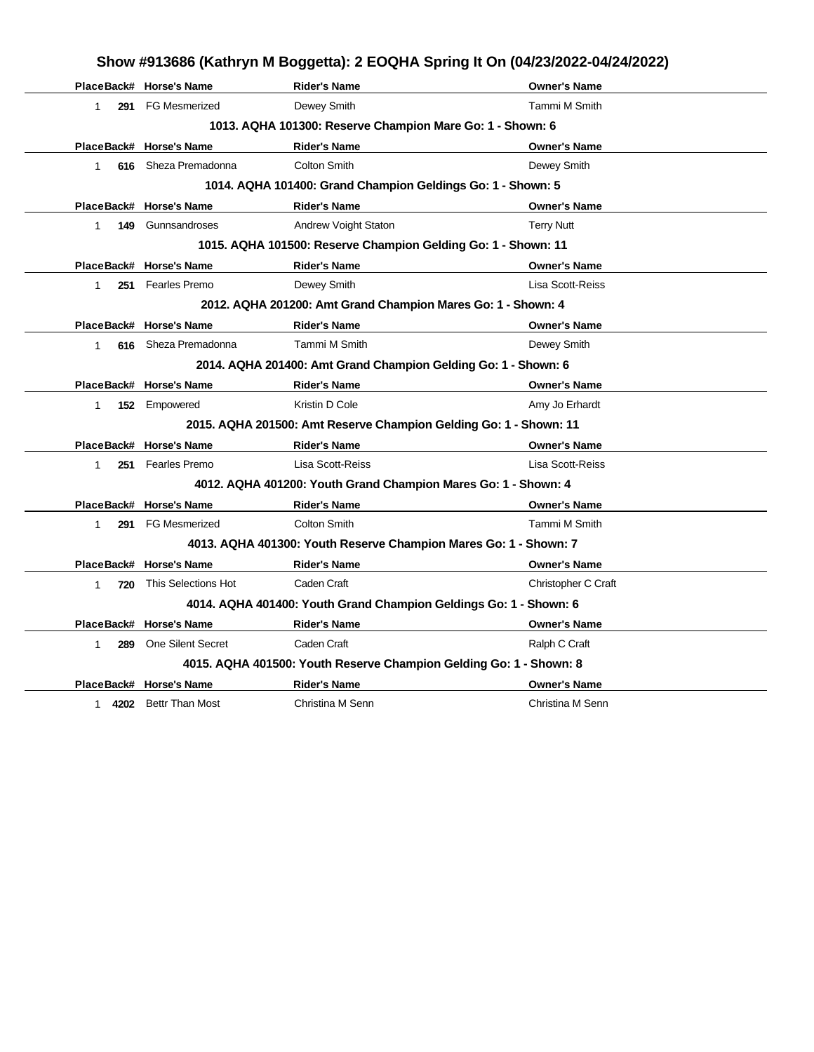|                    |                          | Show #913686 (Kathryn M Boggetta): 2 EOQHA Spring It On (04/23/2022-04/24/2022) |                     |
|--------------------|--------------------------|---------------------------------------------------------------------------------|---------------------|
|                    | PlaceBack# Horse's Name  | <b>Rider's Name</b>                                                             | <b>Owner's Name</b> |
| 1                  | 291 FG Mesmerized        | Dewey Smith                                                                     | Tammi M Smith       |
|                    |                          | 1013. AQHA 101300: Reserve Champion Mare Go: 1 - Shown: 6                       |                     |
|                    | PlaceBack# Horse's Name  | <b>Rider's Name</b>                                                             | <b>Owner's Name</b> |
| 1                  | 616 Sheza Premadonna     | <b>Colton Smith</b>                                                             | Dewey Smith         |
|                    |                          | 1014. AQHA 101400: Grand Champion Geldings Go: 1 - Shown: 5                     |                     |
|                    | PlaceBack# Horse's Name  | <b>Rider's Name</b>                                                             | <b>Owner's Name</b> |
| 149<br>$\mathbf 1$ | Gunnsandroses            | <b>Andrew Voight Staton</b>                                                     | <b>Terry Nutt</b>   |
|                    |                          | 1015. AQHA 101500: Reserve Champion Gelding Go: 1 - Shown: 11                   |                     |
|                    | PlaceBack# Horse's Name  | <b>Rider's Name</b>                                                             | <b>Owner's Name</b> |
| $\mathbf{1}$       | 251 Fearles Premo        | Dewey Smith                                                                     | Lisa Scott-Reiss    |
|                    |                          | 2012. AQHA 201200: Amt Grand Champion Mares Go: 1 - Shown: 4                    |                     |
|                    | PlaceBack# Horse's Name  | <b>Rider's Name</b>                                                             | <b>Owner's Name</b> |
| 1                  | 616 Sheza Premadonna     | Tammi M Smith                                                                   | Dewey Smith         |
|                    |                          | 2014. AQHA 201400: Amt Grand Champion Gelding Go: 1 - Shown: 6                  |                     |
|                    | PlaceBack# Horse's Name  | <b>Rider's Name</b>                                                             | <b>Owner's Name</b> |
| $\mathbf{1}$       | 152 Empowered            | Kristin D Cole                                                                  | Amy Jo Erhardt      |
|                    |                          | 2015. AQHA 201500: Amt Reserve Champion Gelding Go: 1 - Shown: 11               |                     |
|                    | PlaceBack# Horse's Name  | <b>Rider's Name</b>                                                             | <b>Owner's Name</b> |
| $\mathbf 1$        | 251 Fearles Premo        | Lisa Scott-Reiss                                                                | Lisa Scott-Reiss    |
|                    |                          | 4012. AQHA 401200: Youth Grand Champion Mares Go: 1 - Shown: 4                  |                     |
|                    | PlaceBack# Horse's Name  | <b>Rider's Name</b>                                                             | <b>Owner's Name</b> |
| $\mathbf{1}$       | 291 FG Mesmerized        | <b>Colton Smith</b>                                                             | Tammi M Smith       |
|                    |                          | 4013. AQHA 401300: Youth Reserve Champion Mares Go: 1 - Shown: 7                |                     |
|                    | PlaceBack# Horse's Name  | <b>Rider's Name</b>                                                             | <b>Owner's Name</b> |
| $\mathbf 1$<br>720 | This Selections Hot      | Caden Craft                                                                     | Christopher C Craft |
|                    |                          | 4014. AQHA 401400: Youth Grand Champion Geldings Go: 1 - Shown: 6               |                     |
|                    | PlaceBack# Horse's Name  | <b>Rider's Name</b>                                                             | <b>Owner's Name</b> |
| 289<br>1           | <b>One Silent Secret</b> | Caden Craft                                                                     | Ralph C Craft       |
|                    |                          | 4015. AQHA 401500: Youth Reserve Champion Gelding Go: 1 - Shown: 8              |                     |
|                    | PlaceBack# Horse's Name  | <b>Rider's Name</b>                                                             | <b>Owner's Name</b> |
|                    | 1 4202 Bettr Than Most   | Christina M Senn                                                                | Christina M Senn    |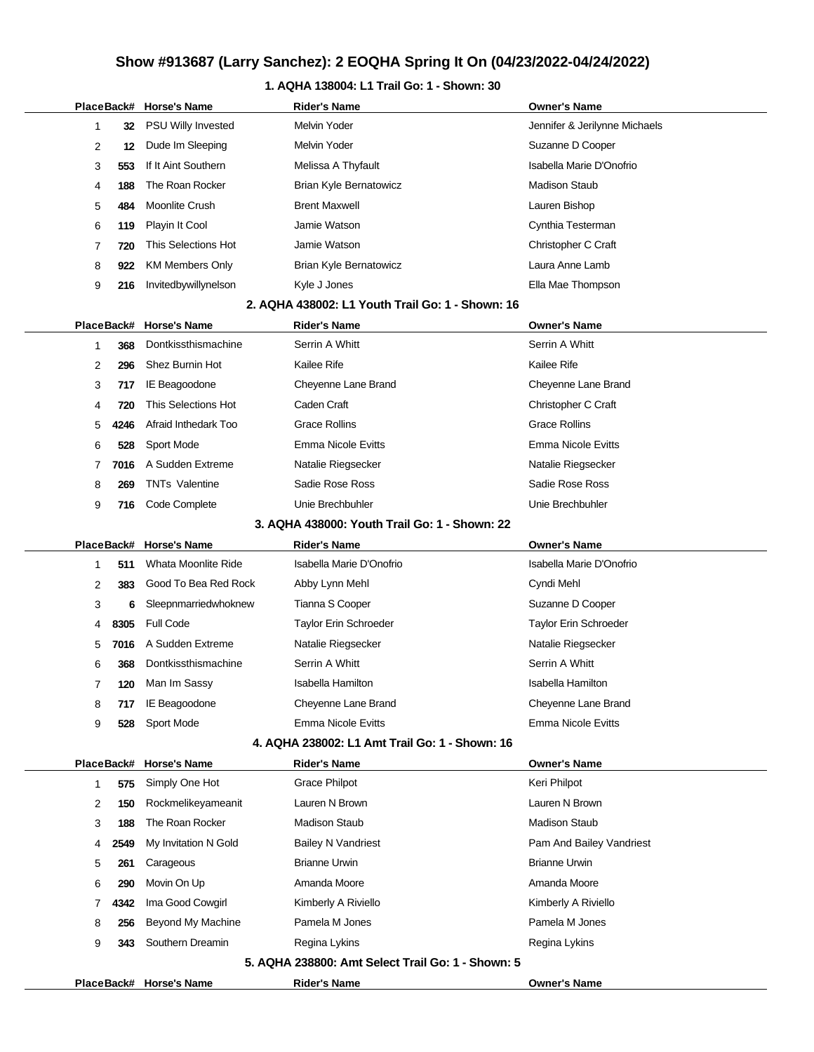## **1. AQHA 138004: L1 Trail Go: 1 - Shown: 30**

|   |            | PlaceBack# Horse's Name | <b>Rider's Name</b>                               | Owner's Name                  |
|---|------------|-------------------------|---------------------------------------------------|-------------------------------|
| 1 | 32         | PSU Willy Invested      | <b>Melvin Yoder</b>                               | Jennifer & Jerilynne Michaels |
| 2 | 12         | Dude Im Sleeping        | Melvin Yoder                                      | Suzanne D Cooper              |
| 3 | 553        | If It Aint Southern     | Melissa A Thyfault                                | Isabella Marie D'Onofrio      |
| 4 | 188        | The Roan Rocker         | Brian Kyle Bernatowicz                            | Madison Staub                 |
| 5 | 484        | Moonlite Crush          | <b>Brent Maxwell</b>                              | Lauren Bishop                 |
| 6 | 119        | Playin It Cool          | Jamie Watson                                      | Cynthia Testerman             |
| 7 | 720        | This Selections Hot     | Jamie Watson                                      | Christopher C Craft           |
| 8 | 922        | <b>KM Members Only</b>  | <b>Brian Kyle Bernatowicz</b>                     | Laura Anne Lamb               |
| 9 | 216        | Invitedbywillynelson    | Kyle J Jones                                      | Ella Mae Thompson             |
|   |            |                         | 2. AQHA 438002: L1 Youth Trail Go: 1 - Shown: 16  |                               |
|   | PlaceBack# | <b>Horse's Name</b>     | <b>Rider's Name</b>                               | <b>Owner's Name</b>           |
| 1 | 368        | Dontkissthismachine     | Serrin A Whitt                                    | Serrin A Whitt                |
| 2 | 296        | Shez Burnin Hot         | Kailee Rife                                       | Kailee Rife                   |
| 3 | 717        | IE Beagoodone           | Cheyenne Lane Brand                               | Cheyenne Lane Brand           |
| 4 | 720        | This Selections Hot     | Caden Craft                                       | Christopher C Craft           |
| 5 | 4246       | Afraid Inthedark Too    | <b>Grace Rollins</b>                              | <b>Grace Rollins</b>          |
| 6 | 528        | Sport Mode              | <b>Emma Nicole Evitts</b>                         | <b>Emma Nicole Evitts</b>     |
| 7 | 7016       | A Sudden Extreme        | Natalie Riegsecker                                | Natalie Riegsecker            |
| 8 | 269        | <b>TNTs Valentine</b>   | Sadie Rose Ross                                   | Sadie Rose Ross               |
| 9 | 716        | Code Complete           | Unie Brechbuhler                                  | Unie Brechbuhler              |
|   |            |                         | 3. AQHA 438000: Youth Trail Go: 1 - Shown: 22     |                               |
|   | PlaceBack# | <b>Horse's Name</b>     | <b>Rider's Name</b>                               | <b>Owner's Name</b>           |
| 1 | 511        | Whata Moonlite Ride     | Isabella Marie D'Onofrio                          | Isabella Marie D'Onofrio      |
| 2 | 383        | Good To Bea Red Rock    | Abby Lynn Mehl                                    | Cyndi Mehl                    |
| 3 | 6          | Sleepnmarriedwhoknew    | Tianna S Cooper                                   | Suzanne D Cooper              |
| 4 | 8305       | <b>Full Code</b>        | Taylor Erin Schroeder                             | Taylor Erin Schroeder         |
| 5 | 7016       | A Sudden Extreme        | Natalie Riegsecker                                | Natalie Riegsecker            |
| 6 | 368        | Dontkissthismachine     | Serrin A Whitt                                    | Serrin A Whitt                |
| 7 | 120        | Man Im Sassy            | Isabella Hamilton                                 | Isabella Hamilton             |
| 8 | 717        | IE Beagoodone           | Cheyenne Lane Brand                               | Cheyenne Lane Brand           |
| 9 | 528        | Sport Mode              | <b>Emma Nicole Evitts</b>                         | <b>Emma Nicole Evitts</b>     |
|   |            |                         | 4. AQHA 238002: L1 Amt Trail Go: 1 - Shown: 16    |                               |
|   | PlaceBack# | <b>Horse's Name</b>     | <b>Rider's Name</b>                               | <b>Owner's Name</b>           |
| 1 | 575        | Simply One Hot          | <b>Grace Philpot</b>                              | Keri Philpot                  |
| 2 | 150        | Rockmelikeyameanit      | Lauren N Brown                                    | Lauren N Brown                |
| 3 | 188        | The Roan Rocker         | <b>Madison Staub</b>                              | <b>Madison Staub</b>          |
| 4 | 2549       | My Invitation N Gold    | <b>Bailey N Vandriest</b>                         | Pam And Bailey Vandriest      |
| 5 | 261        | Carageous               | <b>Brianne Urwin</b>                              | <b>Brianne Urwin</b>          |
| 6 | 290        | Movin On Up             | Amanda Moore                                      | Amanda Moore                  |
| 7 | 4342       | Ima Good Cowgirl        | Kimberly A Riviello                               | Kimberly A Riviello           |
| 8 | 256        | Beyond My Machine       | Pamela M Jones                                    | Pamela M Jones                |
| 9 | 343        | Southern Dreamin        | Regina Lykins                                     | Regina Lykins                 |
|   |            |                         | 5. AQHA 238800: Amt Select Trail Go: 1 - Shown: 5 |                               |
|   |            | PlaceBack# Horse's Name | <b>Rider's Name</b>                               | <b>Owner's Name</b>           |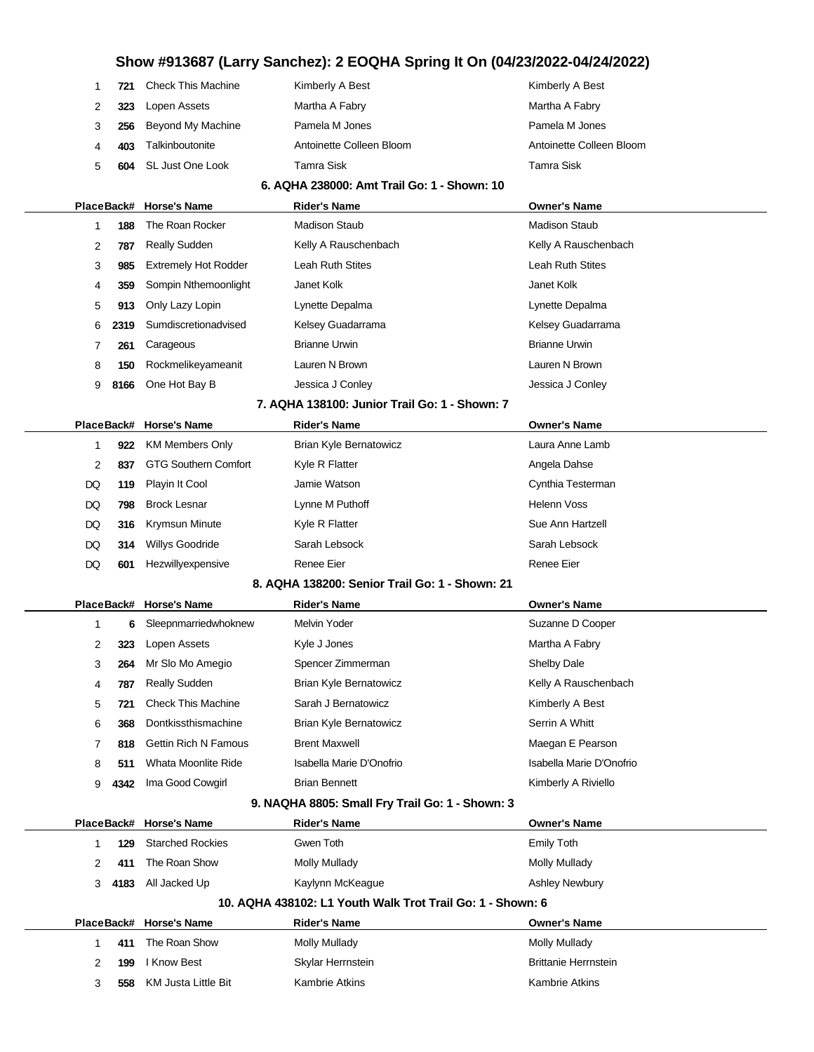| 2<br>Lopen Assets<br>Martha A Fabry<br>Martha A Fabry<br>323<br>Beyond My Machine<br>Pamela M Jones<br>Pamela M Jones<br>3<br>256<br>Talkinboutonite<br>Antoinette Colleen Bloom<br>Antoinette Colleen Bloom<br>403<br>4<br>Tamra Sisk<br>Tamra Sisk<br>5<br>SL Just One Look<br>604<br>6. AQHA 238000: Amt Trail Go: 1 - Shown: 10<br>PlaceBack# Horse's Name<br><b>Rider's Name</b><br><b>Owner's Name</b><br>The Roan Rocker<br><b>Madison Staub</b><br><b>Madison Staub</b><br>1<br>188<br><b>Really Sudden</b><br>2<br>Kelly A Rauschenbach<br>Kelly A Rauschenbach<br>787<br>Leah Ruth Stites<br><b>Leah Ruth Stites</b><br>3<br><b>Extremely Hot Rodder</b><br>985<br>Janet Kolk<br>Janet Kolk<br>Sompin Nthemoonlight<br>4<br>359 |  |
|-------------------------------------------------------------------------------------------------------------------------------------------------------------------------------------------------------------------------------------------------------------------------------------------------------------------------------------------------------------------------------------------------------------------------------------------------------------------------------------------------------------------------------------------------------------------------------------------------------------------------------------------------------------------------------------------------------------------------------------------|--|
|                                                                                                                                                                                                                                                                                                                                                                                                                                                                                                                                                                                                                                                                                                                                           |  |
|                                                                                                                                                                                                                                                                                                                                                                                                                                                                                                                                                                                                                                                                                                                                           |  |
|                                                                                                                                                                                                                                                                                                                                                                                                                                                                                                                                                                                                                                                                                                                                           |  |
|                                                                                                                                                                                                                                                                                                                                                                                                                                                                                                                                                                                                                                                                                                                                           |  |
|                                                                                                                                                                                                                                                                                                                                                                                                                                                                                                                                                                                                                                                                                                                                           |  |
|                                                                                                                                                                                                                                                                                                                                                                                                                                                                                                                                                                                                                                                                                                                                           |  |
|                                                                                                                                                                                                                                                                                                                                                                                                                                                                                                                                                                                                                                                                                                                                           |  |
|                                                                                                                                                                                                                                                                                                                                                                                                                                                                                                                                                                                                                                                                                                                                           |  |
|                                                                                                                                                                                                                                                                                                                                                                                                                                                                                                                                                                                                                                                                                                                                           |  |
|                                                                                                                                                                                                                                                                                                                                                                                                                                                                                                                                                                                                                                                                                                                                           |  |
| Only Lazy Lopin<br>Lynette Depalma<br>Lynette Depalma<br>5<br>913                                                                                                                                                                                                                                                                                                                                                                                                                                                                                                                                                                                                                                                                         |  |
| Sumdiscretionadvised<br>Kelsey Guadarrama<br>Kelsey Guadarrama<br>6<br>2319                                                                                                                                                                                                                                                                                                                                                                                                                                                                                                                                                                                                                                                               |  |
| <b>Brianne Urwin</b><br><b>Brianne Urwin</b><br>7<br>Carageous<br>261                                                                                                                                                                                                                                                                                                                                                                                                                                                                                                                                                                                                                                                                     |  |
| Rockmelikeyameanit<br>Lauren N Brown<br>Lauren N Brown<br>8<br>150                                                                                                                                                                                                                                                                                                                                                                                                                                                                                                                                                                                                                                                                        |  |
| One Hot Bay B<br>Jessica J Conley<br>Jessica J Conley<br>9<br>8166                                                                                                                                                                                                                                                                                                                                                                                                                                                                                                                                                                                                                                                                        |  |
| 7. AQHA 138100: Junior Trail Go: 1 - Shown: 7                                                                                                                                                                                                                                                                                                                                                                                                                                                                                                                                                                                                                                                                                             |  |
| <b>Rider's Name</b><br>PlaceBack# Horse's Name<br><b>Owner's Name</b>                                                                                                                                                                                                                                                                                                                                                                                                                                                                                                                                                                                                                                                                     |  |
| Brian Kyle Bernatowicz<br>Laura Anne Lamb<br><b>KM Members Only</b><br>1<br>922                                                                                                                                                                                                                                                                                                                                                                                                                                                                                                                                                                                                                                                           |  |
| <b>GTG Southern Comfort</b><br>Kyle R Flatter<br>2<br>Angela Dahse<br>837                                                                                                                                                                                                                                                                                                                                                                                                                                                                                                                                                                                                                                                                 |  |
| Playin It Cool<br>Jamie Watson<br>Cynthia Testerman<br>DQ<br>119                                                                                                                                                                                                                                                                                                                                                                                                                                                                                                                                                                                                                                                                          |  |
| Lynne M Puthoff<br><b>Helenn Voss</b><br>DQ<br><b>Brock Lesnar</b><br>798                                                                                                                                                                                                                                                                                                                                                                                                                                                                                                                                                                                                                                                                 |  |
| Sue Ann Hartzell<br>DQ<br>Krymsun Minute<br>Kyle R Flatter<br>316                                                                                                                                                                                                                                                                                                                                                                                                                                                                                                                                                                                                                                                                         |  |
| Willys Goodride<br>Sarah Lebsock<br>Sarah Lebsock<br>DQ<br>314                                                                                                                                                                                                                                                                                                                                                                                                                                                                                                                                                                                                                                                                            |  |
| <b>Renee Eier</b><br>Renee Eier<br>DQ<br>Hezwillyexpensive<br>601                                                                                                                                                                                                                                                                                                                                                                                                                                                                                                                                                                                                                                                                         |  |
| 8. AQHA 138200: Senior Trail Go: 1 - Shown: 21                                                                                                                                                                                                                                                                                                                                                                                                                                                                                                                                                                                                                                                                                            |  |
| PlaceBack# Horse's Name<br><b>Owner's Name</b><br><b>Rider's Name</b>                                                                                                                                                                                                                                                                                                                                                                                                                                                                                                                                                                                                                                                                     |  |
| Sleepnmarriedwhoknew<br>Melvin Yoder<br>Suzanne D Cooper<br>1<br>6                                                                                                                                                                                                                                                                                                                                                                                                                                                                                                                                                                                                                                                                        |  |
| Lopen Assets<br>Kyle J Jones<br>Martha A Fabry<br>2<br>323                                                                                                                                                                                                                                                                                                                                                                                                                                                                                                                                                                                                                                                                                |  |
| Spencer Zimmerman<br>3<br>Mr Slo Mo Amegio<br><b>Shelby Dale</b><br>264                                                                                                                                                                                                                                                                                                                                                                                                                                                                                                                                                                                                                                                                   |  |
|                                                                                                                                                                                                                                                                                                                                                                                                                                                                                                                                                                                                                                                                                                                                           |  |
| <b>Really Sudden</b><br><b>Brian Kyle Bernatowicz</b><br>Kelly A Rauschenbach<br>787<br>4                                                                                                                                                                                                                                                                                                                                                                                                                                                                                                                                                                                                                                                 |  |
| <b>Check This Machine</b><br>Sarah J Bernatowicz<br>Kimberly A Best<br>5<br>721                                                                                                                                                                                                                                                                                                                                                                                                                                                                                                                                                                                                                                                           |  |
| Dontkissthismachine<br>Brian Kyle Bernatowicz<br>Serrin A Whitt<br>6<br>368                                                                                                                                                                                                                                                                                                                                                                                                                                                                                                                                                                                                                                                               |  |
| <b>Gettin Rich N Famous</b><br><b>Brent Maxwell</b><br>Maegan E Pearson<br>7<br>818                                                                                                                                                                                                                                                                                                                                                                                                                                                                                                                                                                                                                                                       |  |
| Whata Moonlite Ride<br>Isabella Marie D'Onofrio<br>Isabella Marie D'Onofrio<br>8<br>511                                                                                                                                                                                                                                                                                                                                                                                                                                                                                                                                                                                                                                                   |  |
| Ima Good Cowgirl<br><b>Brian Bennett</b><br>Kimberly A Riviello<br>9<br>4342                                                                                                                                                                                                                                                                                                                                                                                                                                                                                                                                                                                                                                                              |  |
| 9. NAQHA 8805: Small Fry Trail Go: 1 - Shown: 3                                                                                                                                                                                                                                                                                                                                                                                                                                                                                                                                                                                                                                                                                           |  |
| PlaceBack# Horse's Name<br><b>Rider's Name</b><br><b>Owner's Name</b>                                                                                                                                                                                                                                                                                                                                                                                                                                                                                                                                                                                                                                                                     |  |
| <b>Starched Rockies</b><br>Gwen Toth<br><b>Emily Toth</b><br>1<br>129                                                                                                                                                                                                                                                                                                                                                                                                                                                                                                                                                                                                                                                                     |  |
| The Roan Show<br><b>Molly Mullady</b><br><b>Molly Mullady</b><br>2<br>411                                                                                                                                                                                                                                                                                                                                                                                                                                                                                                                                                                                                                                                                 |  |
| All Jacked Up<br>Kaylynn McKeague<br>3<br><b>Ashley Newbury</b><br>4183                                                                                                                                                                                                                                                                                                                                                                                                                                                                                                                                                                                                                                                                   |  |
| 10. AQHA 438102: L1 Youth Walk Trot Trail Go: 1 - Shown: 6                                                                                                                                                                                                                                                                                                                                                                                                                                                                                                                                                                                                                                                                                |  |
| PlaceBack# Horse's Name<br>Rider's Name<br><b>Owner's Name</b>                                                                                                                                                                                                                                                                                                                                                                                                                                                                                                                                                                                                                                                                            |  |
| The Roan Show<br><b>Molly Mullady</b><br>411<br><b>Molly Mullady</b><br>1                                                                                                                                                                                                                                                                                                                                                                                                                                                                                                                                                                                                                                                                 |  |
| I Know Best<br><b>Brittanie Herrnstein</b><br>2<br>Skylar Herrnstein<br>199<br>KM Justa Little Bit<br><b>Kambrie Atkins</b><br><b>Kambrie Atkins</b><br>3<br>558                                                                                                                                                                                                                                                                                                                                                                                                                                                                                                                                                                          |  |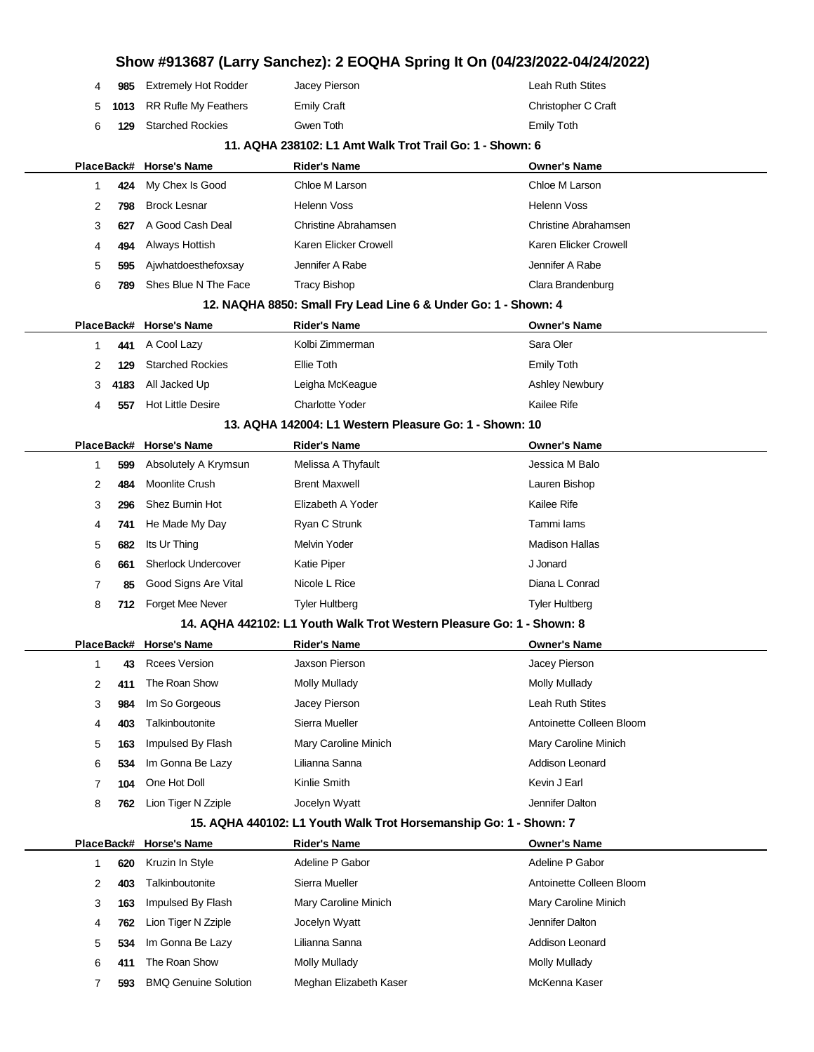|            |      |                             | Show #913687 (Larry Sanchez): 2 EOQHA Spring It On (04/23/2022-04/24/2022) |                          |
|------------|------|-----------------------------|----------------------------------------------------------------------------|--------------------------|
| 4          | 985  | <b>Extremely Hot Rodder</b> | Jacey Pierson                                                              | Leah Ruth Stites         |
| 5          | 1013 | <b>RR Rufle My Feathers</b> | <b>Emily Craft</b>                                                         | Christopher C Craft      |
| 6          | 129  | <b>Starched Rockies</b>     | Gwen Toth                                                                  | <b>Emily Toth</b>        |
|            |      |                             | 11. AQHA 238102: L1 Amt Walk Trot Trail Go: 1 - Shown: 6                   |                          |
|            |      | PlaceBack# Horse's Name     | <b>Rider's Name</b>                                                        | <b>Owner's Name</b>      |
| 1          | 424  | My Chex Is Good             | Chloe M Larson                                                             | Chloe M Larson           |
| 2          | 798  | <b>Brock Lesnar</b>         | <b>Helenn Voss</b>                                                         | <b>Helenn Voss</b>       |
| 3          | 627  | A Good Cash Deal            | Christine Abrahamsen                                                       | Christine Abrahamsen     |
| 4          | 494  | Always Hottish              | Karen Elicker Crowell                                                      | Karen Elicker Crowell    |
| 5          | 595  | Ajwhatdoesthefoxsay         | Jennifer A Rabe                                                            | Jennifer A Rabe          |
| 6          | 789  | Shes Blue N The Face        | <b>Tracy Bishop</b>                                                        | Clara Brandenburg        |
|            |      |                             | 12. NAQHA 8850: Small Fry Lead Line 6 & Under Go: 1 - Shown: 4             |                          |
|            |      | PlaceBack# Horse's Name     | <b>Rider's Name</b>                                                        | <b>Owner's Name</b>      |
| 1          | 441  | A Cool Lazy                 | Kolbi Zimmerman                                                            | Sara Oler                |
| 2          | 129  | <b>Starched Rockies</b>     | Ellie Toth                                                                 | <b>Emily Toth</b>        |
| 3          | 4183 | All Jacked Up               | Leigha McKeague                                                            | <b>Ashley Newbury</b>    |
| 4          | 557  | <b>Hot Little Desire</b>    | <b>Charlotte Yoder</b>                                                     | Kailee Rife              |
|            |      |                             | 13. AQHA 142004: L1 Western Pleasure Go: 1 - Shown: 10                     |                          |
|            |      | PlaceBack# Horse's Name     | <b>Rider's Name</b>                                                        | <b>Owner's Name</b>      |
| 1          | 599  | Absolutely A Krymsun        | Melissa A Thyfault                                                         | Jessica M Balo           |
| 2          | 484  | Moonlite Crush              | <b>Brent Maxwell</b>                                                       | Lauren Bishop            |
| 3          | 296  | Shez Burnin Hot             | Elizabeth A Yoder                                                          | <b>Kailee Rife</b>       |
| 4          | 741  | He Made My Day              | Ryan C Strunk                                                              | Tammi lams               |
| 5          | 682  | Its Ur Thing                | Melvin Yoder                                                               | <b>Madison Hallas</b>    |
| 6          | 661  | <b>Sherlock Undercover</b>  | Katie Piper                                                                | J Jonard                 |
| 7          | 85   | Good Signs Are Vital        | Nicole L Rice                                                              | Diana L Conrad           |
| 8          | 712  | Forget Mee Never            | <b>Tyler Hultberg</b>                                                      | <b>Tyler Hultberg</b>    |
|            |      |                             | 14. AQHA 442102: L1 Youth Walk Trot Western Pleasure Go: 1 - Shown: 8      |                          |
|            |      | PlaceBack# Horse's Name     | <b>Rider's Name</b>                                                        | <b>Owner's Name</b>      |
| 1          | 43   | <b>Rcees Version</b>        | Jaxson Pierson                                                             | Jacey Pierson            |
| 2          | 411  | The Roan Show               | <b>Molly Mullady</b>                                                       | <b>Molly Mullady</b>     |
| 3          | 984  | Im So Gorgeous              | Jacey Pierson                                                              | Leah Ruth Stites         |
| 4          | 403  | Talkinboutonite             | Sierra Mueller                                                             | Antoinette Colleen Bloom |
| 5          | 163  | Impulsed By Flash           | Mary Caroline Minich                                                       | Mary Caroline Minich     |
| 6          | 534  | Im Gonna Be Lazy            | Lilianna Sanna                                                             | Addison Leonard          |
| 7          | 104  | One Hot Doll                | Kinlie Smith                                                               | Kevin J Earl             |
| 8          | 762  | Lion Tiger N Zziple         | Jocelyn Wyatt                                                              | Jennifer Dalton          |
|            |      |                             | 15. AQHA 440102: L1 Youth Walk Trot Horsemanship Go: 1 - Shown: 7          |                          |
| PlaceBack# |      | <b>Horse's Name</b>         | <b>Rider's Name</b>                                                        | <b>Owner's Name</b>      |
| 1          | 620  | Kruzin In Style             | Adeline P Gabor                                                            | Adeline P Gabor          |
| 2          | 403  | Talkinboutonite             | Sierra Mueller                                                             | Antoinette Colleen Bloom |
| 3          | 163  | Impulsed By Flash           | Mary Caroline Minich                                                       | Mary Caroline Minich     |
| 4          | 762  | Lion Tiger N Zziple         | Jocelyn Wyatt                                                              | Jennifer Dalton          |
| 5          | 534  | Im Gonna Be Lazy            | Lilianna Sanna                                                             | Addison Leonard          |
| 6          | 411  | The Roan Show               | Molly Mullady                                                              | <b>Molly Mullady</b>     |
| 7          | 593  | <b>BMQ Genuine Solution</b> | Meghan Elizabeth Kaser                                                     | McKenna Kaser            |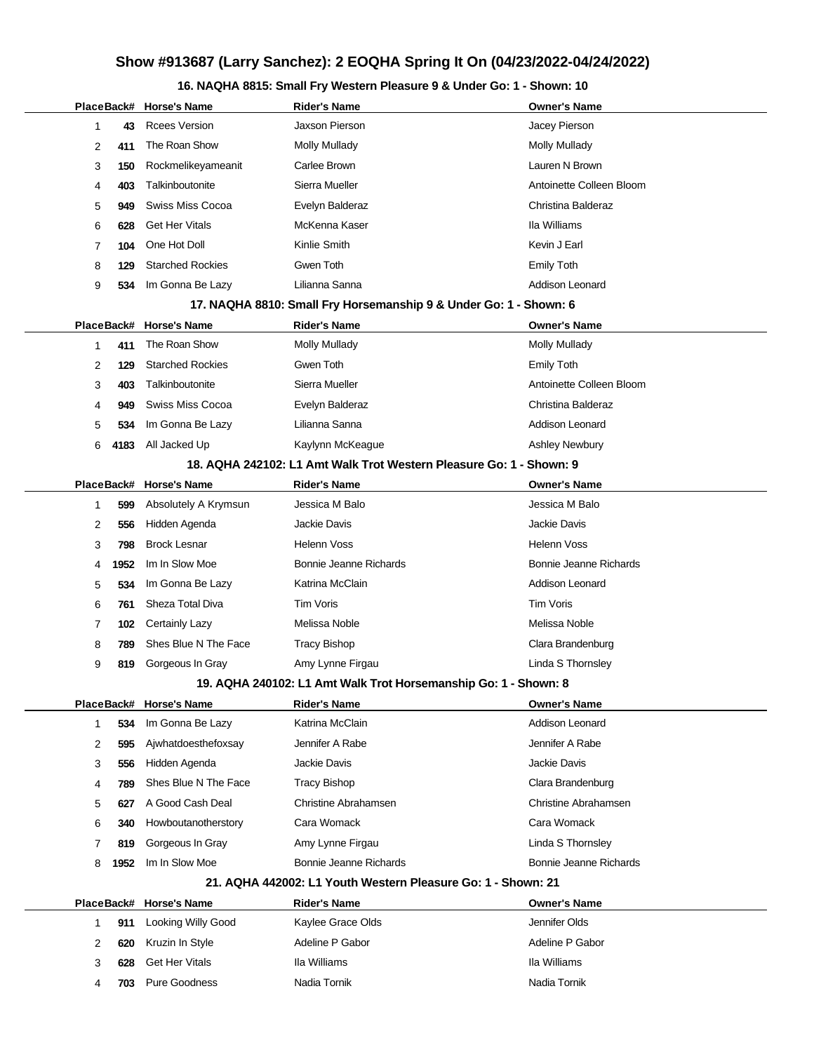## **16. NAQHA 8815: Small Fry Western Pleasure 9 & Under Go: 1 - Shown: 10**

|   |      | PlaceBack# Horse's Name   | <b>Rider's Name</b>                                                 | <b>Owner's Name</b>      |
|---|------|---------------------------|---------------------------------------------------------------------|--------------------------|
| 1 | 43   | <b>Rcees Version</b>      | Jaxson Pierson                                                      | Jacey Pierson            |
| 2 | 411  | The Roan Show             | <b>Molly Mullady</b>                                                | <b>Molly Mullady</b>     |
| 3 | 150  | Rockmelikeyameanit        | Carlee Brown                                                        | Lauren N Brown           |
| 4 | 403  | Talkinboutonite           | Sierra Mueller                                                      | Antoinette Colleen Bloom |
| 5 | 949  | <b>Swiss Miss Cocoa</b>   | Evelyn Balderaz                                                     | Christina Balderaz       |
| 6 | 628  | <b>Get Her Vitals</b>     | McKenna Kaser                                                       | Ila Williams             |
| 7 | 104  | One Hot Doll              | Kinlie Smith                                                        | Kevin J Earl             |
| 8 | 129  | <b>Starched Rockies</b>   | Gwen Toth                                                           | <b>Emily Toth</b>        |
| 9 | 534  | Im Gonna Be Lazy          | Lilianna Sanna                                                      | Addison Leonard          |
|   |      |                           | 17. NAQHA 8810: Small Fry Horsemanship 9 & Under Go: 1 - Shown: 6   |                          |
|   |      | PlaceBack# Horse's Name   | <b>Rider's Name</b>                                                 | <b>Owner's Name</b>      |
| 1 | 411  | The Roan Show             | <b>Molly Mullady</b>                                                | <b>Molly Mullady</b>     |
| 2 | 129  | <b>Starched Rockies</b>   | Gwen Toth                                                           | <b>Emily Toth</b>        |
| 3 | 403  | Talkinboutonite           | Sierra Mueller                                                      | Antoinette Colleen Bloom |
| 4 | 949  | Swiss Miss Cocoa          | Evelyn Balderaz                                                     | Christina Balderaz       |
| 5 | 534  | Im Gonna Be Lazy          | Lilianna Sanna                                                      | <b>Addison Leonard</b>   |
| 6 | 4183 | All Jacked Up             | Kaylynn McKeague                                                    | <b>Ashley Newbury</b>    |
|   |      |                           | 18. AQHA 242102: L1 Amt Walk Trot Western Pleasure Go: 1 - Shown: 9 |                          |
|   |      | PlaceBack# Horse's Name   | <b>Rider's Name</b>                                                 | <b>Owner's Name</b>      |
| 1 | 599  | Absolutely A Krymsun      | Jessica M Balo                                                      | Jessica M Balo           |
| 2 | 556  | Hidden Agenda             | Jackie Davis                                                        | Jackie Davis             |
| 3 | 798  | <b>Brock Lesnar</b>       | <b>Helenn Voss</b>                                                  | <b>Helenn Voss</b>       |
| 4 | 1952 | Im In Slow Moe            | <b>Bonnie Jeanne Richards</b>                                       | Bonnie Jeanne Richards   |
| 5 | 534  | Im Gonna Be Lazy          | Katrina McClain                                                     | Addison Leonard          |
| 6 | 761  | Sheza Total Diva          | Tim Voris                                                           | Tim Voris                |
| 7 | 102  | <b>Certainly Lazy</b>     | Melissa Noble                                                       | Melissa Noble            |
| 8 | 789  | Shes Blue N The Face      | <b>Tracy Bishop</b>                                                 | Clara Brandenburg        |
| 9 | 819  | Gorgeous In Gray          | Amy Lynne Firgau                                                    | Linda S Thornsley        |
|   |      |                           | 19. AQHA 240102: L1 Amt Walk Trot Horsemanship Go: 1 - Shown: 8     |                          |
|   |      | PlaceBack# Horse's Name   | <b>Rider's Name</b>                                                 | <b>Owner's Name</b>      |
| 1 | 534  | Im Gonna Be Lazy          | Katrina McClain                                                     | Addison Leonard          |
| 2 | 595  | Ajwhatdoesthefoxsay       | Jennifer A Rabe                                                     | Jennifer A Rabe          |
| 3 | 556  | Hidden Agenda             | Jackie Davis                                                        | Jackie Davis             |
| 4 | 789  | Shes Blue N The Face      | Tracy Bishop                                                        | Clara Brandenburg        |
| 5 | 627  | A Good Cash Deal          | Christine Abrahamsen                                                | Christine Abrahamsen     |
| 6 | 340  | Howboutanotherstory       | Cara Womack                                                         | Cara Womack              |
| 7 | 819  | Gorgeous In Gray          | Amy Lynne Firgau                                                    | Linda S Thornsley        |
| 8 | 1952 | Im In Slow Moe            | Bonnie Jeanne Richards                                              | Bonnie Jeanne Richards   |
|   |      |                           | 21. AQHA 442002: L1 Youth Western Pleasure Go: 1 - Shown: 21        |                          |
|   |      | PlaceBack# Horse's Name   | <b>Rider's Name</b>                                                 | <b>Owner's Name</b>      |
| 1 | 911  | <b>Looking Willy Good</b> | Kaylee Grace Olds                                                   | Jennifer Olds            |
| 2 | 620  | Kruzin In Style           | Adeline P Gabor                                                     | Adeline P Gabor          |
| 3 | 628  | <b>Get Her Vitals</b>     | Ila Williams                                                        | Ila Williams             |
| 4 | 703  | <b>Pure Goodness</b>      | Nadia Tornik                                                        | Nadia Tornik             |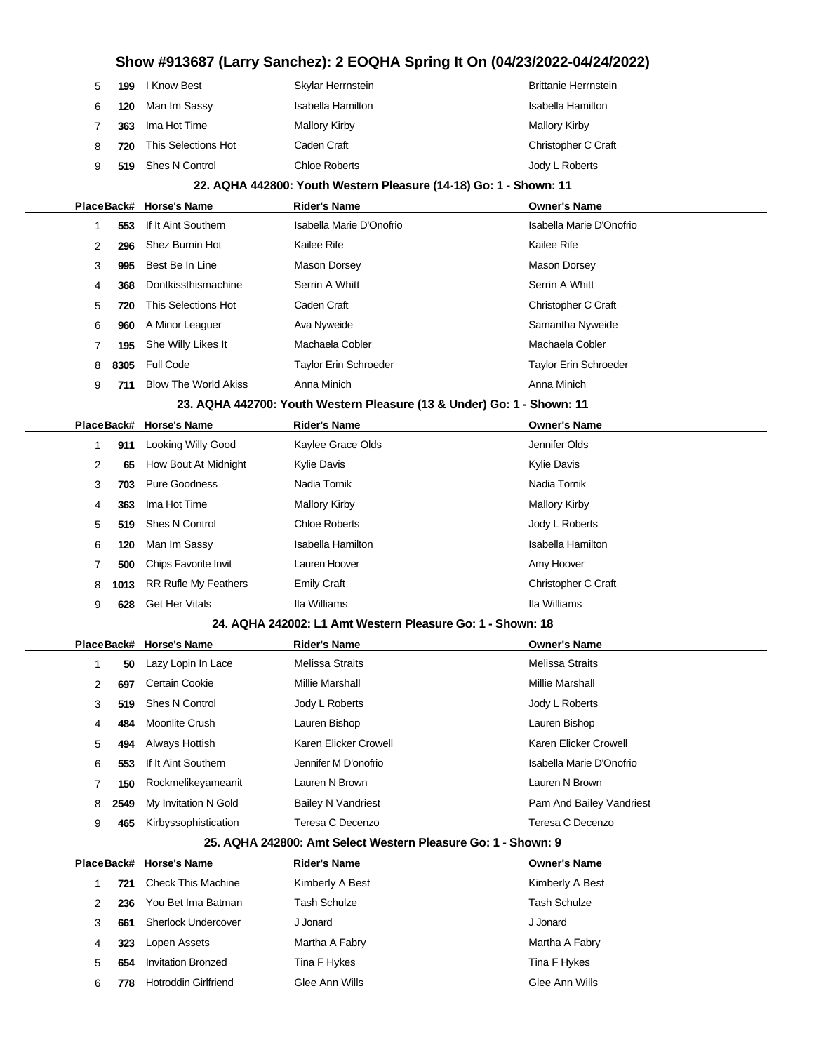| 5 | 199        | I Know Best                 | Skylar Herrnstein                                                      | <b>Brittanie Herrnstein</b>  |
|---|------------|-----------------------------|------------------------------------------------------------------------|------------------------------|
| 6 | 120        | Man Im Sassy                | Isabella Hamilton                                                      | Isabella Hamilton            |
| 7 | 363        | Ima Hot Time                | <b>Mallory Kirby</b>                                                   | <b>Mallory Kirby</b>         |
| 8 | 720        | This Selections Hot         | Caden Craft                                                            | Christopher C Craft          |
| 9 | 519        | <b>Shes N Control</b>       | <b>Chloe Roberts</b>                                                   | Jody L Roberts               |
|   |            |                             | 22. AQHA 442800: Youth Western Pleasure (14-18) Go: 1 - Shown: 11      |                              |
|   | PlaceBack# | <b>Horse's Name</b>         | <b>Rider's Name</b>                                                    | <b>Owner's Name</b>          |
| 1 | 553        | If It Aint Southern         | Isabella Marie D'Onofrio                                               | Isabella Marie D'Onofrio     |
| 2 | 296        | Shez Burnin Hot             | Kailee Rife                                                            | Kailee Rife                  |
| 3 | 995        | Best Be In Line             | <b>Mason Dorsey</b>                                                    | Mason Dorsey                 |
| 4 | 368        | Dontkissthismachine         | Serrin A Whitt                                                         | Serrin A Whitt               |
| 5 | 720        | This Selections Hot         | Caden Craft                                                            | Christopher C Craft          |
| 6 | 960        | A Minor Leaguer             | Ava Nyweide                                                            | Samantha Nyweide             |
| 7 | 195        | She Willy Likes It          | Machaela Cobler                                                        | Machaela Cobler              |
| 8 | 8305       | <b>Full Code</b>            | Taylor Erin Schroeder                                                  | <b>Taylor Erin Schroeder</b> |
| 9 | 711        | <b>Blow The World Akiss</b> | Anna Minich                                                            | Anna Minich                  |
|   |            |                             | 23. AQHA 442700: Youth Western Pleasure (13 & Under) Go: 1 - Shown: 11 |                              |
|   | PlaceBack# | <b>Horse's Name</b>         | <b>Rider's Name</b>                                                    | <b>Owner's Name</b>          |
| 1 | 911        | <b>Looking Willy Good</b>   | Kaylee Grace Olds                                                      | Jennifer Olds                |
| 2 | 65         | How Bout At Midnight        | Kylie Davis                                                            | <b>Kylie Davis</b>           |
| 3 | 703        | <b>Pure Goodness</b>        | Nadia Tornik                                                           | Nadia Tornik                 |
| 4 | 363        | Ima Hot Time                | <b>Mallory Kirby</b>                                                   | <b>Mallory Kirby</b>         |
| 5 | 519        | <b>Shes N Control</b>       | <b>Chloe Roberts</b>                                                   | Jody L Roberts               |
| 6 | 120        | Man Im Sassy                | <b>Isabella Hamilton</b>                                               | Isabella Hamilton            |
| 7 | 500        | Chips Favorite Invit        | Lauren Hoover                                                          | Amy Hoover                   |
| 8 | 1013       | <b>RR Rufle My Feathers</b> | <b>Emily Craft</b>                                                     | Christopher C Craft          |
| 9 | 628        | <b>Get Her Vitals</b>       | Ila Williams                                                           | Ila Williams                 |
|   |            |                             | 24. AQHA 242002: L1 Amt Western Pleasure Go: 1 - Shown: 18             |                              |
|   | PlaceBack# | <b>Horse's Name</b>         | <b>Rider's Name</b>                                                    | <b>Owner's Name</b>          |
| 1 | 50         | Lazy Lopin In Lace          | <b>Melissa Straits</b>                                                 | <b>Melissa Straits</b>       |
| 2 | 697        | Certain Cookie              | <b>Millie Marshall</b>                                                 | <b>Millie Marshall</b>       |
| 3 | 519        | <b>Shes N Control</b>       | Jody L Roberts                                                         | Jody L Roberts               |
| 4 | 484        | <b>Moonlite Crush</b>       | Lauren Bishop                                                          | Lauren Bishop                |
| 5 | 494        | Always Hottish              | Karen Elicker Crowell                                                  | Karen Elicker Crowell        |
| 6 | 553        | If It Aint Southern         | Jennifer M D'onofrio                                                   | Isabella Marie D'Onofrio     |
| 7 | 150        | Rockmelikeyameanit          | Lauren N Brown                                                         | Lauren N Brown               |
| 8 | 2549       | My Invitation N Gold        | <b>Bailey N Vandriest</b>                                              | Pam And Bailey Vandriest     |
| 9 | 465        | Kirbyssophistication        | Teresa C Decenzo                                                       | Teresa C Decenzo             |
|   |            |                             | 25. AQHA 242800: Amt Select Western Pleasure Go: 1 - Shown: 9          |                              |
|   | PlaceBack# | <b>Horse's Name</b>         | <b>Rider's Name</b>                                                    | <b>Owner's Name</b>          |
| 1 | 721        | <b>Check This Machine</b>   | Kimberly A Best                                                        | Kimberly A Best              |
| 2 | 236        | You Bet Ima Batman          | <b>Tash Schulze</b>                                                    | <b>Tash Schulze</b>          |
| 3 | 661        | <b>Sherlock Undercover</b>  | J Jonard                                                               | J Jonard                     |
| 4 | 323        | Lopen Assets                | Martha A Fabry                                                         | Martha A Fabry               |
| 5 | 654        | <b>Invitation Bronzed</b>   | Tina F Hykes                                                           | Tina F Hykes                 |

**778** Hotroddin Girlfriend Glee Ann Wills Glee Ann Wills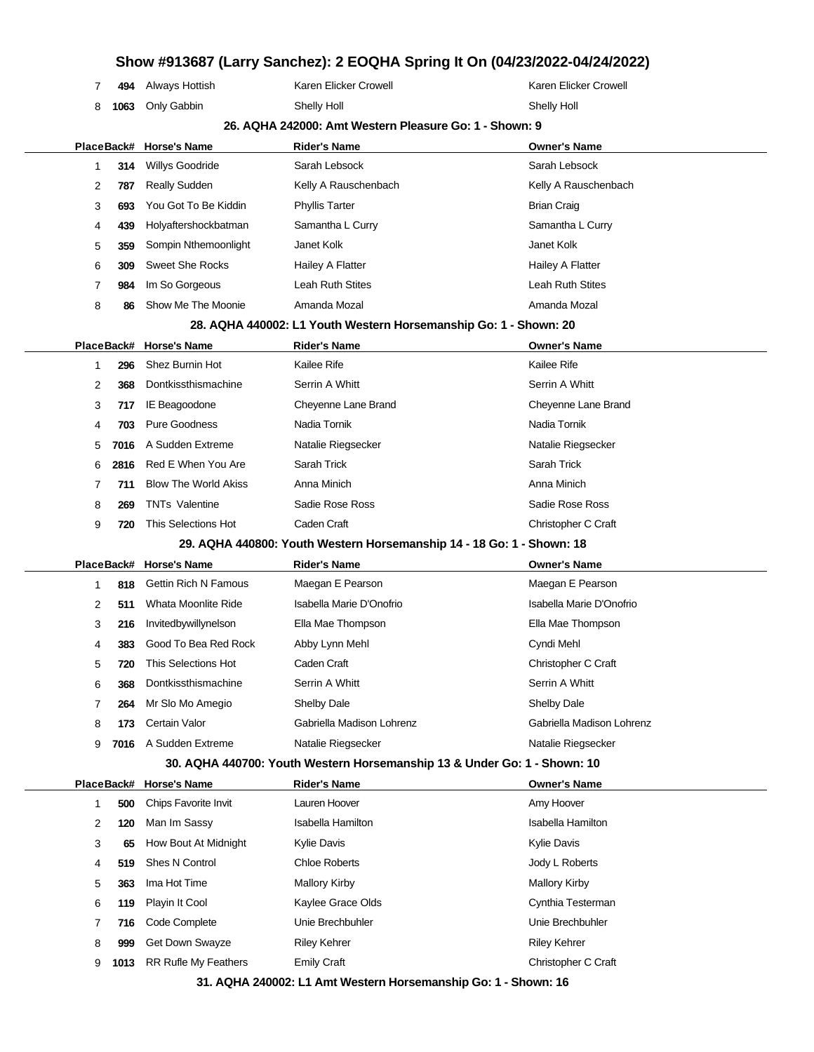|   |            |                             |                                                                          | Silow #913007 (Larry Sanchez). Z EOQHA Spring it On (04/23/2022-04/24/2022) |
|---|------------|-----------------------------|--------------------------------------------------------------------------|-----------------------------------------------------------------------------|
| 7 | 494        | Always Hottish              | Karen Elicker Crowell                                                    | Karen Elicker Crowell                                                       |
| 8 | 1063       | Only Gabbin                 | <b>Shelly Holl</b>                                                       | Shelly Holl                                                                 |
|   |            |                             | 26. AQHA 242000: Amt Western Pleasure Go: 1 - Shown: 9                   |                                                                             |
|   | PlaceBack# | <b>Horse's Name</b>         | <b>Rider's Name</b>                                                      | <b>Owner's Name</b>                                                         |
| 1 | 314        | <b>Willys Goodride</b>      | Sarah Lebsock                                                            | Sarah Lebsock                                                               |
| 2 | 787        | Really Sudden               | Kelly A Rauschenbach                                                     | Kelly A Rauschenbach                                                        |
| 3 | 693        | You Got To Be Kiddin        | <b>Phyllis Tarter</b>                                                    | <b>Brian Craig</b>                                                          |
| 4 | 439        | Holyaftershockbatman        | Samantha L Curry                                                         | Samantha L Curry                                                            |
| 5 | 359        | Sompin Nthemoonlight        | Janet Kolk                                                               | Janet Kolk                                                                  |
| 6 | 309        | <b>Sweet She Rocks</b>      | Hailey A Flatter                                                         | Hailey A Flatter                                                            |
| 7 | 984        | Im So Gorgeous              | Leah Ruth Stites                                                         | Leah Ruth Stites                                                            |
| 8 | 86         | Show Me The Moonie          | Amanda Mozal                                                             | Amanda Mozal                                                                |
|   |            |                             | 28. AQHA 440002: L1 Youth Western Horsemanship Go: 1 - Shown: 20         |                                                                             |
|   | PlaceBack# | <b>Horse's Name</b>         | <b>Rider's Name</b>                                                      | <b>Owner's Name</b>                                                         |
| 1 | 296        | Shez Burnin Hot             | Kailee Rife                                                              | Kailee Rife                                                                 |
| 2 | 368        | Dontkissthismachine         | Serrin A Whitt                                                           | Serrin A Whitt                                                              |
| 3 | 717        | IE Beagoodone               | Cheyenne Lane Brand                                                      | Cheyenne Lane Brand                                                         |
| 4 | 703        | Pure Goodness               | Nadia Tornik                                                             | Nadia Tornik                                                                |
| 5 | 7016       | A Sudden Extreme            | Natalie Riegsecker                                                       | Natalie Riegsecker                                                          |
| 6 | 2816       | Red E When You Are          | Sarah Trick                                                              | Sarah Trick                                                                 |
| 7 | 711        | <b>Blow The World Akiss</b> | Anna Minich                                                              | Anna Minich                                                                 |
| 8 | 269        | <b>TNTs Valentine</b>       | Sadie Rose Ross                                                          | Sadie Rose Ross                                                             |
| 9 | 720        | This Selections Hot         | Caden Craft                                                              | Christopher C Craft                                                         |
|   |            |                             | 29. AQHA 440800: Youth Western Horsemanship 14 - 18 Go: 1 - Shown: 18    |                                                                             |
|   | PlaceBack# | <b>Horse's Name</b>         | <b>Rider's Name</b>                                                      | <b>Owner's Name</b>                                                         |
| 1 | 818        | <b>Gettin Rich N Famous</b> | Maegan E Pearson                                                         | Maegan E Pearson                                                            |
| 2 | 511        | Whata Moonlite Ride         | Isabella Marie D'Onofrio                                                 | Isabella Marie D'Onofrio                                                    |
| 3 | 216        | Invitedbywillynelson        | Ella Mae Thompson                                                        | Ella Mae Thompson                                                           |
| 4 | 383        | Good To Bea Red Rock        | Abby Lynn Mehl                                                           | Cyndi Mehl                                                                  |
| 5 | 720        | This Selections Hot         | Caden Craft                                                              | Christopher C Craft                                                         |
| 6 | 368        | Dontkissthismachine         | Serrin A Whitt                                                           | Serrin A Whitt                                                              |
| 7 | 264        | Mr Slo Mo Amegio            | <b>Shelby Dale</b>                                                       | Shelby Dale                                                                 |
| 8 | 173        | Certain Valor               | Gabriella Madison Lohrenz                                                | Gabriella Madison Lohrenz                                                   |
| 9 | 7016       | A Sudden Extreme            | Natalie Riegsecker                                                       | Natalie Riegsecker                                                          |
|   |            |                             | 30. AQHA 440700: Youth Western Horsemanship 13 & Under Go: 1 - Shown: 10 |                                                                             |
|   | PlaceBack# | <b>Horse's Name</b>         | <b>Rider's Name</b>                                                      | <b>Owner's Name</b>                                                         |
| 1 | 500        | Chips Favorite Invit        | Lauren Hoover                                                            | Amy Hoover                                                                  |
| 2 | 120        | Man Im Sassy                | <b>Isabella Hamilton</b>                                                 | <b>Isabella Hamilton</b>                                                    |
| 3 | 65         | How Bout At Midnight        | <b>Kylie Davis</b>                                                       | Kylie Davis                                                                 |
| 4 | 519        | Shes N Control              | Chloe Roberts                                                            | Jody L Roberts                                                              |
| 5 | 363        | Ima Hot Time                | <b>Mallory Kirby</b>                                                     | <b>Mallory Kirby</b>                                                        |
| 6 | 119        | Playin It Cool              | Kaylee Grace Olds                                                        | Cynthia Testerman                                                           |
| 7 | 716        | Code Complete               | Unie Brechbuhler                                                         | Unie Brechbuhler                                                            |
| 8 | 999        | Get Down Swayze             | <b>Riley Kehrer</b>                                                      | <b>Riley Kehrer</b>                                                         |
| 9 | 1013       | <b>RR Rufle My Feathers</b> | <b>Emily Craft</b>                                                       | Christopher C Craft                                                         |

**31. AQHA 240002: L1 Amt Western Horsemanship Go: 1 - Shown: 16**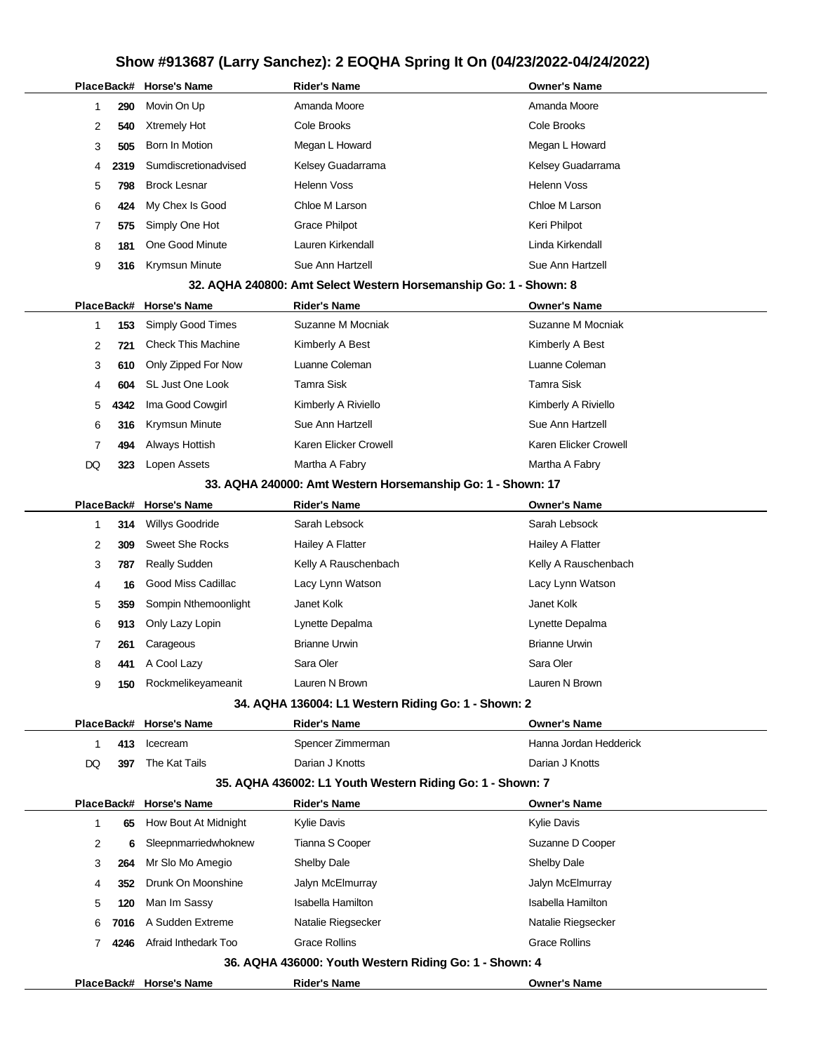|    |            | PlaceBack# Horse's Name   | Rider's Name                                                      | <b>Owner's Name</b>      |  |  |  |
|----|------------|---------------------------|-------------------------------------------------------------------|--------------------------|--|--|--|
|    | 290<br>1   | Movin On Up               | Amanda Moore                                                      | Amanda Moore             |  |  |  |
|    | 2<br>540   | Xtremely Hot              | Cole Brooks                                                       | Cole Brooks              |  |  |  |
|    | 3<br>505   | Born In Motion            | Megan L Howard                                                    | Megan L Howard           |  |  |  |
|    | 2319<br>4  | Sumdiscretionadvised      | Kelsey Guadarrama                                                 | Kelsey Guadarrama        |  |  |  |
|    | 5<br>798   | <b>Brock Lesnar</b>       | Helenn Voss                                                       | <b>Helenn Voss</b>       |  |  |  |
|    | 6<br>424   | My Chex Is Good           | Chloe M Larson                                                    | Chloe M Larson           |  |  |  |
|    | 7<br>575   | Simply One Hot            | <b>Grace Philpot</b>                                              | Keri Philpot             |  |  |  |
|    | 8<br>181   | One Good Minute           | Lauren Kirkendall                                                 | Linda Kirkendall         |  |  |  |
|    | 9<br>316   | Krymsun Minute            | Sue Ann Hartzell                                                  | Sue Ann Hartzell         |  |  |  |
|    |            |                           | 32. AQHA 240800: Amt Select Western Horsemanship Go: 1 - Shown: 8 |                          |  |  |  |
|    | PlaceBack# | <b>Horse's Name</b>       | <b>Rider's Name</b>                                               | <b>Owner's Name</b>      |  |  |  |
|    | 153<br>1   | Simply Good Times         | Suzanne M Mocniak                                                 | Suzanne M Mocniak        |  |  |  |
|    | 2<br>721   | <b>Check This Machine</b> | Kimberly A Best                                                   | Kimberly A Best          |  |  |  |
|    | 3<br>610   | Only Zipped For Now       | Luanne Coleman                                                    | Luanne Coleman           |  |  |  |
|    | 4<br>604   | SL Just One Look          | Tamra Sisk                                                        | <b>Tamra Sisk</b>        |  |  |  |
|    | 5<br>4342  | Ima Good Cowgirl          | Kimberly A Riviello                                               | Kimberly A Riviello      |  |  |  |
|    | 6<br>316   | Krymsun Minute            | Sue Ann Hartzell                                                  | Sue Ann Hartzell         |  |  |  |
|    | 7<br>494   | Always Hottish            | Karen Elicker Crowell                                             | Karen Elicker Crowell    |  |  |  |
| DQ | 323        | Lopen Assets              | Martha A Fabry                                                    | Martha A Fabry           |  |  |  |
|    |            |                           | 33. AQHA 240000: Amt Western Horsemanship Go: 1 - Shown: 17       |                          |  |  |  |
|    | PlaceBack# | <b>Horse's Name</b>       | <b>Rider's Name</b>                                               | <b>Owner's Name</b>      |  |  |  |
|    | 314<br>1   | <b>Willys Goodride</b>    | Sarah Lebsock                                                     | Sarah Lebsock            |  |  |  |
|    | 2<br>309   | <b>Sweet She Rocks</b>    | Hailey A Flatter                                                  | Hailey A Flatter         |  |  |  |
|    | 3<br>787   | <b>Really Sudden</b>      | Kelly A Rauschenbach                                              | Kelly A Rauschenbach     |  |  |  |
|    | 4<br>16    | Good Miss Cadillac        | Lacy Lynn Watson                                                  | Lacy Lynn Watson         |  |  |  |
|    | 5<br>359   | Sompin Nthemoonlight      | Janet Kolk                                                        | Janet Kolk               |  |  |  |
|    | 6<br>913   | Only Lazy Lopin           | Lynette Depalma                                                   | Lynette Depalma          |  |  |  |
|    | 7<br>261   | Carageous                 | <b>Brianne Urwin</b>                                              | <b>Brianne Urwin</b>     |  |  |  |
|    | 8<br>441   | A Cool Lazy               | Sara Oler                                                         | Sara Oler                |  |  |  |
|    | 9          | 150 Rockmelikeyameanit    | Lauren N Brown                                                    | Lauren N Brown           |  |  |  |
|    |            |                           | 34. AQHA 136004: L1 Western Riding Go: 1 - Shown: 2               |                          |  |  |  |
|    |            | PlaceBack# Horse's Name   | <b>Rider's Name</b>                                               | <b>Owner's Name</b>      |  |  |  |
|    | 413<br>1   | Icecream                  | Spencer Zimmerman                                                 | Hanna Jordan Hedderick   |  |  |  |
| DQ | 397        | The Kat Tails             | Darian J Knotts                                                   | Darian J Knotts          |  |  |  |
|    |            |                           | 35. AQHA 436002: L1 Youth Western Riding Go: 1 - Shown: 7         |                          |  |  |  |
|    |            | PlaceBack# Horse's Name   | <b>Rider's Name</b>                                               | <b>Owner's Name</b>      |  |  |  |
|    | 1<br>65    | How Bout At Midnight      | Kylie Davis                                                       | Kylie Davis              |  |  |  |
|    | 2<br>6     | Sleepnmarriedwhoknew      | Tianna S Cooper                                                   | Suzanne D Cooper         |  |  |  |
|    | 3<br>264   | Mr Slo Mo Amegio          | <b>Shelby Dale</b>                                                | <b>Shelby Dale</b>       |  |  |  |
|    | 352<br>4   | Drunk On Moonshine        | Jalyn McElmurray                                                  | Jalyn McElmurray         |  |  |  |
|    | 5<br>120   | Man Im Sassy              | <b>Isabella Hamilton</b>                                          | <b>Isabella Hamilton</b> |  |  |  |
|    | 6<br>7016  | A Sudden Extreme          | Natalie Riegsecker                                                | Natalie Riegsecker       |  |  |  |
|    | 4246<br>7  | Afraid Inthedark Too      | <b>Grace Rollins</b>                                              | <b>Grace Rollins</b>     |  |  |  |
|    |            |                           | 36. AQHA 436000: Youth Western Riding Go: 1 - Shown: 4            |                          |  |  |  |
|    |            | PlaceBack# Horse's Name   | <b>Rider's Name</b>                                               | <b>Owner's Name</b>      |  |  |  |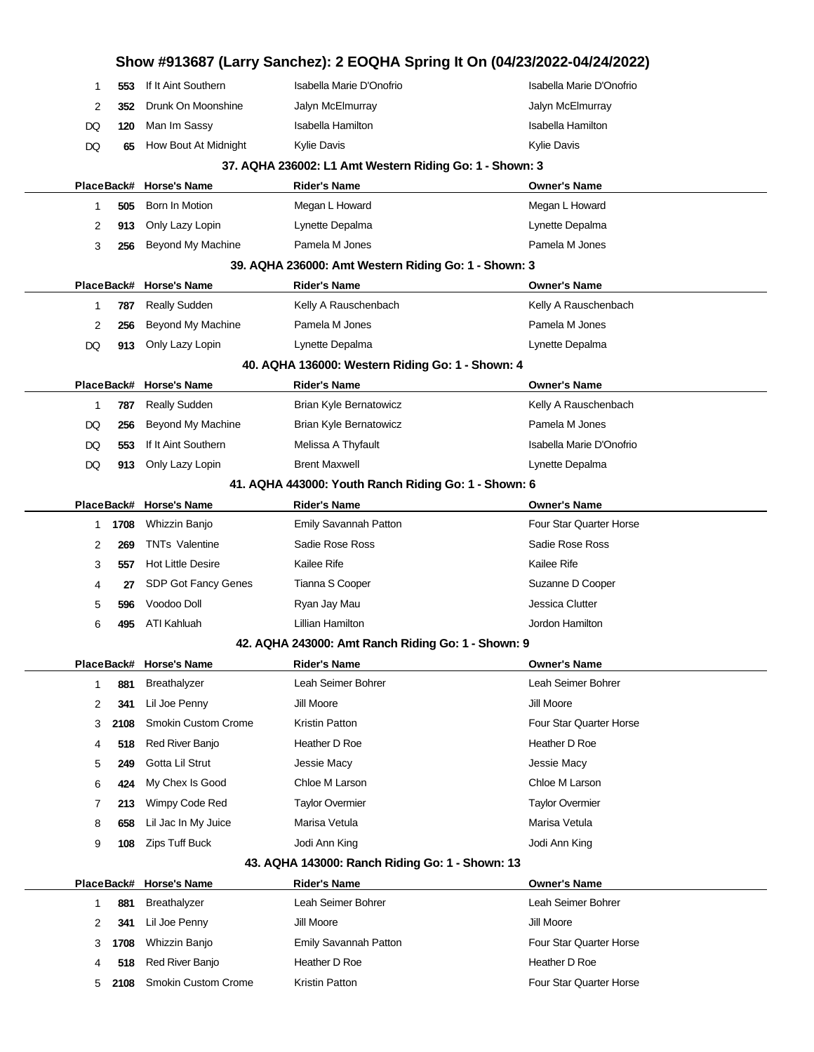|                |      |                            |                                                         | Show #913687 (Larry Sanchez): 2 EOQHA Spring It On (04/23/2022-04/24/2022) |
|----------------|------|----------------------------|---------------------------------------------------------|----------------------------------------------------------------------------|
| 1              | 553  | If It Aint Southern        | Isabella Marie D'Onofrio                                | Isabella Marie D'Onofrio                                                   |
| $\overline{c}$ | 352  | Drunk On Moonshine         | Jalyn McElmurray                                        | Jalyn McElmurray                                                           |
| DQ             | 120  | Man Im Sassy               | Isabella Hamilton                                       | Isabella Hamilton                                                          |
| DQ             | 65   | How Bout At Midnight       | <b>Kylie Davis</b>                                      | <b>Kylie Davis</b>                                                         |
|                |      |                            | 37. AQHA 236002: L1 Amt Western Riding Go: 1 - Shown: 3 |                                                                            |
|                |      | PlaceBack# Horse's Name    | <b>Rider's Name</b>                                     | <b>Owner's Name</b>                                                        |
| 1              | 505  | Born In Motion             | Megan L Howard                                          | Megan L Howard                                                             |
| 2              | 913  | Only Lazy Lopin            | Lynette Depalma                                         | Lynette Depalma                                                            |
| 3              | 256  | Beyond My Machine          | Pamela M Jones                                          | Pamela M Jones                                                             |
|                |      |                            | 39. AQHA 236000: Amt Western Riding Go: 1 - Shown: 3    |                                                                            |
|                |      | PlaceBack# Horse's Name    | <b>Rider's Name</b>                                     | <b>Owner's Name</b>                                                        |
| 1              | 787  | <b>Really Sudden</b>       | Kelly A Rauschenbach                                    | Kelly A Rauschenbach                                                       |
| 2              | 256  | Beyond My Machine          | Pamela M Jones                                          | Pamela M Jones                                                             |
| DQ             | 913  | Only Lazy Lopin            | Lynette Depalma                                         | Lynette Depalma                                                            |
|                |      |                            | 40. AQHA 136000: Western Riding Go: 1 - Shown: 4        |                                                                            |
|                |      | PlaceBack# Horse's Name    | <b>Rider's Name</b>                                     | <b>Owner's Name</b>                                                        |
| 1              | 787  | <b>Really Sudden</b>       | Brian Kyle Bernatowicz                                  | Kelly A Rauschenbach                                                       |
| DQ             | 256  | Beyond My Machine          | Brian Kyle Bernatowicz                                  | Pamela M Jones                                                             |
| DQ             | 553  | If It Aint Southern        | Melissa A Thyfault                                      | Isabella Marie D'Onofrio                                                   |
| DQ             | 913  | Only Lazy Lopin            | <b>Brent Maxwell</b>                                    | Lynette Depalma                                                            |
|                |      |                            | 41. AQHA 443000: Youth Ranch Riding Go: 1 - Shown: 6    |                                                                            |
|                |      | PlaceBack# Horse's Name    | <b>Rider's Name</b>                                     | <b>Owner's Name</b>                                                        |
| 1              | 1708 | Whizzin Banjo              | Emily Savannah Patton                                   | <b>Four Star Quarter Horse</b>                                             |
| 2              | 269  | <b>TNTs Valentine</b>      | Sadie Rose Ross                                         | Sadie Rose Ross                                                            |
| 3              | 557  | <b>Hot Little Desire</b>   | Kailee Rife                                             | Kailee Rife                                                                |
| 4              | 27   | <b>SDP Got Fancy Genes</b> | Tianna S Cooper                                         | Suzanne D Cooper                                                           |
| 5              | 596  | Voodoo Doll                | Ryan Jay Mau                                            | Jessica Clutter                                                            |
| 6              | 495  | <b>ATI Kahluah</b>         | Lillian Hamilton                                        | Jordon Hamilton                                                            |
|                |      |                            | 42. AQHA 243000: Amt Ranch Riding Go: 1 - Shown: 9      |                                                                            |
|                |      | PlaceBack# Horse's Name    | <b>Rider's Name</b>                                     | <b>Owner's Name</b>                                                        |
| 1              | 881  | Breathalyzer               | Leah Seimer Bohrer                                      | Leah Seimer Bohrer                                                         |
| 2              | 341  | Lil Joe Penny              | Jill Moore                                              | Jill Moore                                                                 |
| 3              | 2108 | <b>Smokin Custom Crome</b> | <b>Kristin Patton</b>                                   | Four Star Quarter Horse                                                    |
| 4              | 518  | Red River Banjo            | Heather D Roe                                           | Heather D Roe                                                              |
| 5              | 249  | Gotta Lil Strut            | Jessie Macy                                             | Jessie Macy                                                                |
| 6              | 424  | My Chex Is Good            | Chloe M Larson                                          | Chloe M Larson                                                             |
| 7              | 213  | Wimpy Code Red             | <b>Taylor Overmier</b>                                  | <b>Taylor Overmier</b>                                                     |
| 8              | 658  | Lil Jac In My Juice        | Marisa Vetula                                           | Marisa Vetula                                                              |
| 9              | 108  | <b>Zips Tuff Buck</b>      | Jodi Ann King                                           | Jodi Ann King                                                              |
|                |      |                            | 43. AQHA 143000: Ranch Riding Go: 1 - Shown: 13         |                                                                            |
|                |      | PlaceBack# Horse's Name    | <b>Rider's Name</b>                                     | <b>Owner's Name</b>                                                        |
| 1              | 881  | <b>Breathalyzer</b>        | Leah Seimer Bohrer                                      | Leah Seimer Bohrer                                                         |
| 2              | 341  | Lil Joe Penny              | Jill Moore                                              | Jill Moore                                                                 |
| 3              | 1708 | Whizzin Banjo              | Emily Savannah Patton                                   | Four Star Quarter Horse                                                    |
| 4              | 518  | Red River Banjo            | Heather D Roe                                           | Heather D Roe                                                              |
| 5              | 2108 | Smokin Custom Crome        | Kristin Patton                                          | Four Star Quarter Horse                                                    |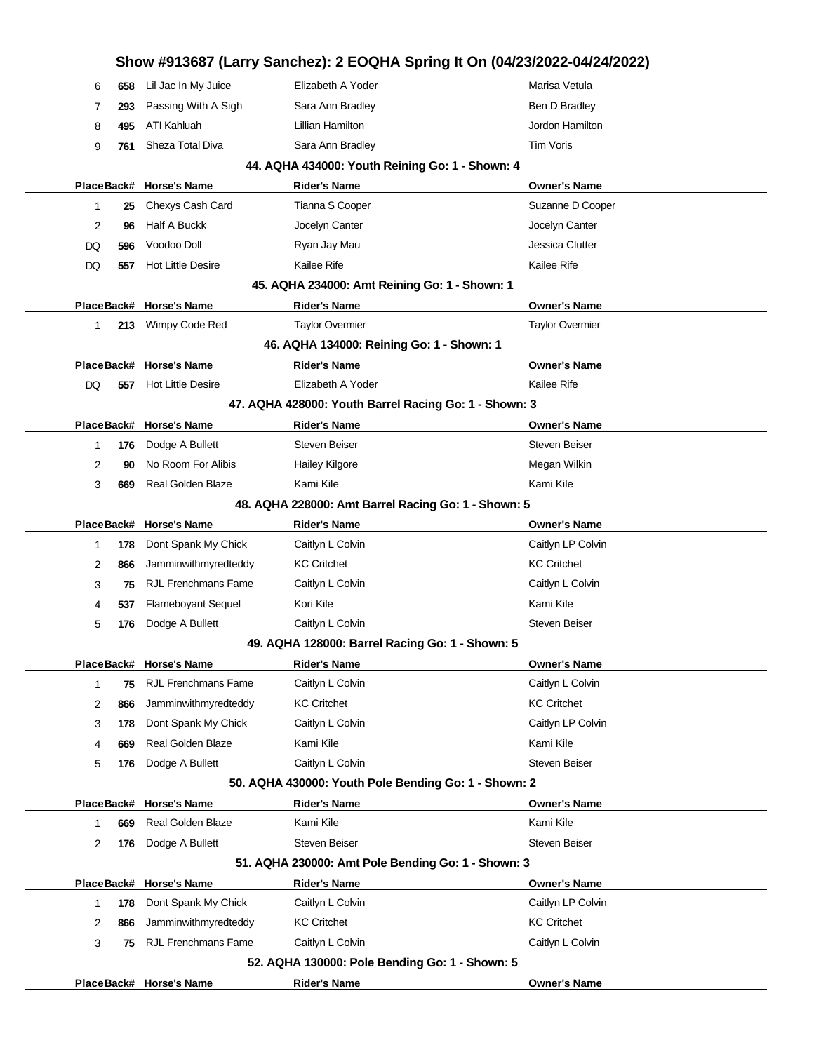|            |     | PlaceBack# Horse's Name                               | <b>Rider's Name</b>                                   | <b>Owner's Name</b>                                                        |  |
|------------|-----|-------------------------------------------------------|-------------------------------------------------------|----------------------------------------------------------------------------|--|
|            |     |                                                       | 52. AQHA 130000: Pole Bending Go: 1 - Shown: 5        |                                                                            |  |
| 3          | 75  | <b>RJL Frenchmans Fame</b>                            | Caitlyn L Colvin                                      | Caitlyn L Colvin                                                           |  |
| 2          | 866 | Jamminwithmyredteddy                                  | <b>KC Critchet</b>                                    | <b>KC Critchet</b>                                                         |  |
| 1          | 178 | Dont Spank My Chick                                   | Caitlyn L Colvin                                      | Caitlyn LP Colvin                                                          |  |
|            |     | PlaceBack# Horse's Name                               | <b>Rider's Name</b>                                   | <b>Owner's Name</b>                                                        |  |
|            |     |                                                       | 51. AQHA 230000: Amt Pole Bending Go: 1 - Shown: 3    |                                                                            |  |
| 2          | 176 | Dodge A Bullett                                       | <b>Steven Beiser</b>                                  | Steven Beiser                                                              |  |
| 1          | 669 | Real Golden Blaze                                     | Kami Kile                                             | Kami Kile                                                                  |  |
|            |     | PlaceBack# Horse's Name                               | <b>Rider's Name</b>                                   | <b>Owner's Name</b>                                                        |  |
|            |     |                                                       | 50. AQHA 430000: Youth Pole Bending Go: 1 - Shown: 2  |                                                                            |  |
| 5          | 176 | Dodge A Bullett                                       | Caitlyn L Colvin                                      | Steven Beiser                                                              |  |
| 4          | 669 | Real Golden Blaze                                     | Kami Kile                                             | Kami Kile                                                                  |  |
| 3          | 178 | Dont Spank My Chick                                   | Caitlyn L Colvin                                      | Caitlyn LP Colvin                                                          |  |
| 2          | 866 | Jamminwithmyredteddy                                  | <b>KC Critchet</b>                                    | <b>KC Critchet</b>                                                         |  |
| 1          |     |                                                       |                                                       |                                                                            |  |
|            | 75  | PlaceBack# Horse's Name<br><b>RJL Frenchmans Fame</b> | <b>Rider's Name</b><br>Caitlyn L Colvin               | <b>Owner's Name</b><br>Caitlyn L Colvin                                    |  |
|            |     |                                                       | 49. AQHA 128000: Barrel Racing Go: 1 - Shown: 5       |                                                                            |  |
| 5          | 176 | Dodge A Bullett                                       | Caitlyn L Colvin                                      | Steven Beiser                                                              |  |
| 4          | 537 | <b>Flameboyant Sequel</b>                             | Kori Kile                                             | Kami Kile                                                                  |  |
| 3          | 75  | <b>RJL Frenchmans Fame</b>                            | Caitlyn L Colvin                                      | Caitlyn L Colvin                                                           |  |
| 2          | 866 | Jamminwithmyredteddy                                  | <b>KC Critchet</b>                                    | <b>KC Critchet</b>                                                         |  |
| 1          | 178 | Dont Spank My Chick                                   | Caitlyn L Colvin                                      | Caitlyn LP Colvin                                                          |  |
| PlaceBack# |     | <b>Horse's Name</b>                                   | <b>Rider's Name</b>                                   | <b>Owner's Name</b>                                                        |  |
|            |     |                                                       | 48. AQHA 228000: Amt Barrel Racing Go: 1 - Shown: 5   |                                                                            |  |
| 3          | 669 | Real Golden Blaze                                     | Kami Kile                                             | Kami Kile                                                                  |  |
| 2          | 90  | No Room For Alibis                                    | <b>Hailey Kilgore</b>                                 | Megan Wilkin                                                               |  |
| 1          | 176 | Dodge A Bullett                                       | <b>Steven Beiser</b>                                  | Steven Beiser                                                              |  |
|            |     | PlaceBack# Horse's Name                               | <b>Rider's Name</b>                                   | <b>Owner's Name</b>                                                        |  |
|            |     |                                                       | 47. AQHA 428000: Youth Barrel Racing Go: 1 - Shown: 3 |                                                                            |  |
| DQ         | 557 | <b>Hot Little Desire</b>                              | Elizabeth A Yoder                                     | Kailee Rife                                                                |  |
| PlaceBack# |     | <b>Horse's Name</b>                                   | <b>Rider's Name</b>                                   | <b>Owner's Name</b>                                                        |  |
|            |     |                                                       | 46. AQHA 134000: Reining Go: 1 - Shown: 1             |                                                                            |  |
| 1          | 213 | Wimpy Code Red                                        | <b>Taylor Overmier</b>                                | <b>Taylor Overmier</b>                                                     |  |
|            |     | PlaceBack# Horse's Name                               | <b>Rider's Name</b>                                   | <b>Owner's Name</b>                                                        |  |
|            |     |                                                       | 45. AQHA 234000: Amt Reining Go: 1 - Shown: 1         |                                                                            |  |
| DQ         | 557 | <b>Hot Little Desire</b>                              | Kailee Rife                                           | Kailee Rife                                                                |  |
| DQ         | 596 | Voodoo Doll                                           | Ryan Jay Mau                                          | Jessica Clutter                                                            |  |
| 2          | 96  | Half A Buckk                                          | Jocelyn Canter                                        | Jocelyn Canter                                                             |  |
| 1          | 25  | Chexys Cash Card                                      | Tianna S Cooper                                       | Suzanne D Cooper                                                           |  |
|            |     | PlaceBack# Horse's Name                               | <b>Rider's Name</b>                                   | <b>Owner's Name</b>                                                        |  |
|            |     |                                                       | 44. AQHA 434000: Youth Reining Go: 1 - Shown: 4       |                                                                            |  |
| 9          | 761 | Sheza Total Diva                                      | Sara Ann Bradley                                      | Tim Voris                                                                  |  |
| 8          | 495 | ATI Kahluah                                           | Lillian Hamilton                                      | Jordon Hamilton                                                            |  |
| 7          | 293 | Passing With A Sigh                                   | Sara Ann Bradley                                      | Ben D Bradley                                                              |  |
| 6          | 658 | Lil Jac In My Juice                                   | Elizabeth A Yoder                                     | Marisa Vetula                                                              |  |
|            |     |                                                       |                                                       | Show #913687 (Larry Sanchez): 2 EOQHA Spring It On (04/23/2022-04/24/2022) |  |
|            |     |                                                       |                                                       |                                                                            |  |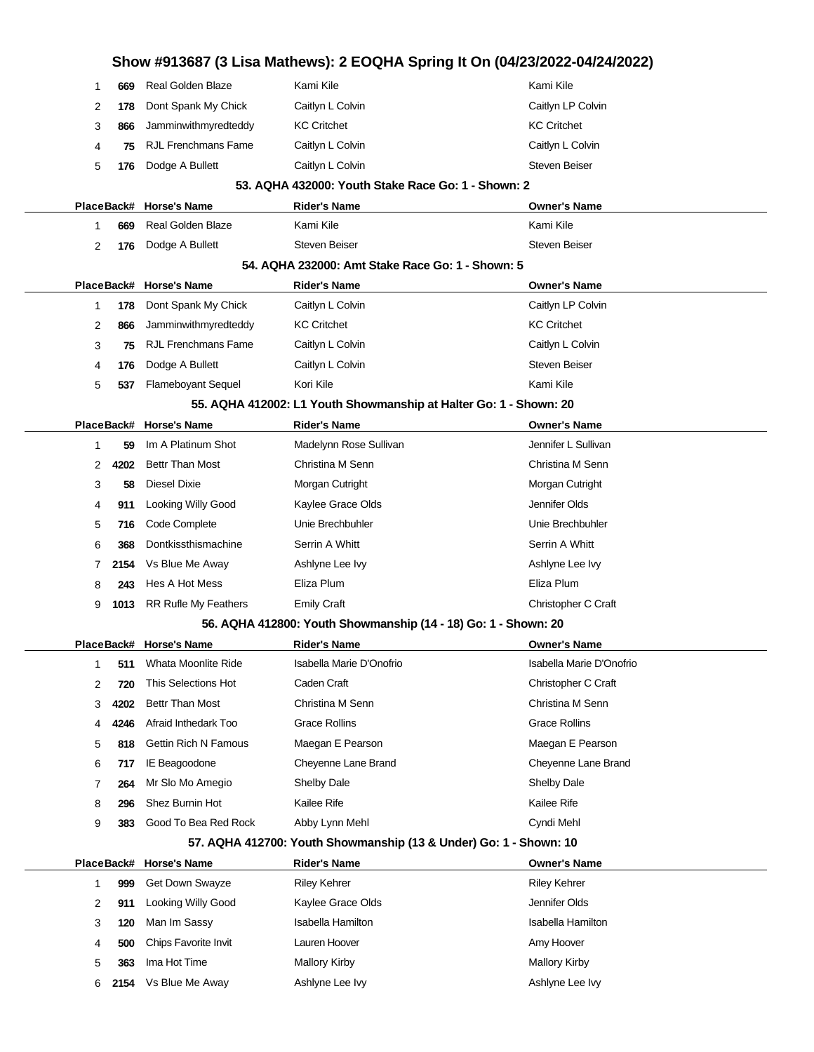|            |      |                             | Show #913687 (3 Lisa Mathews): 2 EOQHA Spring It On (04/23/2022-04/24/2022) |                          |
|------------|------|-----------------------------|-----------------------------------------------------------------------------|--------------------------|
| 1          | 669  | <b>Real Golden Blaze</b>    | Kami Kile                                                                   | Kami Kile                |
| 2          | 178  | Dont Spank My Chick         | Caitlyn L Colvin                                                            | Caitlyn LP Colvin        |
| 3          | 866  | Jamminwithmyredteddy        | <b>KC Critchet</b>                                                          | <b>KC Critchet</b>       |
| 4          | 75   | <b>RJL Frenchmans Fame</b>  | Caitlyn L Colvin                                                            | Caitlyn L Colvin         |
| 5          | 176  | Dodge A Bullett             | Caitlyn L Colvin                                                            | <b>Steven Beiser</b>     |
|            |      |                             | 53. AQHA 432000: Youth Stake Race Go: 1 - Shown: 2                          |                          |
|            |      | PlaceBack# Horse's Name     | <b>Rider's Name</b>                                                         | <b>Owner's Name</b>      |
| 1          | 669  | <b>Real Golden Blaze</b>    | Kami Kile                                                                   | Kami Kile                |
| 2          | 176  | Dodge A Bullett             | <b>Steven Beiser</b>                                                        | <b>Steven Beiser</b>     |
|            |      |                             | 54. AQHA 232000: Amt Stake Race Go: 1 - Shown: 5                            |                          |
|            |      | PlaceBack# Horse's Name     | <b>Rider's Name</b>                                                         | <b>Owner's Name</b>      |
| 1          | 178  | Dont Spank My Chick         | Caitlyn L Colvin                                                            | Caitlyn LP Colvin        |
| 2          | 866  | Jamminwithmyredteddy        | <b>KC Critchet</b>                                                          | <b>KC Critchet</b>       |
| 3          | 75   | <b>RJL Frenchmans Fame</b>  | Caitlyn L Colvin                                                            | Caitlyn L Colvin         |
| 4          | 176  | Dodge A Bullett             | Caitlyn L Colvin                                                            | <b>Steven Beiser</b>     |
| 5          | 537  | <b>Flameboyant Sequel</b>   | Kori Kile                                                                   | Kami Kile                |
|            |      |                             | 55. AQHA 412002: L1 Youth Showmanship at Halter Go: 1 - Shown: 20           |                          |
| PlaceBack# |      | <b>Horse's Name</b>         | <b>Rider's Name</b>                                                         | <b>Owner's Name</b>      |
| 1          | 59   | Im A Platinum Shot          | Madelynn Rose Sullivan                                                      | Jennifer L Sullivan      |
| 2          | 4202 | <b>Bettr Than Most</b>      | Christina M Senn                                                            | Christina M Senn         |
| 3          | 58   | Diesel Dixie                | Morgan Cutright                                                             | Morgan Cutright          |
| 4          | 911  | <b>Looking Willy Good</b>   | Kaylee Grace Olds                                                           | Jennifer Olds            |
| 5          | 716  | Code Complete               | Unie Brechbuhler                                                            | Unie Brechbuhler         |
| 6          | 368  | Dontkissthismachine         | Serrin A Whitt                                                              | Serrin A Whitt           |
| 7          | 2154 | Vs Blue Me Away             | Ashlyne Lee Ivy                                                             | Ashlyne Lee Ivy          |
| 8          | 243  | Hes A Hot Mess              | Eliza Plum                                                                  | Eliza Plum               |
| 9          |      | 1013 RR Rufle My Feathers   | <b>Emily Craft</b>                                                          | Christopher C Craft      |
|            |      |                             | 56. AQHA 412800: Youth Showmanship (14 - 18) Go: 1 - Shown: 20              |                          |
|            |      | PlaceBack# Horse's Name     | Rider's Name                                                                | <b>Owner's Name</b>      |
| 1          | 511  | Whata Moonlite Ride         | Isabella Marie D'Onofrio                                                    | Isabella Marie D'Onofrio |
| 2          | 720  | This Selections Hot         | Caden Craft                                                                 | Christopher C Craft      |
| 3          | 4202 | <b>Bettr Than Most</b>      | Christina M Senn                                                            | Christina M Senn         |
| 4          | 4246 | Afraid Inthedark Too        | <b>Grace Rollins</b>                                                        | <b>Grace Rollins</b>     |
| 5          | 818  | <b>Gettin Rich N Famous</b> | Maegan E Pearson                                                            | Maegan E Pearson         |
| 6          | 717  | IE Beagoodone               | Cheyenne Lane Brand                                                         | Cheyenne Lane Brand      |
| 7          | 264  | Mr Slo Mo Amegio            | <b>Shelby Dale</b>                                                          | <b>Shelby Dale</b>       |
| 8          | 296  | Shez Burnin Hot             | Kailee Rife                                                                 | Kailee Rife              |
| 9          | 383  | Good To Bea Red Rock        | Abby Lynn Mehl                                                              | Cyndi Mehl               |
|            |      |                             | 57. AQHA 412700: Youth Showmanship (13 & Under) Go: 1 - Shown: 10           |                          |
| PlaceBack# |      | <b>Horse's Name</b>         | <b>Rider's Name</b>                                                         | <b>Owner's Name</b>      |
| 1          | 999  | Get Down Swayze             | <b>Riley Kehrer</b>                                                         | <b>Riley Kehrer</b>      |
| 2          | 911  | Looking Willy Good          | Kaylee Grace Olds                                                           | Jennifer Olds            |
| 3          | 120  | Man Im Sassy                | Isabella Hamilton                                                           | <b>Isabella Hamilton</b> |
| 4          | 500  | Chips Favorite Invit        | Lauren Hoover                                                               | Amy Hoover               |

**363** Ima Hot Time Mallory Kirby Mallory Kirby Mallory Kirby **2154** Vs Blue Me Away **Ashlyne Lee Ivy** Ashlyne Lee Ivy Ashlyne Lee Ivy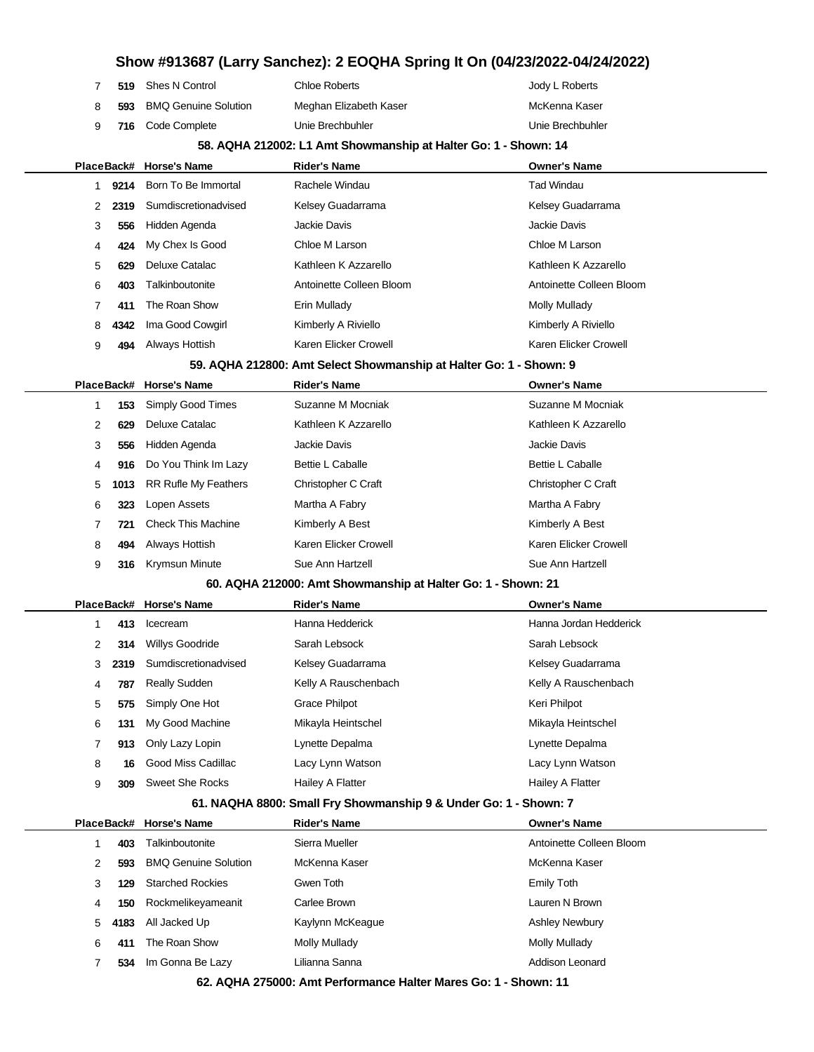|   |            | Show #913687 (Larry Sanchez): 2 EOQHA Spring It On (04/23/2022-04/24/2022) |                                                                    |                          |  |
|---|------------|----------------------------------------------------------------------------|--------------------------------------------------------------------|--------------------------|--|
| 7 | 519        | Shes N Control                                                             | <b>Chloe Roberts</b>                                               | Jody L Roberts           |  |
| 8 | 593        | <b>BMQ Genuine Solution</b>                                                | Meghan Elizabeth Kaser                                             | McKenna Kaser            |  |
| 9 | 716        | Code Complete                                                              | Unie Brechbuhler                                                   | Unie Brechbuhler         |  |
|   |            |                                                                            | 58. AQHA 212002: L1 Amt Showmanship at Halter Go: 1 - Shown: 14    |                          |  |
|   | PlaceBack# | <b>Horse's Name</b>                                                        | Rider's Name                                                       | <b>Owner's Name</b>      |  |
| 1 | 9214       | Born To Be Immortal                                                        | Rachele Windau                                                     | <b>Tad Windau</b>        |  |
| 2 | 2319       | Sumdiscretionadvised                                                       | Kelsey Guadarrama                                                  | Kelsey Guadarrama        |  |
| 3 | 556        | Hidden Agenda                                                              | Jackie Davis                                                       | Jackie Davis             |  |
| 4 | 424        | My Chex Is Good                                                            | Chloe M Larson                                                     | Chloe M Larson           |  |
| 5 | 629        | Deluxe Catalac                                                             | Kathleen K Azzarello                                               | Kathleen K Azzarello     |  |
| 6 | 403        | Talkinboutonite                                                            | Antoinette Colleen Bloom                                           | Antoinette Colleen Bloom |  |
| 7 | 411        | The Roan Show                                                              | Erin Mullady                                                       | <b>Molly Mullady</b>     |  |
| 8 | 4342       | Ima Good Cowgirl                                                           | Kimberly A Riviello                                                | Kimberly A Riviello      |  |
| 9 | 494        | Always Hottish                                                             | Karen Elicker Crowell                                              | Karen Elicker Crowell    |  |
|   |            |                                                                            | 59. AQHA 212800: Amt Select Showmanship at Halter Go: 1 - Shown: 9 |                          |  |
|   | PlaceBack# | <b>Horse's Name</b>                                                        | <b>Rider's Name</b>                                                | <b>Owner's Name</b>      |  |
| 1 | 153        | Simply Good Times                                                          | Suzanne M Mocniak                                                  | Suzanne M Mocniak        |  |
| 2 | 629        | Deluxe Catalac                                                             | Kathleen K Azzarello                                               | Kathleen K Azzarello     |  |
| 3 | 556        | Hidden Agenda                                                              | Jackie Davis                                                       | Jackie Davis             |  |
| 4 | 916        | Do You Think Im Lazy                                                       | <b>Bettie L Caballe</b>                                            | <b>Bettie L Caballe</b>  |  |
| 5 | 1013       | <b>RR Rufle My Feathers</b>                                                | Christopher C Craft                                                | Christopher C Craft      |  |
| 6 | 323        | Lopen Assets                                                               | Martha A Fabry                                                     | Martha A Fabry           |  |
| 7 | 721        | <b>Check This Machine</b>                                                  | Kimberly A Best                                                    | Kimberly A Best          |  |
| 8 | 494        | Always Hottish                                                             | Karen Elicker Crowell                                              | Karen Elicker Crowell    |  |
| 9 | 316        | <b>Krymsun Minute</b>                                                      | Sue Ann Hartzell                                                   | Sue Ann Hartzell         |  |
|   |            |                                                                            | 60. AQHA 212000: Amt Showmanship at Halter Go: 1 - Shown: 21       |                          |  |
|   |            | PlaceBack# Horse's Name                                                    | <b>Rider's Name</b>                                                | <b>Owner's Name</b>      |  |
| 1 | 413        | Icecream                                                                   | Hanna Hedderick                                                    | Hanna Jordan Hedderick   |  |
| 2 |            | 314 Willys Goodride                                                        | Sarah Lebsock                                                      | Sarah Lebsock            |  |
| 3 | 2319       | Sumdiscretionadvised                                                       | Kelsey Guadarrama                                                  | Kelsey Guadarrama        |  |
| 4 | 787        | <b>Really Sudden</b>                                                       | Kelly A Rauschenbach                                               | Kelly A Rauschenbach     |  |
| 5 | 575        | Simply One Hot                                                             | Grace Philpot                                                      | Keri Philpot             |  |
| 6 | 131        | My Good Machine                                                            | Mikayla Heintschel                                                 | Mikayla Heintschel       |  |
| 7 | 913        | Only Lazy Lopin                                                            | Lynette Depalma                                                    | Lynette Depalma          |  |
| 8 | 16         | Good Miss Cadillac                                                         | Lacy Lynn Watson                                                   | Lacy Lynn Watson         |  |
| 9 | 309        | Sweet She Rocks                                                            | Hailey A Flatter                                                   | Hailey A Flatter         |  |
|   |            |                                                                            | 61. NAQHA 8800: Small Fry Showmanship 9 & Under Go: 1 - Shown: 7   |                          |  |
|   | PlaceBack# | <b>Horse's Name</b>                                                        | Rider's Name                                                       | <b>Owner's Name</b>      |  |
| 1 | 403        | Talkinboutonite                                                            | Sierra Mueller                                                     | Antoinette Colleen Bloom |  |
| 2 | 593        | <b>BMQ Genuine Solution</b>                                                | McKenna Kaser                                                      | McKenna Kaser            |  |
| 3 | 129        | <b>Starched Rockies</b>                                                    | Gwen Toth                                                          | <b>Emily Toth</b>        |  |
| 4 | 150        | Rockmelikeyameanit                                                         | Carlee Brown                                                       | Lauren N Brown           |  |
| 5 | 4183       | All Jacked Up                                                              | Kaylynn McKeague                                                   | <b>Ashley Newbury</b>    |  |
| 6 | 411        | The Roan Show                                                              | <b>Molly Mullady</b>                                               | <b>Molly Mullady</b>     |  |
| 7 | 534        | Im Gonna Be Lazy                                                           | Lilianna Sanna                                                     | Addison Leonard          |  |

**62. AQHA 275000: Amt Performance Halter Mares Go: 1 - Shown: 11**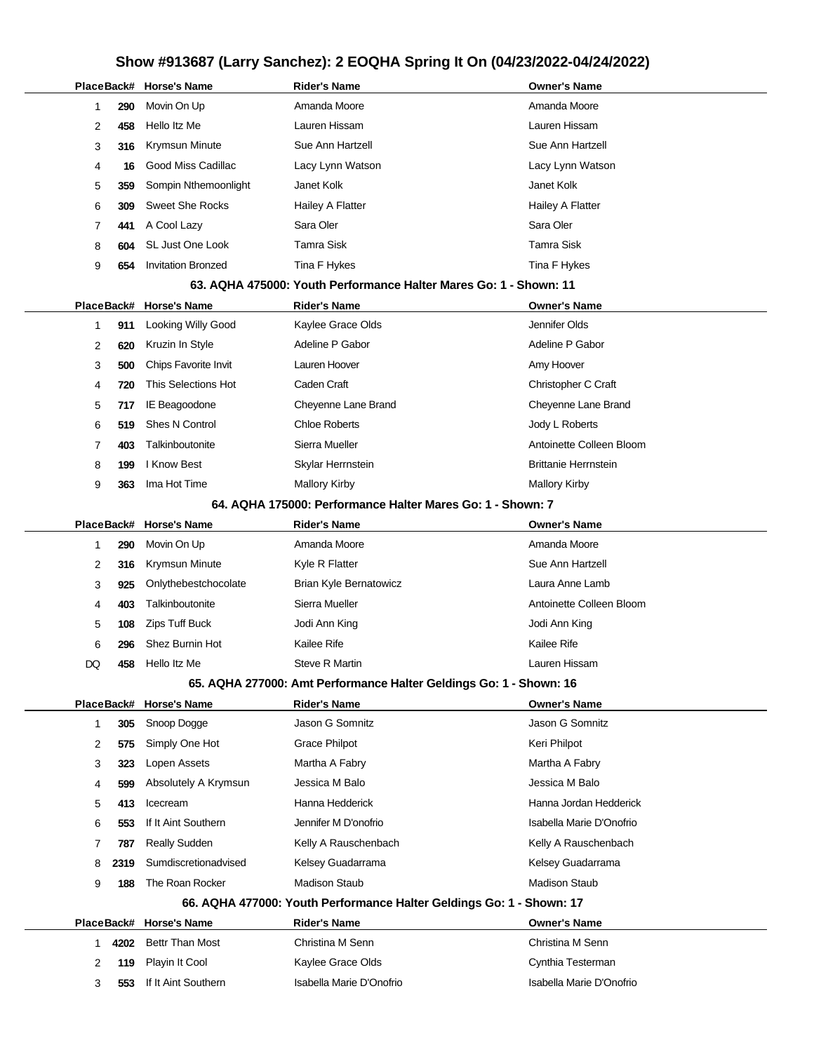|         |             | PlaceBack# Horse's Name                           | Rider's Name                                                                                 | <b>Owner's Name</b>                     |
|---------|-------------|---------------------------------------------------|----------------------------------------------------------------------------------------------|-----------------------------------------|
| 1       | 290         | Movin On Up                                       | Amanda Moore                                                                                 | Amanda Moore                            |
| 2       | 458         | Hello Itz Me                                      | Lauren Hissam                                                                                | Lauren Hissam                           |
| 3       | 316         | Krymsun Minute                                    | Sue Ann Hartzell                                                                             | Sue Ann Hartzell                        |
| 4       | 16          | Good Miss Cadillac                                | Lacy Lynn Watson                                                                             | Lacy Lynn Watson                        |
| 5       | 359         | Sompin Nthemoonlight                              | Janet Kolk                                                                                   | Janet Kolk                              |
| 6       | 309         | <b>Sweet She Rocks</b>                            | Hailey A Flatter                                                                             | Hailey A Flatter                        |
| 7       | 441         | A Cool Lazy                                       | Sara Oler                                                                                    | Sara Oler                               |
| 8       | 604         | SL Just One Look                                  | Tamra Sisk                                                                                   | <b>Tamra Sisk</b>                       |
| 9       | 654         | <b>Invitation Bronzed</b>                         | Tina F Hykes                                                                                 | Tina F Hykes                            |
|         |             |                                                   | 63. AQHA 475000: Youth Performance Halter Mares Go: 1 - Shown: 11                            |                                         |
|         |             | PlaceBack# Horse's Name                           | <b>Rider's Name</b>                                                                          | <b>Owner's Name</b>                     |
| 1       | 911         | Looking Willy Good                                | Kaylee Grace Olds                                                                            | Jennifer Olds                           |
| 2       | 620         | Kruzin In Style                                   | Adeline P Gabor                                                                              | Adeline P Gabor                         |
| 3       | 500         | Chips Favorite Invit                              | Lauren Hoover                                                                                | Amy Hoover                              |
| 4       | 720         | This Selections Hot                               | Caden Craft                                                                                  | Christopher C Craft                     |
| 5       | 717         | IE Beagoodone                                     | Cheyenne Lane Brand                                                                          | Cheyenne Lane Brand                     |
| 6       | 519         | <b>Shes N Control</b>                             | <b>Chloe Roberts</b>                                                                         | Jody L Roberts                          |
| 7       | 403         | Talkinboutonite                                   | Sierra Mueller                                                                               | Antoinette Colleen Bloom                |
| 8       | 199         | I Know Best                                       | Skylar Herrnstein                                                                            | <b>Brittanie Herrnstein</b>             |
| 9       | 363         | Ima Hot Time                                      | <b>Mallory Kirby</b>                                                                         | <b>Mallory Kirby</b>                    |
|         |             |                                                   | 64. AQHA 175000: Performance Halter Mares Go: 1 - Shown: 7                                   |                                         |
|         |             | PlaceBack# Horse's Name                           | <b>Rider's Name</b>                                                                          | <b>Owner's Name</b>                     |
| 1       | 290         | Movin On Up                                       | Amanda Moore                                                                                 | Amanda Moore                            |
| 2       | 316         | Krymsun Minute                                    | Kyle R Flatter                                                                               | Sue Ann Hartzell                        |
| 3       | 925         | Onlythebestchocolate                              | Brian Kyle Bernatowicz                                                                       | Laura Anne Lamb                         |
| 4       | 403         | Talkinboutonite                                   | Sierra Mueller                                                                               | Antoinette Colleen Bloom                |
| 5       | 108         | <b>Zips Tuff Buck</b>                             | Jodi Ann King                                                                                | Jodi Ann King                           |
| 6       | 296         | Shez Burnin Hot                                   | Kailee Rife                                                                                  | Kailee Rife                             |
| DQ      | 458         | Hello Itz Me                                      | <b>Steve R Martin</b>                                                                        | Lauren Hissam                           |
|         |             |                                                   | 65. AQHA 277000: Amt Performance Halter Geldings Go: 1 - Shown: 16                           |                                         |
|         |             | PlaceBack# Horse's Name                           | <b>Rider's Name</b>                                                                          | <b>Owner's Name</b>                     |
| 1       | 305         | Snoop Dogge                                       | Jason G Somnitz                                                                              | Jason G Somnitz                         |
| 2       | 575         | Simply One Hot                                    | <b>Grace Philpot</b>                                                                         | Keri Philpot                            |
| 3       | 323         | Lopen Assets                                      | Martha A Fabry                                                                               | Martha A Fabry                          |
| 4       | 599         | Absolutely A Krymsun                              | Jessica M Balo                                                                               | Jessica M Balo                          |
| 5       | 413         | Icecream                                          | Hanna Hedderick                                                                              | Hanna Jordan Hedderick                  |
| 6       | 553         | If It Aint Southern                               | Jennifer M D'onofrio                                                                         | Isabella Marie D'Onofrio                |
| 7       | 787         | <b>Really Sudden</b>                              | Kelly A Rauschenbach                                                                         | Kelly A Rauschenbach                    |
| 8       | 2319        | Sumdiscretionadvised                              | Kelsey Guadarrama                                                                            | Kelsey Guadarrama                       |
| 9       | 188         | The Roan Rocker                                   | <b>Madison Staub</b><br>66. AQHA 477000: Youth Performance Halter Geldings Go: 1 - Shown: 17 | <b>Madison Staub</b>                    |
|         |             |                                                   |                                                                                              |                                         |
|         |             | PlaceBack# Horse's Name<br><b>Bettr Than Most</b> | <b>Rider's Name</b><br>Christina M Senn                                                      | <b>Owner's Name</b><br>Christina M Senn |
| 1.<br>2 | 4202<br>119 | Playin It Cool                                    | Kaylee Grace Olds                                                                            | Cynthia Testerman                       |
| 3       | 553         | If It Aint Southern                               | Isabella Marie D'Onofrio                                                                     | Isabella Marie D'Onofrio                |
|         |             |                                                   |                                                                                              |                                         |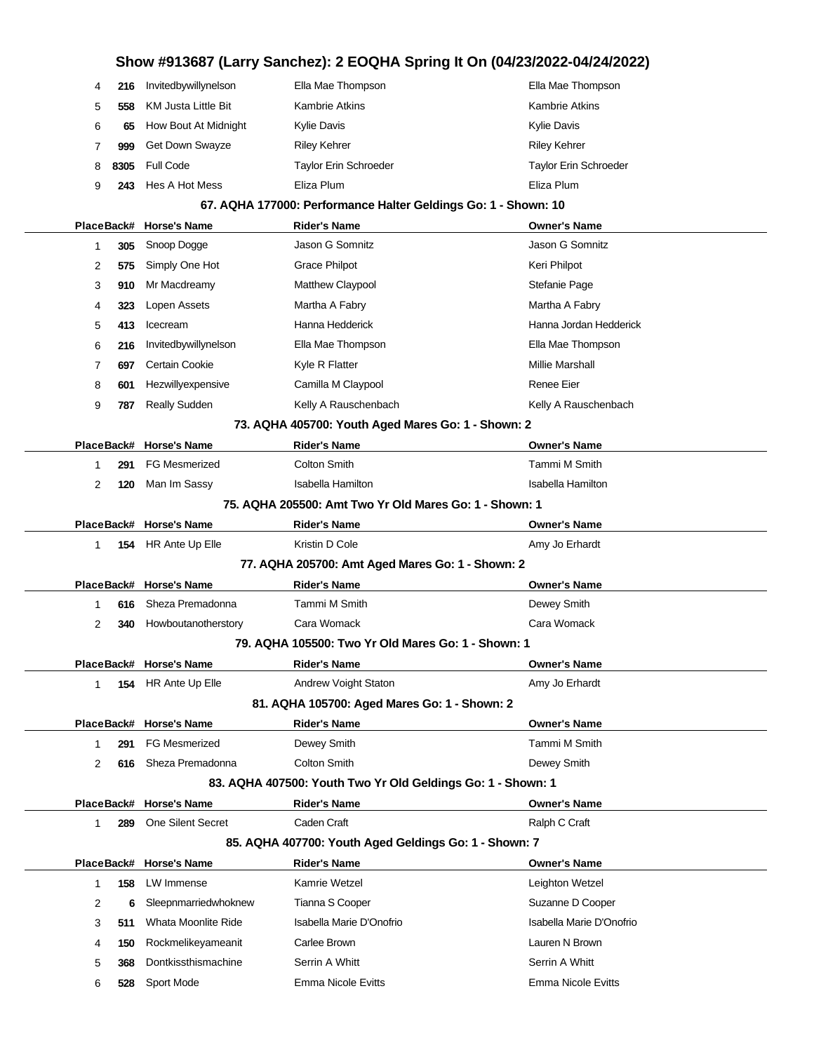# **Show #913687 (Larry Sanchez): 2 EOQHA Spring It On (04/23/2022-04/24/2022) 216** Invitedbywillynelson Ella Mae Thompson Ella Mae Thompson **558** KM Justa Little Bit Kambrie Atkins Kambrie Atkins Kambrie Atkins **65** How Bout At Midnight Kylie Davis Kylie Davis **999** Get Down Swayze Riley Kehrer Riley Kehrer Riley Kehrer Riley Kehrer **8305** Full Code Taylor Erin Schroeder Taylor Erin Schroeder **243** Hes A Hot Mess Eliza Plum Eliza Plum **67. AQHA 177000: Performance Halter Geldings Go: 1 - Shown: 10 PlaceBack# Horse's Name Rider's Name Owner's Name 305** Snoop Dogge Jason G Somnitz Jason G Somnitz **575** Simply One Hot Grace Philpot **Community Community** Keri Philpot **910** Mr Macdreamy Matthew Claypool Stefanie Page **323** Lopen Assets Martha A Fabry Martha A Fabry **413** Icecream **Hanna Hedderick** Hanna Hedderick Hanna Jordan Hedderick **216** Invitedbywillynelson Ella Mae Thompson Ella Mae Thompson **697** Certain Cookie **Millie Marshall** Kyle R Flatter Millie Marshall Millie Marshall **601** Hezwillyexpensive Camilla M Claypool **Camilla M** Claypool Renee Eier **787** Really Sudden **Kelly A Rauschenbach** Kelly A Rauschenbach **73. AQHA 405700: Youth Aged Mares Go: 1 - Shown: 2 PlaceBack# Horse's Name Rider's Name Owner's Name 291** FG Mesmerized Colton Smith Tammi M Smith **120** Man Im Sassy **ISABELA Hamilton** Isabella Hamilton Isabella Hamilton **75. AQHA 205500: Amt Two Yr Old Mares Go: 1 - Shown: 1 PlaceBack# Horse's Name Rider's Name Owner's Name 154** HR Ante Up Elle **Kristin D Cole Amy Jo Erhardt** Amy Jo Erhardt **77. AQHA 205700: Amt Aged Mares Go: 1 - Shown: 2 PlaceBack# Horse's Name Rider's Name Owner's Name 616** Sheza Premadonna Tammi M Smith Dewey Smith **340** Howboutanotherstory Cara Womack Cara Womack **79. AQHA 105500: Two Yr Old Mares Go: 1 - Shown: 1 PlaceBack# Horse's Name Rider's Name Owner's Name 154** HR Ante Up Elle **Andrew Voight Staton** Amy Jo Erhardt Amy Jo Erhardt **81. AQHA 105700: Aged Mares Go: 1 - Shown: 2 PlaceBack# Horse's Name Rider's Name Owner's Name 291** FG Mesmerized **Dewey Smith Communist Communist Communist Communist Communist Communist Communist Communist Communist Communist Communist Communist Communist Communist Communist Communist Communist Communist Communi 616** Sheza Premadonna Colton Smith Colton Smith Dewey Smith **83. AQHA 407500: Youth Two Yr Old Geldings Go: 1 - Shown: 1 PlaceBack# Horse's Name Rider's Name Owner's Name 289** One Silent Secret Caden Craft Can Craft Ralph C Craft **85. AQHA 407700: Youth Aged Geldings Go: 1 - Shown: 7 PlaceBack# Horse's Name Rider's Name Owner's Name 158** LW Immense Kamrie Wetzel Leighton Wetzel **6** Sleepnmarriedwhoknew Tianna S Cooper Suzanne D Cooper Suzanne D Cooper **511** Whata Moonlite Ride Isabella Marie D'Onofrio Isabella Marie D'Onofrio **150** Rockmelikeyameanit Carlee Brown Lauren N Brown **368** Dontkissthismachine Serrin A Whitt Serrin A Whitt Serrin A Whitt **528** Sport Mode Emma Nicole Evitts Emma Nicole Evitts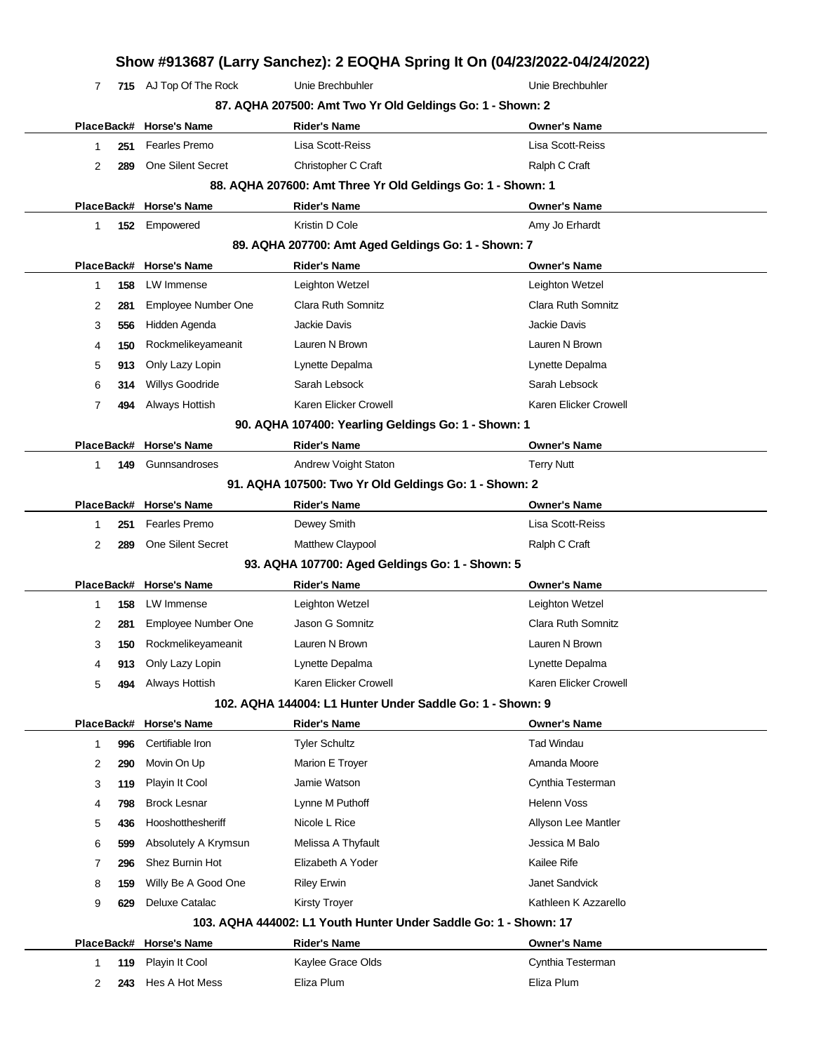| 7               |     | 715 AJ Top Of The Rock  | Unie Brechbuhler                                                 | Unie Brechbuhler          |
|-----------------|-----|-------------------------|------------------------------------------------------------------|---------------------------|
|                 |     |                         | 87. AQHA 207500: Amt Two Yr Old Geldings Go: 1 - Shown: 2        |                           |
|                 |     | PlaceBack# Horse's Name | <b>Rider's Name</b>                                              | <b>Owner's Name</b>       |
| 1               | 251 | <b>Fearles Premo</b>    | Lisa Scott-Reiss                                                 | Lisa Scott-Reiss          |
| 2               | 289 | One Silent Secret       | Christopher C Craft                                              | Ralph C Craft             |
|                 |     |                         | 88. AQHA 207600: Amt Three Yr Old Geldings Go: 1 - Shown: 1      |                           |
|                 |     | PlaceBack# Horse's Name | <b>Rider's Name</b>                                              | <b>Owner's Name</b>       |
| 1               | 152 | Empowered               | Kristin D Cole                                                   | Amy Jo Erhardt            |
|                 |     |                         | 89. AQHA 207700: Amt Aged Geldings Go: 1 - Shown: 7              |                           |
|                 |     | PlaceBack# Horse's Name | <b>Rider's Name</b>                                              | <b>Owner's Name</b>       |
| 1               | 158 | LW Immense              | Leighton Wetzel                                                  | Leighton Wetzel           |
| 2               | 281 | Employee Number One     | Clara Ruth Somnitz                                               | Clara Ruth Somnitz        |
| 3               | 556 | Hidden Agenda           | Jackie Davis                                                     | Jackie Davis              |
| 4               | 150 | Rockmelikeyameanit      | Lauren N Brown                                                   | Lauren N Brown            |
| 5               | 913 | Only Lazy Lopin         | Lynette Depalma                                                  | Lynette Depalma           |
| 6               | 314 | Willys Goodride         | Sarah Lebsock                                                    | Sarah Lebsock             |
| 7               | 494 | Always Hottish          | Karen Elicker Crowell                                            | Karen Elicker Crowell     |
|                 |     |                         | 90. AQHA 107400: Yearling Geldings Go: 1 - Shown: 1              |                           |
|                 |     | PlaceBack# Horse's Name | Rider's Name                                                     | <b>Owner's Name</b>       |
| 1               | 149 | Gunnsandroses           | Andrew Voight Staton                                             | <b>Terry Nutt</b>         |
|                 |     |                         | 91. AQHA 107500: Two Yr Old Geldings Go: 1 - Shown: 2            |                           |
|                 |     | PlaceBack# Horse's Name | Rider's Name                                                     | <b>Owner's Name</b>       |
| 1               | 251 | <b>Fearles Premo</b>    | Dewey Smith                                                      | Lisa Scott-Reiss          |
| 2               | 289 | One Silent Secret       | Matthew Claypool                                                 | Ralph C Craft             |
|                 |     |                         | 93. AQHA 107700: Aged Geldings Go: 1 - Shown: 5                  |                           |
|                 |     | PlaceBack# Horse's Name | <b>Rider's Name</b>                                              | <b>Owner's Name</b>       |
| 1               | 158 | LW Immense              | Leighton Wetzel                                                  | Leighton Wetzel           |
| 2               | 281 | Employee Number One     | Jason G Somnitz                                                  | <b>Clara Ruth Somnitz</b> |
| 3               |     | 150 Rockmelikeyameanit  | Lauren N Brown                                                   | Lauren N Brown            |
| 4               | 913 | Only Lazy Lopin         | Lynette Depalma                                                  | Lynette Depalma           |
| 5               | 494 | Always Hottish          | Karen Elicker Crowell                                            | Karen Elicker Crowell     |
|                 |     |                         | 102. AQHA 144004: L1 Hunter Under Saddle Go: 1 - Shown: 9        |                           |
| PlaceBack#      |     | <b>Horse's Name</b>     | Rider's Name                                                     | <b>Owner's Name</b>       |
| 1               | 996 | Certifiable Iron        | <b>Tyler Schultz</b>                                             | <b>Tad Windau</b>         |
| 2               | 290 | Movin On Up             | Marion E Troyer                                                  | Amanda Moore              |
| 3               | 119 | Playin It Cool          | Jamie Watson                                                     | Cynthia Testerman         |
| 4               | 798 | <b>Brock Lesnar</b>     | Lynne M Puthoff                                                  | <b>Helenn Voss</b>        |
| 5               | 436 | Hooshotthesheriff       | Nicole L Rice                                                    | Allyson Lee Mantler       |
| 6               | 599 | Absolutely A Krymsun    | Melissa A Thyfault                                               | Jessica M Balo            |
| 7               | 296 | Shez Burnin Hot         | Elizabeth A Yoder                                                | Kailee Rife               |
| 8               | 159 | Willy Be A Good One     | <b>Riley Erwin</b>                                               | Janet Sandvick            |
| 9               | 629 | Deluxe Catalac          | <b>Kirsty Troyer</b>                                             | Kathleen K Azzarello      |
|                 |     |                         | 103. AQHA 444002: L1 Youth Hunter Under Saddle Go: 1 - Shown: 17 |                           |
|                 |     | <b>Horse's Name</b>     | <b>Rider's Name</b>                                              | <b>Owner's Name</b>       |
|                 |     |                         |                                                                  |                           |
| PlaceBack#<br>1 | 119 | Playin It Cool          | Kaylee Grace Olds                                                | Cynthia Testerman         |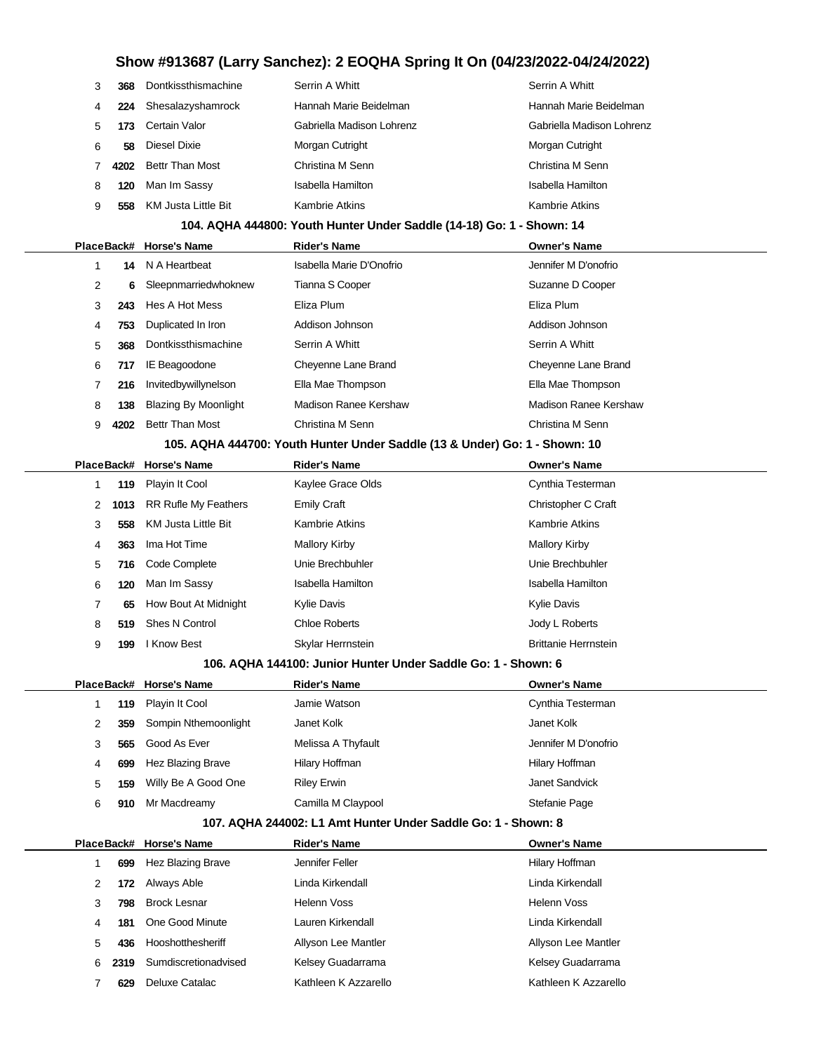| 3 | 368  | Dontkissthismachine    | Serrin A Whitt            | Serrin A Whitt            |
|---|------|------------------------|---------------------------|---------------------------|
| 4 | 224  | Shesalazyshamrock      | Hannah Marie Beidelman    | Hannah Marie Beidelman    |
| 5 | 173  | Certain Valor          | Gabriella Madison Lohrenz | Gabriella Madison Lohrenz |
| 6 | 58   | Diesel Dixie           | Morgan Cutright           | Morgan Cutright           |
|   | 4202 | <b>Bettr Than Most</b> | Christina M Senn          | Christina M Senn          |
| 8 | 120  | Man Im Sassy           | Isabella Hamilton         | Isabella Hamilton         |
| 9 | 558  | KM Justa Little Bit    | Kambrie Atkins            | <b>Kambrie Atkins</b>     |

### **104. AQHA 444800: Youth Hunter Under Saddle (14-18) Go: 1 - Shown: 14**

|                |                                                                            | PlaceBack# Horse's Name     | <b>Rider's Name</b>      | <b>Owner's Name</b>   |  |  |  |
|----------------|----------------------------------------------------------------------------|-----------------------------|--------------------------|-----------------------|--|--|--|
|                | 14                                                                         | N A Heartbeat               | Isabella Marie D'Onofrio | Jennifer M D'onofrio  |  |  |  |
| $\overline{2}$ | 6.                                                                         | Sleepnmarriedwhoknew        | Tianna S Cooper          | Suzanne D Cooper      |  |  |  |
| 3              | 243                                                                        | Hes A Hot Mess              | Eliza Plum               | Eliza Plum            |  |  |  |
| 4              | 753                                                                        | Duplicated In Iron          | Addison Johnson          | Addison Johnson       |  |  |  |
| 5              | 368                                                                        | Dontkissthismachine         | Serrin A Whitt           | Serrin A Whitt        |  |  |  |
| 6              | 717                                                                        | IE Beagoodone               | Cheyenne Lane Brand      | Cheyenne Lane Brand   |  |  |  |
| 7              | 216                                                                        | Invitedbywillynelson        | Ella Mae Thompson        | Ella Mae Thompson     |  |  |  |
| 8              | 138                                                                        | <b>Blazing By Moonlight</b> | Madison Ranee Kershaw    | Madison Ranee Kershaw |  |  |  |
| 9              | 4202                                                                       | <b>Bettr Than Most</b>      | Christina M Senn         | Christina M Senn      |  |  |  |
|                | 105. AQHA 444700: Youth Hunter Under Saddle (13 & Under) Go: 1 - Shown: 10 |                             |                          |                       |  |  |  |

|   |      | PlaceBack# Horse's Name | <b>Rider's Name</b> | <b>Owner's Name</b>         |  |
|---|------|-------------------------|---------------------|-----------------------------|--|
|   | 119  | Playin It Cool          | Kaylee Grace Olds   | Cynthia Testerman           |  |
| 2 | 1013 | RR Rufle My Feathers    | <b>Emily Craft</b>  | Christopher C Craft         |  |
| 3 | 558  | KM Justa Little Bit     | Kambrie Atkins      | <b>Kambrie Atkins</b>       |  |
| 4 | 363  | Ima Hot Time            | Mallory Kirby       | <b>Mallory Kirby</b>        |  |
| 5 |      | 716 Code Complete       | Unie Brechbuhler    | Unie Brechbuhler            |  |
| 6 | 120  | Man Im Sassy            | Isabella Hamilton   | Isabella Hamilton           |  |
|   | 65   | How Bout At Midnight    | <b>Kylie Davis</b>  | <b>Kylie Davis</b>          |  |
| 8 | 519  | Shes N Control          | Chloe Roberts       | Jody L Roberts              |  |
| 9 | 199  | l Know Best             | Skylar Herrnstein   | <b>Brittanie Herrnstein</b> |  |

#### **106. AQHA 144100: Junior Hunter Under Saddle Go: 1 - Shown: 6**

|   |     | PlaceBack# Horse's Name | <b>Rider's Name</b> | <b>Owner's Name</b>  |
|---|-----|-------------------------|---------------------|----------------------|
|   | 119 | Playin It Cool          | Jamie Watson        | Cynthia Testerman    |
| 2 | 359 | Sompin Nthemoonlight    | Janet Kolk          | Janet Kolk           |
| 3 | 565 | Good As Ever            | Melissa A Thyfault  | Jennifer M D'onofrio |
| 4 | 699 | Hez Blazing Brave       | Hilary Hoffman      | Hilary Hoffman       |
| 5 | 159 | Willy Be A Good One     | <b>Riley Erwin</b>  | Janet Sandvick       |
| 6 | 910 | Mr Macdreamy            | Camilla M Claypool  | Stefanie Page        |

#### **107. AQHA 244002: L1 Amt Hunter Under Saddle Go: 1 - Shown: 8**

|   |      | PlaceBack# Horse's Name | <b>Rider's Name</b>  | <b>Owner's Name</b>  |
|---|------|-------------------------|----------------------|----------------------|
|   | 699  | Hez Blazing Brave       | Jennifer Feller      | Hilary Hoffman       |
| 2 | 172  | Always Able             | Linda Kirkendall     | Linda Kirkendall     |
| 3 | 798  | <b>Brock Lesnar</b>     | Helenn Voss          | Helenn Voss          |
| 4 | 181  | One Good Minute         | Lauren Kirkendall    | Linda Kirkendall     |
| 5 | 436  | Hooshotthesheriff       | Allyson Lee Mantler  | Allyson Lee Mantler  |
| 6 | 2319 | Sumdiscretionadvised    | Kelsey Guadarrama    | Kelsey Guadarrama    |
|   | 629  | Deluxe Catalac          | Kathleen K Azzarello | Kathleen K Azzarello |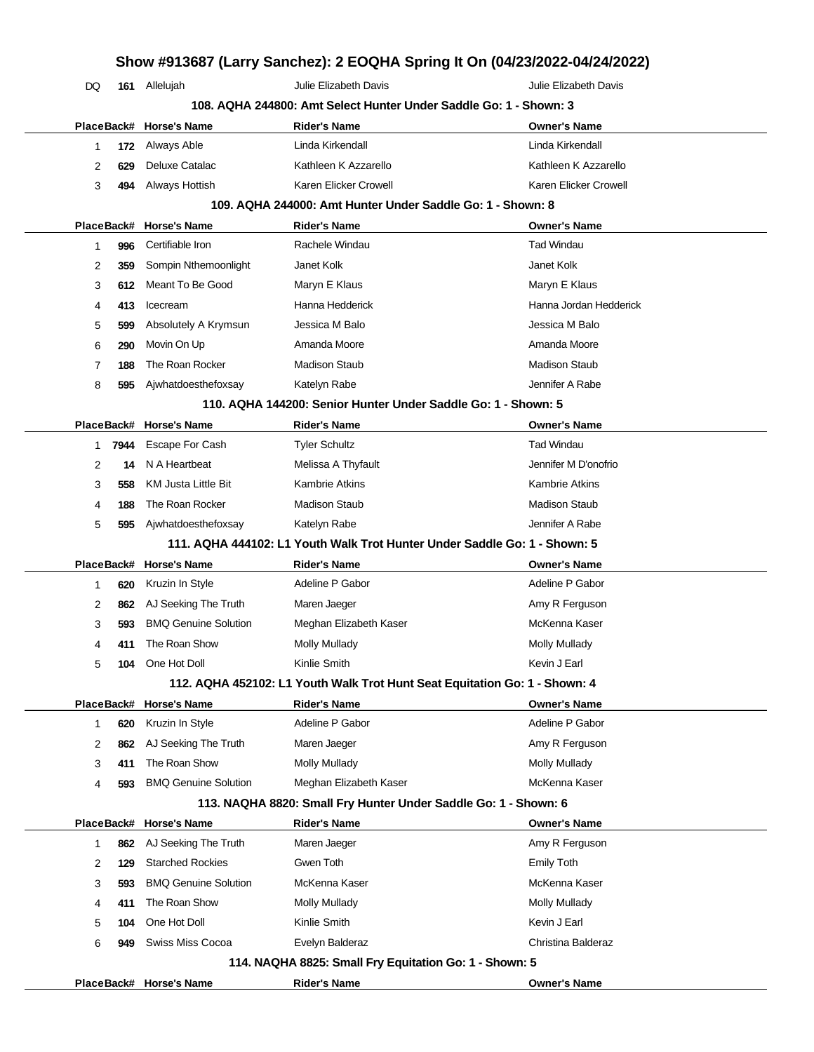# **Show #913687 (Larry Sanchez): 2 EOQHA Spring It On (04/23/2022-04/24/2022)** DQ **161** Allelujah Julie Elizabeth Davis Julie Elizabeth Davis **108. AQHA 244800: Amt Select Hunter Under Saddle Go: 1 - Shown: 3 PlaceBack# Horse's Name Rider's Name Owner's Name 172** Always Able Linda Kirkendall Linda Kirkendall **629** Deluxe Catalac **Kathleen K Azzarello** Kathleen K Azzarello K Azzarello K Azzarello **494** Always Hottish Karen Elicker Crowell Karen Elicker Crowell **109. AQHA 244000: Amt Hunter Under Saddle Go: 1 - Shown: 8 PlaceBack# Horse's Name Rider's Name Owner's Name 996** Certifiable Iron Rachele Windau Tad Windau **359** Sompin Nthemoonlight Janet Kolk Janet Kolk Janet Kolk **612** Meant To Be Good Maryn E Klaus Maryn E Klaus Maryn E Klaus Maryn E Klaus **413** Icecream **Hanna Hedderick** Hanna Hedderick Hanna Jordan Hedderick **599** Absolutely A Krymsun Jessica M Balo Jessica M Balo **290** Movin On Up Amanda Moore Amanda Moore **188** The Roan Rocker Madison Staub Madison Staub **595** Ajwhatdoesthefoxsay Katelyn Rabe **Mateman Rabe State A Rabe A Rabe State A Rabe** Jennifer A Rabe **110. AQHA 144200: Senior Hunter Under Saddle Go: 1 - Shown: 5 PlaceBack# Horse's Name Rider's Name Owner's Name 7944** Escape For Cash Tyler Schultz **The Schultz** Tad Windau **14** N A Heartbeat **Melissa A Thyfault** Jennifer M D'onofrion **558** KM Justa Little Bit Kambrie Atkins **Kambrie Atkins** Kambrie Atkins **188** The Roan Rocker Madison Staub Madison Staub **595** Ajwhatdoesthefoxsay Katelyn Rabe **Mateman Rabe Statelyn Rabe** Jennifer A Rabe **111. AQHA 444102: L1 Youth Walk Trot Hunter Under Saddle Go: 1 - Shown: 5 PlaceBack# Horse's Name Rider's Name Owner's Name 620** Kruzin In Style **Adeline P Gabor** Adeline P Gabor **Adeline P Gabor** Adeline P Gabor **862** AJ Seeking The Truth Maren Jaeger Amy R Ferguson Amy R Ferguson **593** BMQ Genuine Solution Meghan Elizabeth Kaser McKenna Kaser **411** The Roan Show Molly Mullady **Mullady** Molly Mullady Molly Mullady **104** One Hot Doll Kinlie Smith Kevin J Earl **112. AQHA 452102: L1 Youth Walk Trot Hunt Seat Equitation Go: 1 - Shown: 4 PlaceBack# Horse's Name Rider's Name Owner's Name 620** Kruzin In Style **Adeline P Gabor** Adeline P Gabor Adeline P Gabor Adeline P Gabor **862** AJ Seeking The Truth Maren Jaeger Amy R Ferguson **411** The Roan Show Molly Mullady Mullady Mullady Molly Mullady **593** BMQ Genuine Solution Meghan Elizabeth Kaser McKenna Kaser **113. NAQHA 8820: Small Fry Hunter Under Saddle Go: 1 - Shown: 6 PlaceBack# Horse's Name Rider's Name Owner's Name 862** AJ Seeking The Truth Maren Jaeger Amy R Ferguson **129** Starched Rockies **Gwen Toth** General Business Emily Toth Emily Toth **593** BMQ Genuine Solution McKenna Kaser **McKenna Kaser** McKenna Kaser **411** The Roan Show Molly Mullady **Molly Mullady** Molly Mullady Mullady **104** One Hot Doll Kinlie Smith Kevin J Earl **949** Swiss Miss Cocoa **Christian Evelyn Balderaz** Christina Balderaz Christina Balderaz **114. NAQHA 8825: Small Fry Equitation Go: 1 - Shown: 5 PlaceBack# Horse's Name Rider's Name Owner's Name**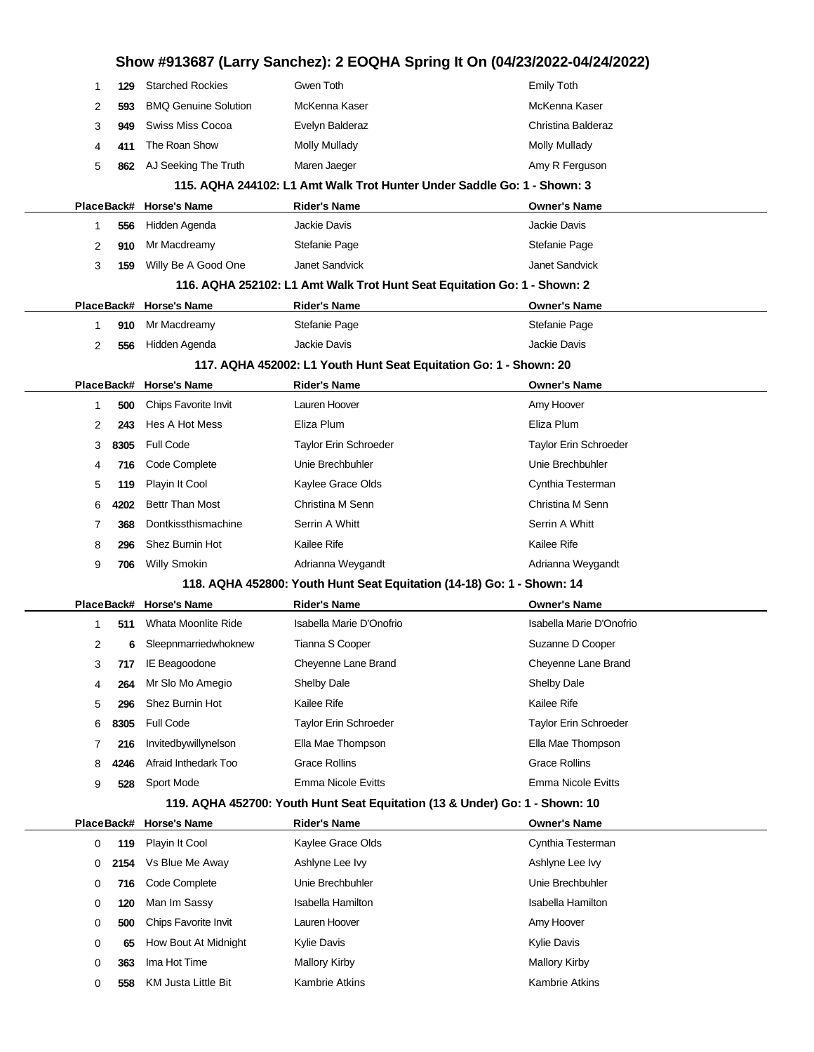| Show #913687 (Larry Sanchez): 2 EOQHA Spring It On (04/23/2022-04/24/2022)  |      |                             |                                                                          |                              |  |  |  |
|-----------------------------------------------------------------------------|------|-----------------------------|--------------------------------------------------------------------------|------------------------------|--|--|--|
| 1                                                                           | 129  | <b>Starched Rockies</b>     | Gwen Toth                                                                | <b>Emily Toth</b>            |  |  |  |
| 2                                                                           | 593  | <b>BMQ Genuine Solution</b> | McKenna Kaser                                                            | McKenna Kaser                |  |  |  |
| 3                                                                           | 949  | Swiss Miss Cocoa            | Evelyn Balderaz                                                          | Christina Balderaz           |  |  |  |
| 4                                                                           | 411  | The Roan Show               | <b>Molly Mullady</b>                                                     | Molly Mullady                |  |  |  |
| 5                                                                           | 862  | AJ Seeking The Truth        | Maren Jaeger                                                             | Amy R Ferguson               |  |  |  |
|                                                                             |      |                             | 115. AQHA 244102: L1 Amt Walk Trot Hunter Under Saddle Go: 1 - Shown: 3  |                              |  |  |  |
| PlaceBack#                                                                  |      | Horse's Name                | <b>Rider's Name</b>                                                      | <b>Owner's Name</b>          |  |  |  |
| 1                                                                           | 556  | Hidden Agenda               | Jackie Davis                                                             | <b>Jackie Davis</b>          |  |  |  |
| 2                                                                           | 910  | Mr Macdreamy                | Stefanie Page                                                            | Stefanie Page                |  |  |  |
| 3                                                                           | 159  | Willy Be A Good One         | Janet Sandvick                                                           | Janet Sandvick               |  |  |  |
|                                                                             |      |                             | 116. AQHA 252102: L1 Amt Walk Trot Hunt Seat Equitation Go: 1 - Shown: 2 |                              |  |  |  |
|                                                                             |      | PlaceBack# Horse's Name     | <b>Rider's Name</b>                                                      | <b>Owner's Name</b>          |  |  |  |
| 1                                                                           | 910  | Mr Macdreamy                | Stefanie Page                                                            | Stefanie Page                |  |  |  |
| 2                                                                           | 556  | Hidden Agenda               | Jackie Davis                                                             | <b>Jackie Davis</b>          |  |  |  |
|                                                                             |      |                             | 117. AQHA 452002: L1 Youth Hunt Seat Equitation Go: 1 - Shown: 20        |                              |  |  |  |
|                                                                             |      | PlaceBack# Horse's Name     | <b>Rider's Name</b>                                                      | <b>Owner's Name</b>          |  |  |  |
| 1                                                                           | 500  | Chips Favorite Invit        | Lauren Hoover                                                            | Amy Hoover                   |  |  |  |
| 2                                                                           | 243  | Hes A Hot Mess              | Eliza Plum                                                               | Eliza Plum                   |  |  |  |
| 3                                                                           | 8305 | <b>Full Code</b>            | Taylor Erin Schroeder                                                    | <b>Taylor Erin Schroeder</b> |  |  |  |
| 4                                                                           | 716  | Code Complete               | Unie Brechbuhler                                                         | Unie Brechbuhler             |  |  |  |
| 5                                                                           | 119  | Playin It Cool              | Kaylee Grace Olds                                                        | Cynthia Testerman            |  |  |  |
| 6                                                                           | 4202 | Bettr Than Most             | Christina M Senn                                                         | Christina M Senn             |  |  |  |
| 7                                                                           | 368  | Dontkissthismachine         | Serrin A Whitt                                                           | Serrin A Whitt               |  |  |  |
| 8                                                                           | 296  | Shez Burnin Hot             | Kailee Rife                                                              | Kailee Rife                  |  |  |  |
| 9                                                                           | 706  | <b>Willy Smokin</b>         | Adrianna Weygandt                                                        | Adrianna Weygandt            |  |  |  |
|                                                                             |      |                             | 118. AQHA 452800: Youth Hunt Seat Equitation (14-18) Go: 1 - Shown: 14   |                              |  |  |  |
|                                                                             |      | PlaceBack# Horse's Name     | <b>Rider's Name</b>                                                      | <b>Owner's Name</b>          |  |  |  |
| 1                                                                           | 511  | Whata Moonlite Ride         | Isabella Marie D'Onofrio                                                 | Isabella Marie D'Onofrio     |  |  |  |
| 2                                                                           | 6    | Sleepnmarriedwhoknew        | Tianna S Cooper                                                          | Suzanne D Cooper             |  |  |  |
| 3                                                                           | 717  | IE Beagoodone               | Cheyenne Lane Brand                                                      | Cheyenne Lane Brand          |  |  |  |
| 4                                                                           | 264  | Mr Slo Mo Amegio            | <b>Shelby Dale</b>                                                       | <b>Shelby Dale</b>           |  |  |  |
| 5                                                                           | 296  | Shez Burnin Hot             | Kailee Rife                                                              | Kailee Rife                  |  |  |  |
| 6                                                                           | 8305 | <b>Full Code</b>            | Taylor Erin Schroeder                                                    | Taylor Erin Schroeder        |  |  |  |
| 7                                                                           | 216  | Invitedbywillynelson        | Ella Mae Thompson                                                        | Ella Mae Thompson            |  |  |  |
| 8                                                                           | 4246 | Afraid Inthedark Too        | Grace Rollins                                                            | <b>Grace Rollins</b>         |  |  |  |
| 9                                                                           | 528  | Sport Mode                  | <b>Emma Nicole Evitts</b>                                                | <b>Emma Nicole Evitts</b>    |  |  |  |
| 119. AQHA 452700: Youth Hunt Seat Equitation (13 & Under) Go: 1 - Shown: 10 |      |                             |                                                                          |                              |  |  |  |
|                                                                             |      | PlaceBack# Horse's Name     | <b>Rider's Name</b>                                                      | <b>Owner's Name</b>          |  |  |  |
| 0                                                                           | 119  | Playin It Cool              | Kaylee Grace Olds                                                        | Cynthia Testerman            |  |  |  |
| 0                                                                           | 2154 | Vs Blue Me Away             | Ashlyne Lee Ivy                                                          | Ashlyne Lee Ivy              |  |  |  |
| 0                                                                           | 716  | Code Complete               | Unie Brechbuhler                                                         | Unie Brechbuhler             |  |  |  |
| 0                                                                           | 120  | Man Im Sassy                | Isabella Hamilton                                                        | Isabella Hamilton            |  |  |  |
| 0                                                                           | 500  | Chips Favorite Invit        | Lauren Hoover                                                            | Amy Hoover                   |  |  |  |
| 0                                                                           | 65   | How Bout At Midnight        | <b>Kylie Davis</b>                                                       | <b>Kylie Davis</b>           |  |  |  |
| 0                                                                           | 363  | Ima Hot Time                | <b>Mallory Kirby</b>                                                     | <b>Mallory Kirby</b>         |  |  |  |
| 0                                                                           | 558  | KM Justa Little Bit         | Kambrie Atkins                                                           | Kambrie Atkins               |  |  |  |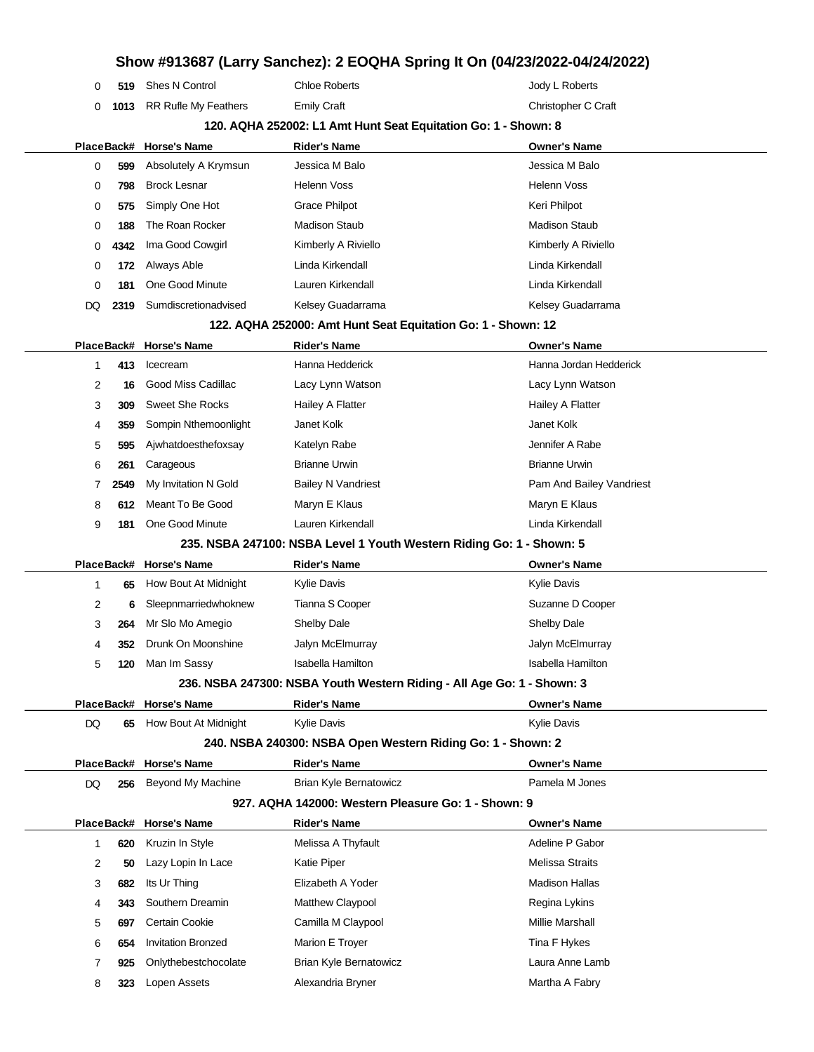| 0                                                           | 519  | Shes N Control            | <b>Chloe Roberts</b>                                                   | Jody L Roberts           |  |  |
|-------------------------------------------------------------|------|---------------------------|------------------------------------------------------------------------|--------------------------|--|--|
| 0                                                           |      | 1013 RR Rufle My Feathers | <b>Emily Craft</b>                                                     | Christopher C Craft      |  |  |
|                                                             |      |                           | 120. AQHA 252002: L1 Amt Hunt Seat Equitation Go: 1 - Shown: 8         |                          |  |  |
|                                                             |      | PlaceBack# Horse's Name   | <b>Rider's Name</b>                                                    | Owner's Name             |  |  |
| 0                                                           | 599  | Absolutely A Krymsun      | Jessica M Balo                                                         | Jessica M Balo           |  |  |
| 0                                                           | 798  | <b>Brock Lesnar</b>       | <b>Helenn Voss</b>                                                     | <b>Helenn Voss</b>       |  |  |
| 0                                                           | 575  | Simply One Hot            | Grace Philpot                                                          | Keri Philpot             |  |  |
| 0                                                           | 188  | The Roan Rocker           | <b>Madison Staub</b>                                                   | <b>Madison Staub</b>     |  |  |
| 0                                                           | 4342 | Ima Good Cowgirl          | Kimberly A Riviello                                                    | Kimberly A Riviello      |  |  |
| 0                                                           | 172  | Always Able               | Linda Kirkendall                                                       | Linda Kirkendall         |  |  |
| 0                                                           | 181  | One Good Minute           | Lauren Kirkendall                                                      | Linda Kirkendall         |  |  |
| DQ                                                          | 2319 | Sumdiscretionadvised      | Kelsey Guadarrama                                                      | Kelsey Guadarrama        |  |  |
|                                                             |      |                           | 122. AQHA 252000: Amt Hunt Seat Equitation Go: 1 - Shown: 12           |                          |  |  |
| PlaceBack#                                                  |      | <b>Horse's Name</b>       | <b>Rider's Name</b>                                                    | <b>Owner's Name</b>      |  |  |
| 1                                                           | 413  | Icecream                  | Hanna Hedderick                                                        | Hanna Jordan Hedderick   |  |  |
| 2                                                           | 16   | Good Miss Cadillac        | Lacy Lynn Watson                                                       | Lacy Lynn Watson         |  |  |
| 3                                                           | 309  | <b>Sweet She Rocks</b>    | <b>Hailey A Flatter</b>                                                | Hailey A Flatter         |  |  |
| 4                                                           | 359  | Sompin Nthemoonlight      | Janet Kolk                                                             | Janet Kolk               |  |  |
| 5                                                           | 595  | Ajwhatdoesthefoxsay       | Katelyn Rabe                                                           | Jennifer A Rabe          |  |  |
| 6                                                           | 261  | Carageous                 | <b>Brianne Urwin</b>                                                   | <b>Brianne Urwin</b>     |  |  |
| 7                                                           | 2549 | My Invitation N Gold      | <b>Bailey N Vandriest</b>                                              | Pam And Bailey Vandriest |  |  |
| 8                                                           | 612  | Meant To Be Good          | Maryn E Klaus                                                          | Maryn E Klaus            |  |  |
| 9                                                           | 181  | One Good Minute           | Lauren Kirkendall                                                      | Linda Kirkendall         |  |  |
|                                                             |      |                           | 235. NSBA 247100: NSBA Level 1 Youth Western Riding Go: 1 - Shown: 5   |                          |  |  |
|                                                             |      | PlaceBack# Horse's Name   | <b>Rider's Name</b>                                                    | <b>Owner's Name</b>      |  |  |
| 1                                                           | 65   | How Bout At Midnight      | <b>Kylie Davis</b>                                                     | <b>Kylie Davis</b>       |  |  |
| 2                                                           | 6    | Sleepnmarriedwhoknew      | Tianna S Cooper                                                        | Suzanne D Cooper         |  |  |
| 3                                                           | 264  | Mr Slo Mo Amegio          | Shelby Dale                                                            | <b>Shelby Dale</b>       |  |  |
| 4                                                           | 352  | Drunk On Moonshine        | Jalyn McElmurray                                                       | Jalyn McElmurray         |  |  |
|                                                             |      | 120 Man Im Sassy          | Isabella Hamilton                                                      | Isabella Hamilton        |  |  |
|                                                             |      |                           | 236. NSBA 247300: NSBA Youth Western Riding - All Age Go: 1 - Shown: 3 |                          |  |  |
|                                                             |      | PlaceBack# Horse's Name   | <b>Rider's Name</b>                                                    | <b>Owner's Name</b>      |  |  |
| DQ                                                          | 65   | How Bout At Midnight      | Kylie Davis                                                            | Kylie Davis              |  |  |
| 240. NSBA 240300: NSBA Open Western Riding Go: 1 - Shown: 2 |      |                           |                                                                        |                          |  |  |
|                                                             |      | PlaceBack# Horse's Name   | <b>Rider's Name</b>                                                    | <b>Owner's Name</b>      |  |  |
| DQ                                                          | 256  | <b>Beyond My Machine</b>  | <b>Brian Kyle Bernatowicz</b>                                          | Pamela M Jones           |  |  |
|                                                             |      |                           | 927. AQHA 142000: Western Pleasure Go: 1 - Shown: 9                    |                          |  |  |
|                                                             |      | PlaceBack# Horse's Name   | <b>Rider's Name</b>                                                    | <b>Owner's Name</b>      |  |  |
| 1                                                           | 620  | Kruzin In Style           | Melissa A Thyfault                                                     | Adeline P Gabor          |  |  |
| 2                                                           | 50   | Lazy Lopin In Lace        | Katie Piper                                                            | <b>Melissa Straits</b>   |  |  |
| 3                                                           | 682  | Its Ur Thing              | Elizabeth A Yoder                                                      | <b>Madison Hallas</b>    |  |  |
| 4                                                           | 343  | Southern Dreamin          | Matthew Claypool                                                       | Regina Lykins            |  |  |
| 5                                                           | 697  | Certain Cookie            | Camilla M Claypool                                                     | Millie Marshall          |  |  |
| 6                                                           | 654  | <b>Invitation Bronzed</b> | Marion E Troyer                                                        | Tina F Hykes             |  |  |
| 7                                                           | 925  | Onlythebestchocolate      | Brian Kyle Bernatowicz                                                 | Laura Anne Lamb          |  |  |
| 8                                                           | 323  | Lopen Assets              | Alexandria Bryner                                                      | Martha A Fabry           |  |  |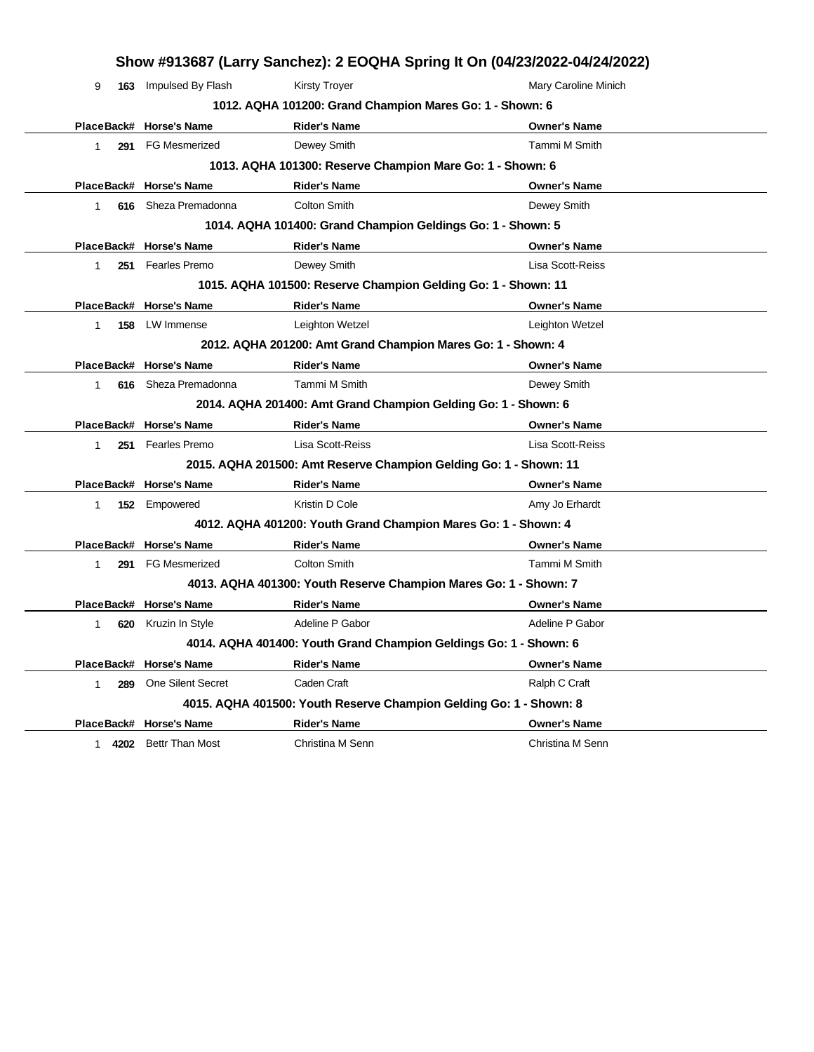| Show #913687 (Larry Sanchez): 2 EOQHA Spring It On (04/23/2022-04/24/2022) |                                                                   |                                                                    |                      |  |  |  |  |
|----------------------------------------------------------------------------|-------------------------------------------------------------------|--------------------------------------------------------------------|----------------------|--|--|--|--|
| 9                                                                          | 163 Impulsed By Flash                                             | <b>Kirsty Troyer</b>                                               | Mary Caroline Minich |  |  |  |  |
|                                                                            |                                                                   | 1012. AQHA 101200: Grand Champion Mares Go: 1 - Shown: 6           |                      |  |  |  |  |
|                                                                            | PlaceBack# Horse's Name                                           | <b>Rider's Name</b>                                                | <b>Owner's Name</b>  |  |  |  |  |
| 1.                                                                         | 291 FG Mesmerized                                                 | Dewey Smith                                                        | Tammi M Smith        |  |  |  |  |
|                                                                            | 1013. AQHA 101300: Reserve Champion Mare Go: 1 - Shown: 6         |                                                                    |                      |  |  |  |  |
|                                                                            | PlaceBack# Horse's Name                                           | <b>Rider's Name</b>                                                | <b>Owner's Name</b>  |  |  |  |  |
| 616<br>1.                                                                  | Sheza Premadonna                                                  | <b>Colton Smith</b>                                                | Dewey Smith          |  |  |  |  |
|                                                                            |                                                                   | 1014. AQHA 101400: Grand Champion Geldings Go: 1 - Shown: 5        |                      |  |  |  |  |
|                                                                            | PlaceBack# Horse's Name                                           | <b>Rider's Name</b>                                                | <b>Owner's Name</b>  |  |  |  |  |
| $\mathbf{1}$                                                               | 251 Fearles Premo                                                 | Dewey Smith                                                        | Lisa Scott-Reiss     |  |  |  |  |
|                                                                            |                                                                   | 1015. AQHA 101500: Reserve Champion Gelding Go: 1 - Shown: 11      |                      |  |  |  |  |
|                                                                            | PlaceBack# Horse's Name                                           | <b>Rider's Name</b>                                                | <b>Owner's Name</b>  |  |  |  |  |
| 1<br>158                                                                   | LW Immense                                                        | Leighton Wetzel                                                    | Leighton Wetzel      |  |  |  |  |
|                                                                            |                                                                   | 2012. AQHA 201200: Amt Grand Champion Mares Go: 1 - Shown: 4       |                      |  |  |  |  |
|                                                                            | PlaceBack# Horse's Name                                           | <b>Rider's Name</b>                                                | <b>Owner's Name</b>  |  |  |  |  |
| $\mathbf{1}$                                                               | 616 Sheza Premadonna                                              | Tammi M Smith                                                      | Dewey Smith          |  |  |  |  |
|                                                                            |                                                                   | 2014. AQHA 201400: Amt Grand Champion Gelding Go: 1 - Shown: 6     |                      |  |  |  |  |
|                                                                            | PlaceBack# Horse's Name                                           | <b>Rider's Name</b>                                                | <b>Owner's Name</b>  |  |  |  |  |
| 1                                                                          | 251 Fearles Premo                                                 | Lisa Scott-Reiss                                                   | Lisa Scott-Reiss     |  |  |  |  |
|                                                                            |                                                                   | 2015. AQHA 201500: Amt Reserve Champion Gelding Go: 1 - Shown: 11  |                      |  |  |  |  |
|                                                                            | PlaceBack# Horse's Name                                           | <b>Rider's Name</b>                                                | <b>Owner's Name</b>  |  |  |  |  |
| $\mathbf{1}$                                                               | 152 Empowered                                                     | Kristin D Cole                                                     | Amy Jo Erhardt       |  |  |  |  |
|                                                                            |                                                                   | 4012. AQHA 401200: Youth Grand Champion Mares Go: 1 - Shown: 4     |                      |  |  |  |  |
|                                                                            | PlaceBack# Horse's Name                                           | <b>Rider's Name</b>                                                | <b>Owner's Name</b>  |  |  |  |  |
| 1                                                                          | 291 FG Mesmerized                                                 | <b>Colton Smith</b>                                                | Tammi M Smith        |  |  |  |  |
|                                                                            |                                                                   | 4013. AQHA 401300: Youth Reserve Champion Mares Go: 1 - Shown: 7   |                      |  |  |  |  |
|                                                                            | PlaceBack# Horse's Name                                           | <b>Rider's Name</b>                                                | <b>Owner's Name</b>  |  |  |  |  |
| 620<br>1                                                                   | Kruzin In Style                                                   | Adeline P Gabor                                                    | Adeline P Gabor      |  |  |  |  |
|                                                                            | 4014. AQHA 401400: Youth Grand Champion Geldings Go: 1 - Shown: 6 |                                                                    |                      |  |  |  |  |
|                                                                            | PlaceBack# Horse's Name                                           | <b>Rider's Name</b>                                                | <b>Owner's Name</b>  |  |  |  |  |
| 289<br>1                                                                   | One Silent Secret                                                 | Caden Craft                                                        | Ralph C Craft        |  |  |  |  |
|                                                                            |                                                                   | 4015. AQHA 401500: Youth Reserve Champion Gelding Go: 1 - Shown: 8 |                      |  |  |  |  |
|                                                                            | PlaceBack# Horse's Name                                           | <b>Rider's Name</b>                                                | <b>Owner's Name</b>  |  |  |  |  |
| 1 4202                                                                     | <b>Bettr Than Most</b>                                            | Christina M Senn                                                   | Christina M Senn     |  |  |  |  |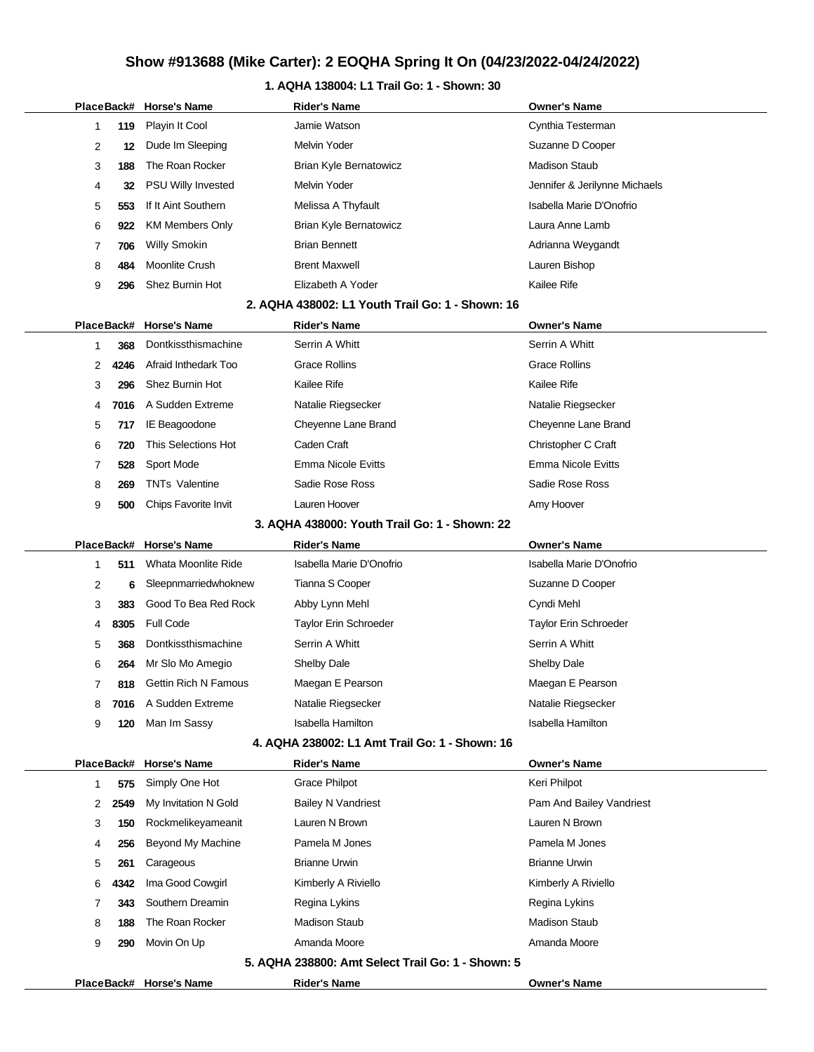# **Show #913688 (Mike Carter): 2 EOQHA Spring It On (04/23/2022-04/24/2022)**

## **1. AQHA 138004: L1 Trail Go: 1 - Shown: 30**

|                                                |                |            | PlaceBack# Horse's Name     | <b>Rider's Name</b>                               | <b>Owner's Name</b>           |  |
|------------------------------------------------|----------------|------------|-----------------------------|---------------------------------------------------|-------------------------------|--|
|                                                | 1              | 119        | Playin It Cool              | Jamie Watson                                      | Cynthia Testerman             |  |
|                                                | 2              | 12         | Dude Im Sleeping            | <b>Melvin Yoder</b>                               | Suzanne D Cooper              |  |
|                                                | 3              | 188        | The Roan Rocker             | <b>Brian Kyle Bernatowicz</b>                     | <b>Madison Staub</b>          |  |
|                                                | 4              | 32         | <b>PSU Willy Invested</b>   | Melvin Yoder                                      | Jennifer & Jerilynne Michaels |  |
|                                                | 5              | 553        | If It Aint Southern         | Melissa A Thyfault                                | Isabella Marie D'Onofrio      |  |
|                                                | 6              | 922        | <b>KM Members Only</b>      | Brian Kyle Bernatowicz                            | Laura Anne Lamb               |  |
|                                                | 7              | 706        | <b>Willy Smokin</b>         | <b>Brian Bennett</b>                              | Adrianna Weygandt             |  |
|                                                | 8              | 484        | Moonlite Crush              | <b>Brent Maxwell</b>                              | Lauren Bishop                 |  |
|                                                | 9              | 296        | Shez Burnin Hot             | Elizabeth A Yoder                                 | Kailee Rife                   |  |
|                                                |                |            |                             | 2. AQHA 438002: L1 Youth Trail Go: 1 - Shown: 16  |                               |  |
|                                                |                | PlaceBack# | <b>Horse's Name</b>         | <b>Rider's Name</b>                               | <b>Owner's Name</b>           |  |
|                                                | 1              | 368        | Dontkissthismachine         | Serrin A Whitt                                    | Serrin A Whitt                |  |
|                                                | 2              | 4246       | Afraid Inthedark Too        | <b>Grace Rollins</b>                              | <b>Grace Rollins</b>          |  |
|                                                | 3              | 296        | Shez Burnin Hot             | Kailee Rife                                       | Kailee Rife                   |  |
|                                                | 4              | 7016       | A Sudden Extreme            | Natalie Riegsecker                                | Natalie Riegsecker            |  |
|                                                | 5              | 717        | IE Beagoodone               | Cheyenne Lane Brand                               | Cheyenne Lane Brand           |  |
|                                                | 6              | 720        | This Selections Hot         | Caden Craft                                       | Christopher C Craft           |  |
|                                                | 7              | 528        | Sport Mode                  | <b>Emma Nicole Evitts</b>                         | Emma Nicole Evitts            |  |
|                                                | 8              | 269        | <b>TNTs Valentine</b>       | Sadie Rose Ross                                   | Sadie Rose Ross               |  |
|                                                | 9              | 500        | Chips Favorite Invit        | Lauren Hoover                                     | Amy Hoover                    |  |
|                                                |                |            |                             | 3. AQHA 438000: Youth Trail Go: 1 - Shown: 22     |                               |  |
|                                                |                | PlaceBack# | <b>Horse's Name</b>         | <b>Rider's Name</b>                               | <b>Owner's Name</b>           |  |
|                                                | 1              | 511        | Whata Moonlite Ride         | Isabella Marie D'Onofrio                          | Isabella Marie D'Onofrio      |  |
|                                                | 2              | 6          | Sleepnmarriedwhoknew        | Tianna S Cooper                                   | Suzanne D Cooper              |  |
|                                                | 3              | 383        | Good To Bea Red Rock        | Abby Lynn Mehl                                    | Cyndi Mehl                    |  |
|                                                | 4              | 8305       | <b>Full Code</b>            | <b>Taylor Erin Schroeder</b>                      | <b>Taylor Erin Schroeder</b>  |  |
|                                                | 5              | 368        | Dontkissthismachine         | Serrin A Whitt                                    | Serrin A Whitt                |  |
|                                                | 6              | 264        | Mr Slo Mo Amegio            | Shelby Dale                                       | Shelby Dale                   |  |
|                                                | $\overline{7}$ | 818        | <b>Gettin Rich N Famous</b> | Maegan E Pearson                                  | Maegan E Pearson              |  |
|                                                | 8              | 7016       | A Sudden Extreme            | Natalie Riegsecker                                | Natalie Riegsecker            |  |
|                                                | 9              | 120        | Man Im Sassy                | <b>Isabella Hamilton</b>                          | Isabella Hamilton             |  |
| 4. AQHA 238002: L1 Amt Trail Go: 1 - Shown: 16 |                |            |                             |                                                   |                               |  |
|                                                |                | PlaceBack# | <b>Horse's Name</b>         | <b>Rider's Name</b>                               | <b>Owner's Name</b>           |  |
|                                                | 1              | 575        | Simply One Hot              | <b>Grace Philpot</b>                              | Keri Philpot                  |  |
|                                                | 2              | 2549       | My Invitation N Gold        | <b>Bailey N Vandriest</b>                         | Pam And Bailey Vandriest      |  |
|                                                | 3              | 150        | Rockmelikeyameanit          | Lauren N Brown                                    | Lauren N Brown                |  |
|                                                | 4              | 256        | Beyond My Machine           | Pamela M Jones                                    | Pamela M Jones                |  |
|                                                | 5              | 261        | Carageous                   | <b>Brianne Urwin</b>                              | <b>Brianne Urwin</b>          |  |
|                                                | 6              | 4342       | Ima Good Cowgirl            | Kimberly A Riviello                               | Kimberly A Riviello           |  |
|                                                | 7              | 343        | Southern Dreamin            | Regina Lykins                                     | Regina Lykins                 |  |
|                                                | 8              | 188        | The Roan Rocker             | <b>Madison Staub</b>                              | <b>Madison Staub</b>          |  |
|                                                | 9              | 290        | Movin On Up                 | Amanda Moore                                      | Amanda Moore                  |  |
|                                                |                |            |                             | 5. AQHA 238800: Amt Select Trail Go: 1 - Shown: 5 |                               |  |
|                                                |                |            | PlaceBack# Horse's Name     | <b>Rider's Name</b>                               | <b>Owner's Name</b>           |  |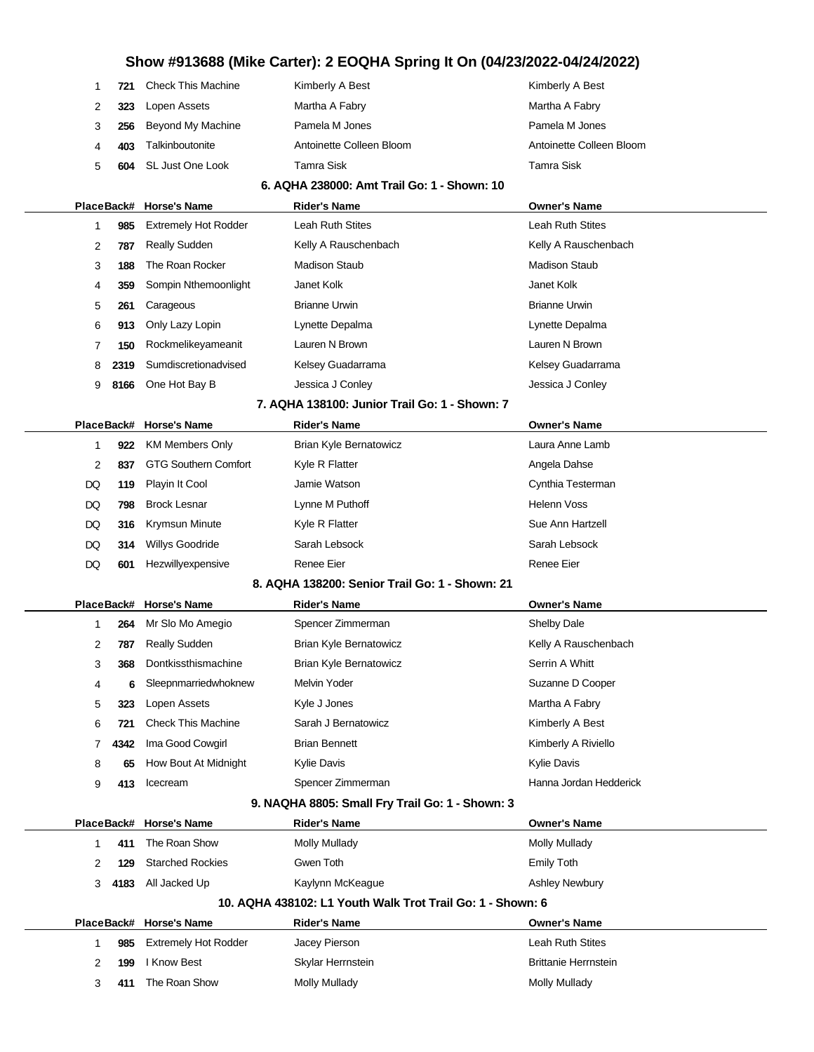# **Show #913688 (Mike Carter): 2 EOQHA Spring It On (04/23/2022-04/24/2022)**

| 1                                                          | 721                                         | <b>Check This Machine</b>    | Kimberly A Best                                 | Kimberly A Best                                     |  |  |  |  |
|------------------------------------------------------------|---------------------------------------------|------------------------------|-------------------------------------------------|-----------------------------------------------------|--|--|--|--|
| 2                                                          | 323                                         | Lopen Assets                 | Martha A Fabry                                  | Martha A Fabry                                      |  |  |  |  |
| 3                                                          | 256                                         | Beyond My Machine            | Pamela M Jones                                  | Pamela M Jones                                      |  |  |  |  |
| 4                                                          | 403                                         | Talkinboutonite              | Antoinette Colleen Bloom                        | Antoinette Colleen Bloom                            |  |  |  |  |
| 5                                                          | 604                                         | SL Just One Look             | Tamra Sisk                                      | Tamra Sisk                                          |  |  |  |  |
|                                                            | 6. AQHA 238000: Amt Trail Go: 1 - Shown: 10 |                              |                                                 |                                                     |  |  |  |  |
|                                                            | PlaceBack#                                  | <b>Horse's Name</b>          | <b>Rider's Name</b>                             | <b>Owner's Name</b>                                 |  |  |  |  |
| 1                                                          | 985                                         | <b>Extremely Hot Rodder</b>  | Leah Ruth Stites                                | Leah Ruth Stites                                    |  |  |  |  |
| 2                                                          | 787                                         | Really Sudden                | Kelly A Rauschenbach                            | Kelly A Rauschenbach                                |  |  |  |  |
| 3                                                          | 188                                         | The Roan Rocker              | <b>Madison Staub</b>                            | <b>Madison Staub</b>                                |  |  |  |  |
| 4                                                          | 359                                         | Sompin Nthemoonlight         | Janet Kolk                                      | Janet Kolk                                          |  |  |  |  |
| 5                                                          | 261                                         | Carageous                    | <b>Brianne Urwin</b>                            | <b>Brianne Urwin</b>                                |  |  |  |  |
| 6                                                          | 913                                         | Only Lazy Lopin              | Lynette Depalma                                 | Lynette Depalma                                     |  |  |  |  |
| 7                                                          | 150                                         | Rockmelikeyameanit           | Lauren N Brown                                  | Lauren N Brown                                      |  |  |  |  |
| 8                                                          | 2319                                        | Sumdiscretionadvised         | Kelsey Guadarrama                               | Kelsey Guadarrama                                   |  |  |  |  |
| 9                                                          | 8166                                        | One Hot Bay B                | Jessica J Conley                                | Jessica J Conley                                    |  |  |  |  |
|                                                            |                                             |                              | 7. AQHA 138100: Junior Trail Go: 1 - Shown: 7   |                                                     |  |  |  |  |
|                                                            | PlaceBack#                                  | <b>Horse's Name</b>          | Rider's Name                                    | <b>Owner's Name</b>                                 |  |  |  |  |
| 1                                                          | 922                                         | <b>KM Members Only</b>       | <b>Brian Kyle Bernatowicz</b>                   | Laura Anne Lamb                                     |  |  |  |  |
| 2                                                          | 837                                         | <b>GTG Southern Comfort</b>  | Kyle R Flatter                                  | Angela Dahse                                        |  |  |  |  |
| DQ                                                         | 119                                         | Playin It Cool               | Jamie Watson                                    | Cynthia Testerman                                   |  |  |  |  |
| DQ                                                         | 798                                         | <b>Brock Lesnar</b>          | Lynne M Puthoff                                 | <b>Helenn Voss</b>                                  |  |  |  |  |
| DQ                                                         | 316                                         | Krymsun Minute               | Kyle R Flatter                                  | Sue Ann Hartzell                                    |  |  |  |  |
| DQ                                                         | 314                                         | <b>Willys Goodride</b>       | Sarah Lebsock                                   | Sarah Lebsock                                       |  |  |  |  |
| DQ                                                         | 601                                         | Hezwillyexpensive            | Renee Eier                                      | <b>Renee Eier</b>                                   |  |  |  |  |
|                                                            |                                             |                              | 8. AQHA 138200: Senior Trail Go: 1 - Shown: 21  |                                                     |  |  |  |  |
|                                                            | PlaceBack#                                  | <b>Horse's Name</b>          | <b>Rider's Name</b>                             | <b>Owner's Name</b>                                 |  |  |  |  |
| 1                                                          | 264                                         | Mr Slo Mo Amegio             | Spencer Zimmerman                               | Shelby Dale                                         |  |  |  |  |
| 2                                                          | 787                                         | Really Sudden                | <b>Brian Kyle Bernatowicz</b>                   | Kelly A Rauschenbach                                |  |  |  |  |
| 3                                                          | 368                                         | Dontkissthismachine          | Brian Kyle Bernatowicz                          | Serrin A Whitt                                      |  |  |  |  |
| 4                                                          | 6                                           | Sleepnmarriedwhoknew         | Melvin Yoder                                    | Suzanne D Cooper                                    |  |  |  |  |
| 5                                                          | 323                                         | Lopen Assets                 | Kyle J Jones                                    | Martha A Fabry                                      |  |  |  |  |
| 6                                                          | 721                                         | <b>Check This Machine</b>    | Sarah J Bernatowicz                             | Kimberly A Best                                     |  |  |  |  |
| 7                                                          | 4342                                        | Ima Good Cowgirl             | <b>Brian Bennett</b>                            | Kimberly A Riviello                                 |  |  |  |  |
| 8                                                          | 65                                          | How Bout At Midnight         | Kylie Davis                                     | <b>Kylie Davis</b>                                  |  |  |  |  |
| 9                                                          | 413                                         | Icecream                     | Spencer Zimmerman                               | Hanna Jordan Hedderick                              |  |  |  |  |
|                                                            |                                             |                              | 9. NAQHA 8805: Small Fry Trail Go: 1 - Shown: 3 |                                                     |  |  |  |  |
|                                                            | PlaceBack#                                  | <b>Horse's Name</b>          | <b>Rider's Name</b>                             | <b>Owner's Name</b>                                 |  |  |  |  |
| 1                                                          | 411                                         | The Roan Show                | Molly Mullady                                   | Molly Mullady                                       |  |  |  |  |
| 2                                                          | 129                                         | <b>Starched Rockies</b>      | Gwen Toth                                       | <b>Emily Toth</b>                                   |  |  |  |  |
| 3                                                          | 4183                                        | All Jacked Up                | Kaylynn McKeague                                | Ashley Newbury                                      |  |  |  |  |
| 10. AQHA 438102: L1 Youth Walk Trot Trail Go: 1 - Shown: 6 |                                             |                              |                                                 |                                                     |  |  |  |  |
|                                                            |                                             | PlaceBack# Horse's Name      | <b>Rider's Name</b>                             | <b>Owner's Name</b>                                 |  |  |  |  |
| 1                                                          | 985                                         | <b>Extremely Hot Rodder</b>  | Jacey Pierson                                   | Leah Ruth Stites                                    |  |  |  |  |
|                                                            |                                             |                              |                                                 |                                                     |  |  |  |  |
| 2<br>3                                                     | 199<br>411                                  | I Know Best<br>The Roan Show | Skylar Herrnstein<br><b>Molly Mullady</b>       | <b>Brittanie Herrnstein</b><br><b>Molly Mullady</b> |  |  |  |  |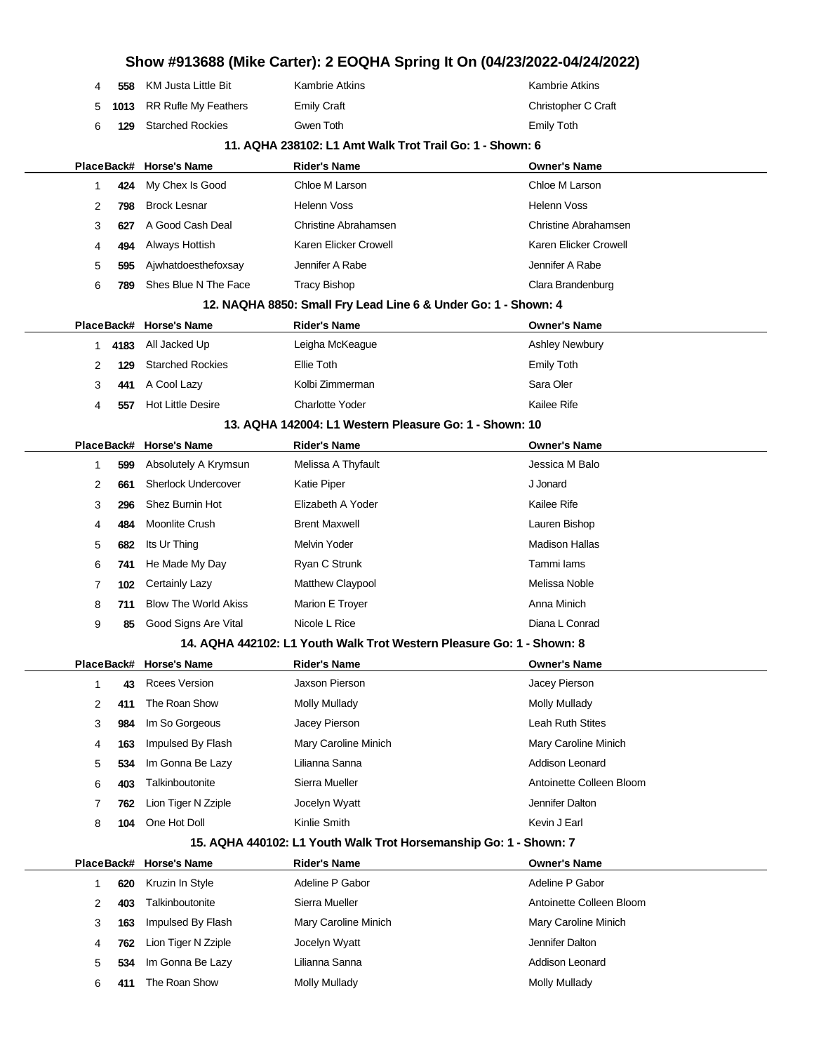| Show #913688 (Mike Carter): 2 EOQHA Spring It On (04/23/2022-04/24/2022) |    |            |                             |                                                                       |                          |  |
|--------------------------------------------------------------------------|----|------------|-----------------------------|-----------------------------------------------------------------------|--------------------------|--|
|                                                                          | 4  | 558        | <b>KM Justa Little Bit</b>  | <b>Kambrie Atkins</b>                                                 | <b>Kambrie Atkins</b>    |  |
|                                                                          | 5  | 1013       | RR Rufle My Feathers        | <b>Emily Craft</b>                                                    | Christopher C Craft      |  |
|                                                                          | 6  | 129        | <b>Starched Rockies</b>     | Gwen Toth                                                             | <b>Emily Toth</b>        |  |
|                                                                          |    |            |                             | 11. AQHA 238102: L1 Amt Walk Trot Trail Go: 1 - Shown: 6              |                          |  |
|                                                                          |    |            | PlaceBack# Horse's Name     | <b>Rider's Name</b>                                                   | <b>Owner's Name</b>      |  |
|                                                                          | 1  | 424        | My Chex Is Good             | Chloe M Larson                                                        | Chloe M Larson           |  |
|                                                                          | 2  | 798        | <b>Brock Lesnar</b>         | <b>Helenn Voss</b>                                                    | <b>Helenn Voss</b>       |  |
|                                                                          | 3  | 627        | A Good Cash Deal            | Christine Abrahamsen                                                  | Christine Abrahamsen     |  |
|                                                                          | 4  | 494        | Always Hottish              | Karen Elicker Crowell                                                 | Karen Elicker Crowell    |  |
|                                                                          | 5  | 595        | Ajwhatdoesthefoxsay         | Jennifer A Rabe                                                       | Jennifer A Rabe          |  |
|                                                                          | 6  | 789        | Shes Blue N The Face        | <b>Tracy Bishop</b>                                                   | Clara Brandenburg        |  |
|                                                                          |    |            |                             | 12. NAQHA 8850: Small Fry Lead Line 6 & Under Go: 1 - Shown: 4        |                          |  |
|                                                                          |    |            | PlaceBack# Horse's Name     | <b>Rider's Name</b>                                                   | <b>Owner's Name</b>      |  |
|                                                                          | 1. | 4183       | All Jacked Up               | Leigha McKeague                                                       | <b>Ashley Newbury</b>    |  |
|                                                                          | 2  | 129        | <b>Starched Rockies</b>     | Ellie Toth                                                            | <b>Emily Toth</b>        |  |
|                                                                          | 3  | 441        | A Cool Lazy                 | Kolbi Zimmerman                                                       | Sara Oler                |  |
|                                                                          | 4  | 557        | <b>Hot Little Desire</b>    | <b>Charlotte Yoder</b>                                                | <b>Kailee Rife</b>       |  |
|                                                                          |    |            |                             | 13. AQHA 142004: L1 Western Pleasure Go: 1 - Shown: 10                |                          |  |
|                                                                          |    |            | PlaceBack# Horse's Name     | <b>Rider's Name</b>                                                   | <b>Owner's Name</b>      |  |
|                                                                          | 1  | 599        | Absolutely A Krymsun        | Melissa A Thyfault                                                    | Jessica M Balo           |  |
|                                                                          | 2  | 661        | <b>Sherlock Undercover</b>  | <b>Katie Piper</b>                                                    | J Jonard                 |  |
|                                                                          | 3  | 296        | Shez Burnin Hot             | Elizabeth A Yoder                                                     | Kailee Rife              |  |
|                                                                          | 4  | 484        | Moonlite Crush              | <b>Brent Maxwell</b>                                                  | Lauren Bishop            |  |
|                                                                          | 5  | 682        | Its Ur Thing                | Melvin Yoder                                                          | <b>Madison Hallas</b>    |  |
|                                                                          | 6  | 741        | He Made My Day              | Ryan C Strunk                                                         | Tammi lams               |  |
|                                                                          | 7  | 102        | Certainly Lazy              | Matthew Claypool                                                      | Melissa Noble            |  |
|                                                                          | 8  | 711        | <b>Blow The World Akiss</b> | Marion E Troyer                                                       | Anna Minich              |  |
|                                                                          | 9  | 85         | Good Signs Are Vital        | Nicole L Rice                                                         | Diana L Conrad           |  |
|                                                                          |    |            |                             | 14. AQHA 442102: L1 Youth Walk Trot Western Pleasure Go: 1 - Shown: 8 |                          |  |
|                                                                          |    |            | PlaceBack# Horse's Name     | <b>Rider's Name</b>                                                   | <b>Owner's Name</b>      |  |
|                                                                          | 1  | 43         | <b>Rcees Version</b>        | Jaxson Pierson                                                        | Jacey Pierson            |  |
|                                                                          | 2  | 411        | The Roan Show               | <b>Molly Mullady</b>                                                  | <b>Molly Mullady</b>     |  |
|                                                                          | 3  | 984        | Im So Gorgeous              | Jacey Pierson                                                         | <b>Leah Ruth Stites</b>  |  |
|                                                                          | 4  | 163        | Impulsed By Flash           | Mary Caroline Minich                                                  | Mary Caroline Minich     |  |
|                                                                          | 5  | 534        | Im Gonna Be Lazy            | Lilianna Sanna                                                        | Addison Leonard          |  |
|                                                                          | 6  | 403        | Talkinboutonite             | Sierra Mueller                                                        | Antoinette Colleen Bloom |  |
|                                                                          | 7  | 762        | Lion Tiger N Zziple         | Jocelyn Wyatt                                                         | Jennifer Dalton          |  |
|                                                                          | 8  | 104        | One Hot Doll                | Kinlie Smith                                                          | Kevin J Earl             |  |
|                                                                          |    |            |                             | 15. AQHA 440102: L1 Youth Walk Trot Horsemanship Go: 1 - Shown: 7     |                          |  |
|                                                                          |    | PlaceBack# | <b>Horse's Name</b>         | <b>Rider's Name</b>                                                   | <b>Owner's Name</b>      |  |
|                                                                          | 1  | 620        | Kruzin In Style             | Adeline P Gabor                                                       | Adeline P Gabor          |  |
|                                                                          | 2  | 403        | Talkinboutonite             | Sierra Mueller                                                        | Antoinette Colleen Bloom |  |
|                                                                          | 3  | 163        | Impulsed By Flash           | Mary Caroline Minich                                                  | Mary Caroline Minich     |  |
|                                                                          | 4  | 762        | Lion Tiger N Zziple         | Jocelyn Wyatt                                                         | Jennifer Dalton          |  |
|                                                                          | 5  | 534        | Im Gonna Be Lazy            | Lilianna Sanna                                                        | Addison Leonard          |  |

**411** The Roan Show Molly Mullady Mullady Molly Mullady Molly Mullady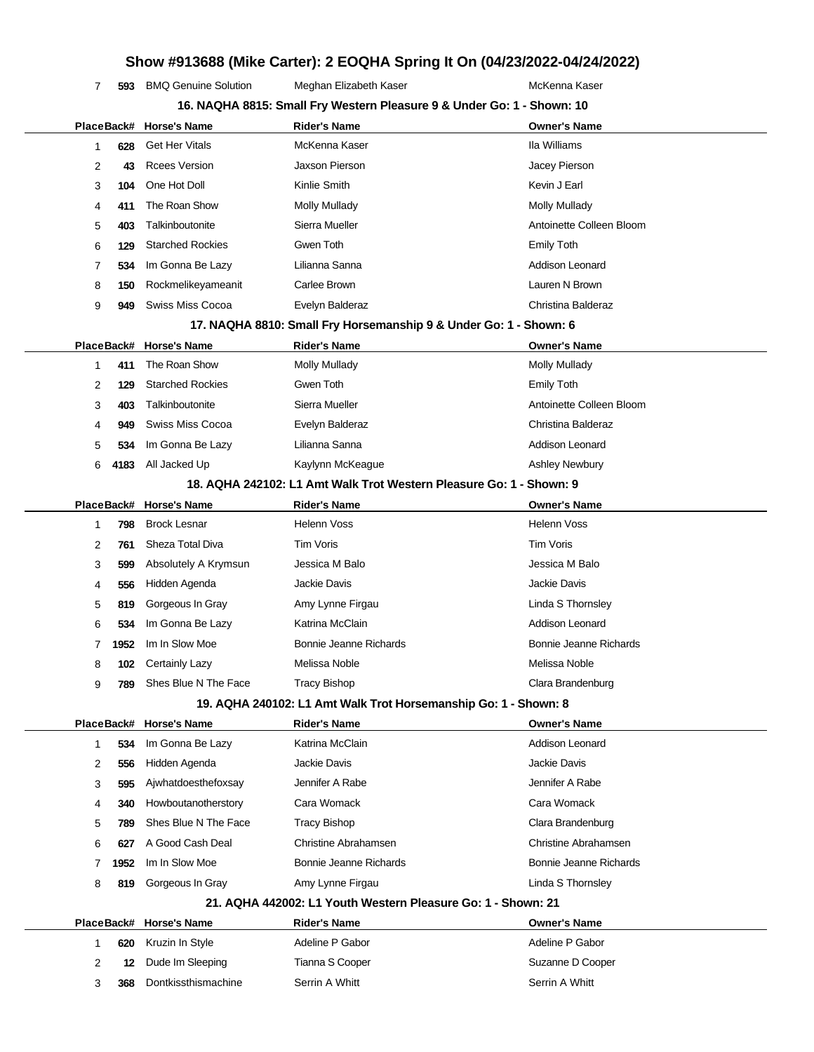**593** BMQ Genuine Solution Meghan Elizabeth Kaser **Manual McKenna Kaser** McKenna Kaser **16. NAQHA 8815: Small Fry Western Pleasure 9 & Under Go: 1 - Shown: 10**

|                |      | PlaceBack# Horse's Name | <b>Rider's Name</b>                                                 | <b>Owner's Name</b>      |
|----------------|------|-------------------------|---------------------------------------------------------------------|--------------------------|
| 1              | 628  | <b>Get Her Vitals</b>   | McKenna Kaser                                                       | Ila Williams             |
| 2              | 43   | <b>Rcees Version</b>    | Jaxson Pierson                                                      | Jacey Pierson            |
| 3              | 104  | One Hot Doll            | Kinlie Smith                                                        | Kevin J Earl             |
| 4              | 411  | The Roan Show           | <b>Molly Mullady</b>                                                | Molly Mullady            |
| 5              | 403  | Talkinboutonite         | Sierra Mueller                                                      | Antoinette Colleen Bloom |
| 6              | 129  | <b>Starched Rockies</b> | Gwen Toth                                                           | <b>Emily Toth</b>        |
| 7              | 534  | Im Gonna Be Lazy        | Lilianna Sanna                                                      | <b>Addison Leonard</b>   |
| 8              | 150  | Rockmelikeyameanit      | Carlee Brown                                                        | Lauren N Brown           |
| 9              | 949  | <b>Swiss Miss Cocoa</b> | Evelyn Balderaz                                                     | Christina Balderaz       |
|                |      |                         | 17. NAQHA 8810: Small Fry Horsemanship 9 & Under Go: 1 - Shown: 6   |                          |
|                |      | PlaceBack# Horse's Name | <b>Rider's Name</b>                                                 | <b>Owner's Name</b>      |
| 1              | 411  | The Roan Show           | <b>Molly Mullady</b>                                                | <b>Molly Mullady</b>     |
| 2              | 129  | <b>Starched Rockies</b> | Gwen Toth                                                           | <b>Emily Toth</b>        |
| 3              | 403  | Talkinboutonite         | Sierra Mueller                                                      | Antoinette Colleen Bloom |
| 4              | 949  | <b>Swiss Miss Cocoa</b> | Evelyn Balderaz                                                     | Christina Balderaz       |
| 5              | 534  | Im Gonna Be Lazy        | Lilianna Sanna                                                      | Addison Leonard          |
| 6              | 4183 | All Jacked Up           | Kaylynn McKeague                                                    | <b>Ashley Newbury</b>    |
|                |      |                         | 18. AQHA 242102: L1 Amt Walk Trot Western Pleasure Go: 1 - Shown: 9 |                          |
|                |      | PlaceBack# Horse's Name | <b>Rider's Name</b>                                                 | <b>Owner's Name</b>      |
| 1              | 798  | <b>Brock Lesnar</b>     | <b>Helenn Voss</b>                                                  | <b>Helenn Voss</b>       |
| 2              | 761  | Sheza Total Diva        | Tim Voris                                                           | Tim Voris                |
| 3              | 599  | Absolutely A Krymsun    | Jessica M Balo                                                      | Jessica M Balo           |
| 4              | 556  | Hidden Agenda           | <b>Jackie Davis</b>                                                 | <b>Jackie Davis</b>      |
| 5              | 819  | Gorgeous In Gray        | Amy Lynne Firgau                                                    | Linda S Thornsley        |
| 6              | 534  | Im Gonna Be Lazy        | Katrina McClain                                                     | Addison Leonard          |
| 7              | 1952 | Im In Slow Moe          | Bonnie Jeanne Richards                                              | Bonnie Jeanne Richards   |
| 8              | 102  | <b>Certainly Lazy</b>   | Melissa Noble                                                       | Melissa Noble            |
| 9              | 789  | Shes Blue N The Face    | <b>Tracy Bishop</b>                                                 | Clara Brandenburg        |
|                |      |                         | 19. AQHA 240102: L1 Amt Walk Trot Horsemanship Go: 1 - Shown: 8     |                          |
|                |      | PlaceBack# Horse's Name | <b>Rider's Name</b>                                                 | <b>Owner's Name</b>      |
| 1              | 534  | Im Gonna Be Lazy        | Katrina McClain                                                     | Addison Leonard          |
| 2              | 556  | Hidden Agenda           | Jackie Davis                                                        | Jackie Davis             |
| 3              | 595  | Ajwhatdoesthefoxsay     | Jennifer A Rabe                                                     | Jennifer A Rabe          |
| 4              | 340  | Howboutanotherstory     | Cara Womack                                                         | Cara Womack              |
| 5              | 789  | Shes Blue N The Face    | <b>Tracy Bishop</b>                                                 | Clara Brandenburg        |
| 6              | 627  | A Good Cash Deal        | Christine Abrahamsen                                                | Christine Abrahamsen     |
| 7              | 1952 | Im In Slow Moe          | Bonnie Jeanne Richards                                              | Bonnie Jeanne Richards   |
| 8              | 819  | Gorgeous In Gray        | Amy Lynne Firgau                                                    | Linda S Thornsley        |
|                |      |                         | 21. AQHA 442002: L1 Youth Western Pleasure Go: 1 - Shown: 21        |                          |
|                |      | PlaceBack# Horse's Name | <b>Rider's Name</b>                                                 | <b>Owner's Name</b>      |
| 1              | 620  | Kruzin In Style         | Adeline P Gabor                                                     | Adeline P Gabor          |
| $\overline{2}$ | 12   | Dude Im Sleeping        | Tianna S Cooper                                                     | Suzanne D Cooper         |
| 3              | 368  | Dontkissthismachine     | Serrin A Whitt                                                      | Serrin A Whitt           |
|                |      |                         |                                                                     |                          |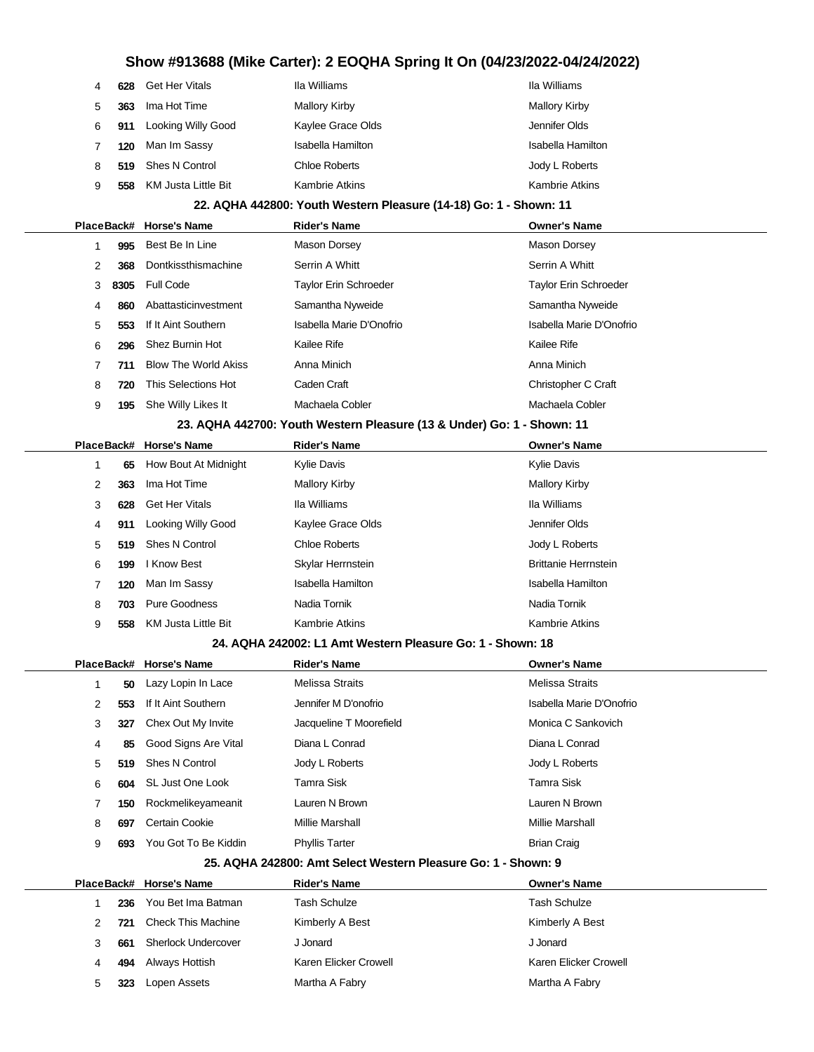|                                                                   | 4 | 628 | Get Her Vitals          | Ila Williams        | Ila Williams             |  |
|-------------------------------------------------------------------|---|-----|-------------------------|---------------------|--------------------------|--|
|                                                                   | 5 | 363 | Ima Hot Time            | Mallory Kirby       | Mallory Kirby            |  |
|                                                                   | 6 | 911 | Looking Willy Good      | Kaylee Grace Olds   | Jennifer Olds            |  |
|                                                                   |   | 120 | Man Im Sassy            | Isabella Hamilton   | <b>Isabella Hamilton</b> |  |
|                                                                   | 8 | 519 | Shes N Control          | Chloe Roberts       | Jody L Roberts           |  |
|                                                                   | 9 | 558 | KM Justa Little Bit     | Kambrie Atkins      | <b>Kambrie Atkins</b>    |  |
| 22. AQHA 442800: Youth Western Pleasure (14-18) Go: 1 - Shown: 11 |   |     |                         |                     |                          |  |
|                                                                   |   |     | PlaceBack# Horse's Name | <b>Rider's Name</b> | <b>Owner's Name</b>      |  |
|                                                                   |   | 995 | Best Be In Line         | Mason Dorsey        | Mason Dorsey             |  |

| 2<br>368                                                               | Dontkissthismachine         | Serrin A Whitt           | Serrin A Whitt           |  |  |  |  |
|------------------------------------------------------------------------|-----------------------------|--------------------------|--------------------------|--|--|--|--|
| 8305<br>3                                                              | <b>Full Code</b>            | Taylor Erin Schroeder    | Taylor Erin Schroeder    |  |  |  |  |
| 860<br>4                                                               | Abattasticinvestment        | Samantha Nyweide         | Samantha Nyweide         |  |  |  |  |
| 5<br>553                                                               | If It Aint Southern         | Isabella Marie D'Onofrio | Isabella Marie D'Onofrio |  |  |  |  |
| 6<br>296                                                               | Shez Burnin Hot             | Kailee Rife              | Kailee Rife              |  |  |  |  |
| 711                                                                    | <b>Blow The World Akiss</b> | Anna Minich              | Anna Minich              |  |  |  |  |
| This Selections Hot<br>Caden Craft<br>Christopher C Craft<br>8<br>720  |                             |                          |                          |  |  |  |  |
| 9<br>195                                                               | She Willy Likes It          | Machaela Cobler          | Machaela Cobler          |  |  |  |  |
| 23. AQHA 442700: Youth Western Pleasure (13 & Under) Go: 1 - Shown: 11 |                             |                          |                          |  |  |  |  |

|   |     | PlaceBack# Horse's Name | <b>Rider's Name</b>  | <b>Owner's Name</b>         |
|---|-----|-------------------------|----------------------|-----------------------------|
|   | 65  | How Bout At Midnight    | Kylie Davis          | Kylie Davis                 |
| 2 | 363 | Ima Hot Time            | Mallory Kirby        | <b>Mallory Kirby</b>        |
| 3 | 628 | <b>Get Her Vitals</b>   | Ila Williams         | Ila Williams                |
| 4 | 911 | Looking Willy Good      | Kaylee Grace Olds    | Jennifer Olds               |
| 5 | 519 | Shes N Control          | <b>Chloe Roberts</b> | Jody L Roberts              |
| 6 | 199 | l Know Best             | Skylar Herrnstein    | <b>Brittanie Herrnstein</b> |
|   | 120 | Man Im Sassy            | Isabella Hamilton    | Isabella Hamilton           |
| 8 | 703 | Pure Goodness           | Nadia Tornik         | Nadia Tornik                |
| 9 | 558 | KM Justa Little Bit     | Kambrie Atkins       | Kambrie Atkins              |

## **24. AQHA 242002: L1 Amt Western Pleasure Go: 1 - Shown: 18**

|   |     | PlaceBack# Horse's Name | <b>Rider's Name</b>     | <b>Owner's Name</b>      |
|---|-----|-------------------------|-------------------------|--------------------------|
|   | 50  | Lazy Lopin In Lace      | Melissa Straits         | <b>Melissa Straits</b>   |
| 2 | 553 | If It Aint Southern     | Jennifer M D'onofrio    | Isabella Marie D'Onofrio |
| 3 | 327 | Chex Out My Invite      | Jacqueline T Moorefield | Monica C Sankovich       |
| 4 | 85  | Good Signs Are Vital    | Diana L Conrad          | Diana L Conrad           |
| 5 | 519 | Shes N Control          | Jody L Roberts          | Jody L Roberts           |
| 6 |     | 604 SL Just One Look    | Tamra Sisk              | Tamra Sisk               |
|   | 150 | Rockmelikeyameanit      | Lauren N Brown          | Lauren N Brown           |
| 8 | 697 | Certain Cookie          | Millie Marshall         | <b>Millie Marshall</b>   |
| 9 | 693 | You Got To Be Kiddin    | <b>Phyllis Tarter</b>   | <b>Brian Craig</b>       |
|   |     |                         |                         |                          |

#### **25. AQHA 242800: Amt Select Western Pleasure Go: 1 - Shown: 9**

|               |     | PlaceBack# Horse's Name | <b>Rider's Name</b>   | <b>Owner's Name</b>   |
|---------------|-----|-------------------------|-----------------------|-----------------------|
|               | 236 | You Bet Ima Batman      | Tash Schulze          | <b>Tash Schulze</b>   |
| $\mathcal{P}$ | 721 | Check This Machine      | Kimberly A Best       | Kimberly A Best       |
|               | 661 | Sherlock Undercover     | J Jonard              | J Jonard              |
| 4             | 494 | Always Hottish          | Karen Elicker Crowell | Karen Elicker Crowell |
| 5             | 323 | Lopen Assets            | Martha A Fabry        | Martha A Fabry        |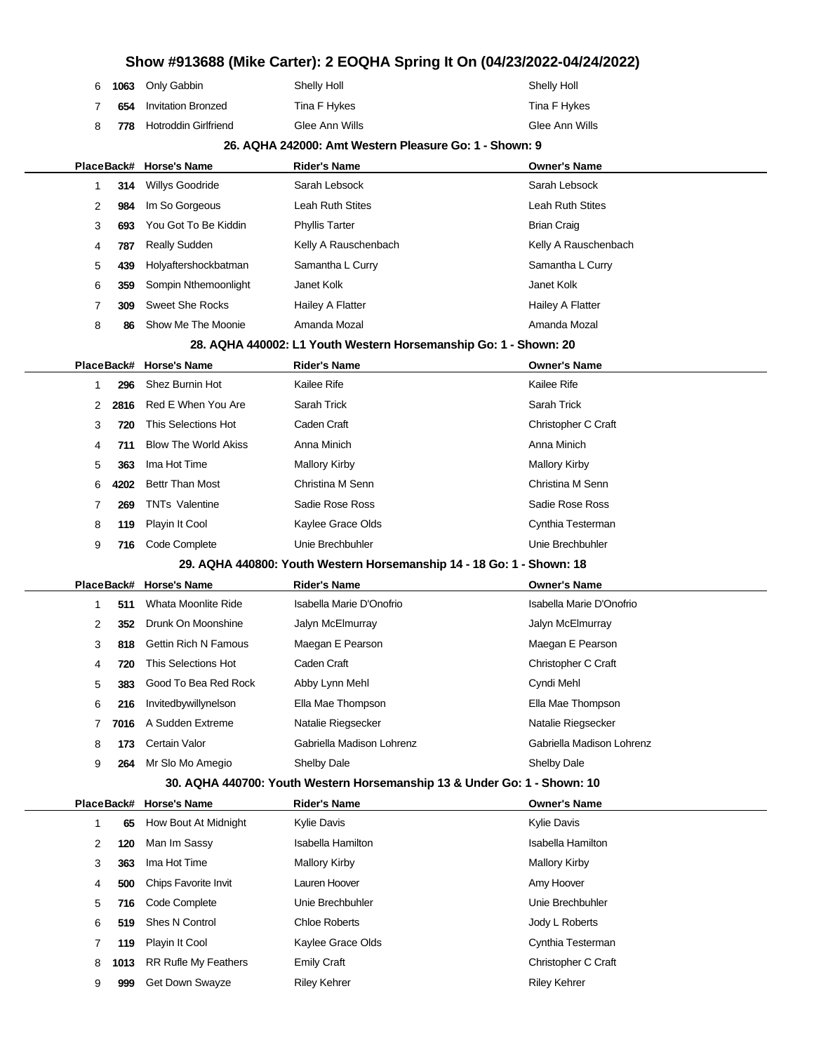|  | 6 1063 Only Gabbin         | Shelly Holl    | <b>Shelly Holl</b> |
|--|----------------------------|----------------|--------------------|
|  | 654 Invitation Bronzed     | Tina F Hykes   | Tina F Hykes       |
|  | 8 778 Hotroddin Girlfriend | Glee Ann Wills | Glee Ann Wills     |

|   | 26. AQHA 242000: Amt Western Pleasure Go: 1 - Shown: 9 |                             |                                                                          |                           |  |  |
|---|--------------------------------------------------------|-----------------------------|--------------------------------------------------------------------------|---------------------------|--|--|
|   |                                                        | PlaceBack# Horse's Name     | <b>Rider's Name</b>                                                      | <b>Owner's Name</b>       |  |  |
| 1 | 314                                                    | <b>Willys Goodride</b>      | Sarah Lebsock                                                            | Sarah Lebsock             |  |  |
|   | 2<br>984                                               | Im So Gorgeous              | Leah Ruth Stites                                                         | Leah Ruth Stites          |  |  |
|   | 3<br>693                                               | You Got To Be Kiddin        | <b>Phyllis Tarter</b>                                                    | <b>Brian Craig</b>        |  |  |
|   | 4<br>787                                               | <b>Really Sudden</b>        | Kelly A Rauschenbach                                                     | Kelly A Rauschenbach      |  |  |
|   | 5<br>439                                               | Holyaftershockbatman        | Samantha L Curry                                                         | Samantha L Curry          |  |  |
| 6 | 359                                                    | Sompin Nthemoonlight        | Janet Kolk                                                               | Janet Kolk                |  |  |
|   | 7<br>309                                               | <b>Sweet She Rocks</b>      | <b>Hailey A Flatter</b>                                                  | Hailey A Flatter          |  |  |
|   | 8<br>86                                                | Show Me The Moonie          | Amanda Mozal                                                             | Amanda Mozal              |  |  |
|   |                                                        |                             | 28. AQHA 440002: L1 Youth Western Horsemanship Go: 1 - Shown: 20         |                           |  |  |
|   | PlaceBack#                                             | <b>Horse's Name</b>         | <b>Rider's Name</b>                                                      | <b>Owner's Name</b>       |  |  |
|   | 296<br>1                                               | Shez Burnin Hot             | Kailee Rife                                                              | Kailee Rife               |  |  |
|   | 2<br>2816                                              | Red E When You Are          | Sarah Trick                                                              | Sarah Trick               |  |  |
|   | 3<br>720                                               | This Selections Hot         | Caden Craft                                                              | Christopher C Craft       |  |  |
|   | 4<br>711                                               | <b>Blow The World Akiss</b> | Anna Minich                                                              | Anna Minich               |  |  |
|   | 5<br>363                                               | Ima Hot Time                | Mallory Kirby                                                            | Mallory Kirby             |  |  |
|   | 6<br>4202                                              | <b>Bettr Than Most</b>      | Christina M Senn                                                         | Christina M Senn          |  |  |
|   | 7<br>269                                               | <b>TNTs Valentine</b>       | Sadie Rose Ross                                                          | Sadie Rose Ross           |  |  |
| 8 | 119                                                    | Playin It Cool              | Kaylee Grace Olds                                                        | Cynthia Testerman         |  |  |
|   | 9<br>716                                               | Code Complete               | Unie Brechbuhler                                                         | Unie Brechbuhler          |  |  |
|   |                                                        |                             | 29. AQHA 440800: Youth Western Horsemanship 14 - 18 Go: 1 - Shown: 18    |                           |  |  |
|   | PlaceBack#                                             | Horse's Name                | <b>Rider's Name</b>                                                      | <b>Owner's Name</b>       |  |  |
| 1 | 511                                                    | Whata Moonlite Ride         | Isabella Marie D'Onofrio                                                 | Isabella Marie D'Onofrio  |  |  |
|   | 2<br>352                                               | Drunk On Moonshine          | Jalyn McElmurray                                                         | Jalyn McElmurray          |  |  |
|   | 3<br>818                                               | <b>Gettin Rich N Famous</b> | Maegan E Pearson                                                         | Maegan E Pearson          |  |  |
|   | 4<br>720                                               | This Selections Hot         | Caden Craft                                                              | Christopher C Craft       |  |  |
|   | 5<br>383                                               | Good To Bea Red Rock        | Abby Lynn Mehl                                                           | Cyndi Mehl                |  |  |
| 6 | 216                                                    | Invitedbywillynelson        | Ella Mae Thompson                                                        | Ella Mae Thompson         |  |  |
|   | 7<br>7016                                              | A Sudden Extreme            | Natalie Riegsecker                                                       | Natalie Riegsecker        |  |  |
|   | 8<br>173                                               | Certain Valor               | Gabriella Madison Lohrenz                                                | Gabriella Madison Lohrenz |  |  |
|   | 9<br>264                                               | Mr Slo Mo Amegio            | Shelby Dale                                                              | <b>Shelby Dale</b>        |  |  |
|   |                                                        |                             | 30. AQHA 440700: Youth Western Horsemanship 13 & Under Go: 1 - Shown: 10 |                           |  |  |
|   |                                                        | PlaceBack# Horse's Name     | <b>Rider's Name</b>                                                      | <b>Owner's Name</b>       |  |  |
| 1 | 65                                                     | How Bout At Midnight        | Kylie Davis                                                              | Kylie Davis               |  |  |
|   | 2<br>120                                               | Man Im Sassy                | Isabella Hamilton                                                        | Isabella Hamilton         |  |  |
|   | 3<br>363                                               | Ima Hot Time                | <b>Mallory Kirby</b>                                                     | <b>Mallory Kirby</b>      |  |  |
|   | 4<br>500                                               | Chips Favorite Invit        | Lauren Hoover                                                            | Amy Hoover                |  |  |

 **716** Code Complete Unie Brechbuhler Unie Brechbuhler **519** Shes N Control Chloe Roberts Jody L Roberts **119** Playin It Cool **Cynthia Testerman** Kaylee Grace Olds Cynthia Testerman **1013** RR Rufle My Feathers Emily Craft Emily Christopher C Craft 9 999 Get Down Swayze Riley Kehrer Riley Kehrer Riley Kehrer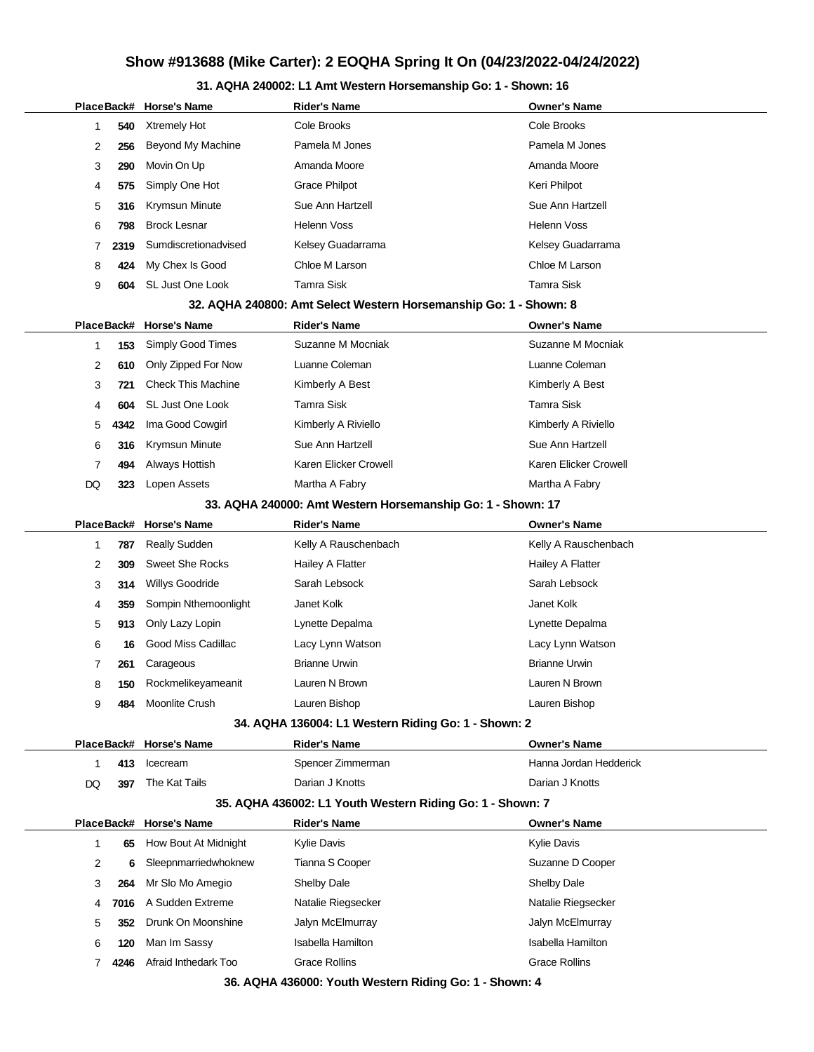## **31. AQHA 240002: L1 Amt Western Horsemanship Go: 1 - Shown: 16**

|                |            | PlaceBack# Horse's Name   | <b>Rider's Name</b>                                               | <b>Owner's Name</b>      |
|----------------|------------|---------------------------|-------------------------------------------------------------------|--------------------------|
| 1              | 540        | Xtremely Hot              | Cole Brooks                                                       | Cole Brooks              |
| 2              | 256        | <b>Beyond My Machine</b>  | Pamela M Jones                                                    | Pamela M Jones           |
| 3              | 290        | Movin On Up               | Amanda Moore                                                      | Amanda Moore             |
| 4              | 575        | Simply One Hot            | <b>Grace Philpot</b>                                              | Keri Philpot             |
| 5              | 316        | Krymsun Minute            | Sue Ann Hartzell                                                  | Sue Ann Hartzell         |
| 6              | 798        | <b>Brock Lesnar</b>       | <b>Helenn Voss</b>                                                | Helenn Voss              |
| 7              | 2319       | Sumdiscretionadvised      | Kelsey Guadarrama                                                 | Kelsey Guadarrama        |
| 8              | 424        | My Chex Is Good           | Chloe M Larson                                                    | Chloe M Larson           |
| 9              | 604        | SL Just One Look          | <b>Tamra Sisk</b>                                                 | <b>Tamra Sisk</b>        |
|                |            |                           | 32. AQHA 240800: Amt Select Western Horsemanship Go: 1 - Shown: 8 |                          |
| PlaceBack#     |            | <b>Horse's Name</b>       | <b>Rider's Name</b>                                               | <b>Owner's Name</b>      |
| 1              | 153        | Simply Good Times         | Suzanne M Mocniak                                                 | Suzanne M Mocniak        |
| 2              | 610        | Only Zipped For Now       | Luanne Coleman                                                    | Luanne Coleman           |
| 3              | 721        | <b>Check This Machine</b> | Kimberly A Best                                                   | Kimberly A Best          |
| 4              | 604        | SL Just One Look          | <b>Tamra Sisk</b>                                                 | Tamra Sisk               |
| 5              | 4342       | Ima Good Cowgirl          | Kimberly A Riviello                                               | Kimberly A Riviello      |
| 6              | 316        | Krymsun Minute            | Sue Ann Hartzell                                                  | Sue Ann Hartzell         |
| $\overline{7}$ | 494        | Always Hottish            | Karen Elicker Crowell                                             | Karen Elicker Crowell    |
| DQ             | 323        | Lopen Assets              | Martha A Fabry                                                    | Martha A Fabry           |
|                |            |                           | 33. AQHA 240000: Amt Western Horsemanship Go: 1 - Shown: 17       |                          |
| PlaceBack#     |            | <b>Horse's Name</b>       | <b>Rider's Name</b>                                               | <b>Owner's Name</b>      |
| $\mathbf{1}$   | 787        | <b>Really Sudden</b>      | Kelly A Rauschenbach                                              | Kelly A Rauschenbach     |
| 2              | 309        | <b>Sweet She Rocks</b>    | Hailey A Flatter                                                  | Hailey A Flatter         |
| 3              | 314        | Willys Goodride           | Sarah Lebsock                                                     | Sarah Lebsock            |
| 4              | 359        | Sompin Nthemoonlight      | Janet Kolk                                                        | Janet Kolk               |
| 5              | 913        | Only Lazy Lopin           | Lynette Depalma                                                   | Lynette Depalma          |
| 6              | 16         | Good Miss Cadillac        | Lacy Lynn Watson                                                  | Lacy Lynn Watson         |
| 7              | 261        | Carageous                 | <b>Brianne Urwin</b>                                              | <b>Brianne Urwin</b>     |
| 8              | 150        | Rockmelikeyameanit        | Lauren N Brown                                                    | Lauren N Brown           |
| 9              | 484        | Moonlite Crush            | Lauren Bishop                                                     | Lauren Bishop            |
|                |            |                           | 34. AQHA 136004: L1 Western Riding Go: 1 - Shown: 2               |                          |
| PlaceBack#     |            | <b>Horse's Name</b>       | <b>Rider's Name</b>                                               | <b>Owner's Name</b>      |
| 1              | 413        | Icecream                  | Spencer Zimmerman                                                 | Hanna Jordan Hedderick   |
| DQ             | 397        | The Kat Tails             | Darian J Knotts                                                   | Darian J Knotts          |
|                |            |                           | 35. AQHA 436002: L1 Youth Western Riding Go: 1 - Shown: 7         |                          |
|                | PlaceBack# | <b>Horse's Name</b>       | <b>Rider's Name</b>                                               | <b>Owner's Name</b>      |
| 1              | 65         | How Bout At Midnight      | <b>Kylie Davis</b>                                                | <b>Kylie Davis</b>       |
| 2              | 6          | Sleepnmarriedwhoknew      | Tianna S Cooper                                                   | Suzanne D Cooper         |
| 3              | 264        | Mr Slo Mo Amegio          | Shelby Dale                                                       | Shelby Dale              |
| 4              | 7016       | A Sudden Extreme          | Natalie Riegsecker                                                | Natalie Riegsecker       |
| 5              | 352        | Drunk On Moonshine        | Jalyn McElmurray                                                  | Jalyn McElmurray         |
| 6              | 120        | Man Im Sassy              | <b>Isabella Hamilton</b>                                          | <b>Isabella Hamilton</b> |
| 7              | 4246       | Afraid Inthedark Too      | <b>Grace Rollins</b>                                              | <b>Grace Rollins</b>     |

**36. AQHA 436000: Youth Western Riding Go: 1 - Shown: 4**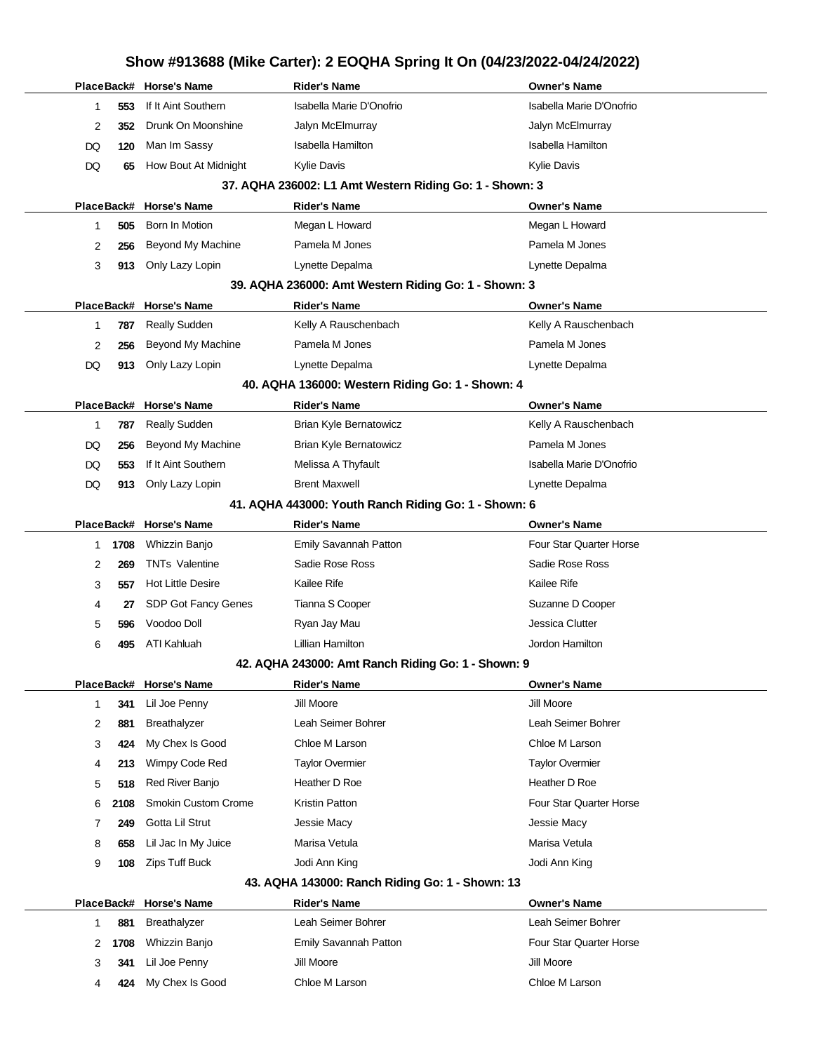|    |                     | PlaceBack# Horse's Name    | <b>Rider's Name</b>                                     | <b>Owner's Name</b>      |
|----|---------------------|----------------------------|---------------------------------------------------------|--------------------------|
|    | 553<br>1            | If It Aint Southern        | Isabella Marie D'Onofrio                                | Isabella Marie D'Onofrio |
|    | 2<br>352            | Drunk On Moonshine         | Jalyn McElmurray                                        | Jalyn McElmurray         |
| DQ | 120                 | Man Im Sassy               | <b>Isabella Hamilton</b>                                | <b>Isabella Hamilton</b> |
| DQ | 65                  | How Bout At Midnight       | <b>Kylie Davis</b>                                      | <b>Kylie Davis</b>       |
|    |                     |                            | 37. AQHA 236002: L1 Amt Western Riding Go: 1 - Shown: 3 |                          |
|    |                     | PlaceBack# Horse's Name    | <b>Rider's Name</b>                                     | <b>Owner's Name</b>      |
|    | 505<br>1            | Born In Motion             | Megan L Howard                                          | Megan L Howard           |
|    | 2<br>256            | Beyond My Machine          | Pamela M Jones                                          | Pamela M Jones           |
|    | 3<br>913            | Only Lazy Lopin            | Lynette Depalma                                         | Lynette Depalma          |
|    |                     |                            | 39. AQHA 236000: Amt Western Riding Go: 1 - Shown: 3    |                          |
|    |                     | PlaceBack# Horse's Name    | <b>Rider's Name</b>                                     | <b>Owner's Name</b>      |
|    | $\mathbf{1}$<br>787 | <b>Really Sudden</b>       | Kelly A Rauschenbach                                    | Kelly A Rauschenbach     |
|    | 2<br>256            | <b>Beyond My Machine</b>   | Pamela M Jones                                          | Pamela M Jones           |
| DQ | 913                 | Only Lazy Lopin            | Lynette Depalma                                         | Lynette Depalma          |
|    |                     |                            | 40. AQHA 136000: Western Riding Go: 1 - Shown: 4        |                          |
|    |                     | PlaceBack# Horse's Name    | <b>Rider's Name</b>                                     | <b>Owner's Name</b>      |
|    | 1<br>787            | <b>Really Sudden</b>       | Brian Kyle Bernatowicz                                  | Kelly A Rauschenbach     |
| DQ | 256                 | Beyond My Machine          | <b>Brian Kyle Bernatowicz</b>                           | Pamela M Jones           |
| DQ | 553                 | If It Aint Southern        | Melissa A Thyfault                                      | Isabella Marie D'Onofrio |
| DQ | 913                 | Only Lazy Lopin            | <b>Brent Maxwell</b>                                    | Lynette Depalma          |
|    |                     |                            | 41. AQHA 443000: Youth Ranch Riding Go: 1 - Shown: 6    |                          |
|    |                     | PlaceBack# Horse's Name    | <b>Rider's Name</b>                                     | <b>Owner's Name</b>      |
|    | 1708<br>1           | Whizzin Banjo              | Emily Savannah Patton                                   | Four Star Quarter Horse  |
|    | 2<br>269            | <b>TNTs Valentine</b>      | Sadie Rose Ross                                         | Sadie Rose Ross          |
|    | 3<br>557            | <b>Hot Little Desire</b>   | Kailee Rife                                             | Kailee Rife              |
|    | 4<br>27             | SDP Got Fancy Genes        | Tianna S Cooper                                         | Suzanne D Cooper         |
|    | 5<br>596            | Voodoo Doll                | Ryan Jay Mau                                            | Jessica Clutter          |
|    | 6<br>495            | ATI Kahluah                | Lillian Hamilton                                        | Jordon Hamilton          |
|    |                     |                            | 42. AQHA 243000: Amt Ranch Riding Go: 1 - Shown: 9      |                          |
|    |                     | PlaceBack# Horse's Name    | <b>Rider's Name</b>                                     | <b>Owner's Name</b>      |
|    | 341<br>1            | Lil Joe Penny              | Jill Moore                                              | Jill Moore               |
|    | 2<br>881            | Breathalyzer               | Leah Seimer Bohrer                                      | Leah Seimer Bohrer       |
|    | 3<br>424            | My Chex Is Good            | Chloe M Larson                                          | Chloe M Larson           |
|    | 4<br>213            | Wimpy Code Red             | <b>Taylor Overmier</b>                                  | <b>Taylor Overmier</b>   |
|    | 5<br>518            | Red River Banjo            | Heather D Roe                                           | Heather D Roe            |
|    | 6<br>2108           | <b>Smokin Custom Crome</b> | <b>Kristin Patton</b>                                   | Four Star Quarter Horse  |
|    | 249<br>7            | Gotta Lil Strut            | Jessie Macy                                             | Jessie Macy              |
|    | 658<br>8            | Lil Jac In My Juice        | Marisa Vetula                                           | Marisa Vetula            |
|    | 9<br>108            | <b>Zips Tuff Buck</b>      | Jodi Ann King                                           | Jodi Ann King            |
|    |                     |                            | 43. AQHA 143000: Ranch Riding Go: 1 - Shown: 13         |                          |
|    |                     | PlaceBack# Horse's Name    | <b>Rider's Name</b>                                     | <b>Owner's Name</b>      |
|    | 881<br>1            | Breathalyzer               | Leah Seimer Bohrer                                      | Leah Seimer Bohrer       |
|    | 2<br>1708           | Whizzin Banjo              | Emily Savannah Patton                                   | Four Star Quarter Horse  |
|    | 3<br>341            | Lil Joe Penny              | Jill Moore                                              | Jill Moore               |
|    | 4<br>424            | My Chex Is Good            | Chloe M Larson                                          | Chloe M Larson           |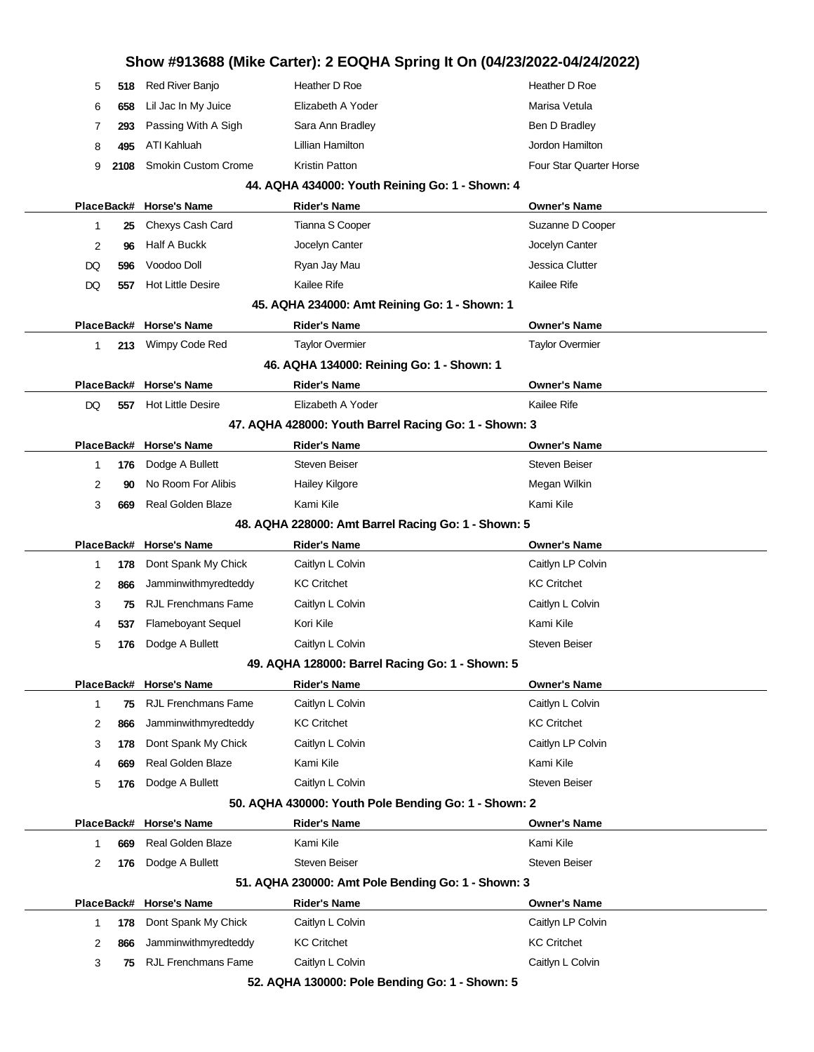# **Show #913688 (Mike Carter): 2 EOQHA Spring It On (04/23/2022-04/24/2022)** 5 **518** Red River Banjo **Heather D Roe Heather D Roe Heather D Roe Heather D Roe** 6 658 Lil Jac In My Juice **Elizabeth A Yoder** Marisa Vetula 7 **293** Passing With A Sigh Sara Ann Bradley Sara Announce Ben D Bradley 8 **495** ATI Kahluah **Lillian Hamilton Communisties** Atlantic Lillian Hamilton **Jordon Hamilton** 9 **2108** Smokin Custom Crome Kristin Patton **Four Star Quarter Horse** Four Star Quarter Horse **44. AQHA 434000: Youth Reining Go: 1 - Shown: 4 PlaceBack# Horse's Name Rider's Name Owner's Name** 1 **25** Chexys Cash Card Tianna S Cooper Suzanne D Cooper 2 **96** Half A Buckk Jocelyn Canter Jocelyn Canter DQ **596** Voodoo Doll Ryan Jay Mau Jessica Clutter DQ 557 Hot Little Desire Kailee Rife Kailee Rife Kailee Rife Kailee Rife Kailee Rife Kailee Rife Kailee Rife Kailee Rife Kailee Rife Kailee Rife Kailee Rife Kailee Rife Kailee Rife Kailee Rife Kailee Rife Kailee Rife Kaile **45. AQHA 234000: Amt Reining Go: 1 - Shown: 1 PlaceBack# Horse's Name Rider's Name Owner's Name** 1 **213** Wimpy Code Red Taylor Overmier Taylor Overmier **46. AQHA 134000: Reining Go: 1 - Shown: 1 PlaceBack# Horse's Name Rider's Name Owner's Name** DQ 557 Hot Little Desire **Elizabeth A Yoder Elizabeth A Yoder** Kailee Rife **47. AQHA 428000: Youth Barrel Racing Go: 1 - Shown: 3 PlaceBack# Horse's Name Rider's Name Owner's Name** 1 **176** Dodge A Bullett Steven Beiser Steven Beiser Steven Beiser 2 **90** No Room For Alibis **Hailey Kilgore** Megan Wilkin Megan Wilkin 3 **669** Real Golden Blaze Kami Kile Kami Kile Kami Kile **48. AQHA 228000: Amt Barrel Racing Go: 1 - Shown: 5 PlaceBack# Horse's Name Rider's Name Owner's Name** 1 **178** Dont Spank My Chick Caitlyn L Colvin Colvin Caitlyn LP Colvin 2 866 Jamminwithmyredteddy KC Critchet KC Critchet KC Critchet KC Critchet **3 75** RJL Frenchmans Fame Caitlyn L Colvin Caitles Caitlyn L Colvin Caitlyn L Colvin 4 **537** Flameboyant Sequel **Kori Kile** Kori Kile Kami Kile Kami Kile 5 **176** Dodge A Bullett **Caitlyn L Colvin** Colvin Steven Beiser **49. AQHA 128000: Barrel Racing Go: 1 - Shown: 5 PlaceBack# Horse's Name Rider's Name Owner's Name** 1 **75** RJL Frenchmans Fame Caitlyn L Colvin Caitlyn L Colvin Caitlyn L Colvin 2 866 Jamminwithmyredteddy KC Critchet KC Critchet KC Critchet KC Critchet 3 **178** Dont Spank My Chick Caitlyn L Colvin Caitlyn L Colvin Caitlyn LP Colvin 4 **669** Real Golden Blaze Kami Kile Kami Kile Kami Kile Kami Kile 5 **176** Dodge A Bullett **Caitlyn L Colvin Colvin** Colvin Steven Beiser **50. AQHA 430000: Youth Pole Bending Go: 1 - Shown: 2 PlaceBack# Horse's Name Rider's Name Owner's Name** 1 **669** Real Golden Blaze Kami Kile Kami Kile Kami Kile Kami Kile 2 **176** Dodge A Bullett Steven Beiser Steven Beiser Steven Beiser **51. AQHA 230000: Amt Pole Bending Go: 1 - Shown: 3 PlaceBack# Horse's Name Rider's Name Owner's Name** 1 **178** Dont Spank My Chick Caitlyn L Colvin Colvin Caitlyn LP Colvin 2 **866** Jamminwithmyredteddy KC Critchet KC Critchet **3 75** RJL Frenchmans Fame Caitlyn L Colvin Caitles Caitlyn L Colvin Caitlyn L Colvin **52. AQHA 130000: Pole Bending Go: 1 - Shown: 5**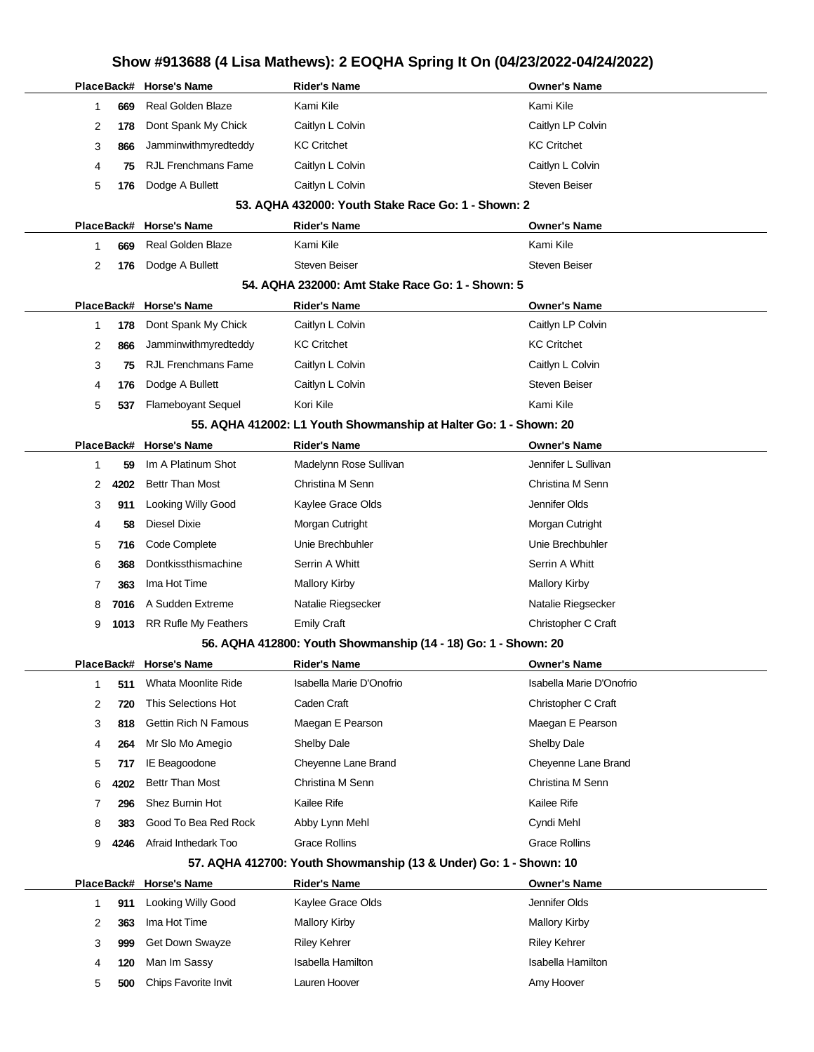# **Show #913688 (4 Lisa Mathews): 2 EOQHA Spring It On (04/23/2022-04/24/2022)**

|                |      | PlaceBack# Horse's Name     | <b>Rider's Name</b>                                               | <b>Owner's Name</b>      |
|----------------|------|-----------------------------|-------------------------------------------------------------------|--------------------------|
| 1              | 669  | Real Golden Blaze           | Kami Kile                                                         | Kami Kile                |
| 2              | 178  | Dont Spank My Chick         | Caitlyn L Colvin                                                  | Caitlyn LP Colvin        |
| 3              | 866  | Jamminwithmyredteddy        | <b>KC Critchet</b>                                                | <b>KC Critchet</b>       |
| 4              | 75   | <b>RJL Frenchmans Fame</b>  | Caitlyn L Colvin                                                  | Caitlyn L Colvin         |
| 5              | 176  | Dodge A Bullett             | Caitlyn L Colvin                                                  | <b>Steven Beiser</b>     |
|                |      |                             | 53. AQHA 432000: Youth Stake Race Go: 1 - Shown: 2                |                          |
|                |      | PlaceBack# Horse's Name     | <b>Rider's Name</b>                                               | <b>Owner's Name</b>      |
| 1              | 669  | Real Golden Blaze           | Kami Kile                                                         | Kami Kile                |
| 2              | 176  | Dodge A Bullett             | <b>Steven Beiser</b>                                              | <b>Steven Beiser</b>     |
|                |      |                             | 54. AQHA 232000: Amt Stake Race Go: 1 - Shown: 5                  |                          |
|                |      | PlaceBack# Horse's Name     | <b>Rider's Name</b>                                               | <b>Owner's Name</b>      |
| $\mathbf{1}$   | 178  | Dont Spank My Chick         | Caitlyn L Colvin                                                  | Caitlyn LP Colvin        |
| 2              | 866  | Jamminwithmyredteddy        | <b>KC Critchet</b>                                                | <b>KC Critchet</b>       |
| 3              | 75   | <b>RJL Frenchmans Fame</b>  | Caitlyn L Colvin                                                  | Caitlyn L Colvin         |
| 4              | 176  | Dodge A Bullett             | Caitlyn L Colvin                                                  | <b>Steven Beiser</b>     |
| 5              | 537  | <b>Flameboyant Sequel</b>   | Kori Kile                                                         | Kami Kile                |
|                |      |                             | 55. AQHA 412002: L1 Youth Showmanship at Halter Go: 1 - Shown: 20 |                          |
|                |      | PlaceBack# Horse's Name     | <b>Rider's Name</b>                                               | <b>Owner's Name</b>      |
| 1              | 59   | Im A Platinum Shot          | Madelynn Rose Sullivan                                            | Jennifer L Sullivan      |
| 2              | 4202 | <b>Bettr Than Most</b>      | Christina M Senn                                                  | Christina M Senn         |
| 3              | 911  | Looking Willy Good          | Kaylee Grace Olds                                                 | Jennifer Olds            |
| 4              | 58   | <b>Diesel Dixie</b>         | Morgan Cutright                                                   | Morgan Cutright          |
| 5              | 716  | Code Complete               | Unie Brechbuhler                                                  | Unie Brechbuhler         |
| 6              | 368  | Dontkissthismachine         | Serrin A Whitt                                                    | Serrin A Whitt           |
| $\overline{7}$ | 363  | Ima Hot Time                | <b>Mallory Kirby</b>                                              | <b>Mallory Kirby</b>     |
| 8              | 7016 | A Sudden Extreme            | Natalie Riegsecker                                                | Natalie Riegsecker       |
| 9              | 1013 | <b>RR Rufle My Feathers</b> | <b>Emily Craft</b>                                                | Christopher C Craft      |
|                |      |                             | 56. AQHA 412800: Youth Showmanship (14 - 18) Go: 1 - Shown: 20    |                          |
|                |      | PlaceBack# Horse's Name     | <b>Rider's Name</b>                                               | <b>Owner's Name</b>      |
| -1             | 511  | Whata Moonlite Ride         | Isabella Marie D'Onofrio                                          | Isabella Marie D'Onofrio |
| 2              | 720  | This Selections Hot         | Caden Craft                                                       | Christopher C Craft      |
| 3              | 818  | <b>Gettin Rich N Famous</b> | Maegan E Pearson                                                  | Maegan E Pearson         |
| 4              | 264  | Mr Slo Mo Amegio            | Shelby Dale                                                       | Shelby Dale              |
| 5              | 717  | <b>IE Beagoodone</b>        | Cheyenne Lane Brand                                               | Cheyenne Lane Brand      |
| 6              | 4202 | <b>Bettr Than Most</b>      | Christina M Senn                                                  | Christina M Senn         |
| 7              | 296  | Shez Burnin Hot             | Kailee Rife                                                       | Kailee Rife              |
| 8              | 383  | Good To Bea Red Rock        | Abby Lynn Mehl                                                    | Cyndi Mehl               |
| 9              | 4246 | Afraid Inthedark Too        | <b>Grace Rollins</b>                                              | <b>Grace Rollins</b>     |
|                |      |                             | 57. AQHA 412700: Youth Showmanship (13 & Under) Go: 1 - Shown: 10 |                          |
|                |      | PlaceBack# Horse's Name     | <b>Rider's Name</b>                                               | <b>Owner's Name</b>      |
| 1              | 911  | <b>Looking Willy Good</b>   | Kaylee Grace Olds                                                 | Jennifer Olds            |
| 2              | 363  | Ima Hot Time                | <b>Mallory Kirby</b>                                              | <b>Mallory Kirby</b>     |
| 3              | 999  | Get Down Swayze             | <b>Riley Kehrer</b>                                               | <b>Riley Kehrer</b>      |
| 4              | 120  | Man Im Sassy                | <b>Isabella Hamilton</b>                                          | <b>Isabella Hamilton</b> |
| 5              | 500  | Chips Favorite Invit        | Lauren Hoover                                                     | Amy Hoover               |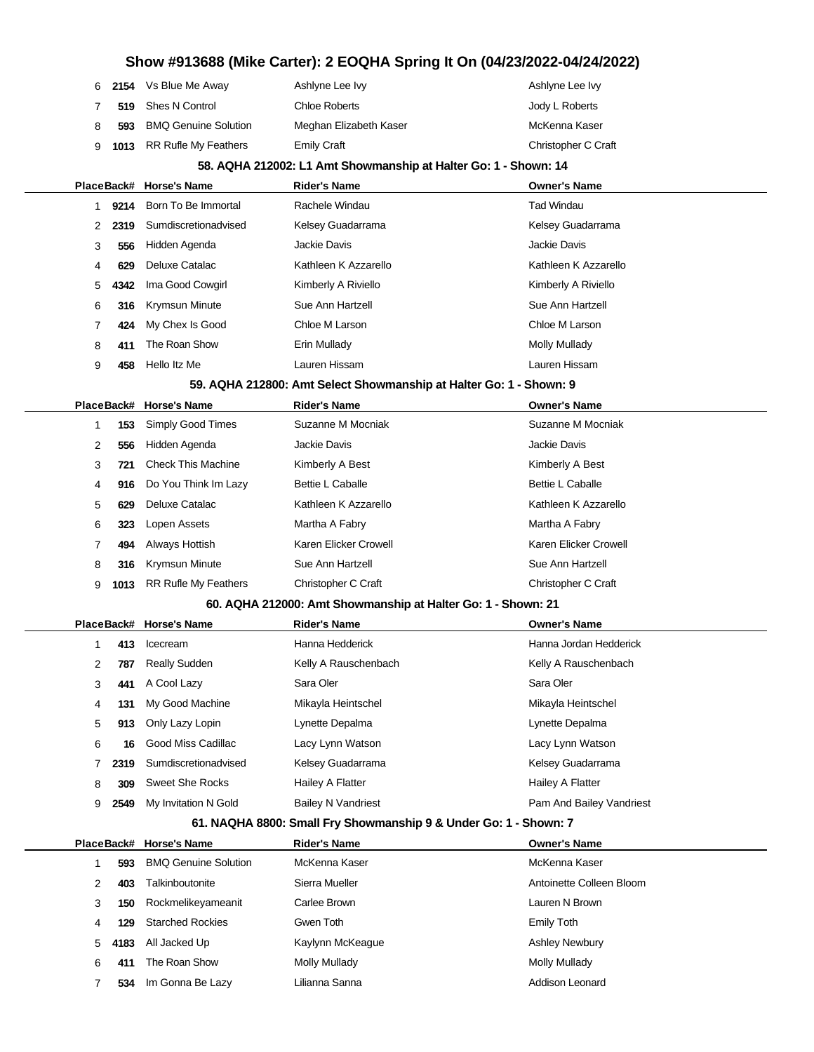|     | 6 2154 Vs Blue Me Away      | Ashlyne Lee Ivy        | Ashlyne Lee Ivy     |
|-----|-----------------------------|------------------------|---------------------|
|     | 519 Shes N Control          | Chloe Roberts          | Jody L Roberts      |
| 593 | <b>BMQ Genuine Solution</b> | Meghan Elizabeth Kaser | McKenna Kaser       |
|     | 9 1013 RR Rufle My Feathers | Emily Craft            | Christopher C Craft |

#### **58. AQHA 212002: L1 Amt Showmanship at Halter Go: 1 - Shown: 14**

|   |            | PlaceBack# Horse's Name                                            | <b>Rider's Name</b>   | <b>Owner's Name</b>     |
|---|------------|--------------------------------------------------------------------|-----------------------|-------------------------|
|   | 9214       | Born To Be Immortal                                                | Rachele Windau        | <b>Tad Windau</b>       |
| 2 | 2319       | Sumdiscretionadvised                                               | Kelsey Guadarrama     | Kelsey Guadarrama       |
| 3 | 556        | Hidden Agenda                                                      | Jackie Davis          | Jackie Davis            |
| 4 | 629        | <b>Deluxe Catalac</b>                                              | Kathleen K Azzarello  | Kathleen K Azzarello    |
| 5 | 4342       | Ima Good Cowgirl                                                   | Kimberly A Riviello   | Kimberly A Riviello     |
| 6 | 316        | <b>Krymsun Minute</b>                                              | Sue Ann Hartzell      | Sue Ann Hartzell        |
| 7 | 424        | My Chex Is Good                                                    | Chloe M Larson        | Chloe M Larson          |
| 8 | 411        | The Roan Show                                                      | Erin Mullady          | Molly Mullady           |
| 9 | 458        | Hello Itz Me                                                       | Lauren Hissam         | Lauren Hissam           |
|   |            | 59. AQHA 212800: Amt Select Showmanship at Halter Go: 1 - Shown: 9 |                       |                         |
|   | PlaceBack# | <b>Horse's Name</b>                                                | <b>Rider's Name</b>   | <b>Owner's Name</b>     |
|   | 153        |                                                                    | Suzanne M Mocniak     | Suzanne M Mocniak       |
| 1 |            | Simply Good Times                                                  |                       |                         |
| 2 | 556        | Hidden Agenda                                                      | Jackie Davis          | Jackie Davis            |
| 3 | 721        | <b>Check This Machine</b>                                          | Kimberly A Best       | Kimberly A Best         |
| 4 | 916        | Do You Think Im Lazy                                               | Bettie L Caballe      | <b>Bettie L Caballe</b> |
| 5 | 629        | Deluxe Catalac                                                     | Kathleen K Azzarello  | Kathleen K Azzarello    |
| 6 | 323        | Lopen Assets                                                       | Martha A Fabry        | Martha A Fabry          |
| 7 | 494        | Always Hottish                                                     | Karen Elicker Crowell | Karen Elicker Crowell   |
| 8 | 316        | <b>Krymsun Minute</b>                                              | Sue Ann Hartzell      | Sue Ann Hartzell        |

#### **60. AQHA 212000: Amt Showmanship at Halter Go: 1 - Shown: 21**

|   |      | PlaceBack# Horse's Name | <b>Rider's Name</b>       | <b>Owner's Name</b>      |
|---|------|-------------------------|---------------------------|--------------------------|
|   | 413  | Icecream                | Hanna Hedderick           | Hanna Jordan Hedderick   |
| 2 | 787  | <b>Really Sudden</b>    | Kelly A Rauschenbach      | Kelly A Rauschenbach     |
| 3 | 441  | A Cool Lazy             | Sara Oler                 | Sara Oler                |
| 4 | 131  | My Good Machine         | Mikayla Heintschel        | Mikayla Heintschel       |
| 5 | 913  | Only Lazy Lopin         | Lynette Depalma           | Lynette Depalma          |
| 6 | 16   | Good Miss Cadillac      | Lacy Lynn Watson          | Lacy Lynn Watson         |
|   | 2319 | Sumdiscretionadvised    | Kelsey Guadarrama         | Kelsey Guadarrama        |
| 8 | 309  | Sweet She Rocks         | Hailey A Flatter          | Hailey A Flatter         |
| 9 | 2549 | My Invitation N Gold    | <b>Bailey N Vandriest</b> | Pam And Bailey Vandriest |
|   |      |                         |                           |                          |

#### **61. NAQHA 8800: Small Fry Showmanship 9 & Under Go: 1 - Shown: 7**

|   |      | PlaceBack# Horse's Name     | <b>Rider's Name</b> | <b>Owner's Name</b>      |
|---|------|-----------------------------|---------------------|--------------------------|
|   | 593  | <b>BMQ Genuine Solution</b> | McKenna Kaser       | McKenna Kaser            |
| 2 | 403  | Talkinboutonite             | Sierra Mueller      | Antoinette Colleen Bloom |
| 3 | 150  | Rockmelikeyameanit          | Carlee Brown        | Lauren N Brown           |
| 4 | 129  | <b>Starched Rockies</b>     | Gwen Toth           | Emily Toth               |
| 5 | 4183 | All Jacked Up               | Kaylynn McKeague    | <b>Ashley Newbury</b>    |
| 6 | 411  | The Roan Show               | Molly Mullady       | Molly Mullady            |
|   | 534  | Im Gonna Be Lazy            | Lilianna Sanna      | Addison Leonard          |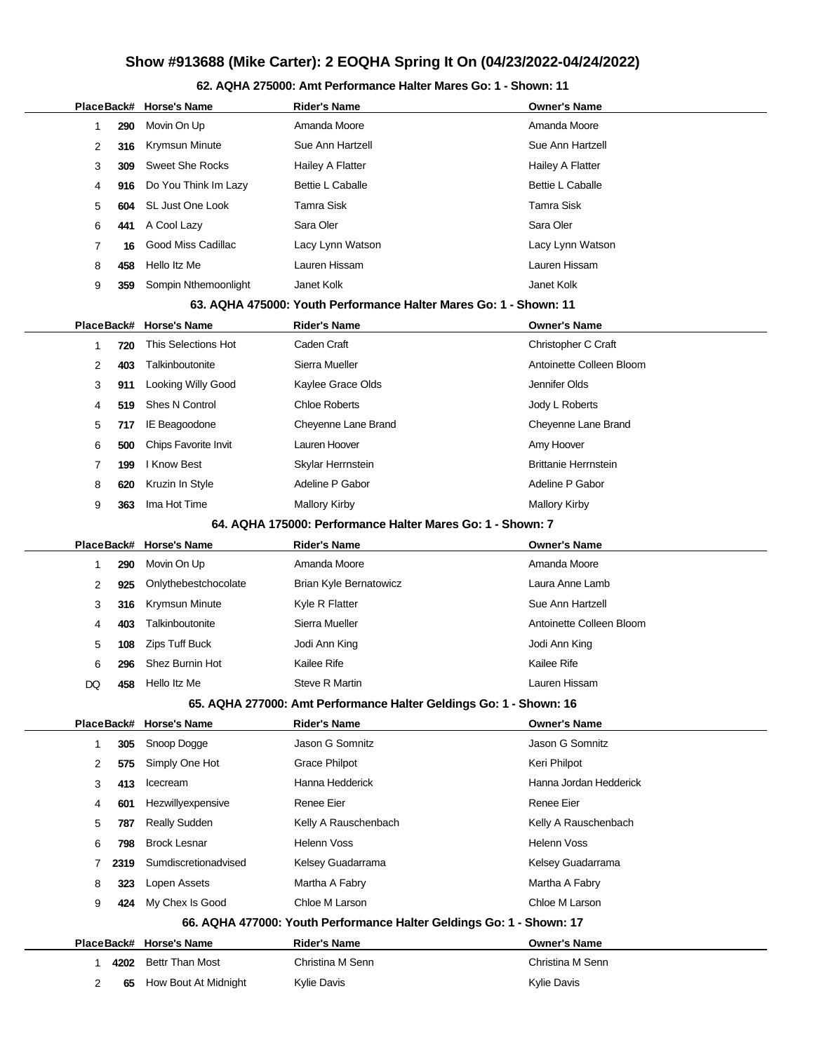## **62. AQHA 275000: Amt Performance Halter Mares Go: 1 - Shown: 11**

|                |      | PlaceBack# Horse's Name   | <b>Rider's Name</b>                                                  | <b>Owner's Name</b>         |
|----------------|------|---------------------------|----------------------------------------------------------------------|-----------------------------|
| $\mathbf{1}$   | 290  | Movin On Up               | Amanda Moore                                                         | Amanda Moore                |
| 2              | 316  | Krymsun Minute            | Sue Ann Hartzell                                                     | Sue Ann Hartzell            |
| 3              | 309  | <b>Sweet She Rocks</b>    | Hailey A Flatter                                                     | Hailey A Flatter            |
| 4              | 916  | Do You Think Im Lazy      | <b>Bettie L Caballe</b>                                              | <b>Bettie L Caballe</b>     |
| 5              | 604  | SL Just One Look          | <b>Tamra Sisk</b>                                                    | Tamra Sisk                  |
| 6              | 441  | A Cool Lazy               | Sara Oler                                                            | Sara Oler                   |
| 7              | 16   | Good Miss Cadillac        | Lacy Lynn Watson                                                     | Lacy Lynn Watson            |
| 8              | 458  | Hello Itz Me              | Lauren Hissam                                                        | Lauren Hissam               |
| 9              | 359  | Sompin Nthemoonlight      | Janet Kolk                                                           | Janet Kolk                  |
|                |      |                           | 63. AQHA 475000: Youth Performance Halter Mares Go: 1 - Shown: 11    |                             |
|                |      | PlaceBack# Horse's Name   | <b>Rider's Name</b>                                                  | <b>Owner's Name</b>         |
| $\mathbf{1}$   | 720  | This Selections Hot       | Caden Craft                                                          | Christopher C Craft         |
| 2              | 403  | Talkinboutonite           | Sierra Mueller                                                       | Antoinette Colleen Bloom    |
| 3              | 911  | <b>Looking Willy Good</b> | Kaylee Grace Olds                                                    | Jennifer Olds               |
| 4              | 519  | <b>Shes N Control</b>     | <b>Chloe Roberts</b>                                                 | Jody L Roberts              |
| 5              | 717  | IE Beagoodone             | Cheyenne Lane Brand                                                  | Cheyenne Lane Brand         |
| 6              | 500  | Chips Favorite Invit      | Lauren Hoover                                                        | Amy Hoover                  |
| 7              | 199  | I Know Best               | Skylar Herrnstein                                                    | <b>Brittanie Herrnstein</b> |
| 8              | 620  | Kruzin In Style           | Adeline P Gabor                                                      | Adeline P Gabor             |
| 9              | 363  | Ima Hot Time              | <b>Mallory Kirby</b>                                                 | <b>Mallory Kirby</b>        |
|                |      |                           | 64. AQHA 175000: Performance Halter Mares Go: 1 - Shown: 7           |                             |
|                |      | PlaceBack# Horse's Name   | <b>Rider's Name</b>                                                  | <b>Owner's Name</b>         |
| 1              | 290  | Movin On Up               | Amanda Moore                                                         | Amanda Moore                |
| 2              | 925  | Onlythebestchocolate      | Brian Kyle Bernatowicz                                               | Laura Anne Lamb             |
| 3              | 316  | Krymsun Minute            | Kyle R Flatter                                                       | Sue Ann Hartzell            |
| 4              | 403  | Talkinboutonite           | Sierra Mueller                                                       | Antoinette Colleen Bloom    |
| 5              | 108  | Zips Tuff Buck            | Jodi Ann King                                                        | Jodi Ann King               |
| 6              | 296  | Shez Burnin Hot           | Kailee Rife                                                          | <b>Kailee Rife</b>          |
| DQ             | 458  | Hello Itz Me              | Steve R Martin                                                       | Lauren Hissam               |
|                |      |                           | 65. AQHA 277000: Amt Performance Halter Geldings Go: 1 - Shown: 16   |                             |
|                |      | PlaceBack# Horse's Name   | <b>Rider's Name</b>                                                  | <b>Owner's Name</b>         |
| $\mathbf{1}$   | 305  | Snoop Dogge               | Jason G Somnitz                                                      | Jason G Somnitz             |
| 2              | 575  | Simply One Hot            | <b>Grace Philpot</b>                                                 | Keri Philpot                |
| 3              | 413  | Icecream                  | Hanna Hedderick                                                      | Hanna Jordan Hedderick      |
| 4              | 601  | Hezwillyexpensive         | Renee Eier                                                           | Renee Eier                  |
| 5              | 787  | <b>Really Sudden</b>      | Kelly A Rauschenbach                                                 | Kelly A Rauschenbach        |
| 6              | 798  | <b>Brock Lesnar</b>       | Helenn Voss                                                          | <b>Helenn Voss</b>          |
| 7              | 2319 | Sumdiscretionadvised      | Kelsey Guadarrama                                                    | Kelsey Guadarrama           |
| 8              | 323  | Lopen Assets              | Martha A Fabry                                                       | Martha A Fabry              |
| 9              | 424  | My Chex Is Good           | Chloe M Larson                                                       | Chloe M Larson              |
|                |      |                           | 66. AQHA 477000: Youth Performance Halter Geldings Go: 1 - Shown: 17 |                             |
|                |      | PlaceBack# Horse's Name   | <b>Rider's Name</b>                                                  | <b>Owner's Name</b>         |
| 1              | 4202 | Bettr Than Most           | Christina M Senn                                                     | Christina M Senn            |
| $\overline{2}$ | 65   | How Bout At Midnight      | <b>Kylie Davis</b>                                                   | <b>Kylie Davis</b>          |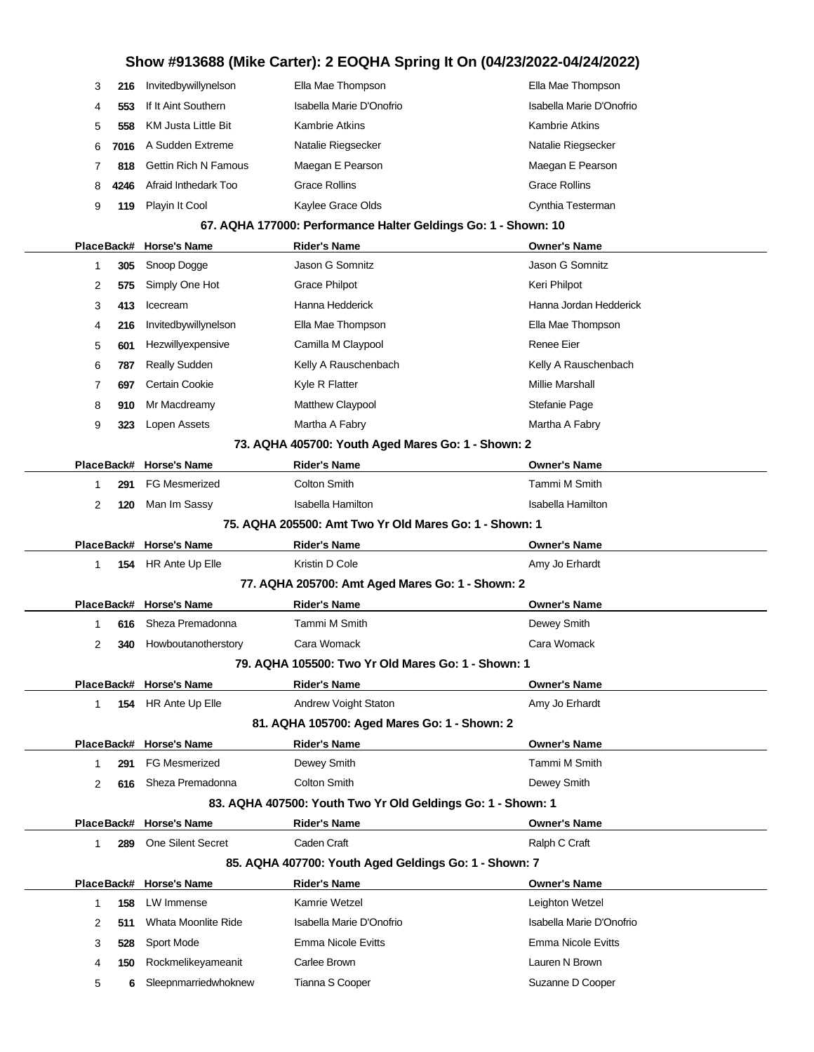| 3  | 216  | Invitedbywillynelson        | Ella Mae Thompson        | Ella Mae Thompson        |
|----|------|-----------------------------|--------------------------|--------------------------|
| 4  | 553  | If It Aint Southern         | Isabella Marie D'Onofrio | Isabella Marie D'Onofrio |
| 5  | 558  | <b>KM Justa Little Bit</b>  | Kambrie Atkins           | <b>Kambrie Atkins</b>    |
| 6. | 7016 | A Sudden Extreme            | Natalie Riegsecker       | Natalie Riegsecker       |
|    | 818  | <b>Gettin Rich N Famous</b> | Maegan E Pearson         | Maegan E Pearson         |
| 8  | 4246 | Afraid Inthedark Too        | <b>Grace Rollins</b>     | <b>Grace Rollins</b>     |
| 9  | 119  | Playin It Cool              | Kaylee Grace Olds        | Cynthia Testerman        |

### **67. AQHA 177000: Performance Halter Geldings Go: 1 - Shown: 10**

|                |     | PlaceBack# Horse's Name  | ASHA IITOOO. I CHOMINGHOC HARGE OCIUMIYO<br><b>Rider's Name</b> | <b>Owner's Name</b>       |
|----------------|-----|--------------------------|-----------------------------------------------------------------|---------------------------|
| 1              | 305 | Snoop Dogge              | Jason G Somnitz                                                 | Jason G Somnitz           |
| 2              | 575 | Simply One Hot           | <b>Grace Philpot</b>                                            | Keri Philpot              |
| 3              | 413 | Icecream                 | Hanna Hedderick                                                 | Hanna Jordan Hedderick    |
| 4              | 216 | Invitedbywillynelson     | Ella Mae Thompson                                               | Ella Mae Thompson         |
| 5              | 601 | Hezwillyexpensive        | Camilla M Claypool                                              | <b>Renee Eier</b>         |
| 6              | 787 | Really Sudden            | Kelly A Rauschenbach                                            | Kelly A Rauschenbach      |
| 7              | 697 | Certain Cookie           | Kyle R Flatter                                                  | <b>Millie Marshall</b>    |
| 8              | 910 | Mr Macdreamy             | Matthew Claypool                                                | Stefanie Page             |
| 9              | 323 | Lopen Assets             | Martha A Fabry                                                  | Martha A Fabry            |
|                |     |                          | 73. AQHA 405700: Youth Aged Mares Go: 1 - Shown: 2              |                           |
|                |     | PlaceBack# Horse's Name  | <b>Rider's Name</b>                                             | <b>Owner's Name</b>       |
| 1              | 291 | <b>FG Mesmerized</b>     | <b>Colton Smith</b>                                             | Tammi M Smith             |
| $\overline{2}$ | 120 | Man Im Sassy             | <b>Isabella Hamilton</b>                                        | <b>Isabella Hamilton</b>  |
|                |     |                          | 75. AQHA 205500: Amt Two Yr Old Mares Go: 1 - Shown: 1          |                           |
|                |     | PlaceBack# Horse's Name  | <b>Rider's Name</b>                                             | <b>Owner's Name</b>       |
| 1              |     | 154 HR Ante Up Elle      | Kristin D Cole                                                  | Amy Jo Erhardt            |
|                |     |                          | 77. AQHA 205700: Amt Aged Mares Go: 1 - Shown: 2                |                           |
|                |     | PlaceBack# Horse's Name  | <b>Rider's Name</b>                                             | <b>Owner's Name</b>       |
| 1              | 616 | Sheza Premadonna         | Tammi M Smith                                                   | Dewey Smith               |
| $\overline{2}$ | 340 | Howboutanotherstory      | Cara Womack                                                     | Cara Womack               |
|                |     |                          | 79. AQHA 105500: Two Yr Old Mares Go: 1 - Shown: 1              |                           |
|                |     | PlaceBack# Horse's Name  | <b>Rider's Name</b>                                             | <b>Owner's Name</b>       |
| 1              |     | 154 HR Ante Up Elle      | Andrew Voight Staton                                            | Amy Jo Erhardt            |
|                |     |                          | 81. AQHA 105700: Aged Mares Go: 1 - Shown: 2                    |                           |
|                |     | PlaceBack# Horse's Name  | <b>Rider's Name</b>                                             | <b>Owner's Name</b>       |
| 1              | 291 | <b>FG Mesmerized</b>     | Dewey Smith                                                     | Tammi M Smith             |
| $\overline{2}$ | 616 | Sheza Premadonna         | <b>Colton Smith</b>                                             | Dewey Smith               |
|                |     |                          | 83. AQHA 407500: Youth Two Yr Old Geldings Go: 1 - Shown: 1     |                           |
|                |     | PlaceBack# Horse's Name  | <b>Rider's Name</b>                                             | <b>Owner's Name</b>       |
| 1              | 289 | <b>One Silent Secret</b> | Caden Craft                                                     | Ralph C Craft             |
|                |     |                          | 85. AQHA 407700: Youth Aged Geldings Go: 1 - Shown: 7           |                           |
|                |     | PlaceBack# Horse's Name  | <b>Rider's Name</b>                                             | <b>Owner's Name</b>       |
| 1              | 158 | LW Immense               | Kamrie Wetzel                                                   | Leighton Wetzel           |
| 2              | 511 | Whata Moonlite Ride      | Isabella Marie D'Onofrio                                        | Isabella Marie D'Onofrio  |
| 3              | 528 | Sport Mode               | <b>Emma Nicole Evitts</b>                                       | <b>Emma Nicole Evitts</b> |
| 4              | 150 | Rockmelikeyameanit       | Carlee Brown                                                    | Lauren N Brown            |
| 5              | 6   | Sleepnmarriedwhoknew     | Tianna S Cooper                                                 | Suzanne D Cooper          |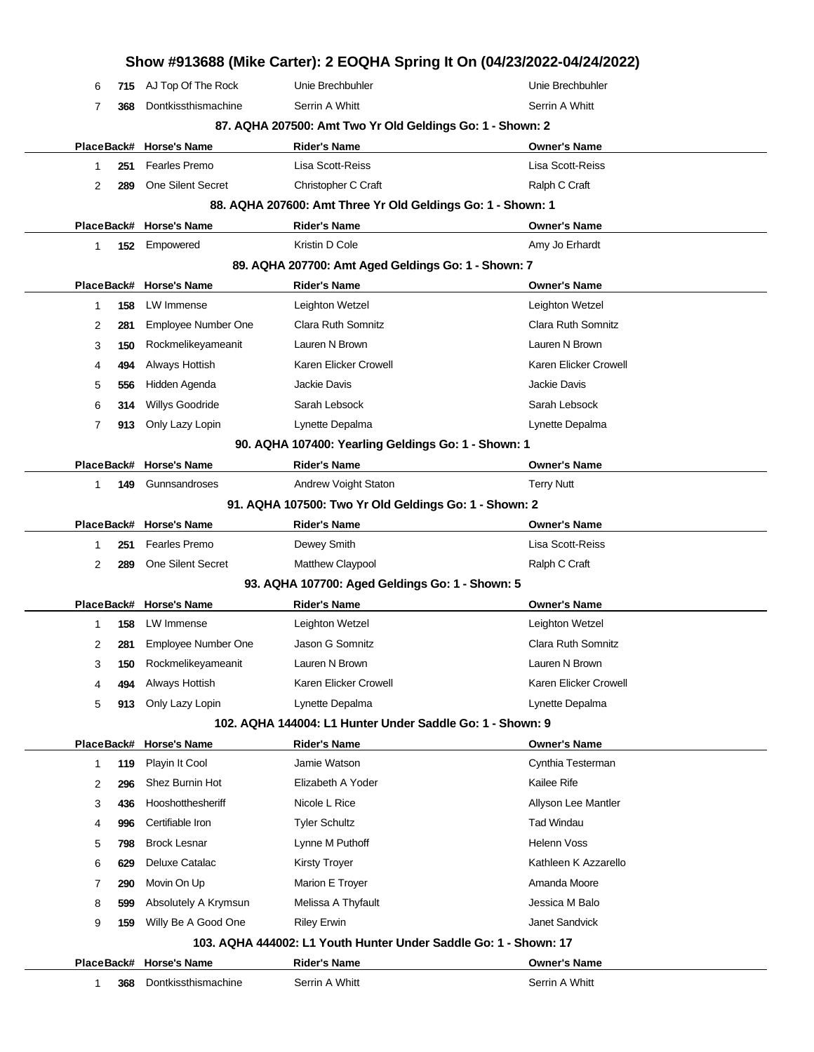|            |     |                         | Show #913688 (Mike Carter): 2 EOQHA Spring It On (04/23/2022-04/24/2022) |                       |
|------------|-----|-------------------------|--------------------------------------------------------------------------|-----------------------|
| 6          | 715 | AJ Top Of The Rock      | Unie Brechbuhler                                                         | Unie Brechbuhler      |
| 7          | 368 | Dontkissthismachine     | Serrin A Whitt                                                           | Serrin A Whitt        |
|            |     |                         | 87. AQHA 207500: Amt Two Yr Old Geldings Go: 1 - Shown: 2                |                       |
| PlaceBack# |     | <b>Horse's Name</b>     | <b>Rider's Name</b>                                                      | <b>Owner's Name</b>   |
| 1          | 251 | Fearles Premo           | Lisa Scott-Reiss                                                         | Lisa Scott-Reiss      |
| 2          | 289 | One Silent Secret       | Christopher C Craft                                                      | Ralph C Craft         |
|            |     |                         | 88. AQHA 207600: Amt Three Yr Old Geldings Go: 1 - Shown: 1              |                       |
| PlaceBack# |     | <b>Horse's Name</b>     | <b>Rider's Name</b>                                                      | <b>Owner's Name</b>   |
| 1          | 152 | Empowered               | Kristin D Cole                                                           | Amy Jo Erhardt        |
|            |     |                         | 89. AQHA 207700: Amt Aged Geldings Go: 1 - Shown: 7                      |                       |
| PlaceBack# |     | <b>Horse's Name</b>     | <b>Rider's Name</b>                                                      | <b>Owner's Name</b>   |
| 1          | 158 | LW Immense              | Leighton Wetzel                                                          | Leighton Wetzel       |
| 2          | 281 | Employee Number One     | Clara Ruth Somnitz                                                       | Clara Ruth Somnitz    |
| 3          | 150 | Rockmelikeyameanit      | Lauren N Brown                                                           | Lauren N Brown        |
| 4          | 494 | Always Hottish          | Karen Elicker Crowell                                                    | Karen Elicker Crowell |
| 5          | 556 | Hidden Agenda           | Jackie Davis                                                             | Jackie Davis          |
| 6          | 314 | Willys Goodride         | Sarah Lebsock                                                            | Sarah Lebsock         |
| 7          | 913 | Only Lazy Lopin         | Lynette Depalma                                                          | Lynette Depalma       |
|            |     |                         | 90. AQHA 107400: Yearling Geldings Go: 1 - Shown: 1                      |                       |
| PlaceBack# |     | <b>Horse's Name</b>     | <b>Rider's Name</b>                                                      | <b>Owner's Name</b>   |
| 1          | 149 | Gunnsandroses           | Andrew Voight Staton                                                     | <b>Terry Nutt</b>     |
|            |     |                         | 91. AQHA 107500: Two Yr Old Geldings Go: 1 - Shown: 2                    |                       |
| PlaceBack# |     | <b>Horse's Name</b>     | <b>Rider's Name</b>                                                      | <b>Owner's Name</b>   |
| 1          | 251 | Fearles Premo           | Dewey Smith                                                              | Lisa Scott-Reiss      |
| 2          | 289 | One Silent Secret       | Matthew Claypool                                                         | Ralph C Craft         |
|            |     |                         | 93. AQHA 107700: Aged Geldings Go: 1 - Shown: 5                          |                       |
|            |     | PlaceBack# Horse's Name | <b>Rider's Name</b>                                                      | Owner's Name          |
| 1          | 158 | LW Immense              | Leighton Wetzel                                                          | Leighton Wetzel       |
| 2          | 281 | Employee Number One     | Jason G Somnitz                                                          | Clara Ruth Somnitz    |
| 3          | 150 | Rockmelikeyameanit      | Lauren N Brown                                                           | Lauren N Brown        |
| 4          | 494 | Always Hottish          | Karen Elicker Crowell                                                    | Karen Elicker Crowell |
| 5          | 913 | Only Lazy Lopin         | Lynette Depalma                                                          | Lynette Depalma       |
|            |     |                         | 102. AQHA 144004: L1 Hunter Under Saddle Go: 1 - Shown: 9                |                       |
| PlaceBack# |     | <b>Horse's Name</b>     | <b>Rider's Name</b>                                                      | Owner's Name          |
| 1          | 119 | Playin It Cool          | Jamie Watson                                                             | Cynthia Testerman     |
| 2          | 296 | Shez Burnin Hot         | Elizabeth A Yoder                                                        | Kailee Rife           |
| 3          | 436 | Hooshotthesheriff       | Nicole L Rice                                                            | Allyson Lee Mantler   |
| 4          | 996 | Certifiable Iron        | <b>Tyler Schultz</b>                                                     | <b>Tad Windau</b>     |
| 5          | 798 | <b>Brock Lesnar</b>     | Lynne M Puthoff                                                          | <b>Helenn Voss</b>    |
| 6          | 629 | Deluxe Catalac          | <b>Kirsty Troyer</b>                                                     | Kathleen K Azzarello  |
| 7          | 290 | Movin On Up             | Marion E Troyer                                                          | Amanda Moore          |
| 8          | 599 | Absolutely A Krymsun    | Melissa A Thyfault                                                       | Jessica M Balo        |
|            | 159 | Willy Be A Good One     | <b>Riley Erwin</b>                                                       | Janet Sandvick        |
| 9          |     |                         | 103. AQHA 444002: L1 Youth Hunter Under Saddle Go: 1 - Shown: 17         |                       |
|            |     |                         |                                                                          |                       |
|            |     | PlaceBack# Horse's Name | <b>Rider's Name</b>                                                      | <b>Owner's Name</b>   |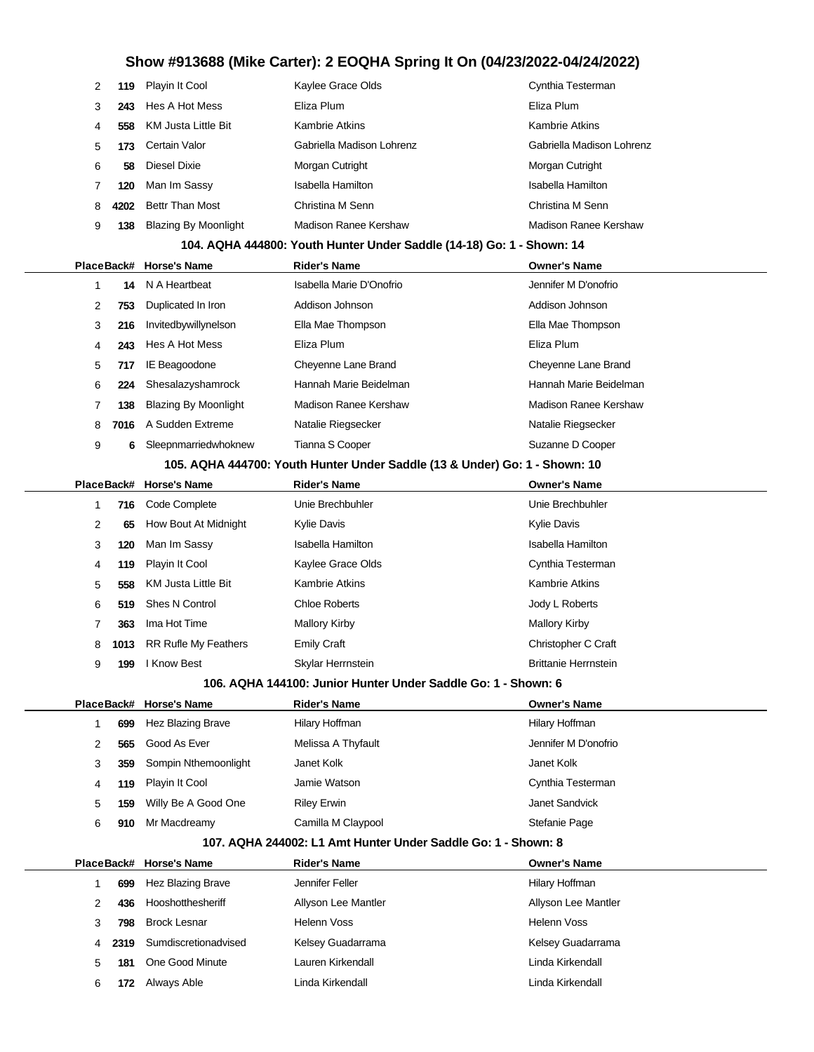| 2 | 119  | Playin It Cool              | Kaylee Grace Olds                                                     | Cynthia Testerman         |
|---|------|-----------------------------|-----------------------------------------------------------------------|---------------------------|
| 3 | 243  | Hes A Hot Mess              | Eliza Plum                                                            | Eliza Plum                |
| 4 | 558  | <b>KM Justa Little Bit</b>  | <b>Kambrie Atkins</b>                                                 | <b>Kambrie Atkins</b>     |
| 5 | 173  | Certain Valor               | Gabriella Madison Lohrenz                                             | Gabriella Madison Lohrenz |
| 6 | 58   | Diesel Dixie                | Morgan Cutright                                                       | Morgan Cutright           |
| 7 | 120  | Man Im Sassy                | Isabella Hamilton                                                     | Isabella Hamilton         |
| 8 | 4202 | <b>Bettr Than Most</b>      | Christina M Senn                                                      | Christina M Senn          |
| 9 | 138  | <b>Blazing By Moonlight</b> | Madison Ranee Kershaw                                                 | Madison Ranee Kershaw     |
|   |      |                             | 104. AQHA 444800: Youth Hunter Under Saddle (14-18) Go: 1 - Shown: 14 |                           |
|   |      |                             |                                                                       |                           |
|   |      | PlaceBack# Horse's Name     | <b>Rider's Name</b>                                                   | <b>Owner's Name</b>       |
|   | 14   | N A Heartbeat               | Isabella Marie D'Onofrio                                              | Jennifer M D'onofrio      |
| 2 | 753  | Duplicated In Iron          | Addison Johnson                                                       | Addison Johnson           |
| 3 | 216  | Invitedbywillynelson        | Ella Mae Thompson                                                     | Ella Mae Thompson         |
| 4 | 243  | Hes A Hot Mess              | Eliza Plum                                                            | Eliza Plum                |
| 5 | 717  | IE Beagoodone               | Cheyenne Lane Brand                                                   | Cheyenne Lane Brand       |
| 6 | 224  | Shesalazyshamrock           | Hannah Marie Beidelman                                                | Hannah Marie Beidelman    |

|  | 6 Sleepnmarriedwhoknew | Tianna S Cooper | Suzanne D Cooper |
|--|------------------------|-----------------|------------------|
|  |                        |                 |                  |

8 7016 A Sudden Extreme Natalie Riegsecker Natalie Riegsecker Natalie Riegsecker

### **105. AQHA 444700: Youth Hunter Under Saddle (13 & Under) Go: 1 - Shown: 10**

|   |      | PlaceBack# Horse's Name     | <b>Rider's Name</b>   | <b>Owner's Name</b>         |  |
|---|------|-----------------------------|-----------------------|-----------------------------|--|
|   | 716  | Code Complete               | Unie Brechbuhler      | Unie Brechbuhler            |  |
| 2 | 65   | How Bout At Midnight        | <b>Kylie Davis</b>    | <b>Kylie Davis</b>          |  |
| 3 | 120  | Man Im Sassy                | Isabella Hamilton     | Isabella Hamilton           |  |
| 4 | 119  | Playin It Cool              | Kaylee Grace Olds     | Cynthia Testerman           |  |
| 5 | 558  | KM Justa Little Bit         | <b>Kambrie Atkins</b> | <b>Kambrie Atkins</b>       |  |
| 6 | 519  | Shes N Control              | <b>Chloe Roberts</b>  | Jody L Roberts              |  |
| 7 | 363  | Ima Hot Time                | <b>Mallory Kirby</b>  | <b>Mallory Kirby</b>        |  |
| 8 | 1013 | <b>RR Rufle My Feathers</b> | <b>Emily Craft</b>    | Christopher C Craft         |  |
| 9 | 199  | I Know Best                 | Skylar Herrnstein     | <b>Brittanie Herrnstein</b> |  |

#### **106. AQHA 144100: Junior Hunter Under Saddle Go: 1 - Shown: 6**

|   |     | PlaceBack# Horse's Name | <b>Rider's Name</b> | <b>Owner's Name</b>  |
|---|-----|-------------------------|---------------------|----------------------|
|   | 699 | Hez Blazing Brave       | Hilary Hoffman      | Hilary Hoffman       |
|   | 565 | Good As Ever            | Melissa A Thyfault  | Jennifer M D'onofrio |
| 3 | 359 | Sompin Nthemoonlight    | Janet Kolk          | Janet Kolk           |
| 4 |     | 119 Playin It Cool      | Jamie Watson        | Cynthia Testerman    |
| 5 | 159 | Willy Be A Good One     | <b>Riley Erwin</b>  | Janet Sandvick       |
| 6 | 910 | Mr Macdreamy            | Camilla M Claypool  | Stefanie Page        |

#### **107. AQHA 244002: L1 Amt Hunter Under Saddle Go: 1 - Shown: 8**

|   |      | PlaceBack# Horse's Name | <b>Rider's Name</b> | <b>Owner's Name</b> |
|---|------|-------------------------|---------------------|---------------------|
|   | 699  | Hez Blazing Brave       | Jennifer Feller     | Hilary Hoffman      |
|   | 436  | Hooshotthesheriff       | Allyson Lee Mantler | Allyson Lee Mantler |
| 3 | 798  | <b>Brock Lesnar</b>     | <b>Helenn Voss</b>  | Helenn Voss         |
| 4 | 2319 | Sumdiscretionadvised    | Kelsey Guadarrama   | Kelsey Guadarrama   |
| 5 | 181  | One Good Minute         | Lauren Kirkendall   | Linda Kirkendall    |
| 6 |      | Always Able             | Linda Kirkendall    | Linda Kirkendall    |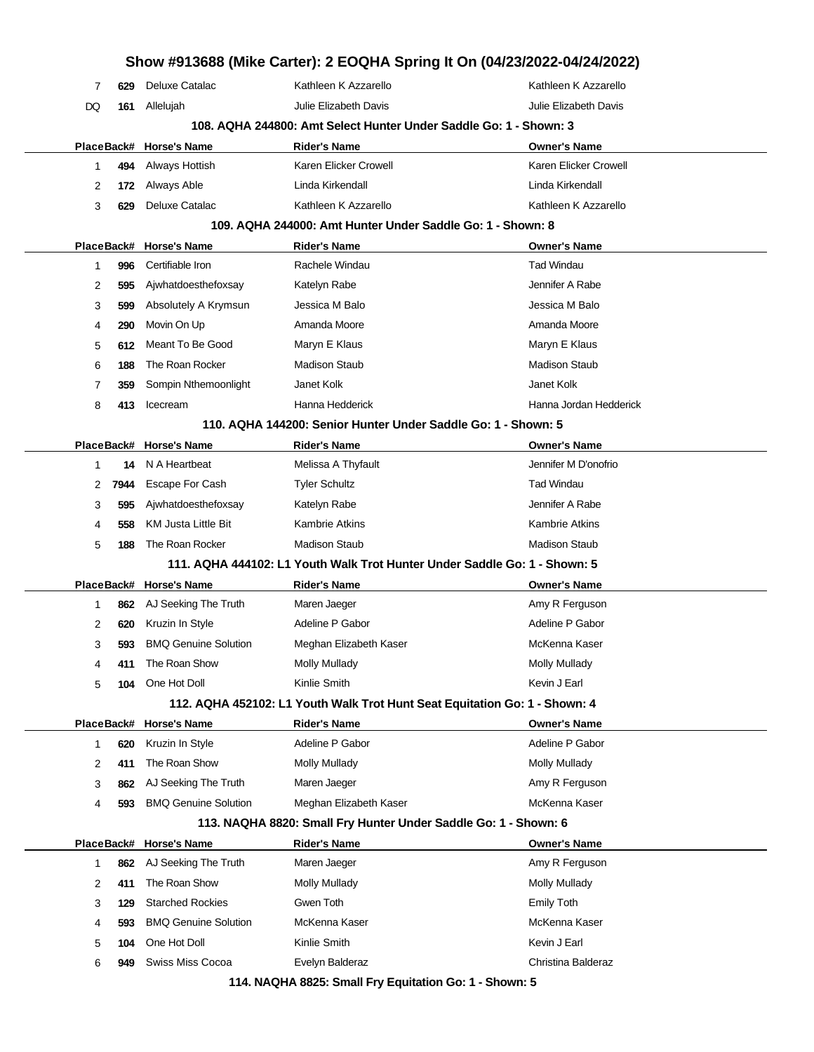| Show #913688 (Mike Carter): 2 EOQHA Spring It On (04/23/2022-04/24/2022) |      |                             |                                                                            |                        |  |
|--------------------------------------------------------------------------|------|-----------------------------|----------------------------------------------------------------------------|------------------------|--|
| 7                                                                        | 629  | <b>Deluxe Catalac</b>       | Kathleen K Azzarello                                                       | Kathleen K Azzarello   |  |
| DQ                                                                       | 161  | Allelujah                   | Julie Elizabeth Davis                                                      | Julie Elizabeth Davis  |  |
|                                                                          |      |                             | 108. AQHA 244800: Amt Select Hunter Under Saddle Go: 1 - Shown: 3          |                        |  |
| PlaceBack#                                                               |      | <b>Horse's Name</b>         | <b>Rider's Name</b>                                                        | <b>Owner's Name</b>    |  |
| 1                                                                        | 494  | Always Hottish              | Karen Elicker Crowell                                                      | Karen Elicker Crowell  |  |
| 2                                                                        | 172  | Always Able                 | Linda Kirkendall                                                           | Linda Kirkendall       |  |
| 3                                                                        | 629  | Deluxe Catalac              | Kathleen K Azzarello                                                       | Kathleen K Azzarello   |  |
|                                                                          |      |                             | 109. AQHA 244000: Amt Hunter Under Saddle Go: 1 - Shown: 8                 |                        |  |
| PlaceBack#                                                               |      | <b>Horse's Name</b>         | Rider's Name                                                               | <b>Owner's Name</b>    |  |
| 1                                                                        | 996  | Certifiable Iron            | Rachele Windau                                                             | <b>Tad Windau</b>      |  |
| 2                                                                        | 595  | Ajwhatdoesthefoxsay         | Katelyn Rabe                                                               | Jennifer A Rabe        |  |
| 3                                                                        | 599  | Absolutely A Krymsun        | Jessica M Balo                                                             | Jessica M Balo         |  |
| 4                                                                        | 290  | Movin On Up                 | Amanda Moore                                                               | Amanda Moore           |  |
| 5                                                                        | 612  | Meant To Be Good            | Maryn E Klaus                                                              | Maryn E Klaus          |  |
| 6                                                                        | 188  | The Roan Rocker             | <b>Madison Staub</b>                                                       | <b>Madison Staub</b>   |  |
| 7                                                                        | 359  | Sompin Nthemoonlight        | Janet Kolk                                                                 | Janet Kolk             |  |
| 8                                                                        | 413  | Icecream                    | Hanna Hedderick                                                            | Hanna Jordan Hedderick |  |
|                                                                          |      |                             | 110. AQHA 144200: Senior Hunter Under Saddle Go: 1 - Shown: 5              |                        |  |
| PlaceBack#                                                               |      | <b>Horse's Name</b>         | Rider's Name                                                               | <b>Owner's Name</b>    |  |
| 1                                                                        | 14   | N A Heartbeat               | Melissa A Thyfault                                                         | Jennifer M D'onofrio   |  |
| 2                                                                        | 7944 | Escape For Cash             | <b>Tyler Schultz</b>                                                       | <b>Tad Windau</b>      |  |
| 3                                                                        | 595  | Ajwhatdoesthefoxsay         | Katelyn Rabe                                                               | Jennifer A Rabe        |  |
| 4                                                                        | 558  | <b>KM Justa Little Bit</b>  | <b>Kambrie Atkins</b>                                                      | <b>Kambrie Atkins</b>  |  |
| 5                                                                        | 188  | The Roan Rocker             | <b>Madison Staub</b>                                                       | <b>Madison Staub</b>   |  |
|                                                                          |      |                             | 111. AQHA 444102: L1 Youth Walk Trot Hunter Under Saddle Go: 1 - Shown: 5  |                        |  |
| PlaceBack#                                                               |      | <b>Horse's Name</b>         | Rider's Name                                                               | <b>Owner's Name</b>    |  |
| 1                                                                        | 862  | AJ Seeking The Truth        | Maren Jaeger                                                               | Amy R Ferguson         |  |
| 2                                                                        | 620  | Kruzin In Style             | Adeline P Gabor                                                            | Adeline P Gabor        |  |
| 3                                                                        | 593  | <b>BMQ Genuine Solution</b> | Meghan Elizabeth Kaser                                                     | McKenna Kaser          |  |
| 4                                                                        | 411  | The Roan Show               | <b>Molly Mullady</b>                                                       | <b>Molly Mullady</b>   |  |
| 5                                                                        | 104  | One Hot Doll                | Kinlie Smith                                                               | Kevin J Earl           |  |
|                                                                          |      |                             | 112. AQHA 452102: L1 Youth Walk Trot Hunt Seat Equitation Go: 1 - Shown: 4 |                        |  |
| PlaceBack#                                                               |      | <b>Horse's Name</b>         | <b>Rider's Name</b>                                                        | <b>Owner's Name</b>    |  |
| 1                                                                        | 620  | Kruzin In Style             | Adeline P Gabor                                                            | Adeline P Gabor        |  |
| 2                                                                        | 411  | The Roan Show               | Molly Mullady                                                              | <b>Molly Mullady</b>   |  |
| 3                                                                        | 862  | AJ Seeking The Truth        | Maren Jaeger                                                               | Amy R Ferguson         |  |
| 4                                                                        | 593  | <b>BMQ Genuine Solution</b> | Meghan Elizabeth Kaser                                                     | McKenna Kaser          |  |
|                                                                          |      |                             | 113. NAQHA 8820: Small Fry Hunter Under Saddle Go: 1 - Shown: 6            |                        |  |
| PlaceBack#                                                               |      | <b>Horse's Name</b>         | <b>Rider's Name</b>                                                        | <b>Owner's Name</b>    |  |
| 1                                                                        | 862  | AJ Seeking The Truth        | Maren Jaeger                                                               | Amy R Ferguson         |  |
| 2                                                                        | 411  | The Roan Show               | <b>Molly Mullady</b>                                                       | <b>Molly Mullady</b>   |  |
| 3                                                                        | 129  | <b>Starched Rockies</b>     | Gwen Toth                                                                  | <b>Emily Toth</b>      |  |
| 4                                                                        | 593  | <b>BMQ Genuine Solution</b> | McKenna Kaser                                                              | McKenna Kaser          |  |
| 5                                                                        | 104  | One Hot Doll                | Kinlie Smith                                                               | Kevin J Earl           |  |
| 6                                                                        | 949  | <b>Swiss Miss Cocoa</b>     | Evelyn Balderaz                                                            | Christina Balderaz     |  |
|                                                                          |      |                             | 114. NAQHA 8825: Small Fry Equitation Go: 1 - Shown: 5                     |                        |  |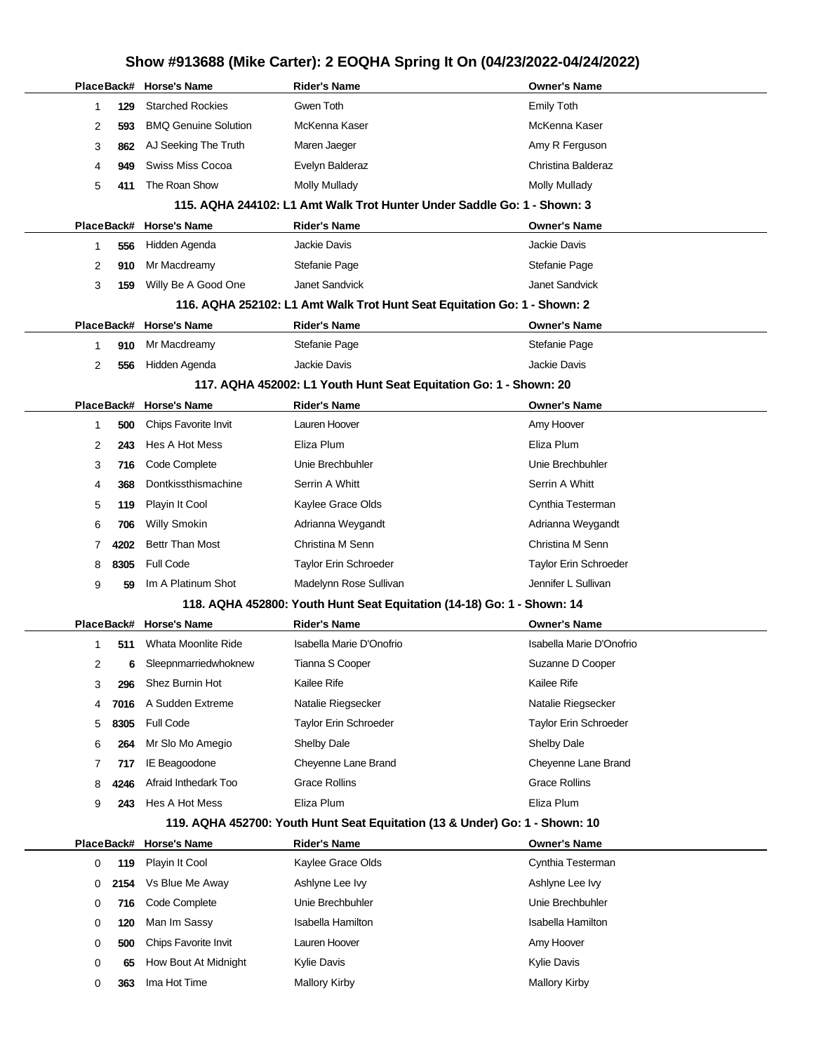|   |            | PlaceBack# Horse's Name     | Rider's Name                                                                | <b>Owner's Name</b>      |
|---|------------|-----------------------------|-----------------------------------------------------------------------------|--------------------------|
| 1 | 129        | <b>Starched Rockies</b>     | Gwen Toth                                                                   | <b>Emily Toth</b>        |
| 2 | 593        | <b>BMQ Genuine Solution</b> | McKenna Kaser                                                               | McKenna Kaser            |
| 3 | 862        | AJ Seeking The Truth        | Maren Jaeger                                                                | Amy R Ferguson           |
| 4 | 949        | <b>Swiss Miss Cocoa</b>     | Evelyn Balderaz                                                             | Christina Balderaz       |
| 5 | 411        | The Roan Show               | Molly Mullady                                                               | <b>Molly Mullady</b>     |
|   |            |                             | 115. AQHA 244102: L1 Amt Walk Trot Hunter Under Saddle Go: 1 - Shown: 3     |                          |
|   | PlaceBack# | <b>Horse's Name</b>         | <b>Rider's Name</b>                                                         | <b>Owner's Name</b>      |
| 1 | 556        | Hidden Agenda               | Jackie Davis                                                                | Jackie Davis             |
| 2 | 910        | Mr Macdreamy                | Stefanie Page                                                               | Stefanie Page            |
| 3 | 159        | Willy Be A Good One         | Janet Sandvick                                                              | Janet Sandvick           |
|   |            |                             | 116. AQHA 252102: L1 Amt Walk Trot Hunt Seat Equitation Go: 1 - Shown: 2    |                          |
|   | PlaceBack# | <b>Horse's Name</b>         | <b>Rider's Name</b>                                                         | <b>Owner's Name</b>      |
| 1 | 910        | Mr Macdreamy                | Stefanie Page                                                               | Stefanie Page            |
| 2 | 556        | Hidden Agenda               | Jackie Davis                                                                | Jackie Davis             |
|   |            |                             | 117. AQHA 452002: L1 Youth Hunt Seat Equitation Go: 1 - Shown: 20           |                          |
|   | PlaceBack# | <b>Horse's Name</b>         | <b>Rider's Name</b>                                                         | <b>Owner's Name</b>      |
| 1 | 500        | Chips Favorite Invit        | Lauren Hoover                                                               | Amy Hoover               |
| 2 | 243        | Hes A Hot Mess              | Eliza Plum                                                                  | Eliza Plum               |
| 3 | 716        | Code Complete               | Unie Brechbuhler                                                            | Unie Brechbuhler         |
| 4 | 368        | Dontkissthismachine         | Serrin A Whitt                                                              | Serrin A Whitt           |
| 5 | 119        | Playin It Cool              | Kaylee Grace Olds                                                           | Cynthia Testerman        |
| 6 | 706        | <b>Willy Smokin</b>         | Adrianna Weygandt                                                           | Adrianna Weygandt        |
| 7 | 4202       | <b>Bettr Than Most</b>      | Christina M Senn                                                            | Christina M Senn         |
| 8 | 8305       | <b>Full Code</b>            | Taylor Erin Schroeder                                                       | Taylor Erin Schroeder    |
| 9 | 59         | Im A Platinum Shot          | Madelynn Rose Sullivan                                                      | Jennifer L Sullivan      |
|   |            |                             | 118. AQHA 452800: Youth Hunt Seat Equitation (14-18) Go: 1 - Shown: 14      |                          |
|   | PlaceBack# | <b>Horse's Name</b>         | <b>Rider's Name</b>                                                         | <b>Owner's Name</b>      |
| 1 | 511        | Whata Moonlite Ride         | Isabella Marie D'Onofrio                                                    | Isabella Marie D'Onofrio |
| 2 | 6          | Sleepnmarriedwhoknew        | Tianna S Cooper                                                             | Suzanne D Cooper         |
| 3 | 296        | Shez Burnin Hot             | Kailee Rife                                                                 | Kailee Rife              |
| 4 | 7016       | A Sudden Extreme            | Natalie Riegsecker                                                          | Natalie Riegsecker       |
| 5 | 8305       | Full Code                   | Taylor Erin Schroeder                                                       | Taylor Erin Schroeder    |
| 6 | 264        | Mr Slo Mo Amegio            | <b>Shelby Dale</b>                                                          | Shelby Dale              |
| 7 | 717        | IE Beagoodone               | Cheyenne Lane Brand                                                         | Cheyenne Lane Brand      |
| 8 | 4246       | Afraid Inthedark Too        | <b>Grace Rollins</b>                                                        | <b>Grace Rollins</b>     |
| 9 | 243        | Hes A Hot Mess              | Eliza Plum                                                                  | Eliza Plum               |
|   |            |                             | 119. AQHA 452700: Youth Hunt Seat Equitation (13 & Under) Go: 1 - Shown: 10 |                          |
|   | PlaceBack# | <b>Horse's Name</b>         | <b>Rider's Name</b>                                                         | <b>Owner's Name</b>      |
| 0 | 119        | Playin It Cool              | Kaylee Grace Olds                                                           | Cynthia Testerman        |
| 0 | 2154       | Vs Blue Me Away             | Ashlyne Lee Ivy                                                             | Ashlyne Lee Ivy          |
| 0 | 716        | Code Complete               | Unie Brechbuhler                                                            | Unie Brechbuhler         |
| 0 | 120        | Man Im Sassy                | <b>Isabella Hamilton</b>                                                    | <b>Isabella Hamilton</b> |
| 0 | 500        | Chips Favorite Invit        | Lauren Hoover                                                               | Amy Hoover               |
| 0 | 65         | How Bout At Midnight        | Kylie Davis                                                                 | Kylie Davis              |
| 0 | 363        | Ima Hot Time                | <b>Mallory Kirby</b>                                                        | <b>Mallory Kirby</b>     |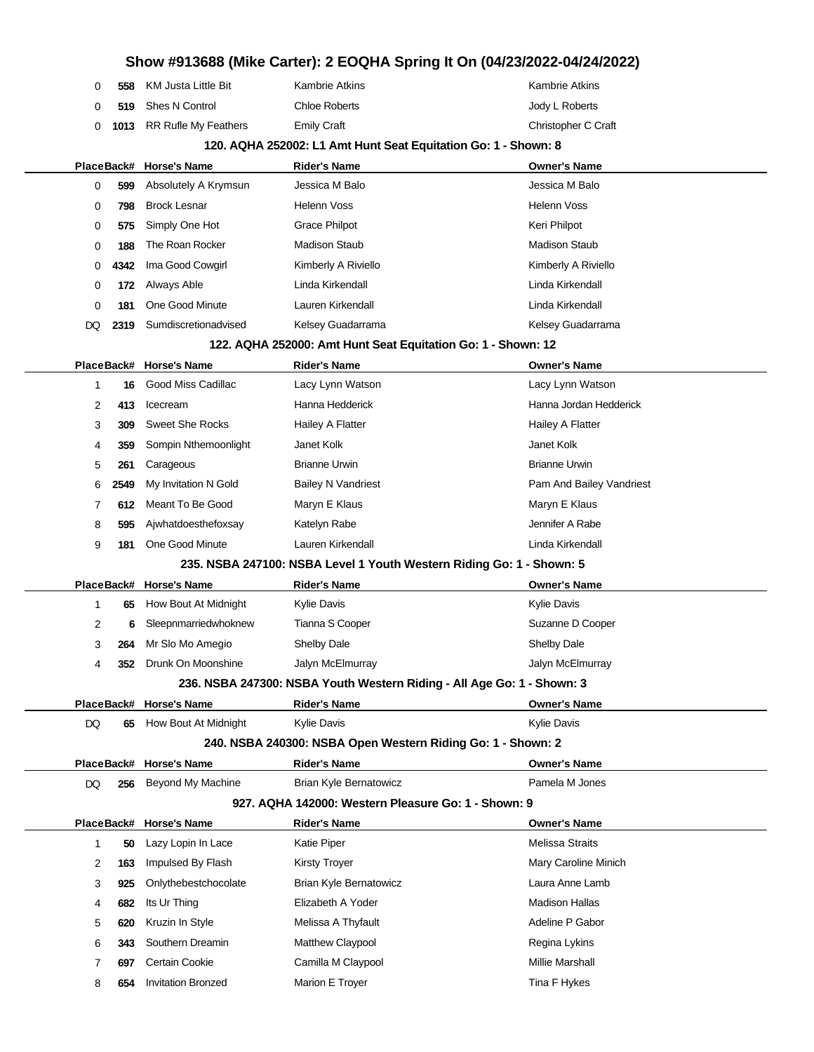|    |            |                             |                                                                        | Show #913688 (Mike Carter): 2 EOQHA Spring It On (04/23/2022-04/24/2022) |
|----|------------|-----------------------------|------------------------------------------------------------------------|--------------------------------------------------------------------------|
|    | 0<br>558   | <b>KM Justa Little Bit</b>  | <b>Kambrie Atkins</b>                                                  | <b>Kambrie Atkins</b>                                                    |
|    | 0<br>519   | Shes N Control              | <b>Chloe Roberts</b>                                                   | Jody L Roberts                                                           |
|    | 0<br>1013  | <b>RR Rufle My Feathers</b> | <b>Emily Craft</b>                                                     | Christopher C Craft                                                      |
|    |            |                             | 120. AQHA 252002: L1 Amt Hunt Seat Equitation Go: 1 - Shown: 8         |                                                                          |
|    |            | PlaceBack# Horse's Name     | <b>Rider's Name</b>                                                    | Owner's Name                                                             |
|    | 0<br>599   | Absolutely A Krymsun        | Jessica M Balo                                                         | Jessica M Balo                                                           |
|    | 0<br>798   | <b>Brock Lesnar</b>         | <b>Helenn Voss</b>                                                     | <b>Helenn Voss</b>                                                       |
|    | 0<br>575   | Simply One Hot              | Grace Philpot                                                          | Keri Philpot                                                             |
|    | 0<br>188   | The Roan Rocker             | <b>Madison Staub</b>                                                   | <b>Madison Staub</b>                                                     |
|    | 0<br>4342  | Ima Good Cowgirl            | Kimberly A Riviello                                                    | Kimberly A Riviello                                                      |
|    | 0<br>172   | Always Able                 | Linda Kirkendall                                                       | Linda Kirkendall                                                         |
|    | 0<br>181   | One Good Minute             | Lauren Kirkendall                                                      | Linda Kirkendall                                                         |
| DQ | 2319       | Sumdiscretionadvised        | Kelsey Guadarrama                                                      | Kelsey Guadarrama                                                        |
|    |            |                             | 122. AQHA 252000: Amt Hunt Seat Equitation Go: 1 - Shown: 12           |                                                                          |
|    | PlaceBack# | Horse's Name                | <b>Rider's Name</b>                                                    | <b>Owner's Name</b>                                                      |
|    | 1<br>16    | Good Miss Cadillac          | Lacy Lynn Watson                                                       | Lacy Lynn Watson                                                         |
|    | 2<br>413   | Icecream                    | Hanna Hedderick                                                        | Hanna Jordan Hedderick                                                   |
|    | 3<br>309   | <b>Sweet She Rocks</b>      | Hailey A Flatter                                                       | Hailey A Flatter                                                         |
|    | 359<br>4   | Sompin Nthemoonlight        | Janet Kolk                                                             | Janet Kolk                                                               |
|    | 5<br>261   | Carageous                   | <b>Brianne Urwin</b>                                                   | <b>Brianne Urwin</b>                                                     |
|    | 6<br>2549  | My Invitation N Gold        | <b>Bailey N Vandriest</b>                                              | Pam And Bailey Vandriest                                                 |
|    | 7<br>612   | Meant To Be Good            | Maryn E Klaus                                                          | Maryn E Klaus                                                            |
|    | 8<br>595   | Ajwhatdoesthefoxsay         | Katelyn Rabe                                                           | Jennifer A Rabe                                                          |
|    | 9<br>181   | One Good Minute             | Lauren Kirkendall                                                      | Linda Kirkendall                                                         |
|    |            |                             | 235. NSBA 247100: NSBA Level 1 Youth Western Riding Go: 1 - Shown: 5   |                                                                          |
|    | PlaceBack# | <b>Horse's Name</b>         | <b>Rider's Name</b>                                                    | <b>Owner's Name</b>                                                      |
|    | 1<br>65    | How Bout At Midnight        | <b>Kylie Davis</b>                                                     | <b>Kylie Davis</b>                                                       |
|    | 2          | Sleepnmarriedwhoknew        | Tianna S Cooper                                                        | Suzanne D Cooper                                                         |
|    | 3<br>264   | Mr Slo Mo Amegio            | Shelby Dale                                                            | Shelby Dale                                                              |
|    | 352<br>4   | Drunk On Moonshine          | Jalyn McElmurray                                                       | Jalyn McElmurray                                                         |
|    |            |                             | 236. NSBA 247300: NSBA Youth Western Riding - All Age Go: 1 - Shown: 3 |                                                                          |
|    |            | PlaceBack# Horse's Name     | <b>Rider's Name</b>                                                    | <b>Owner's Name</b>                                                      |
| DQ | 65         | How Bout At Midnight        | Kylie Davis                                                            | <b>Kylie Davis</b>                                                       |
|    |            |                             | 240. NSBA 240300: NSBA Open Western Riding Go: 1 - Shown: 2            |                                                                          |
|    |            | PlaceBack# Horse's Name     | <b>Rider's Name</b>                                                    | Owner's Name                                                             |
| DQ | 256        | <b>Beyond My Machine</b>    | Brian Kyle Bernatowicz                                                 | Pamela M Jones                                                           |
|    |            |                             | 927. AQHA 142000: Western Pleasure Go: 1 - Shown: 9                    |                                                                          |
|    |            | PlaceBack# Horse's Name     | <b>Rider's Name</b>                                                    | <b>Owner's Name</b>                                                      |
|    | 50<br>1    | Lazy Lopin In Lace          | Katie Piper                                                            | <b>Melissa Straits</b>                                                   |
|    | 2<br>163   | Impulsed By Flash           | <b>Kirsty Troyer</b>                                                   | Mary Caroline Minich                                                     |
|    | 3<br>925   | Onlythebestchocolate        | <b>Brian Kyle Bernatowicz</b>                                          | Laura Anne Lamb                                                          |
|    | 682<br>4   | Its Ur Thing                | Elizabeth A Yoder                                                      | <b>Madison Hallas</b>                                                    |
|    | 5<br>620   | Kruzin In Style             | Melissa A Thyfault                                                     | Adeline P Gabor                                                          |
|    | 6<br>343   | Southern Dreamin            | Matthew Claypool                                                       | Regina Lykins                                                            |
|    | 7<br>697   | Certain Cookie              | Camilla M Claypool                                                     | Millie Marshall                                                          |
|    | 8<br>654   | <b>Invitation Bronzed</b>   | Marion E Troyer                                                        | Tina F Hykes                                                             |